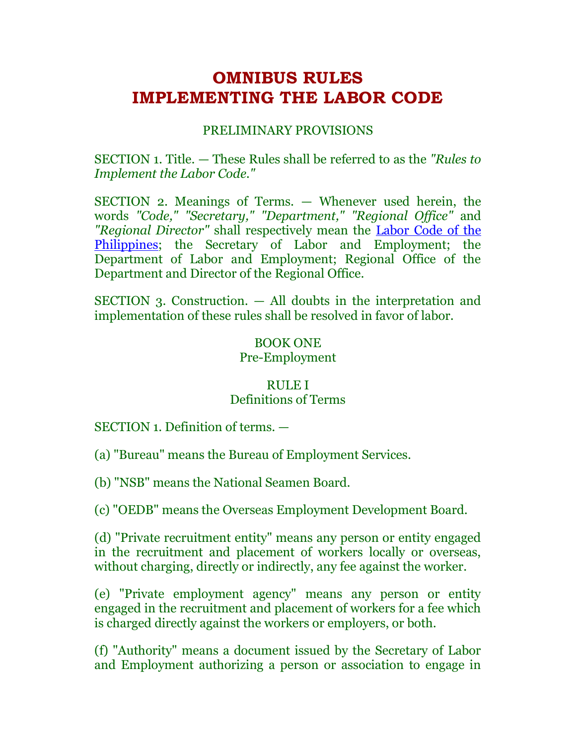# **OMNIBUS RULES IMPLEMENTING THE LABOR CODE**

# PRELIMINARY PROVISIONS

SECTION 1. Title. — These Rules shall be referred to as the *"Rules to Implement the Labor Code."*

SECTION 2. Meanings of Terms. — Whenever used herein, the words *"Code," "Secretary," "Department," "Regional Office"* and *"Regional Director"* shall respectively mean the [Labor Code of the](http://www.chanrobles.com/legal4labor.htm#LABOR%20CODE%20OF%20THE%20PHILIPPINES%20%5BFULL%20TEXT%5D)  [Philippines;](http://www.chanrobles.com/legal4labor.htm#LABOR%20CODE%20OF%20THE%20PHILIPPINES%20%5BFULL%20TEXT%5D) the Secretary of Labor and Employment; the Department of Labor and Employment; Regional Office of the Department and Director of the Regional Office.

SECTION 3. Construction. — All doubts in the interpretation and implementation of these rules shall be resolved in favor of labor.

# BOOK ONE Pre-Employment

# RULE I Definitions of Terms

SECTION 1. Definition of terms. —

(a) "Bureau" means the Bureau of Employment Services.

(b) "NSB" means the National Seamen Board.

(c) "OEDB" means the Overseas Employment Development Board.

(d) "Private recruitment entity" means any person or entity engaged in the recruitment and placement of workers locally or overseas, without charging, directly or indirectly, any fee against the worker.

(e) "Private employment agency" means any person or entity engaged in the recruitment and placement of workers for a fee which is charged directly against the workers or employers, or both.

(f) "Authority" means a document issued by the Secretary of Labor and Employment authorizing a person or association to engage in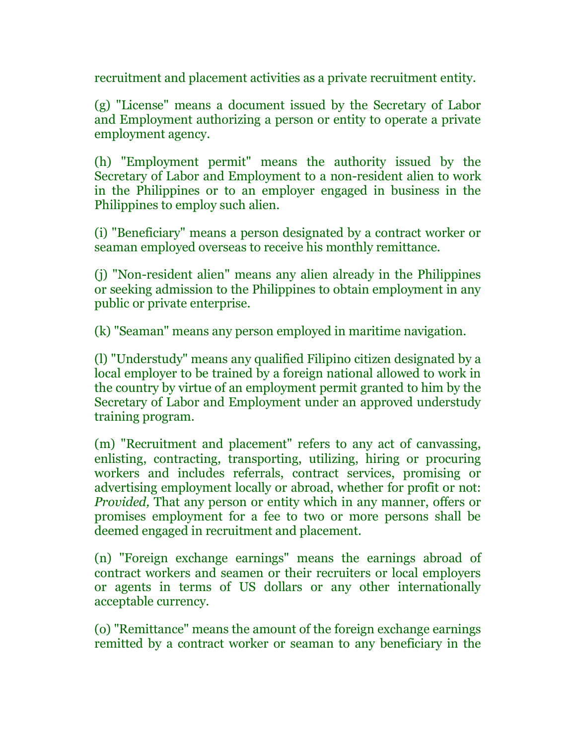recruitment and placement activities as a private recruitment entity.

(g) "License" means a document issued by the Secretary of Labor and Employment authorizing a person or entity to operate a private employment agency.

(h) "Employment permit" means the authority issued by the Secretary of Labor and Employment to a non-resident alien to work in the Philippines or to an employer engaged in business in the Philippines to employ such alien.

(i) "Beneficiary" means a person designated by a contract worker or seaman employed overseas to receive his monthly remittance.

(j) "Non-resident alien" means any alien already in the Philippines or seeking admission to the Philippines to obtain employment in any public or private enterprise.

(k) "Seaman" means any person employed in maritime navigation.

(l) "Understudy" means any qualified Filipino citizen designated by a local employer to be trained by a foreign national allowed to work in the country by virtue of an employment permit granted to him by the Secretary of Labor and Employment under an approved understudy training program.

(m) "Recruitment and placement" refers to any act of canvassing, enlisting, contracting, transporting, utilizing, hiring or procuring workers and includes referrals, contract services, promising or advertising employment locally or abroad, whether for profit or not: *Provided,* That any person or entity which in any manner, offers or promises employment for a fee to two or more persons shall be deemed engaged in recruitment and placement.

(n) "Foreign exchange earnings" means the earnings abroad of contract workers and seamen or their recruiters or local employers or agents in terms of US dollars or any other internationally acceptable currency.

(o) "Remittance" means the amount of the foreign exchange earnings remitted by a contract worker or seaman to any beneficiary in the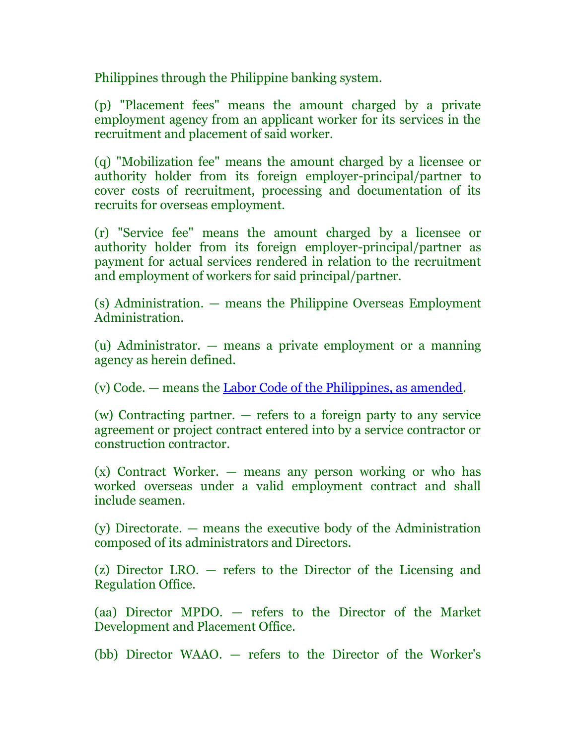Philippines through the Philippine banking system.

(p) "Placement fees" means the amount charged by a private employment agency from an applicant worker for its services in the recruitment and placement of said worker.

(q) "Mobilization fee" means the amount charged by a licensee or authority holder from its foreign employer-principal/partner to cover costs of recruitment, processing and documentation of its recruits for overseas employment.

(r) "Service fee" means the amount charged by a licensee or authority holder from its foreign employer-principal/partner as payment for actual services rendered in relation to the recruitment and employment of workers for said principal/partner.

(s) Administration. — means the Philippine Overseas Employment Administration.

(u) Administrator. — means a private employment or a manning agency as herein defined.

(v) Code. — means the [Labor Code of the Philippines, as amended.](http://www.chanrobles.com/legal4labor.htm#LABOR%20CODE%20OF%20THE%20PHILIPPINES%20%5BFULL%20TEXT%5D)

(w) Contracting partner. — refers to a foreign party to any service agreement or project contract entered into by a service contractor or construction contractor.

(x) Contract Worker. — means any person working or who has worked overseas under a valid employment contract and shall include seamen.

(y) Directorate. — means the executive body of the Administration composed of its administrators and Directors.

(z) Director LRO. — refers to the Director of the Licensing and Regulation Office.

(aa) Director MPDO. — refers to the Director of the Market Development and Placement Office.

(bb) Director WAAO. — refers to the Director of the Worker's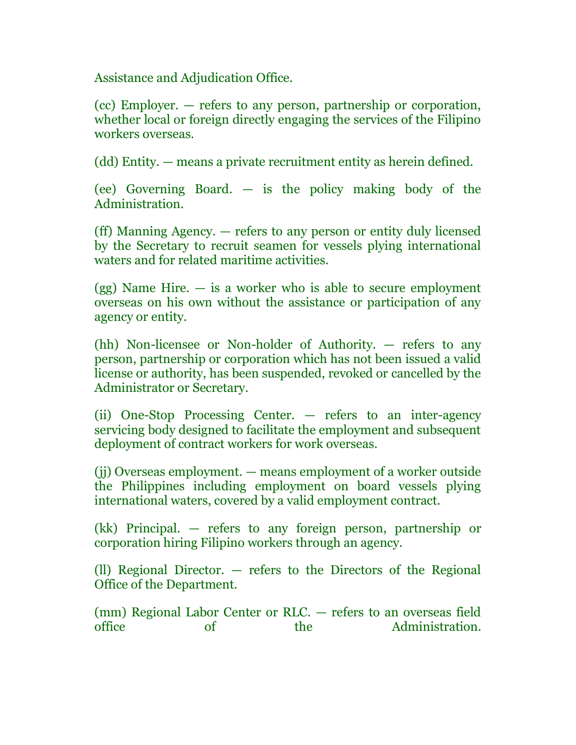Assistance and Adjudication Office.

(cc) Employer. — refers to any person, partnership or corporation, whether local or foreign directly engaging the services of the Filipino workers overseas.

(dd) Entity. — means a private recruitment entity as herein defined.

(ee) Governing Board. — is the policy making body of the Administration.

(ff) Manning Agency. — refers to any person or entity duly licensed by the Secretary to recruit seamen for vessels plying international waters and for related maritime activities.

 $(gg)$  Name Hire.  $-$  is a worker who is able to secure employment overseas on his own without the assistance or participation of any agency or entity.

(hh) Non-licensee or Non-holder of Authority. — refers to any person, partnership or corporation which has not been issued a valid license or authority, has been suspended, revoked or cancelled by the Administrator or Secretary.

(ii) One-Stop Processing Center. — refers to an inter-agency servicing body designed to facilitate the employment and subsequent deployment of contract workers for work overseas.

(jj) Overseas employment. — means employment of a worker outside the Philippines including employment on board vessels plying international waters, covered by a valid employment contract.

(kk) Principal. — refers to any foreign person, partnership or corporation hiring Filipino workers through an agency.

(ll) Regional Director. — refers to the Directors of the Regional Office of the Department.

(mm) Regional Labor Center or RLC. — refers to an overseas field office of the Administration.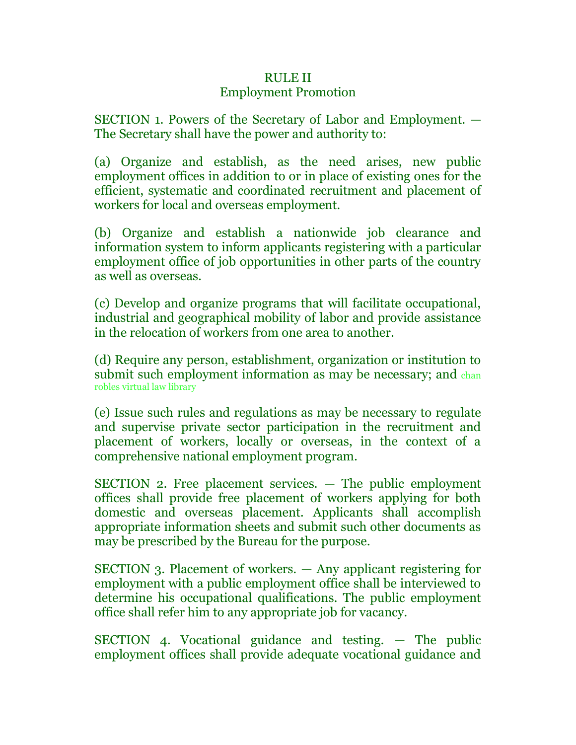# RULE II

# Employment Promotion

SECTION 1. Powers of the Secretary of Labor and Employment. — The Secretary shall have the power and authority to:

(a) Organize and establish, as the need arises, new public employment offices in addition to or in place of existing ones for the efficient, systematic and coordinated recruitment and placement of workers for local and overseas employment.

(b) Organize and establish a nationwide job clearance and information system to inform applicants registering with a particular employment office of job opportunities in other parts of the country as well as overseas.

(c) Develop and organize programs that will facilitate occupational, industrial and geographical mobility of labor and provide assistance in the relocation of workers from one area to another.

(d) Require any person, establishment, organization or institution to submit such employment information as may be necessary; and chan robles virtual law library

(e) Issue such rules and regulations as may be necessary to regulate and supervise private sector participation in the recruitment and placement of workers, locally or overseas, in the context of a comprehensive national employment program.

SECTION 2. Free placement services. — The public employment offices shall provide free placement of workers applying for both domestic and overseas placement. Applicants shall accomplish appropriate information sheets and submit such other documents as may be prescribed by the Bureau for the purpose.

SECTION 3. Placement of workers. — Any applicant registering for employment with a public employment office shall be interviewed to determine his occupational qualifications. The public employment office shall refer him to any appropriate job for vacancy.

SECTION 4. Vocational guidance and testing. — The public employment offices shall provide adequate vocational guidance and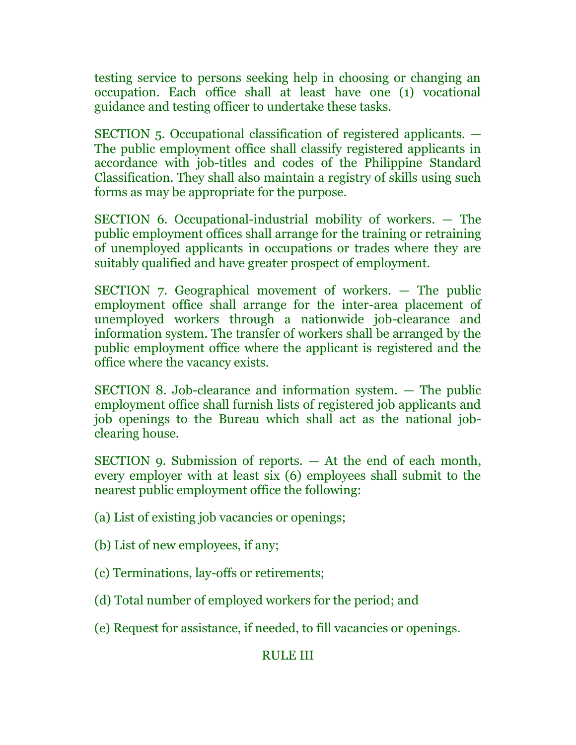testing service to persons seeking help in choosing or changing an occupation. Each office shall at least have one (1) vocational guidance and testing officer to undertake these tasks.

SECTION 5. Occupational classification of registered applicants. — The public employment office shall classify registered applicants in accordance with job-titles and codes of the Philippine Standard Classification. They shall also maintain a registry of skills using such forms as may be appropriate for the purpose.

SECTION 6. Occupational-industrial mobility of workers. — The public employment offices shall arrange for the training or retraining of unemployed applicants in occupations or trades where they are suitably qualified and have greater prospect of employment.

SECTION 7. Geographical movement of workers. — The public employment office shall arrange for the inter-area placement of unemployed workers through a nationwide job-clearance and information system. The transfer of workers shall be arranged by the public employment office where the applicant is registered and the office where the vacancy exists.

SECTION 8. Job-clearance and information system. — The public employment office shall furnish lists of registered job applicants and job openings to the Bureau which shall act as the national jobclearing house.

SECTION 9. Submission of reports. — At the end of each month, every employer with at least six (6) employees shall submit to the nearest public employment office the following:

(a) List of existing job vacancies or openings;

- (b) List of new employees, if any;
- (c) Terminations, lay-offs or retirements;
- (d) Total number of employed workers for the period; and
- (e) Request for assistance, if needed, to fill vacancies or openings.

# RULE III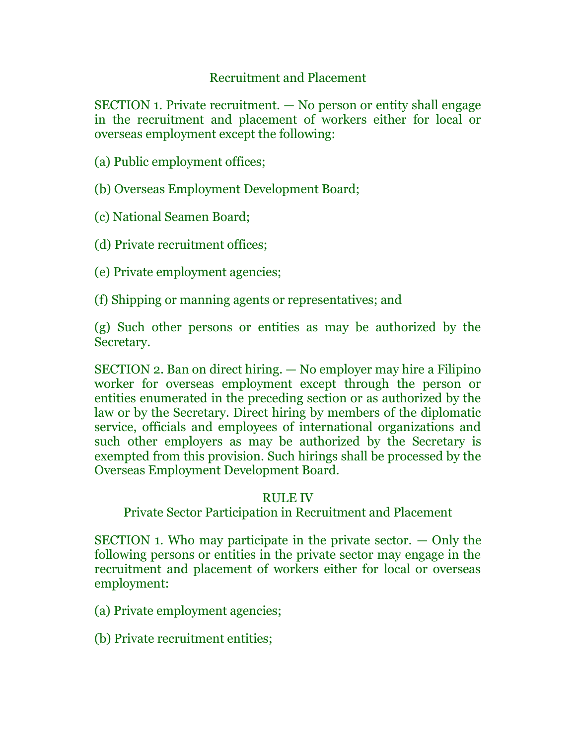# Recruitment and Placement

SECTION 1. Private recruitment. — No person or entity shall engage in the recruitment and placement of workers either for local or overseas employment except the following:

(a) Public employment offices;

(b) Overseas Employment Development Board;

(c) National Seamen Board;

(d) Private recruitment offices;

(e) Private employment agencies;

(f) Shipping or manning agents or representatives; and

(g) Such other persons or entities as may be authorized by the Secretary.

SECTION 2. Ban on direct hiring. — No employer may hire a Filipino worker for overseas employment except through the person or entities enumerated in the preceding section or as authorized by the law or by the Secretary. Direct hiring by members of the diplomatic service, officials and employees of international organizations and such other employers as may be authorized by the Secretary is exempted from this provision. Such hirings shall be processed by the Overseas Employment Development Board.

# RULE IV

Private Sector Participation in Recruitment and Placement

SECTION 1. Who may participate in the private sector.  $-$  Only the following persons or entities in the private sector may engage in the recruitment and placement of workers either for local or overseas employment:

(a) Private employment agencies;

(b) Private recruitment entities;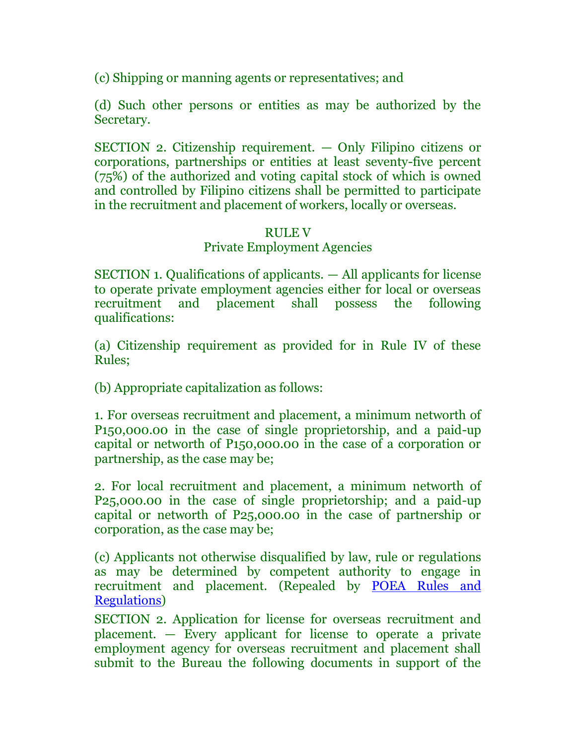(c) Shipping or manning agents or representatives; and

(d) Such other persons or entities as may be authorized by the Secretary.

SECTION 2. Citizenship requirement. — Only Filipino citizens or corporations, partnerships or entities at least seventy-five percent (75%) of the authorized and voting capital stock of which is owned and controlled by Filipino citizens shall be permitted to participate in the recruitment and placement of workers, locally or overseas.

# RULE V

# Private Employment Agencies

SECTION 1. Qualifications of applicants. — All applicants for license to operate private employment agencies either for local or overseas recruitment and placement shall possess the following qualifications:

(a) Citizenship requirement as provided for in Rule IV of these Rules;

(b) Appropriate capitalization as follows:

1. For overseas recruitment and placement, a minimum networth of P150,000.00 in the case of single proprietorship, and a paid-up capital or networth of P150,000.00 in the case of a corporation or partnership, as the case may be;

2. For local recruitment and placement, a minimum networth of P25,000.00 in the case of single proprietorship; and a paid-up capital or networth of P25,000.00 in the case of partnership or corporation, as the case may be;

(c) Applicants not otherwise disqualified by law, rule or regulations as may be determined by competent authority to engage in recruitment and placement. (Repealed by [POEA Rules and](http://www.chanrobles.com/poearulesgoverningoverseasemployment.htm)  [Regulations\)](http://www.chanrobles.com/poearulesgoverningoverseasemployment.htm)

SECTION 2. Application for license for overseas recruitment and placement. — Every applicant for license to operate a private employment agency for overseas recruitment and placement shall submit to the Bureau the following documents in support of the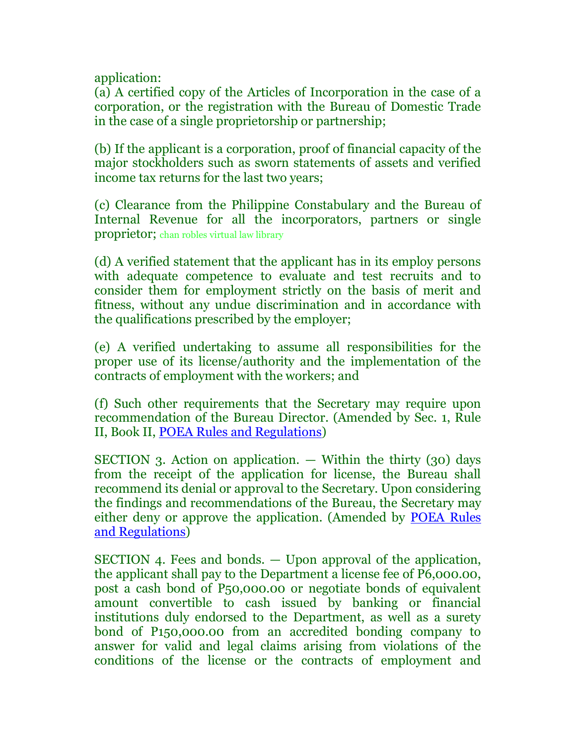application:

(a) A certified copy of the Articles of Incorporation in the case of a corporation, or the registration with the Bureau of Domestic Trade in the case of a single proprietorship or partnership;

(b) If the applicant is a corporation, proof of financial capacity of the major stockholders such as sworn statements of assets and verified income tax returns for the last two years;

(c) Clearance from the Philippine Constabulary and the Bureau of Internal Revenue for all the incorporators, partners or single proprietor; chan robles virtual law library

(d) A verified statement that the applicant has in its employ persons with adequate competence to evaluate and test recruits and to consider them for employment strictly on the basis of merit and fitness, without any undue discrimination and in accordance with the qualifications prescribed by the employer;

(e) A verified undertaking to assume all responsibilities for the proper use of its license/authority and the implementation of the contracts of employment with the workers; and

(f) Such other requirements that the Secretary may require upon recommendation of the Bureau Director. (Amended by Sec. 1, Rule II, Book II, [POEA Rules and Regulations\)](http://www.chanrobles.com/poearulesgoverningoverseasemployment.htm)

SECTION 3. Action on application.  $-$  Within the thirty (30) days from the receipt of the application for license, the Bureau shall recommend its denial or approval to the Secretary. Upon considering the findings and recommendations of the Bureau, the Secretary may either deny or approve the application. (Amended by [POEA Rules](http://www.chanrobles.com/poearulesgoverningoverseasemployment.htm)  [and Regulations\)](http://www.chanrobles.com/poearulesgoverningoverseasemployment.htm)

SECTION 4. Fees and bonds. — Upon approval of the application, the applicant shall pay to the Department a license fee of P6,000.00, post a cash bond of P50,000.00 or negotiate bonds of equivalent amount convertible to cash issued by banking or financial institutions duly endorsed to the Department, as well as a surety bond of P150,000.00 from an accredited bonding company to answer for valid and legal claims arising from violations of the conditions of the license or the contracts of employment and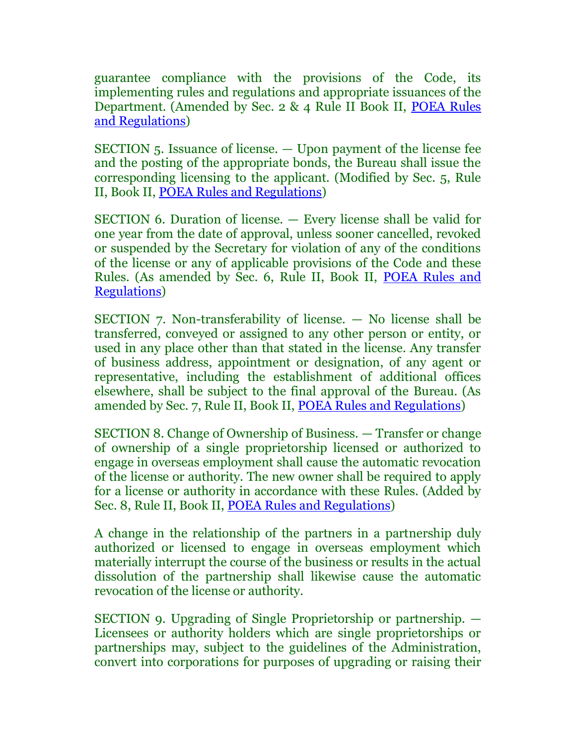guarantee compliance with the provisions of the Code, its implementing rules and regulations and appropriate issuances of the Department. (Amended by Sec. 2 & 4 Rule II Book II, [POEA Rules](http://www.chanrobles.com/poearulesgoverningoverseasemployment.htm)  [and Regulations\)](http://www.chanrobles.com/poearulesgoverningoverseasemployment.htm)

SECTION 5. Issuance of license. — Upon payment of the license fee and the posting of the appropriate bonds, the Bureau shall issue the corresponding licensing to the applicant. (Modified by Sec. 5, Rule II, Book II, [POEA Rules and Regulations\)](http://www.chanrobles.com/poearulesgoverningoverseasemployment.htm)

SECTION 6. Duration of license. — Every license shall be valid for one year from the date of approval, unless sooner cancelled, revoked or suspended by the Secretary for violation of any of the conditions of the license or any of applicable provisions of the Code and these Rules. (As amended by Sec. 6, Rule II, Book II, [POEA Rules and](http://www.chanrobles.com/poearulesgoverningoverseasemployment.htm)  [Regulations\)](http://www.chanrobles.com/poearulesgoverningoverseasemployment.htm)

SECTION 7. Non-transferability of license. — No license shall be transferred, conveyed or assigned to any other person or entity, or used in any place other than that stated in the license. Any transfer of business address, appointment or designation, of any agent or representative, including the establishment of additional offices elsewhere, shall be subject to the final approval of the Bureau. (As amended by Sec. 7, Rule II, Book II, [POEA Rules and Regulations\)](http://www.chanrobles.com/poearulesgoverningoverseasemployment.htm)

SECTION 8. Change of Ownership of Business. — Transfer or change of ownership of a single proprietorship licensed or authorized to engage in overseas employment shall cause the automatic revocation of the license or authority. The new owner shall be required to apply for a license or authority in accordance with these Rules. (Added by Sec. 8, Rule II, Book II, [POEA Rules and Regulations\)](http://www.chanrobles.com/poearulesgoverningoverseasemployment.htm)

A change in the relationship of the partners in a partnership duly authorized or licensed to engage in overseas employment which materially interrupt the course of the business or results in the actual dissolution of the partnership shall likewise cause the automatic revocation of the license or authority.

SECTION 9. Upgrading of Single Proprietorship or partnership. — Licensees or authority holders which are single proprietorships or partnerships may, subject to the guidelines of the Administration, convert into corporations for purposes of upgrading or raising their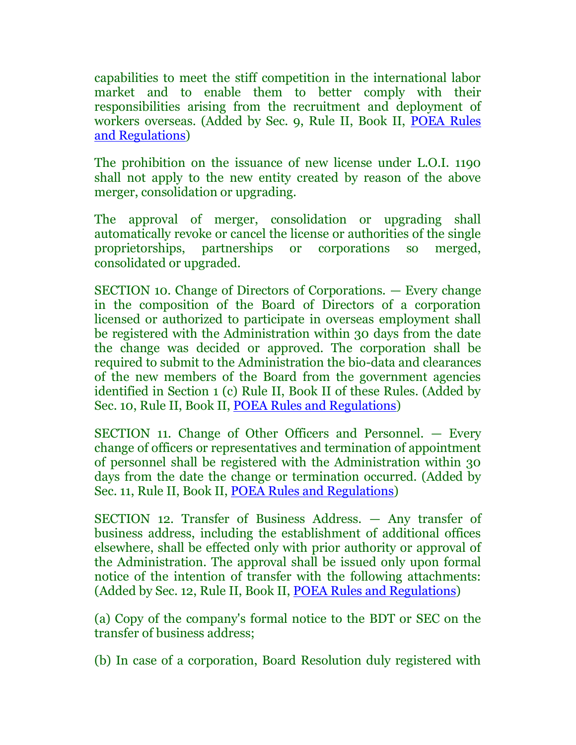capabilities to meet the stiff competition in the international labor market and to enable them to better comply with their responsibilities arising from the recruitment and deployment of workers overseas. (Added by Sec. 9, Rule II, Book II, [POEA Rules](http://www.chanrobles.com/poearulesgoverningoverseasemployment.htm)  [and Regulations\)](http://www.chanrobles.com/poearulesgoverningoverseasemployment.htm)

The prohibition on the issuance of new license under L.O.I. 1190 shall not apply to the new entity created by reason of the above merger, consolidation or upgrading.

The approval of merger, consolidation or upgrading shall automatically revoke or cancel the license or authorities of the single proprietorships, partnerships or corporations so merged, consolidated or upgraded.

SECTION 10. Change of Directors of Corporations. — Every change in the composition of the Board of Directors of a corporation licensed or authorized to participate in overseas employment shall be registered with the Administration within 30 days from the date the change was decided or approved. The corporation shall be required to submit to the Administration the bio-data and clearances of the new members of the Board from the government agencies identified in Section 1 (c) Rule II, Book II of these Rules. (Added by Sec. 10, Rule II, Book II, [POEA Rules and Regulations\)](http://www.chanrobles.com/poearulesgoverningoverseasemployment.htm)

SECTION 11. Change of Other Officers and Personnel. — Every change of officers or representatives and termination of appointment of personnel shall be registered with the Administration within 30 days from the date the change or termination occurred. (Added by Sec. 11, Rule II, Book II, [POEA Rules and Regulations\)](http://www.chanrobles.com/poearulesgoverningoverseasemployment.htm)

SECTION 12. Transfer of Business Address. — Any transfer of business address, including the establishment of additional offices elsewhere, shall be effected only with prior authority or approval of the Administration. The approval shall be issued only upon formal notice of the intention of transfer with the following attachments: (Added by Sec. 12, Rule II, Book II, [POEA Rules and Regulations\)](http://www.chanrobles.com/poearulesgoverningoverseasemployment.htm)

(a) Copy of the company's formal notice to the BDT or SEC on the transfer of business address;

(b) In case of a corporation, Board Resolution duly registered with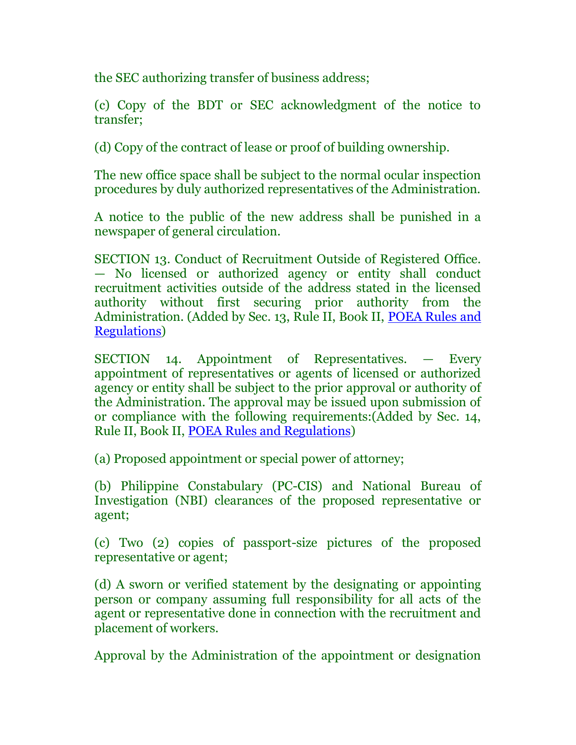the SEC authorizing transfer of business address;

(c) Copy of the BDT or SEC acknowledgment of the notice to transfer;

(d) Copy of the contract of lease or proof of building ownership.

The new office space shall be subject to the normal ocular inspection procedures by duly authorized representatives of the Administration.

A notice to the public of the new address shall be punished in a newspaper of general circulation.

SECTION 13. Conduct of Recruitment Outside of Registered Office. — No licensed or authorized agency or entity shall conduct recruitment activities outside of the address stated in the licensed authority without first securing prior authority from the Administration. (Added by Sec. 13, Rule II, Book II, [POEA Rules and](http://www.chanrobles.com/poearulesgoverningoverseasemployment.htm)  [Regulations\)](http://www.chanrobles.com/poearulesgoverningoverseasemployment.htm)

SECTION 14. Appointment of Representatives. — Every appointment of representatives or agents of licensed or authorized agency or entity shall be subject to the prior approval or authority of the Administration. The approval may be issued upon submission of or compliance with the following requirements:(Added by Sec. 14, Rule II, Book II, [POEA Rules and Regulations\)](http://www.chanrobles.com/poearulesgoverningoverseasemployment.htm)

(a) Proposed appointment or special power of attorney;

(b) Philippine Constabulary (PC-CIS) and National Bureau of Investigation (NBI) clearances of the proposed representative or agent;

(c) Two (2) copies of passport-size pictures of the proposed representative or agent;

(d) A sworn or verified statement by the designating or appointing person or company assuming full responsibility for all acts of the agent or representative done in connection with the recruitment and placement of workers.

Approval by the Administration of the appointment or designation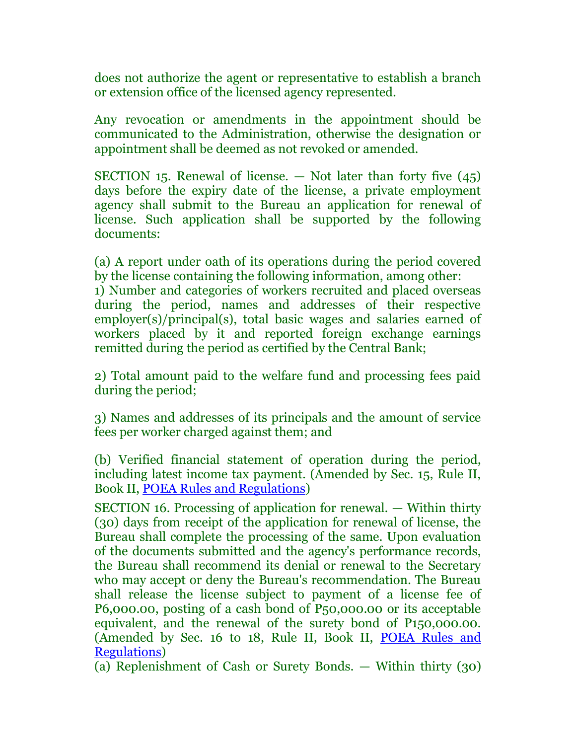does not authorize the agent or representative to establish a branch or extension office of the licensed agency represented.

Any revocation or amendments in the appointment should be communicated to the Administration, otherwise the designation or appointment shall be deemed as not revoked or amended.

SECTION 15. Renewal of license.  $-$  Not later than forty five  $(45)$ days before the expiry date of the license, a private employment agency shall submit to the Bureau an application for renewal of license. Such application shall be supported by the following documents:

(a) A report under oath of its operations during the period covered by the license containing the following information, among other:

1) Number and categories of workers recruited and placed overseas during the period, names and addresses of their respective employer(s)/principal(s), total basic wages and salaries earned of workers placed by it and reported foreign exchange earnings remitted during the period as certified by the Central Bank;

2) Total amount paid to the welfare fund and processing fees paid during the period;

3) Names and addresses of its principals and the amount of service fees per worker charged against them; and

(b) Verified financial statement of operation during the period, including latest income tax payment. (Amended by Sec. 15, Rule II, Book II, [POEA Rules and Regulations\)](http://www.chanrobles.com/poearulesgoverningoverseasemployment.htm)

SECTION 16. Processing of application for renewal. — Within thirty (30) days from receipt of the application for renewal of license, the Bureau shall complete the processing of the same. Upon evaluation of the documents submitted and the agency's performance records, the Bureau shall recommend its denial or renewal to the Secretary who may accept or deny the Bureau's recommendation. The Bureau shall release the license subject to payment of a license fee of P6,000.00, posting of a cash bond of P50,000.00 or its acceptable equivalent, and the renewal of the surety bond of P150,000.00. (Amended by Sec. 16 to 18, Rule II, Book II, [POEA Rules and](http://www.chanrobles.com/poearulesgoverningoverseasemployment.htm)  [Regulations\)](http://www.chanrobles.com/poearulesgoverningoverseasemployment.htm)

(a) Replenishment of Cash or Surety Bonds. — Within thirty (30)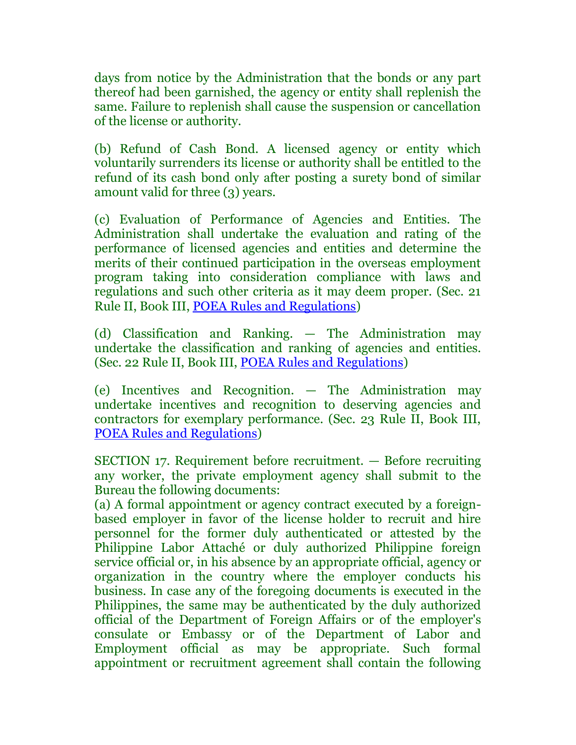days from notice by the Administration that the bonds or any part thereof had been garnished, the agency or entity shall replenish the same. Failure to replenish shall cause the suspension or cancellation of the license or authority.

(b) Refund of Cash Bond. A licensed agency or entity which voluntarily surrenders its license or authority shall be entitled to the refund of its cash bond only after posting a surety bond of similar amount valid for three (3) years.

(c) Evaluation of Performance of Agencies and Entities. The Administration shall undertake the evaluation and rating of the performance of licensed agencies and entities and determine the merits of their continued participation in the overseas employment program taking into consideration compliance with laws and regulations and such other criteria as it may deem proper. (Sec. 21 Rule II, Book III, [POEA Rules and Regulations\)](http://www.chanrobles.com/poearulesgoverningoverseasemployment.htm)

(d) Classification and Ranking. — The Administration may undertake the classification and ranking of agencies and entities. (Sec. 22 Rule II, Book III, [POEA Rules and Regulations\)](http://www.chanrobles.com/poearulesgoverningoverseasemployment.htm)

(e) Incentives and Recognition. — The Administration may undertake incentives and recognition to deserving agencies and contractors for exemplary performance. (Sec. 23 Rule II, Book III, [POEA Rules and Regulations\)](http://www.chanrobles.com/poearulesgoverningoverseasemployment.htm)

SECTION 17. Requirement before recruitment. — Before recruiting any worker, the private employment agency shall submit to the Bureau the following documents:

(a) A formal appointment or agency contract executed by a foreignbased employer in favor of the license holder to recruit and hire personnel for the former duly authenticated or attested by the Philippine Labor Attaché or duly authorized Philippine foreign service official or, in his absence by an appropriate official, agency or organization in the country where the employer conducts his business. In case any of the foregoing documents is executed in the Philippines, the same may be authenticated by the duly authorized official of the Department of Foreign Affairs or of the employer's consulate or Embassy or of the Department of Labor and Employment official as may be appropriate. Such formal appointment or recruitment agreement shall contain the following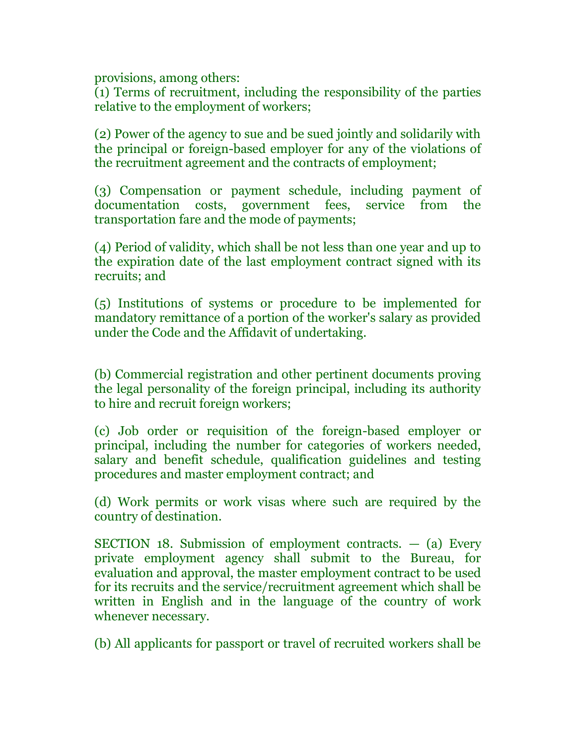provisions, among others:

(1) Terms of recruitment, including the responsibility of the parties relative to the employment of workers;

(2) Power of the agency to sue and be sued jointly and solidarily with the principal or foreign-based employer for any of the violations of the recruitment agreement and the contracts of employment;

(3) Compensation or payment schedule, including payment of documentation costs, government fees, service from the transportation fare and the mode of payments;

(4) Period of validity, which shall be not less than one year and up to the expiration date of the last employment contract signed with its recruits; and

(5) Institutions of systems or procedure to be implemented for mandatory remittance of a portion of the worker's salary as provided under the Code and the Affidavit of undertaking.

(b) Commercial registration and other pertinent documents proving the legal personality of the foreign principal, including its authority to hire and recruit foreign workers;

(c) Job order or requisition of the foreign-based employer or principal, including the number for categories of workers needed, salary and benefit schedule, qualification guidelines and testing procedures and master employment contract; and

(d) Work permits or work visas where such are required by the country of destination.

SECTION 18. Submission of employment contracts.  $-$  (a) Every private employment agency shall submit to the Bureau, for evaluation and approval, the master employment contract to be used for its recruits and the service/recruitment agreement which shall be written in English and in the language of the country of work whenever necessary.

(b) All applicants for passport or travel of recruited workers shall be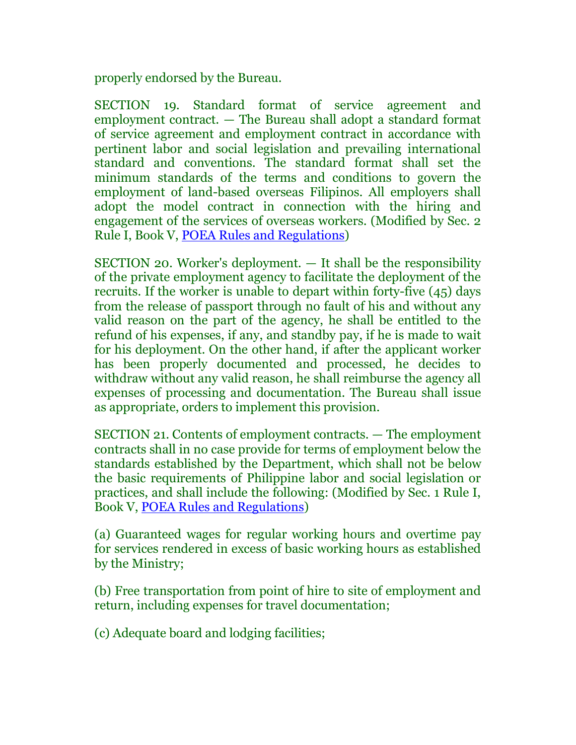properly endorsed by the Bureau.

SECTION 19. Standard format of service agreement and employment contract. — The Bureau shall adopt a standard format of service agreement and employment contract in accordance with pertinent labor and social legislation and prevailing international standard and conventions. The standard format shall set the minimum standards of the terms and conditions to govern the employment of land-based overseas Filipinos. All employers shall adopt the model contract in connection with the hiring and engagement of the services of overseas workers. (Modified by Sec. 2 Rule I, Book V, [POEA Rules and Regulations\)](http://www.chanrobles.com/poearulesgoverningoverseasemployment.htm)

SECTION 20. Worker's deployment. — It shall be the responsibility of the private employment agency to facilitate the deployment of the recruits. If the worker is unable to depart within forty-five (45) days from the release of passport through no fault of his and without any valid reason on the part of the agency, he shall be entitled to the refund of his expenses, if any, and standby pay, if he is made to wait for his deployment. On the other hand, if after the applicant worker has been properly documented and processed, he decides to withdraw without any valid reason, he shall reimburse the agency all expenses of processing and documentation. The Bureau shall issue as appropriate, orders to implement this provision.

SECTION 21. Contents of employment contracts. — The employment contracts shall in no case provide for terms of employment below the standards established by the Department, which shall not be below the basic requirements of Philippine labor and social legislation or practices, and shall include the following: (Modified by Sec. 1 Rule I, Book V, [POEA Rules and Regulations\)](http://www.chanrobles.com/poearulesgoverningoverseasemployment.htm)

(a) Guaranteed wages for regular working hours and overtime pay for services rendered in excess of basic working hours as established by the Ministry;

(b) Free transportation from point of hire to site of employment and return, including expenses for travel documentation;

(c) Adequate board and lodging facilities;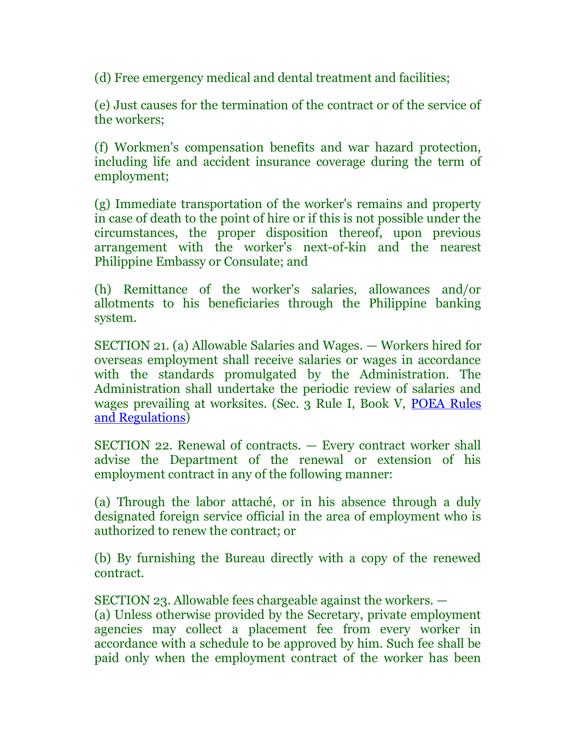(d) Free emergency medical and dental treatment and facilities;

(e) Just causes for the termination of the contract or of the service of the workers;

(f) Workmen's compensation benefits and war hazard protection, including life and accident insurance coverage during the term of employment;

(g) Immediate transportation of the worker's remains and property in case of death to the point of hire or if this is not possible under the circumstances, the proper disposition thereof, upon previous arrangement with the worker's next-of-kin and the nearest Philippine Embassy or Consulate; and

(h) Remittance of the worker's salaries, allowances and/or allotments to his beneficiaries through the Philippine banking system.

SECTION 21. (a) Allowable Salaries and Wages. — Workers hired for overseas employment shall receive salaries or wages in accordance with the standards promulgated by the Administration. The Administration shall undertake the periodic review of salaries and wages prevailing at worksites. (Sec. 3 Rule I, Book V, [POEA Rules](http://www.chanrobles.com/poearulesgoverningoverseasemployment.htm)  [and Regulations\)](http://www.chanrobles.com/poearulesgoverningoverseasemployment.htm)

SECTION 22. Renewal of contracts. — Every contract worker shall advise the Department of the renewal or extension of his employment contract in any of the following manner:

(a) Through the labor attaché, or in his absence through a duly designated foreign service official in the area of employment who is authorized to renew the contract; or

(b) By furnishing the Bureau directly with a copy of the renewed contract.

SECTION 23. Allowable fees chargeable against the workers. — (a) Unless otherwise provided by the Secretary, private employment agencies may collect a placement fee from every worker in accordance with a schedule to be approved by him. Such fee shall be paid only when the employment contract of the worker has been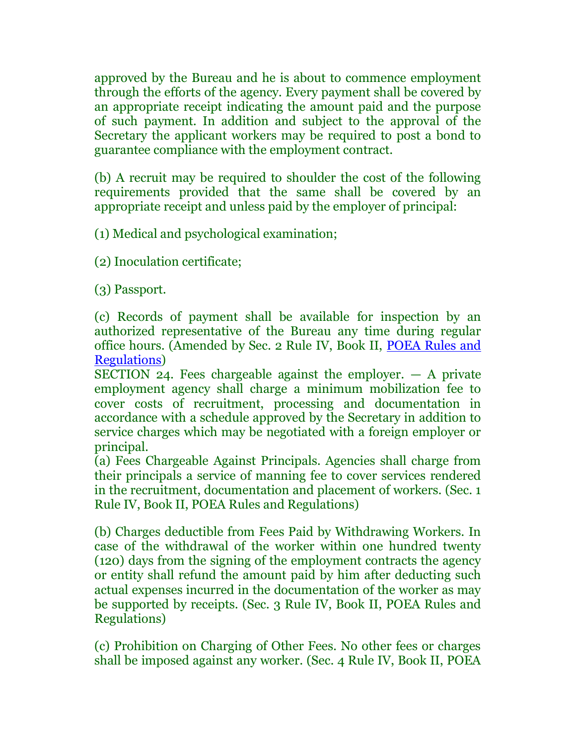approved by the Bureau and he is about to commence employment through the efforts of the agency. Every payment shall be covered by an appropriate receipt indicating the amount paid and the purpose of such payment. In addition and subject to the approval of the Secretary the applicant workers may be required to post a bond to guarantee compliance with the employment contract.

(b) A recruit may be required to shoulder the cost of the following requirements provided that the same shall be covered by an appropriate receipt and unless paid by the employer of principal:

(1) Medical and psychological examination;

(2) Inoculation certificate;

(3) Passport.

(c) Records of payment shall be available for inspection by an authorized representative of the Bureau any time during regular office hours. (Amended by Sec. 2 Rule IV, Book II, [POEA Rules and](http://www.chanrobles.com/poearulesgoverningoverseasemployment.htm)  [Regulations\)](http://www.chanrobles.com/poearulesgoverningoverseasemployment.htm)

SECTION 24. Fees chargeable against the employer.  $-$  A private employment agency shall charge a minimum mobilization fee to cover costs of recruitment, processing and documentation in accordance with a schedule approved by the Secretary in addition to service charges which may be negotiated with a foreign employer or principal.

(a) Fees Chargeable Against Principals. Agencies shall charge from their principals a service of manning fee to cover services rendered in the recruitment, documentation and placement of workers. (Sec. 1 Rule IV, Book II, POEA Rules and Regulations)

(b) Charges deductible from Fees Paid by Withdrawing Workers. In case of the withdrawal of the worker within one hundred twenty (120) days from the signing of the employment contracts the agency or entity shall refund the amount paid by him after deducting such actual expenses incurred in the documentation of the worker as may be supported by receipts. (Sec. 3 Rule IV, Book II, POEA Rules and Regulations)

(c) Prohibition on Charging of Other Fees. No other fees or charges shall be imposed against any worker. (Sec. 4 Rule IV, Book II, POEA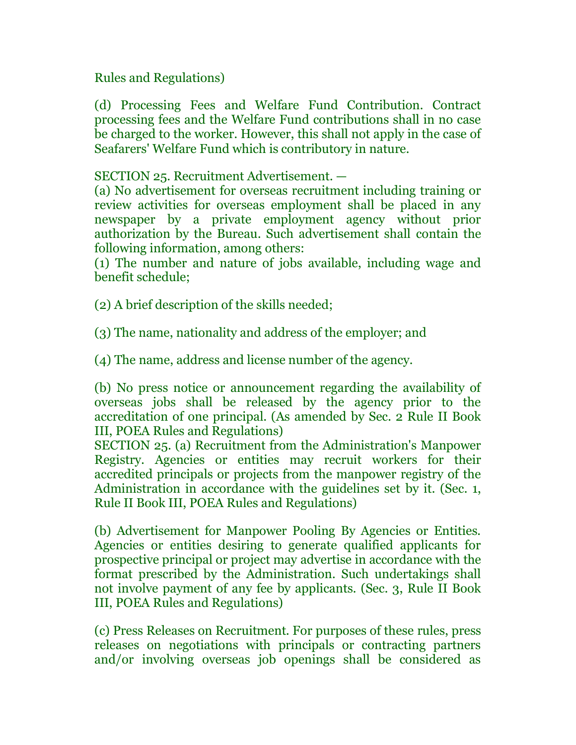# Rules and Regulations)

(d) Processing Fees and Welfare Fund Contribution. Contract processing fees and the Welfare Fund contributions shall in no case be charged to the worker. However, this shall not apply in the case of Seafarers' Welfare Fund which is contributory in nature.

# SECTION 25. Recruitment Advertisement. —

(a) No advertisement for overseas recruitment including training or review activities for overseas employment shall be placed in any newspaper by a private employment agency without prior authorization by the Bureau. Such advertisement shall contain the following information, among others:

(1) The number and nature of jobs available, including wage and benefit schedule;

(2) A brief description of the skills needed;

(3) The name, nationality and address of the employer; and

(4) The name, address and license number of the agency.

(b) No press notice or announcement regarding the availability of overseas jobs shall be released by the agency prior to the accreditation of one principal. (As amended by Sec. 2 Rule II Book III, POEA Rules and Regulations)

SECTION 25. (a) Recruitment from the Administration's Manpower Registry. Agencies or entities may recruit workers for their accredited principals or projects from the manpower registry of the Administration in accordance with the guidelines set by it. (Sec. 1, Rule II Book III, POEA Rules and Regulations)

(b) Advertisement for Manpower Pooling By Agencies or Entities. Agencies or entities desiring to generate qualified applicants for prospective principal or project may advertise in accordance with the format prescribed by the Administration. Such undertakings shall not involve payment of any fee by applicants. (Sec. 3, Rule II Book III, POEA Rules and Regulations)

(c) Press Releases on Recruitment. For purposes of these rules, press releases on negotiations with principals or contracting partners and/or involving overseas job openings shall be considered as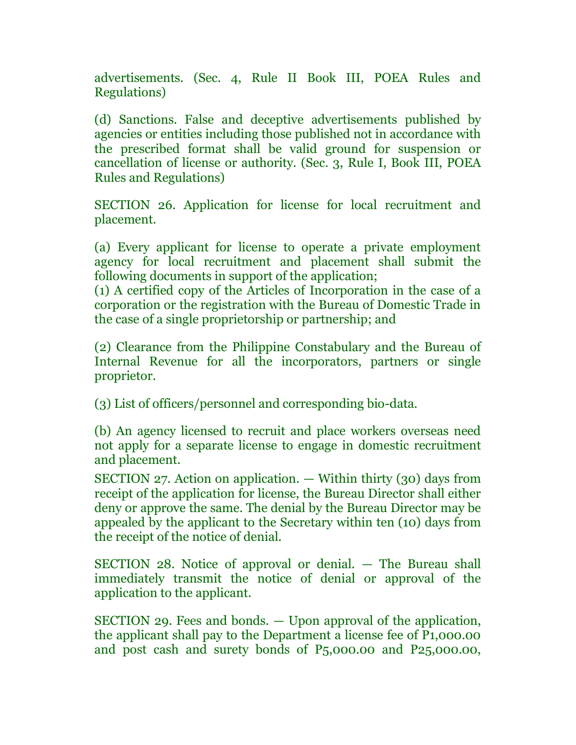advertisements. (Sec. 4, Rule II Book III, POEA Rules and Regulations)

(d) Sanctions. False and deceptive advertisements published by agencies or entities including those published not in accordance with the prescribed format shall be valid ground for suspension or cancellation of license or authority. (Sec. 3, Rule I, Book III, POEA Rules and Regulations)

SECTION 26. Application for license for local recruitment and placement.

(a) Every applicant for license to operate a private employment agency for local recruitment and placement shall submit the following documents in support of the application;

(1) A certified copy of the Articles of Incorporation in the case of a corporation or the registration with the Bureau of Domestic Trade in the case of a single proprietorship or partnership; and

(2) Clearance from the Philippine Constabulary and the Bureau of Internal Revenue for all the incorporators, partners or single proprietor.

(3) List of officers/personnel and corresponding bio-data.

(b) An agency licensed to recruit and place workers overseas need not apply for a separate license to engage in domestic recruitment and placement.

SECTION 27. Action on application. — Within thirty (30) days from receipt of the application for license, the Bureau Director shall either deny or approve the same. The denial by the Bureau Director may be appealed by the applicant to the Secretary within ten (10) days from the receipt of the notice of denial.

SECTION 28. Notice of approval or denial. — The Bureau shall immediately transmit the notice of denial or approval of the application to the applicant.

SECTION 29. Fees and bonds. — Upon approval of the application, the applicant shall pay to the Department a license fee of P1,000.00 and post cash and surety bonds of P5,000.00 and P25,000.00,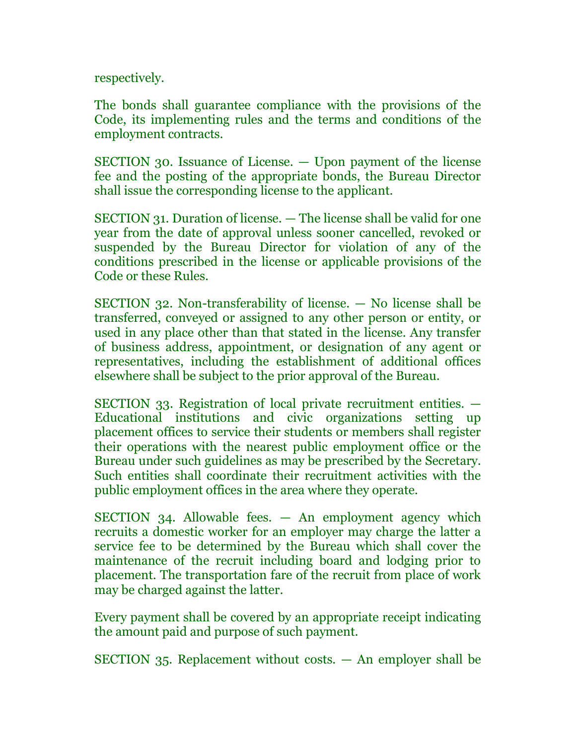respectively.

The bonds shall guarantee compliance with the provisions of the Code, its implementing rules and the terms and conditions of the employment contracts.

SECTION 30. Issuance of License. — Upon payment of the license fee and the posting of the appropriate bonds, the Bureau Director shall issue the corresponding license to the applicant.

SECTION 31. Duration of license. — The license shall be valid for one year from the date of approval unless sooner cancelled, revoked or suspended by the Bureau Director for violation of any of the conditions prescribed in the license or applicable provisions of the Code or these Rules.

SECTION 32. Non-transferability of license. — No license shall be transferred, conveyed or assigned to any other person or entity, or used in any place other than that stated in the license. Any transfer of business address, appointment, or designation of any agent or representatives, including the establishment of additional offices elsewhere shall be subject to the prior approval of the Bureau.

SECTION 33. Registration of local private recruitment entities. — Educational institutions and civic organizations setting up placement offices to service their students or members shall register their operations with the nearest public employment office or the Bureau under such guidelines as may be prescribed by the Secretary. Such entities shall coordinate their recruitment activities with the public employment offices in the area where they operate.

SECTION 34. Allowable fees. — An employment agency which recruits a domestic worker for an employer may charge the latter a service fee to be determined by the Bureau which shall cover the maintenance of the recruit including board and lodging prior to placement. The transportation fare of the recruit from place of work may be charged against the latter.

Every payment shall be covered by an appropriate receipt indicating the amount paid and purpose of such payment.

SECTION 35. Replacement without costs. — An employer shall be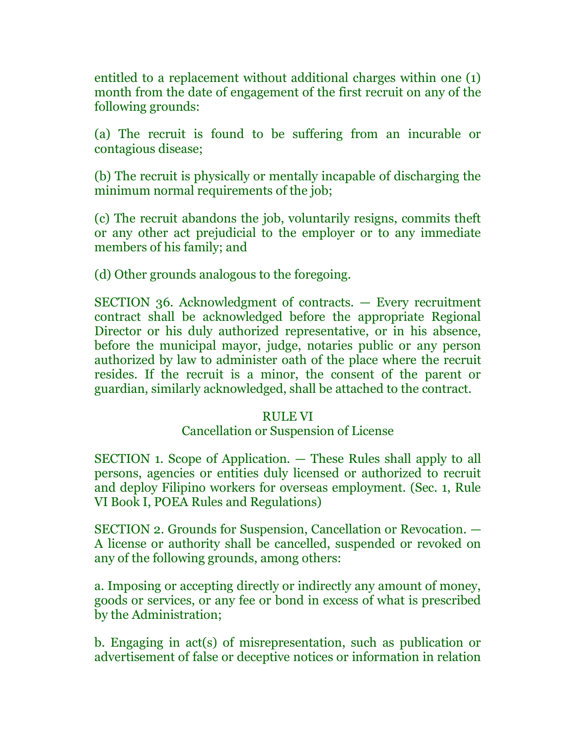entitled to a replacement without additional charges within one (1) month from the date of engagement of the first recruit on any of the following grounds:

(a) The recruit is found to be suffering from an incurable or contagious disease;

(b) The recruit is physically or mentally incapable of discharging the minimum normal requirements of the job;

(c) The recruit abandons the job, voluntarily resigns, commits theft or any other act prejudicial to the employer or to any immediate members of his family; and

(d) Other grounds analogous to the foregoing.

SECTION 36. Acknowledgment of contracts. — Every recruitment contract shall be acknowledged before the appropriate Regional Director or his duly authorized representative, or in his absence, before the municipal mayor, judge, notaries public or any person authorized by law to administer oath of the place where the recruit resides. If the recruit is a minor, the consent of the parent or guardian, similarly acknowledged, shall be attached to the contract.

#### RULE VI

# Cancellation or Suspension of License

SECTION 1. Scope of Application. — These Rules shall apply to all persons, agencies or entities duly licensed or authorized to recruit and deploy Filipino workers for overseas employment. (Sec. 1, Rule VI Book I, POEA Rules and Regulations)

SECTION 2. Grounds for Suspension, Cancellation or Revocation. — A license or authority shall be cancelled, suspended or revoked on any of the following grounds, among others:

a. Imposing or accepting directly or indirectly any amount of money, goods or services, or any fee or bond in excess of what is prescribed by the Administration;

b. Engaging in act(s) of misrepresentation, such as publication or advertisement of false or deceptive notices or information in relation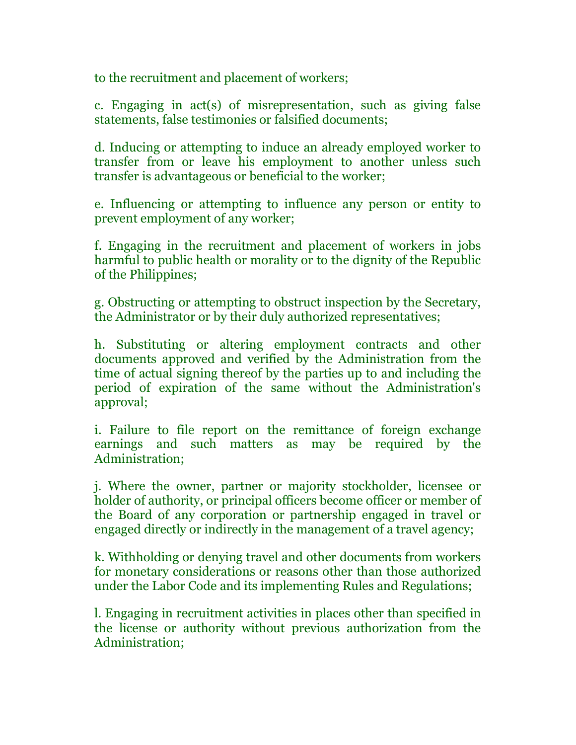to the recruitment and placement of workers;

c. Engaging in act(s) of misrepresentation, such as giving false statements, false testimonies or falsified documents;

d. Inducing or attempting to induce an already employed worker to transfer from or leave his employment to another unless such transfer is advantageous or beneficial to the worker;

e. Influencing or attempting to influence any person or entity to prevent employment of any worker;

f. Engaging in the recruitment and placement of workers in jobs harmful to public health or morality or to the dignity of the Republic of the Philippines;

g. Obstructing or attempting to obstruct inspection by the Secretary, the Administrator or by their duly authorized representatives;

h. Substituting or altering employment contracts and other documents approved and verified by the Administration from the time of actual signing thereof by the parties up to and including the period of expiration of the same without the Administration's approval;

i. Failure to file report on the remittance of foreign exchange earnings and such matters as may be required by the Administration;

j. Where the owner, partner or majority stockholder, licensee or holder of authority, or principal officers become officer or member of the Board of any corporation or partnership engaged in travel or engaged directly or indirectly in the management of a travel agency;

k. Withholding or denying travel and other documents from workers for monetary considerations or reasons other than those authorized under the Labor Code and its implementing Rules and Regulations;

l. Engaging in recruitment activities in places other than specified in the license or authority without previous authorization from the Administration;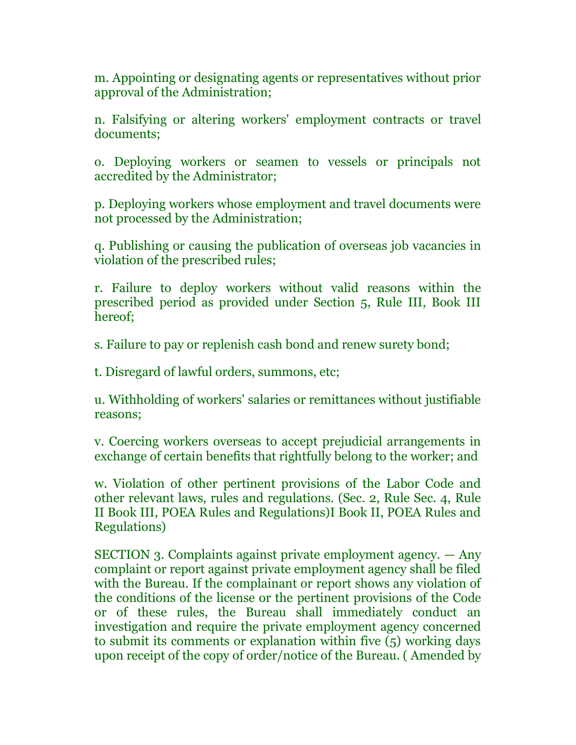m. Appointing or designating agents or representatives without prior approval of the Administration;

n. Falsifying or altering workers' employment contracts or travel documents;

o. Deploying workers or seamen to vessels or principals not accredited by the Administrator;

p. Deploying workers whose employment and travel documents were not processed by the Administration;

q. Publishing or causing the publication of overseas job vacancies in violation of the prescribed rules;

r. Failure to deploy workers without valid reasons within the prescribed period as provided under Section 5, Rule III, Book III hereof;

s. Failure to pay or replenish cash bond and renew surety bond;

t. Disregard of lawful orders, summons, etc;

u. Withholding of workers' salaries or remittances without justifiable reasons;

v. Coercing workers overseas to accept prejudicial arrangements in exchange of certain benefits that rightfully belong to the worker; and

w. Violation of other pertinent provisions of the Labor Code and other relevant laws, rules and regulations. (Sec. 2, Rule Sec. 4, Rule II Book III, POEA Rules and Regulations)I Book II, POEA Rules and Regulations)

SECTION 3. Complaints against private employment agency. — Any complaint or report against private employment agency shall be filed with the Bureau. If the complainant or report shows any violation of the conditions of the license or the pertinent provisions of the Code or of these rules, the Bureau shall immediately conduct an investigation and require the private employment agency concerned to submit its comments or explanation within five (5) working days upon receipt of the copy of order/notice of the Bureau. ( Amended by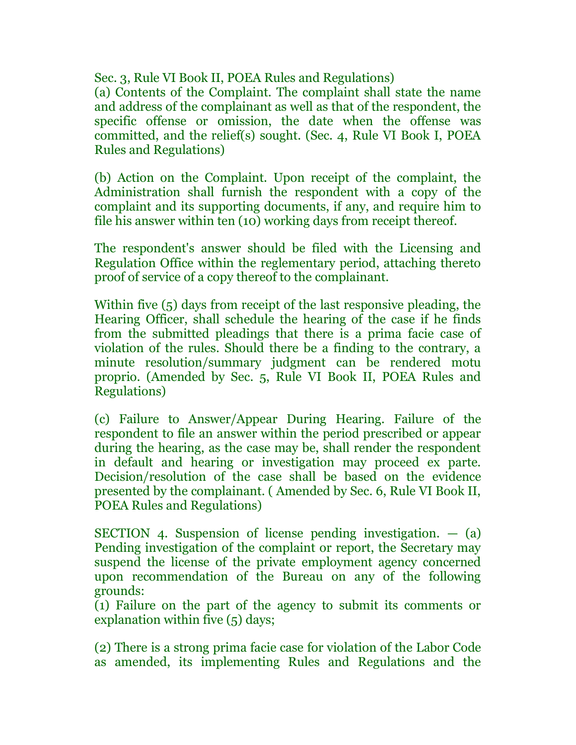Sec. 3, Rule VI Book II, POEA Rules and Regulations)

(a) Contents of the Complaint. The complaint shall state the name and address of the complainant as well as that of the respondent, the specific offense or omission, the date when the offense was committed, and the relief(s) sought. (Sec. 4, Rule VI Book I, POEA Rules and Regulations)

(b) Action on the Complaint. Upon receipt of the complaint, the Administration shall furnish the respondent with a copy of the complaint and its supporting documents, if any, and require him to file his answer within ten (10) working days from receipt thereof.

The respondent's answer should be filed with the Licensing and Regulation Office within the reglementary period, attaching thereto proof of service of a copy thereof to the complainant.

Within five (5) days from receipt of the last responsive pleading, the Hearing Officer, shall schedule the hearing of the case if he finds from the submitted pleadings that there is a prima facie case of violation of the rules. Should there be a finding to the contrary, a minute resolution/summary judgment can be rendered motu proprio. (Amended by Sec. 5, Rule VI Book II, POEA Rules and Regulations)

(c) Failure to Answer/Appear During Hearing. Failure of the respondent to file an answer within the period prescribed or appear during the hearing, as the case may be, shall render the respondent in default and hearing or investigation may proceed ex parte. Decision/resolution of the case shall be based on the evidence presented by the complainant. ( Amended by Sec. 6, Rule VI Book II, POEA Rules and Regulations)

SECTION 4. Suspension of license pending investigation. — (a) Pending investigation of the complaint or report, the Secretary may suspend the license of the private employment agency concerned upon recommendation of the Bureau on any of the following grounds:

(1) Failure on the part of the agency to submit its comments or explanation within five (5) days;

(2) There is a strong prima facie case for violation of the Labor Code as amended, its implementing Rules and Regulations and the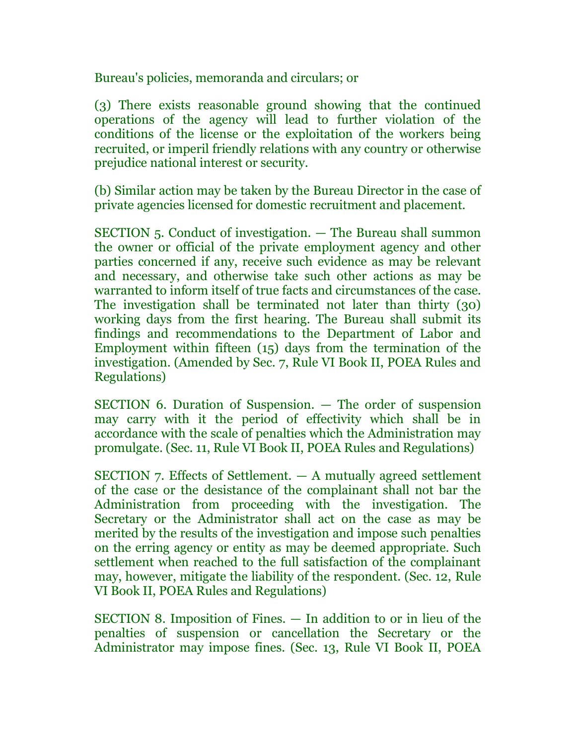Bureau's policies, memoranda and circulars; or

(3) There exists reasonable ground showing that the continued operations of the agency will lead to further violation of the conditions of the license or the exploitation of the workers being recruited, or imperil friendly relations with any country or otherwise prejudice national interest or security.

(b) Similar action may be taken by the Bureau Director in the case of private agencies licensed for domestic recruitment and placement.

SECTION 5. Conduct of investigation. — The Bureau shall summon the owner or official of the private employment agency and other parties concerned if any, receive such evidence as may be relevant and necessary, and otherwise take such other actions as may be warranted to inform itself of true facts and circumstances of the case. The investigation shall be terminated not later than thirty (30) working days from the first hearing. The Bureau shall submit its findings and recommendations to the Department of Labor and Employment within fifteen (15) days from the termination of the investigation. (Amended by Sec. 7, Rule VI Book II, POEA Rules and Regulations)

SECTION 6. Duration of Suspension. — The order of suspension may carry with it the period of effectivity which shall be in accordance with the scale of penalties which the Administration may promulgate. (Sec. 11, Rule VI Book II, POEA Rules and Regulations)

SECTION 7. Effects of Settlement. — A mutually agreed settlement of the case or the desistance of the complainant shall not bar the Administration from proceeding with the investigation. The Secretary or the Administrator shall act on the case as may be merited by the results of the investigation and impose such penalties on the erring agency or entity as may be deemed appropriate. Such settlement when reached to the full satisfaction of the complainant may, however, mitigate the liability of the respondent. (Sec. 12, Rule VI Book II, POEA Rules and Regulations)

SECTION 8. Imposition of Fines. — In addition to or in lieu of the penalties of suspension or cancellation the Secretary or the Administrator may impose fines. (Sec. 13, Rule VI Book II, POEA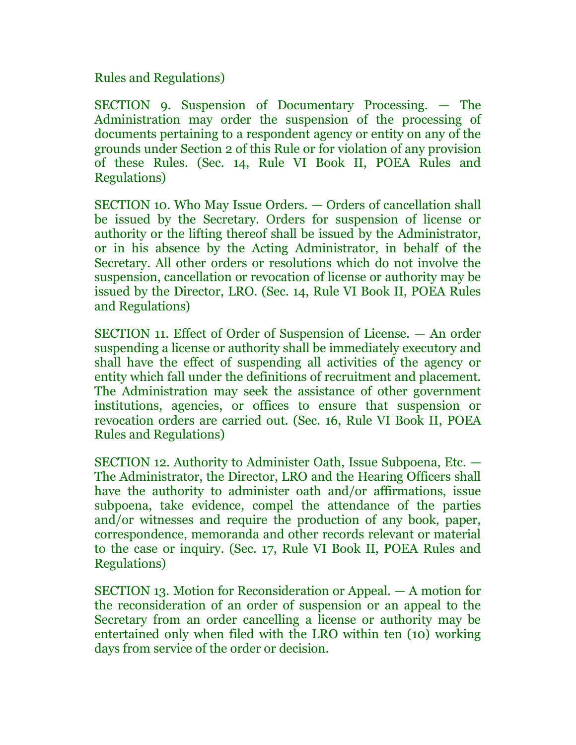Rules and Regulations)

SECTION 9. Suspension of Documentary Processing. — The Administration may order the suspension of the processing of documents pertaining to a respondent agency or entity on any of the grounds under Section 2 of this Rule or for violation of any provision of these Rules. (Sec. 14, Rule VI Book II, POEA Rules and Regulations)

SECTION 10. Who May Issue Orders. — Orders of cancellation shall be issued by the Secretary. Orders for suspension of license or authority or the lifting thereof shall be issued by the Administrator, or in his absence by the Acting Administrator, in behalf of the Secretary. All other orders or resolutions which do not involve the suspension, cancellation or revocation of license or authority may be issued by the Director, LRO. (Sec. 14, Rule VI Book II, POEA Rules and Regulations)

SECTION 11. Effect of Order of Suspension of License. — An order suspending a license or authority shall be immediately executory and shall have the effect of suspending all activities of the agency or entity which fall under the definitions of recruitment and placement. The Administration may seek the assistance of other government institutions, agencies, or offices to ensure that suspension or revocation orders are carried out. (Sec. 16, Rule VI Book II, POEA Rules and Regulations)

SECTION 12. Authority to Administer Oath, Issue Subpoena, Etc. — The Administrator, the Director, LRO and the Hearing Officers shall have the authority to administer oath and/or affirmations, issue subpoena, take evidence, compel the attendance of the parties and/or witnesses and require the production of any book, paper, correspondence, memoranda and other records relevant or material to the case or inquiry. (Sec. 17, Rule VI Book II, POEA Rules and Regulations)

SECTION 13. Motion for Reconsideration or Appeal. — A motion for the reconsideration of an order of suspension or an appeal to the Secretary from an order cancelling a license or authority may be entertained only when filed with the LRO within ten (10) working days from service of the order or decision.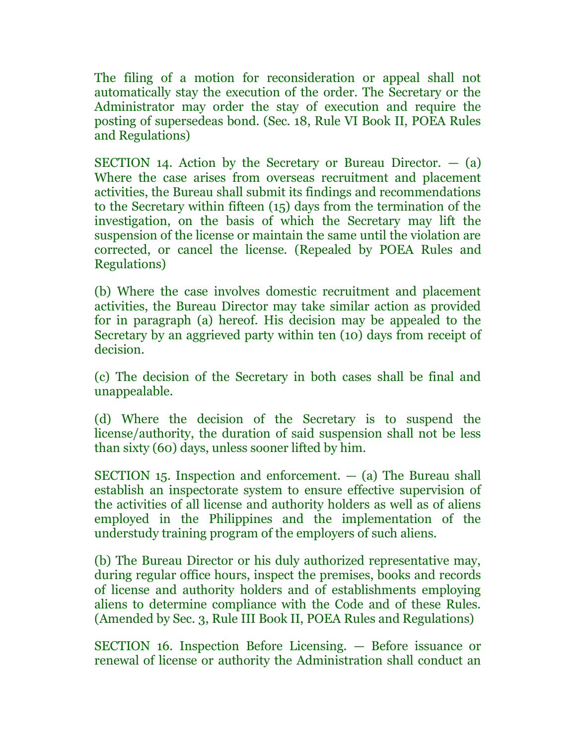The filing of a motion for reconsideration or appeal shall not automatically stay the execution of the order. The Secretary or the Administrator may order the stay of execution and require the posting of supersedeas bond. (Sec. 18, Rule VI Book II, POEA Rules and Regulations)

SECTION 14. Action by the Secretary or Bureau Director.  $-$  (a) Where the case arises from overseas recruitment and placement activities, the Bureau shall submit its findings and recommendations to the Secretary within fifteen (15) days from the termination of the investigation, on the basis of which the Secretary may lift the suspension of the license or maintain the same until the violation are corrected, or cancel the license. (Repealed by POEA Rules and Regulations)

(b) Where the case involves domestic recruitment and placement activities, the Bureau Director may take similar action as provided for in paragraph (a) hereof. His decision may be appealed to the Secretary by an aggrieved party within ten (10) days from receipt of decision.

(c) The decision of the Secretary in both cases shall be final and unappealable.

(d) Where the decision of the Secretary is to suspend the license/authority, the duration of said suspension shall not be less than sixty (60) days, unless sooner lifted by him.

SECTION 15. Inspection and enforcement.  $-$  (a) The Bureau shall establish an inspectorate system to ensure effective supervision of the activities of all license and authority holders as well as of aliens employed in the Philippines and the implementation of the understudy training program of the employers of such aliens.

(b) The Bureau Director or his duly authorized representative may, during regular office hours, inspect the premises, books and records of license and authority holders and of establishments employing aliens to determine compliance with the Code and of these Rules. (Amended by Sec. 3, Rule III Book II, POEA Rules and Regulations)

SECTION 16. Inspection Before Licensing. — Before issuance or renewal of license or authority the Administration shall conduct an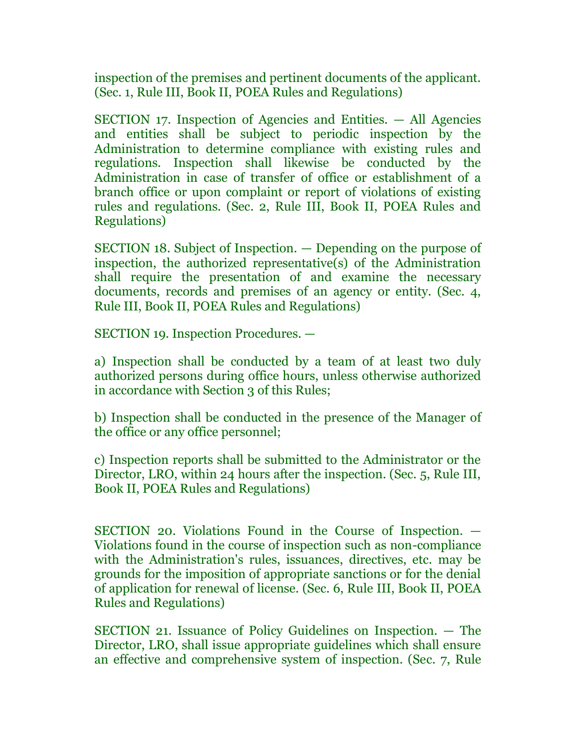inspection of the premises and pertinent documents of the applicant. (Sec. 1, Rule III, Book II, POEA Rules and Regulations)

SECTION 17. Inspection of Agencies and Entities. — All Agencies and entities shall be subject to periodic inspection by the Administration to determine compliance with existing rules and regulations. Inspection shall likewise be conducted by the Administration in case of transfer of office or establishment of a branch office or upon complaint or report of violations of existing rules and regulations. (Sec. 2, Rule III, Book II, POEA Rules and Regulations)

SECTION 18. Subject of Inspection. — Depending on the purpose of inspection, the authorized representative(s) of the Administration shall require the presentation of and examine the necessary documents, records and premises of an agency or entity. (Sec. 4, Rule III, Book II, POEA Rules and Regulations)

SECTION 19. Inspection Procedures. —

a) Inspection shall be conducted by a team of at least two duly authorized persons during office hours, unless otherwise authorized in accordance with Section 3 of this Rules;

b) Inspection shall be conducted in the presence of the Manager of the office or any office personnel;

c) Inspection reports shall be submitted to the Administrator or the Director, LRO, within 24 hours after the inspection. (Sec. 5, Rule III, Book II, POEA Rules and Regulations)

SECTION 20. Violations Found in the Course of Inspection. — Violations found in the course of inspection such as non-compliance with the Administration's rules, issuances, directives, etc. may be grounds for the imposition of appropriate sanctions or for the denial of application for renewal of license. (Sec. 6, Rule III, Book II, POEA Rules and Regulations)

SECTION 21. Issuance of Policy Guidelines on Inspection. — The Director, LRO, shall issue appropriate guidelines which shall ensure an effective and comprehensive system of inspection. (Sec. 7, Rule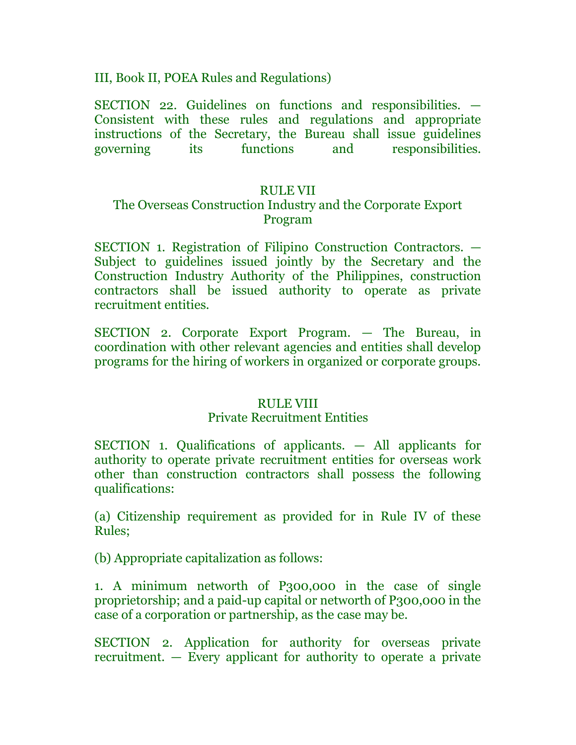III, Book II, POEA Rules and Regulations)

SECTION 22. Guidelines on functions and responsibilities. — Consistent with these rules and regulations and appropriate instructions of the Secretary, the Bureau shall issue guidelines governing its functions and responsibilities.

# RULE VII

# The Overseas Construction Industry and the Corporate Export Program

SECTION 1. Registration of Filipino Construction Contractors. — Subject to guidelines issued jointly by the Secretary and the Construction Industry Authority of the Philippines, construction contractors shall be issued authority to operate as private recruitment entities.

SECTION 2. Corporate Export Program. — The Bureau, in coordination with other relevant agencies and entities shall develop programs for the hiring of workers in organized or corporate groups.

# RULE VIII

#### Private Recruitment Entities

SECTION 1. Qualifications of applicants. — All applicants for authority to operate private recruitment entities for overseas work other than construction contractors shall possess the following qualifications:

(a) Citizenship requirement as provided for in Rule IV of these Rules;

(b) Appropriate capitalization as follows:

1. A minimum networth of P300,000 in the case of single proprietorship; and a paid-up capital or networth of P300,000 in the case of a corporation or partnership, as the case may be.

SECTION 2. Application for authority for overseas private recruitment. — Every applicant for authority to operate a private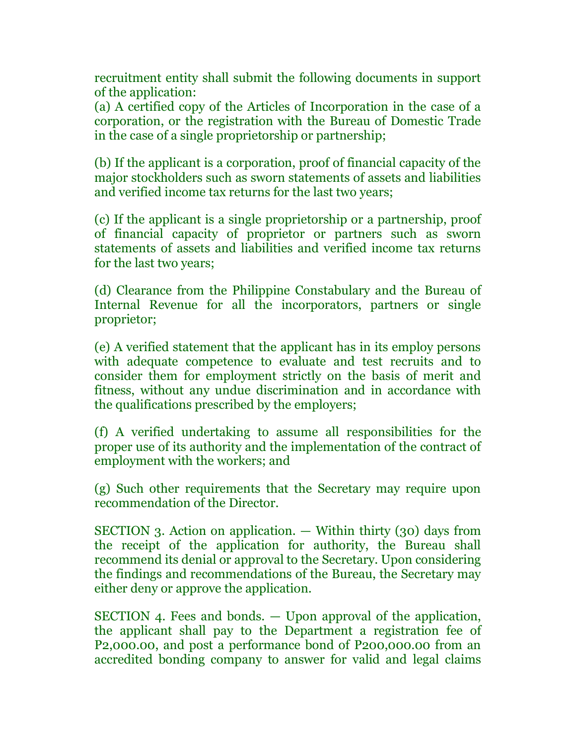recruitment entity shall submit the following documents in support of the application:

(a) A certified copy of the Articles of Incorporation in the case of a corporation, or the registration with the Bureau of Domestic Trade in the case of a single proprietorship or partnership;

(b) If the applicant is a corporation, proof of financial capacity of the major stockholders such as sworn statements of assets and liabilities and verified income tax returns for the last two years;

(c) If the applicant is a single proprietorship or a partnership, proof of financial capacity of proprietor or partners such as sworn statements of assets and liabilities and verified income tax returns for the last two years;

(d) Clearance from the Philippine Constabulary and the Bureau of Internal Revenue for all the incorporators, partners or single proprietor;

(e) A verified statement that the applicant has in its employ persons with adequate competence to evaluate and test recruits and to consider them for employment strictly on the basis of merit and fitness, without any undue discrimination and in accordance with the qualifications prescribed by the employers;

(f) A verified undertaking to assume all responsibilities for the proper use of its authority and the implementation of the contract of employment with the workers; and

(g) Such other requirements that the Secretary may require upon recommendation of the Director.

SECTION 3. Action on application. — Within thirty (30) days from the receipt of the application for authority, the Bureau shall recommend its denial or approval to the Secretary. Upon considering the findings and recommendations of the Bureau, the Secretary may either deny or approve the application.

SECTION 4. Fees and bonds. — Upon approval of the application, the applicant shall pay to the Department a registration fee of P2,000.00, and post a performance bond of P200,000.00 from an accredited bonding company to answer for valid and legal claims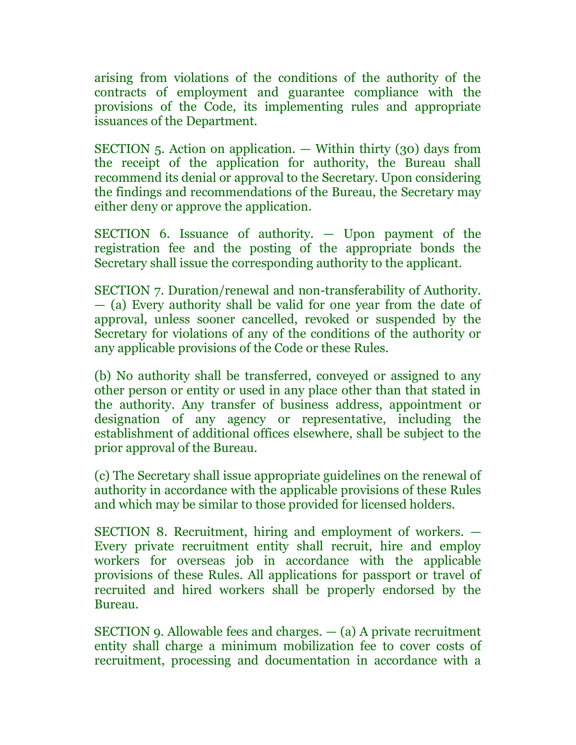arising from violations of the conditions of the authority of the contracts of employment and guarantee compliance with the provisions of the Code, its implementing rules and appropriate issuances of the Department.

SECTION 5. Action on application. — Within thirty (30) days from the receipt of the application for authority, the Bureau shall recommend its denial or approval to the Secretary. Upon considering the findings and recommendations of the Bureau, the Secretary may either deny or approve the application.

SECTION 6. Issuance of authority. — Upon payment of the registration fee and the posting of the appropriate bonds the Secretary shall issue the corresponding authority to the applicant.

SECTION 7. Duration/renewal and non-transferability of Authority. — (a) Every authority shall be valid for one year from the date of approval, unless sooner cancelled, revoked or suspended by the Secretary for violations of any of the conditions of the authority or any applicable provisions of the Code or these Rules.

(b) No authority shall be transferred, conveyed or assigned to any other person or entity or used in any place other than that stated in the authority. Any transfer of business address, appointment or designation of any agency or representative, including the establishment of additional offices elsewhere, shall be subject to the prior approval of the Bureau.

(c) The Secretary shall issue appropriate guidelines on the renewal of authority in accordance with the applicable provisions of these Rules and which may be similar to those provided for licensed holders.

SECTION 8. Recruitment, hiring and employment of workers. — Every private recruitment entity shall recruit, hire and employ workers for overseas job in accordance with the applicable provisions of these Rules. All applications for passport or travel of recruited and hired workers shall be properly endorsed by the Bureau.

SECTION 9. Allowable fees and charges.  $-$  (a) A private recruitment entity shall charge a minimum mobilization fee to cover costs of recruitment, processing and documentation in accordance with a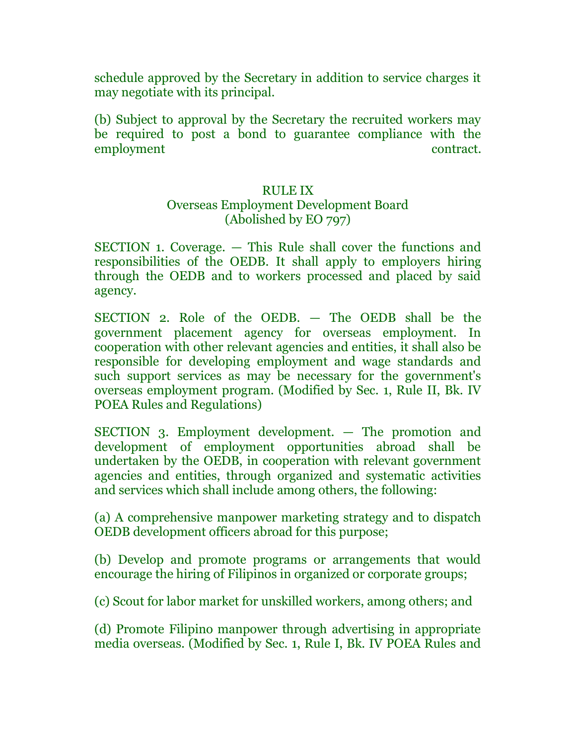schedule approved by the Secretary in addition to service charges it may negotiate with its principal.

(b) Subject to approval by the Secretary the recruited workers may be required to post a bond to guarantee compliance with the employment contract.

# RULE IX

#### Overseas Employment Development Board (Abolished by EO 797)

SECTION 1. Coverage. — This Rule shall cover the functions and responsibilities of the OEDB. It shall apply to employers hiring through the OEDB and to workers processed and placed by said agency.

SECTION 2. Role of the OEDB. — The OEDB shall be the government placement agency for overseas employment. In cooperation with other relevant agencies and entities, it shall also be responsible for developing employment and wage standards and such support services as may be necessary for the government's overseas employment program. (Modified by Sec. 1, Rule II, Bk. IV POEA Rules and Regulations)

SECTION 3. Employment development. — The promotion and development of employment opportunities abroad shall be undertaken by the OEDB, in cooperation with relevant government agencies and entities, through organized and systematic activities and services which shall include among others, the following:

(a) A comprehensive manpower marketing strategy and to dispatch OEDB development officers abroad for this purpose;

(b) Develop and promote programs or arrangements that would encourage the hiring of Filipinos in organized or corporate groups;

(c) Scout for labor market for unskilled workers, among others; and

(d) Promote Filipino manpower through advertising in appropriate media overseas. (Modified by Sec. 1, Rule I, Bk. IV POEA Rules and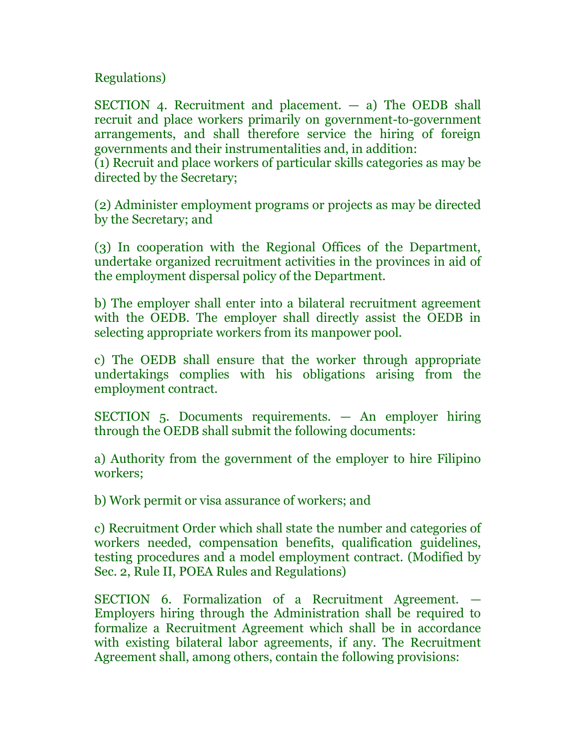Regulations)

SECTION 4. Recruitment and placement. — a) The OEDB shall recruit and place workers primarily on government-to-government arrangements, and shall therefore service the hiring of foreign governments and their instrumentalities and, in addition:

(1) Recruit and place workers of particular skills categories as may be directed by the Secretary;

(2) Administer employment programs or projects as may be directed by the Secretary; and

(3) In cooperation with the Regional Offices of the Department, undertake organized recruitment activities in the provinces in aid of the employment dispersal policy of the Department.

b) The employer shall enter into a bilateral recruitment agreement with the OEDB. The employer shall directly assist the OEDB in selecting appropriate workers from its manpower pool.

c) The OEDB shall ensure that the worker through appropriate undertakings complies with his obligations arising from the employment contract.

SECTION 5. Documents requirements. — An employer hiring through the OEDB shall submit the following documents:

a) Authority from the government of the employer to hire Filipino workers;

b) Work permit or visa assurance of workers; and

c) Recruitment Order which shall state the number and categories of workers needed, compensation benefits, qualification guidelines, testing procedures and a model employment contract. (Modified by Sec. 2, Rule II, POEA Rules and Regulations)

SECTION 6. Formalization of a Recruitment Agreement. — Employers hiring through the Administration shall be required to formalize a Recruitment Agreement which shall be in accordance with existing bilateral labor agreements, if any. The Recruitment Agreement shall, among others, contain the following provisions: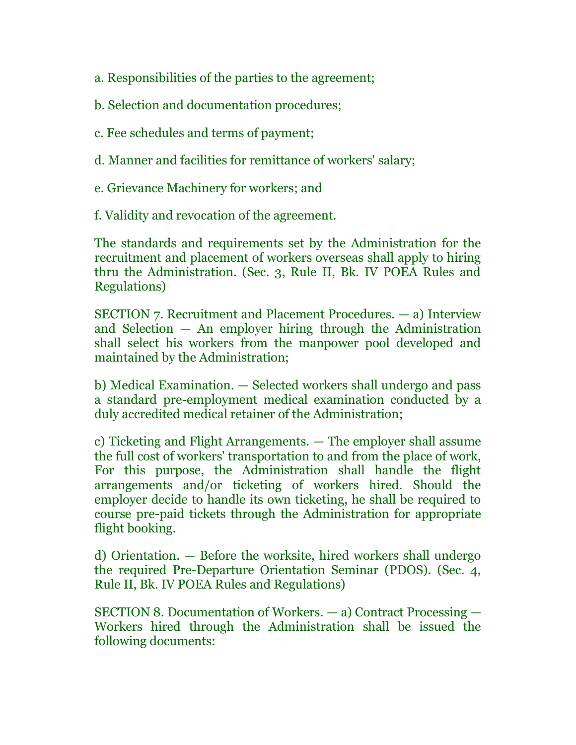- a. Responsibilities of the parties to the agreement;
- b. Selection and documentation procedures;
- c. Fee schedules and terms of payment;
- d. Manner and facilities for remittance of workers' salary;
- e. Grievance Machinery for workers; and
- f. Validity and revocation of the agreement.

The standards and requirements set by the Administration for the recruitment and placement of workers overseas shall apply to hiring thru the Administration. (Sec. 3, Rule II, Bk. IV POEA Rules and Regulations)

SECTION 7. Recruitment and Placement Procedures. — a) Interview and Selection  $-$  An employer hiring through the Administration shall select his workers from the manpower pool developed and maintained by the Administration;

b) Medical Examination. — Selected workers shall undergo and pass a standard pre-employment medical examination conducted by a duly accredited medical retainer of the Administration;

c) Ticketing and Flight Arrangements. — The employer shall assume the full cost of workers' transportation to and from the place of work, For this purpose, the Administration shall handle the flight arrangements and/or ticketing of workers hired. Should the employer decide to handle its own ticketing, he shall be required to course pre-paid tickets through the Administration for appropriate flight booking.

d) Orientation. — Before the worksite, hired workers shall undergo the required Pre-Departure Orientation Seminar (PDOS). (Sec. 4, Rule II, Bk. IV POEA Rules and Regulations)

SECTION 8. Documentation of Workers. — a) Contract Processing — Workers hired through the Administration shall be issued the following documents: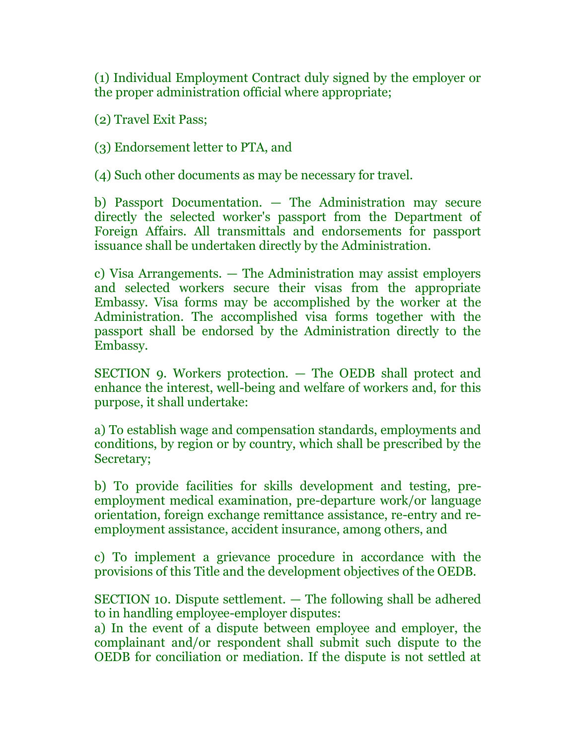(1) Individual Employment Contract duly signed by the employer or the proper administration official where appropriate;

(2) Travel Exit Pass;

(3) Endorsement letter to PTA, and

(4) Such other documents as may be necessary for travel.

b) Passport Documentation. — The Administration may secure directly the selected worker's passport from the Department of Foreign Affairs. All transmittals and endorsements for passport issuance shall be undertaken directly by the Administration.

c) Visa Arrangements. — The Administration may assist employers and selected workers secure their visas from the appropriate Embassy. Visa forms may be accomplished by the worker at the Administration. The accomplished visa forms together with the passport shall be endorsed by the Administration directly to the Embassy.

SECTION 9. Workers protection. — The OEDB shall protect and enhance the interest, well-being and welfare of workers and, for this purpose, it shall undertake:

a) To establish wage and compensation standards, employments and conditions, by region or by country, which shall be prescribed by the Secretary;

b) To provide facilities for skills development and testing, preemployment medical examination, pre-departure work/or language orientation, foreign exchange remittance assistance, re-entry and reemployment assistance, accident insurance, among others, and

c) To implement a grievance procedure in accordance with the provisions of this Title and the development objectives of the OEDB.

SECTION 10. Dispute settlement. — The following shall be adhered to in handling employee-employer disputes:

a) In the event of a dispute between employee and employer, the complainant and/or respondent shall submit such dispute to the OEDB for conciliation or mediation. If the dispute is not settled at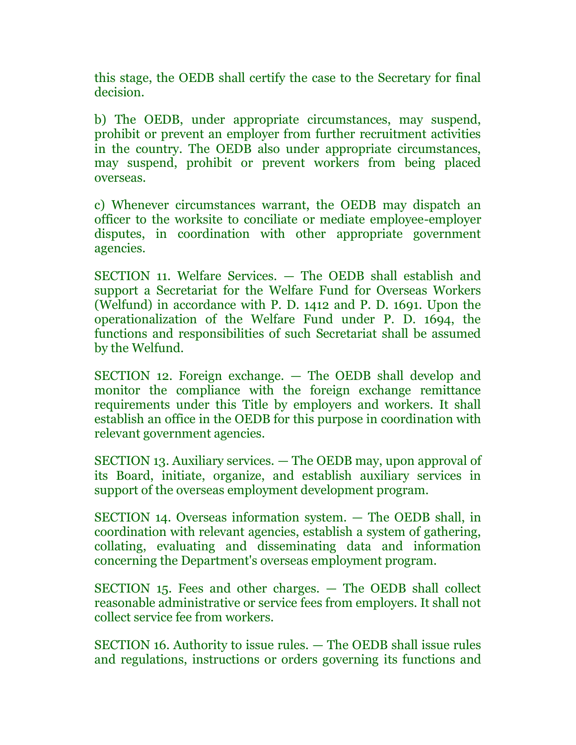this stage, the OEDB shall certify the case to the Secretary for final decision.

b) The OEDB, under appropriate circumstances, may suspend, prohibit or prevent an employer from further recruitment activities in the country. The OEDB also under appropriate circumstances, may suspend, prohibit or prevent workers from being placed overseas.

c) Whenever circumstances warrant, the OEDB may dispatch an officer to the worksite to conciliate or mediate employee-employer disputes, in coordination with other appropriate government agencies.

SECTION 11. Welfare Services. — The OEDB shall establish and support a Secretariat for the Welfare Fund for Overseas Workers (Welfund) in accordance with P. D. 1412 and P. D. 1691. Upon the operationalization of the Welfare Fund under P. D. 1694, the functions and responsibilities of such Secretariat shall be assumed by the Welfund.

SECTION 12. Foreign exchange. — The OEDB shall develop and monitor the compliance with the foreign exchange remittance requirements under this Title by employers and workers. It shall establish an office in the OEDB for this purpose in coordination with relevant government agencies.

SECTION 13. Auxiliary services. — The OEDB may, upon approval of its Board, initiate, organize, and establish auxiliary services in support of the overseas employment development program.

SECTION 14. Overseas information system. — The OEDB shall, in coordination with relevant agencies, establish a system of gathering, collating, evaluating and disseminating data and information concerning the Department's overseas employment program.

SECTION 15. Fees and other charges. — The OEDB shall collect reasonable administrative or service fees from employers. It shall not collect service fee from workers.

SECTION 16. Authority to issue rules. — The OEDB shall issue rules and regulations, instructions or orders governing its functions and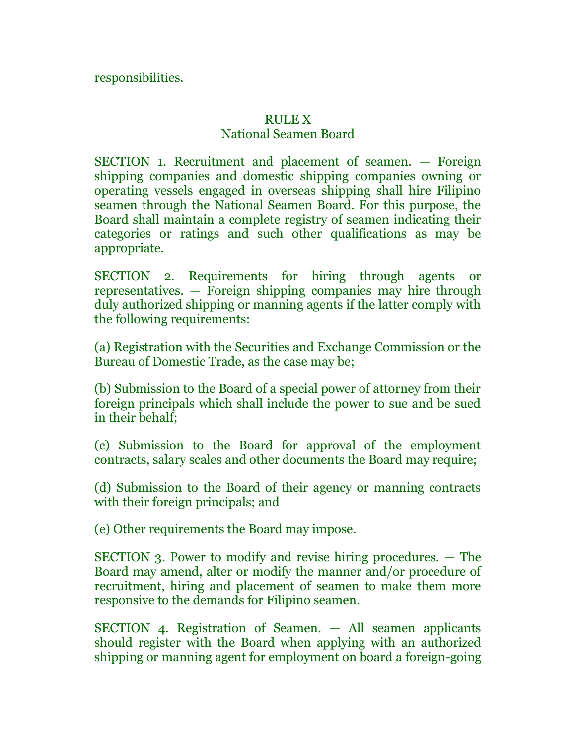responsibilities.

# RULE X

# National Seamen Board

SECTION 1. Recruitment and placement of seamen. — Foreign shipping companies and domestic shipping companies owning or operating vessels engaged in overseas shipping shall hire Filipino seamen through the National Seamen Board. For this purpose, the Board shall maintain a complete registry of seamen indicating their categories or ratings and such other qualifications as may be appropriate.

SECTION 2. Requirements for hiring through agents or representatives. — Foreign shipping companies may hire through duly authorized shipping or manning agents if the latter comply with the following requirements:

(a) Registration with the Securities and Exchange Commission or the Bureau of Domestic Trade, as the case may be;

(b) Submission to the Board of a special power of attorney from their foreign principals which shall include the power to sue and be sued in their behalf;

(c) Submission to the Board for approval of the employment contracts, salary scales and other documents the Board may require;

(d) Submission to the Board of their agency or manning contracts with their foreign principals; and

(e) Other requirements the Board may impose.

SECTION 3. Power to modify and revise hiring procedures. — The Board may amend, alter or modify the manner and/or procedure of recruitment, hiring and placement of seamen to make them more responsive to the demands for Filipino seamen.

SECTION 4. Registration of Seamen. — All seamen applicants should register with the Board when applying with an authorized shipping or manning agent for employment on board a foreign-going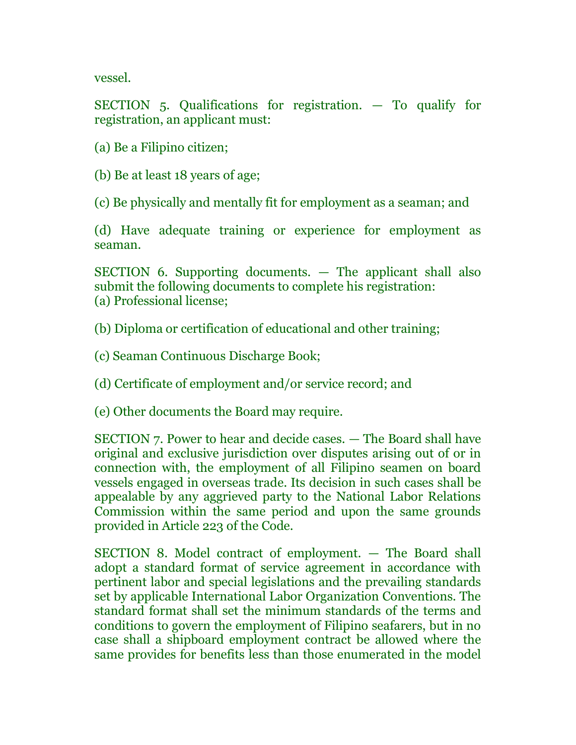vessel.

SECTION 5. Qualifications for registration. — To qualify for registration, an applicant must:

(a) Be a Filipino citizen;

(b) Be at least 18 years of age;

(c) Be physically and mentally fit for employment as a seaman; and

(d) Have adequate training or experience for employment as seaman.

SECTION 6. Supporting documents. — The applicant shall also submit the following documents to complete his registration: (a) Professional license;

(b) Diploma or certification of educational and other training;

(c) Seaman Continuous Discharge Book;

(d) Certificate of employment and/or service record; and

(e) Other documents the Board may require.

SECTION 7. Power to hear and decide cases. — The Board shall have original and exclusive jurisdiction over disputes arising out of or in connection with, the employment of all Filipino seamen on board vessels engaged in overseas trade. Its decision in such cases shall be appealable by any aggrieved party to the National Labor Relations Commission within the same period and upon the same grounds provided in Article 223 of the Code.

SECTION 8. Model contract of employment. — The Board shall adopt a standard format of service agreement in accordance with pertinent labor and special legislations and the prevailing standards set by applicable International Labor Organization Conventions. The standard format shall set the minimum standards of the terms and conditions to govern the employment of Filipino seafarers, but in no case shall a shipboard employment contract be allowed where the same provides for benefits less than those enumerated in the model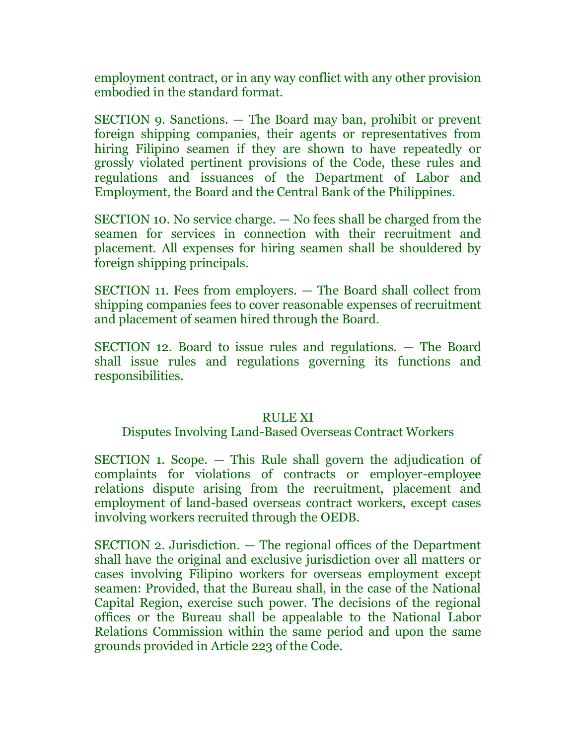employment contract, or in any way conflict with any other provision embodied in the standard format.

SECTION 9. Sanctions. — The Board may ban, prohibit or prevent foreign shipping companies, their agents or representatives from hiring Filipino seamen if they are shown to have repeatedly or grossly violated pertinent provisions of the Code, these rules and regulations and issuances of the Department of Labor and Employment, the Board and the Central Bank of the Philippines.

SECTION 10. No service charge. — No fees shall be charged from the seamen for services in connection with their recruitment and placement. All expenses for hiring seamen shall be shouldered by foreign shipping principals.

SECTION 11. Fees from employers. — The Board shall collect from shipping companies fees to cover reasonable expenses of recruitment and placement of seamen hired through the Board.

SECTION 12. Board to issue rules and regulations. — The Board shall issue rules and regulations governing its functions and responsibilities.

## RULE XI

### Disputes Involving Land-Based Overseas Contract Workers

SECTION 1. Scope. — This Rule shall govern the adjudication of complaints for violations of contracts or employer-employee relations dispute arising from the recruitment, placement and employment of land-based overseas contract workers, except cases involving workers recruited through the OEDB.

SECTION 2. Jurisdiction. — The regional offices of the Department shall have the original and exclusive jurisdiction over all matters or cases involving Filipino workers for overseas employment except seamen: Provided, that the Bureau shall, in the case of the National Capital Region, exercise such power. The decisions of the regional offices or the Bureau shall be appealable to the National Labor Relations Commission within the same period and upon the same grounds provided in Article 223 of the Code.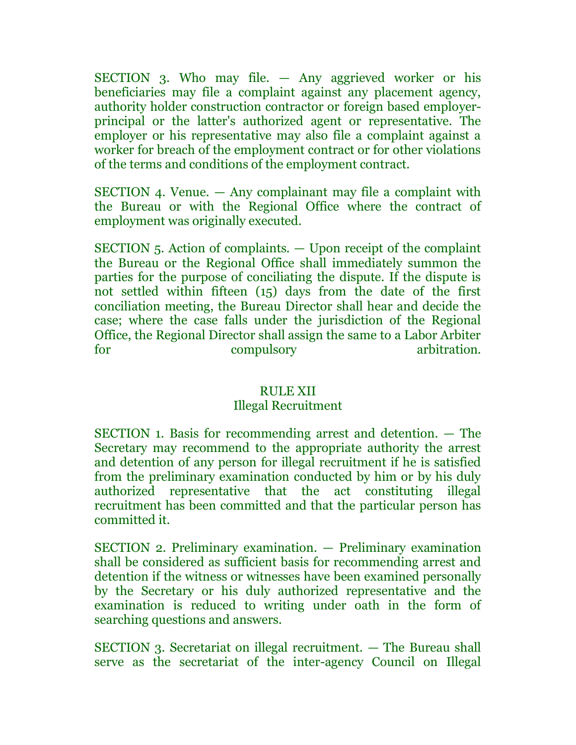SECTION 3. Who may file. — Any aggrieved worker or his beneficiaries may file a complaint against any placement agency, authority holder construction contractor or foreign based employerprincipal or the latter's authorized agent or representative. The employer or his representative may also file a complaint against a worker for breach of the employment contract or for other violations of the terms and conditions of the employment contract.

SECTION 4. Venue. — Any complainant may file a complaint with the Bureau or with the Regional Office where the contract of employment was originally executed.

SECTION 5. Action of complaints. — Upon receipt of the complaint the Bureau or the Regional Office shall immediately summon the parties for the purpose of conciliating the dispute. If the dispute is not settled within fifteen (15) days from the date of the first conciliation meeting, the Bureau Director shall hear and decide the case; where the case falls under the jurisdiction of the Regional Office, the Regional Director shall assign the same to a Labor Arbiter for compulsory arbitration.

### RULE XII

## Illegal Recruitment

SECTION 1. Basis for recommending arrest and detention. — The Secretary may recommend to the appropriate authority the arrest and detention of any person for illegal recruitment if he is satisfied from the preliminary examination conducted by him or by his duly authorized representative that the act constituting illegal recruitment has been committed and that the particular person has committed it.

SECTION 2. Preliminary examination. — Preliminary examination shall be considered as sufficient basis for recommending arrest and detention if the witness or witnesses have been examined personally by the Secretary or his duly authorized representative and the examination is reduced to writing under oath in the form of searching questions and answers.

SECTION 3. Secretariat on illegal recruitment. — The Bureau shall serve as the secretariat of the inter-agency Council on Illegal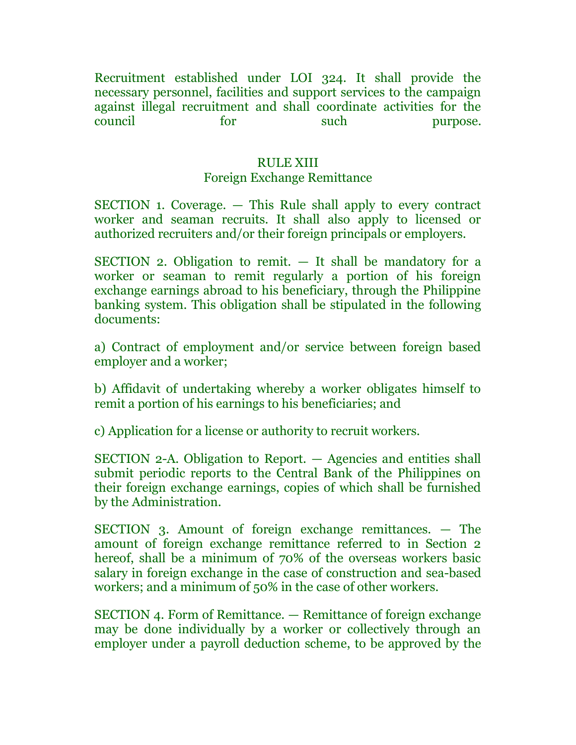Recruitment established under LOI 324. It shall provide the necessary personnel, facilities and support services to the campaign against illegal recruitment and shall coordinate activities for the council for such purpose.

### RULE XIII

## Foreign Exchange Remittance

SECTION 1. Coverage. — This Rule shall apply to every contract worker and seaman recruits. It shall also apply to licensed or authorized recruiters and/or their foreign principals or employers.

SECTION 2. Obligation to remit. — It shall be mandatory for a worker or seaman to remit regularly a portion of his foreign exchange earnings abroad to his beneficiary, through the Philippine banking system. This obligation shall be stipulated in the following documents:

a) Contract of employment and/or service between foreign based employer and a worker;

b) Affidavit of undertaking whereby a worker obligates himself to remit a portion of his earnings to his beneficiaries; and

c) Application for a license or authority to recruit workers.

SECTION 2-A. Obligation to Report. — Agencies and entities shall submit periodic reports to the Central Bank of the Philippines on their foreign exchange earnings, copies of which shall be furnished by the Administration.

SECTION 3. Amount of foreign exchange remittances. — The amount of foreign exchange remittance referred to in Section 2 hereof, shall be a minimum of 70% of the overseas workers basic salary in foreign exchange in the case of construction and sea-based workers; and a minimum of 50% in the case of other workers.

SECTION 4. Form of Remittance. — Remittance of foreign exchange may be done individually by a worker or collectively through an employer under a payroll deduction scheme, to be approved by the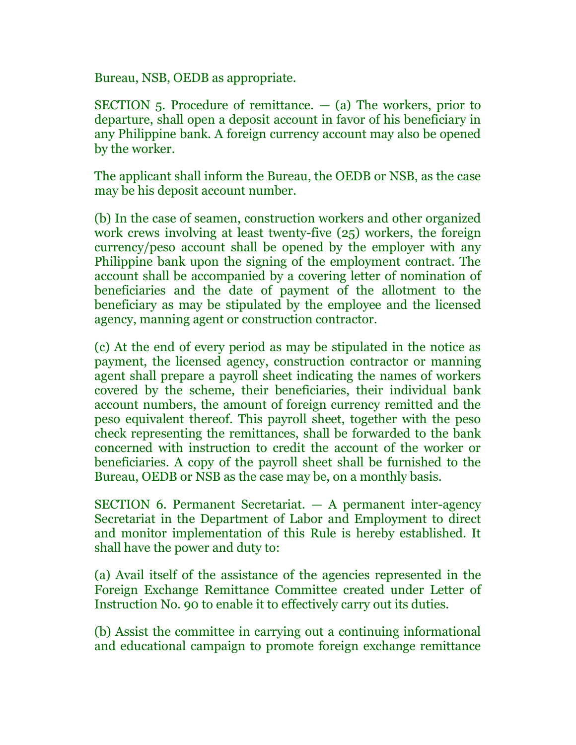Bureau, NSB, OEDB as appropriate.

SECTION 5. Procedure of remittance.  $-$  (a) The workers, prior to departure, shall open a deposit account in favor of his beneficiary in any Philippine bank. A foreign currency account may also be opened by the worker.

The applicant shall inform the Bureau, the OEDB or NSB, as the case may be his deposit account number.

(b) In the case of seamen, construction workers and other organized work crews involving at least twenty-five (25) workers, the foreign currency/peso account shall be opened by the employer with any Philippine bank upon the signing of the employment contract. The account shall be accompanied by a covering letter of nomination of beneficiaries and the date of payment of the allotment to the beneficiary as may be stipulated by the employee and the licensed agency, manning agent or construction contractor.

(c) At the end of every period as may be stipulated in the notice as payment, the licensed agency, construction contractor or manning agent shall prepare a payroll sheet indicating the names of workers covered by the scheme, their beneficiaries, their individual bank account numbers, the amount of foreign currency remitted and the peso equivalent thereof. This payroll sheet, together with the peso check representing the remittances, shall be forwarded to the bank concerned with instruction to credit the account of the worker or beneficiaries. A copy of the payroll sheet shall be furnished to the Bureau, OEDB or NSB as the case may be, on a monthly basis.

SECTION 6. Permanent Secretariat. — A permanent inter-agency Secretariat in the Department of Labor and Employment to direct and monitor implementation of this Rule is hereby established. It shall have the power and duty to:

(a) Avail itself of the assistance of the agencies represented in the Foreign Exchange Remittance Committee created under Letter of Instruction No. 90 to enable it to effectively carry out its duties.

(b) Assist the committee in carrying out a continuing informational and educational campaign to promote foreign exchange remittance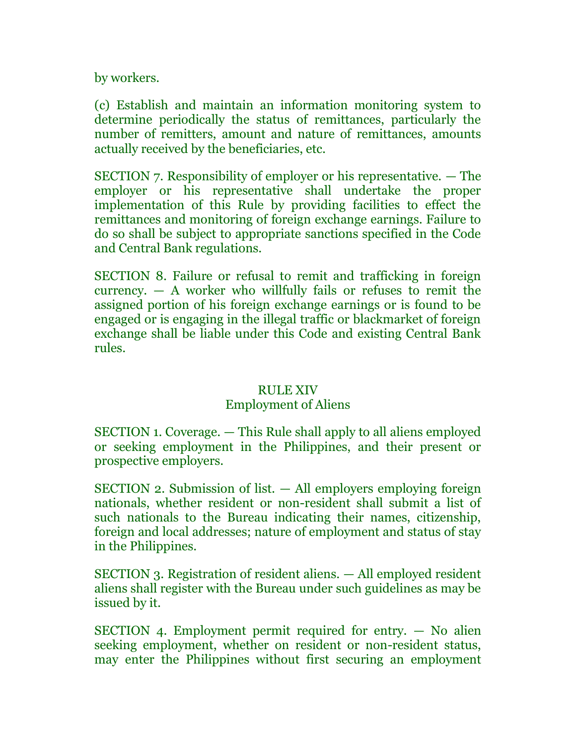by workers.

(c) Establish and maintain an information monitoring system to determine periodically the status of remittances, particularly the number of remitters, amount and nature of remittances, amounts actually received by the beneficiaries, etc.

SECTION 7. Responsibility of employer or his representative. — The employer or his representative shall undertake the proper implementation of this Rule by providing facilities to effect the remittances and monitoring of foreign exchange earnings. Failure to do so shall be subject to appropriate sanctions specified in the Code and Central Bank regulations.

SECTION 8. Failure or refusal to remit and trafficking in foreign currency.  $-$  A worker who willfully fails or refuses to remit the assigned portion of his foreign exchange earnings or is found to be engaged or is engaging in the illegal traffic or blackmarket of foreign exchange shall be liable under this Code and existing Central Bank rules.

## RULE XIV

## Employment of Aliens

SECTION 1. Coverage. — This Rule shall apply to all aliens employed or seeking employment in the Philippines, and their present or prospective employers.

SECTION 2. Submission of list. — All employers employing foreign nationals, whether resident or non-resident shall submit a list of such nationals to the Bureau indicating their names, citizenship, foreign and local addresses; nature of employment and status of stay in the Philippines.

SECTION 3. Registration of resident aliens. — All employed resident aliens shall register with the Bureau under such guidelines as may be issued by it.

SECTION 4. Employment permit required for entry. — No alien seeking employment, whether on resident or non-resident status, may enter the Philippines without first securing an employment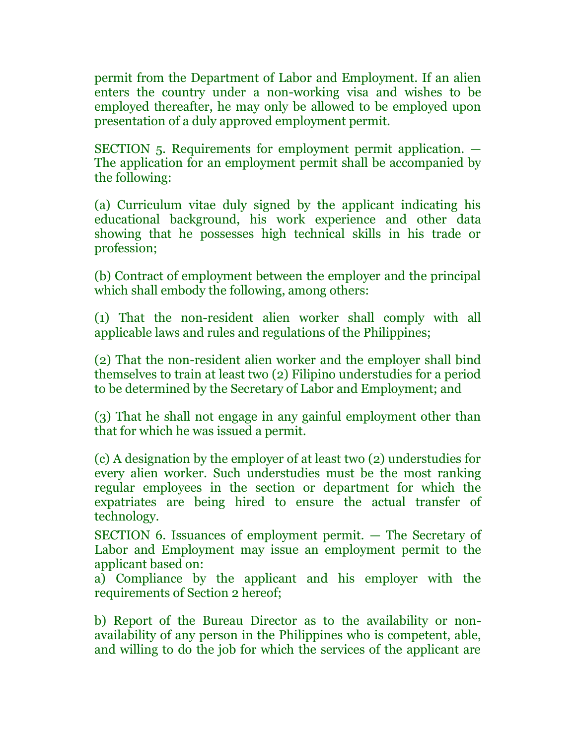permit from the Department of Labor and Employment. If an alien enters the country under a non-working visa and wishes to be employed thereafter, he may only be allowed to be employed upon presentation of a duly approved employment permit.

SECTION 5. Requirements for employment permit application. — The application for an employment permit shall be accompanied by the following:

(a) Curriculum vitae duly signed by the applicant indicating his educational background, his work experience and other data showing that he possesses high technical skills in his trade or profession;

(b) Contract of employment between the employer and the principal which shall embody the following, among others:

(1) That the non-resident alien worker shall comply with all applicable laws and rules and regulations of the Philippines;

(2) That the non-resident alien worker and the employer shall bind themselves to train at least two (2) Filipino understudies for a period to be determined by the Secretary of Labor and Employment; and

(3) That he shall not engage in any gainful employment other than that for which he was issued a permit.

(c) A designation by the employer of at least two (2) understudies for every alien worker. Such understudies must be the most ranking regular employees in the section or department for which the expatriates are being hired to ensure the actual transfer of technology.

SECTION 6. Issuances of employment permit. — The Secretary of Labor and Employment may issue an employment permit to the applicant based on:

a) Compliance by the applicant and his employer with the requirements of Section 2 hereof;

b) Report of the Bureau Director as to the availability or nonavailability of any person in the Philippines who is competent, able, and willing to do the job for which the services of the applicant are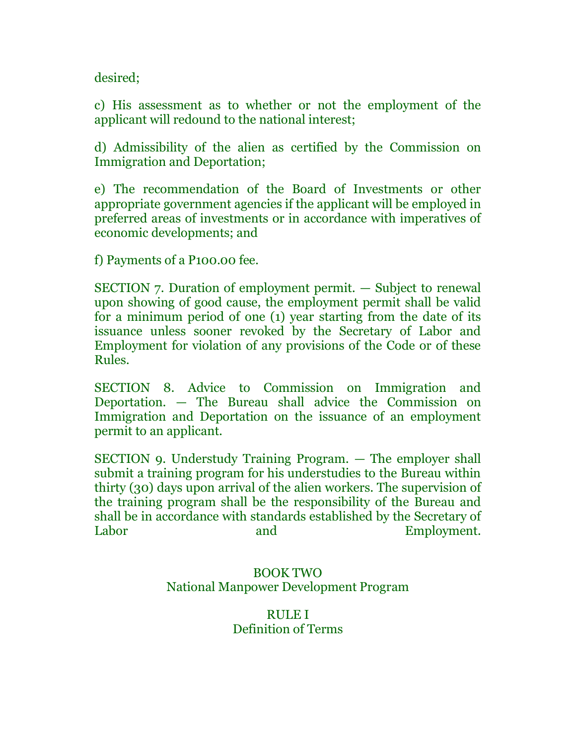desired;

c) His assessment as to whether or not the employment of the applicant will redound to the national interest;

d) Admissibility of the alien as certified by the Commission on Immigration and Deportation;

e) The recommendation of the Board of Investments or other appropriate government agencies if the applicant will be employed in preferred areas of investments or in accordance with imperatives of economic developments; and

f) Payments of a P100.00 fee.

SECTION 7. Duration of employment permit. — Subject to renewal upon showing of good cause, the employment permit shall be valid for a minimum period of one (1) year starting from the date of its issuance unless sooner revoked by the Secretary of Labor and Employment for violation of any provisions of the Code or of these Rules.

SECTION 8. Advice to Commission on Immigration and Deportation. — The Bureau shall advice the Commission on Immigration and Deportation on the issuance of an employment permit to an applicant.

SECTION 9. Understudy Training Program. — The employer shall submit a training program for his understudies to the Bureau within thirty (30) days upon arrival of the alien workers. The supervision of the training program shall be the responsibility of the Bureau and shall be in accordance with standards established by the Secretary of Labor and Employment.

# BOOK TWO National Manpower Development Program

# RULE I Definition of Terms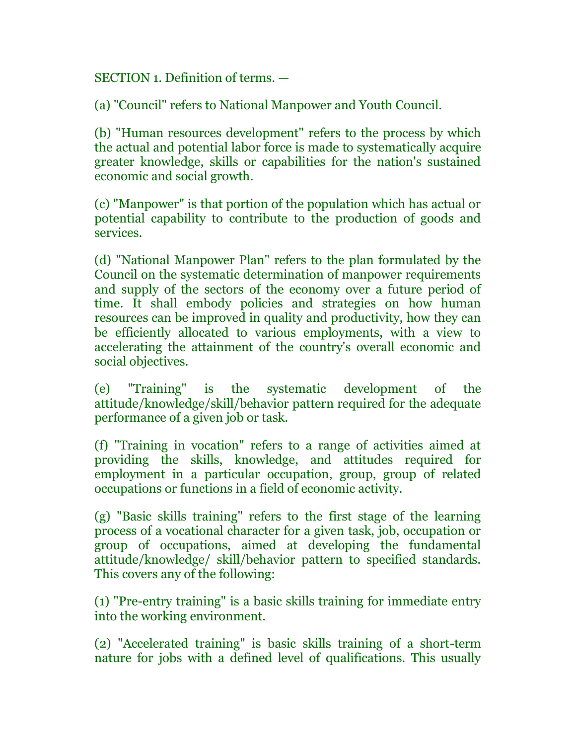SECTION 1. Definition of terms. —

(a) "Council" refers to National Manpower and Youth Council.

(b) "Human resources development" refers to the process by which the actual and potential labor force is made to systematically acquire greater knowledge, skills or capabilities for the nation's sustained economic and social growth.

(c) "Manpower" is that portion of the population which has actual or potential capability to contribute to the production of goods and services.

(d) "National Manpower Plan" refers to the plan formulated by the Council on the systematic determination of manpower requirements and supply of the sectors of the economy over a future period of time. It shall embody policies and strategies on how human resources can be improved in quality and productivity, how they can be efficiently allocated to various employments, with a view to accelerating the attainment of the country's overall economic and social objectives.

(e) "Training" is the systematic development of the attitude/knowledge/skill/behavior pattern required for the adequate performance of a given job or task.

(f) "Training in vocation" refers to a range of activities aimed at providing the skills, knowledge, and attitudes required for employment in a particular occupation, group, group of related occupations or functions in a field of economic activity.

(g) "Basic skills training" refers to the first stage of the learning process of a vocational character for a given task, job, occupation or group of occupations, aimed at developing the fundamental attitude/knowledge/ skill/behavior pattern to specified standards. This covers any of the following:

(1) "Pre-entry training" is a basic skills training for immediate entry into the working environment.

(2) "Accelerated training" is basic skills training of a short-term nature for jobs with a defined level of qualifications. This usually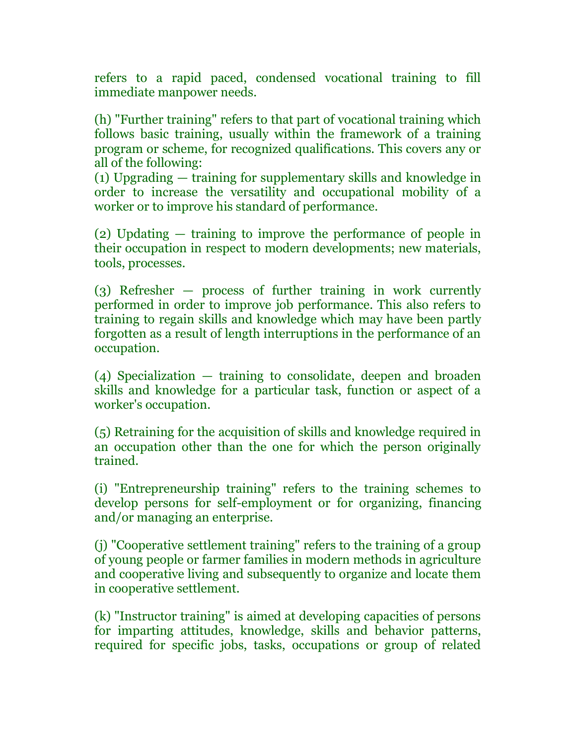refers to a rapid paced, condensed vocational training to fill immediate manpower needs.

(h) "Further training" refers to that part of vocational training which follows basic training, usually within the framework of a training program or scheme, for recognized qualifications. This covers any or all of the following:

(1) Upgrading — training for supplementary skills and knowledge in order to increase the versatility and occupational mobility of a worker or to improve his standard of performance.

(2) Updating — training to improve the performance of people in their occupation in respect to modern developments; new materials, tools, processes.

(3) Refresher — process of further training in work currently performed in order to improve job performance. This also refers to training to regain skills and knowledge which may have been partly forgotten as a result of length interruptions in the performance of an occupation.

(4) Specialization — training to consolidate, deepen and broaden skills and knowledge for a particular task, function or aspect of a worker's occupation.

(5) Retraining for the acquisition of skills and knowledge required in an occupation other than the one for which the person originally trained.

(i) "Entrepreneurship training" refers to the training schemes to develop persons for self-employment or for organizing, financing and/or managing an enterprise.

(j) "Cooperative settlement training" refers to the training of a group of young people or farmer families in modern methods in agriculture and cooperative living and subsequently to organize and locate them in cooperative settlement.

(k) "Instructor training" is aimed at developing capacities of persons for imparting attitudes, knowledge, skills and behavior patterns, required for specific jobs, tasks, occupations or group of related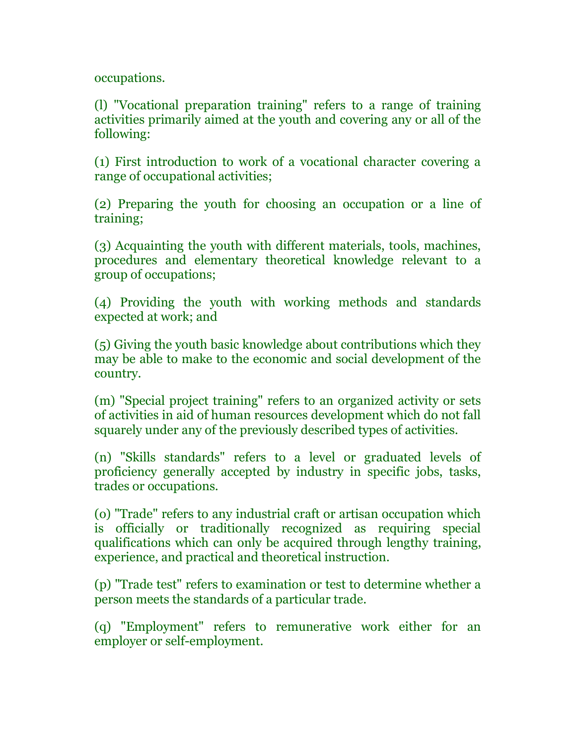occupations.

(l) "Vocational preparation training" refers to a range of training activities primarily aimed at the youth and covering any or all of the following:

(1) First introduction to work of a vocational character covering a range of occupational activities;

(2) Preparing the youth for choosing an occupation or a line of training;

(3) Acquainting the youth with different materials, tools, machines, procedures and elementary theoretical knowledge relevant to a group of occupations;

(4) Providing the youth with working methods and standards expected at work; and

(5) Giving the youth basic knowledge about contributions which they may be able to make to the economic and social development of the country.

(m) "Special project training" refers to an organized activity or sets of activities in aid of human resources development which do not fall squarely under any of the previously described types of activities.

(n) "Skills standards" refers to a level or graduated levels of proficiency generally accepted by industry in specific jobs, tasks, trades or occupations.

(o) "Trade" refers to any industrial craft or artisan occupation which is officially or traditionally recognized as requiring special qualifications which can only be acquired through lengthy training, experience, and practical and theoretical instruction.

(p) "Trade test" refers to examination or test to determine whether a person meets the standards of a particular trade.

(q) "Employment" refers to remunerative work either for an employer or self-employment.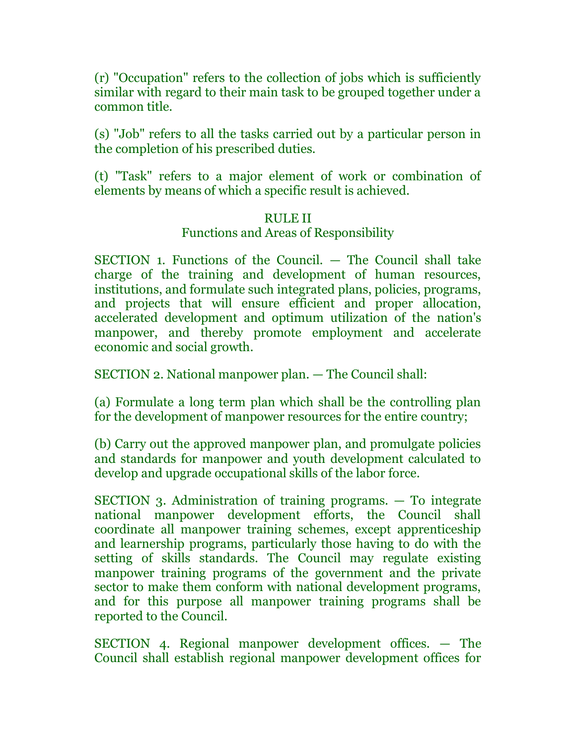(r) "Occupation" refers to the collection of jobs which is sufficiently similar with regard to their main task to be grouped together under a common title.

(s) "Job" refers to all the tasks carried out by a particular person in the completion of his prescribed duties.

(t) "Task" refers to a major element of work or combination of elements by means of which a specific result is achieved.

# RULE II

### Functions and Areas of Responsibility

SECTION 1. Functions of the Council. — The Council shall take charge of the training and development of human resources, institutions, and formulate such integrated plans, policies, programs, and projects that will ensure efficient and proper allocation, accelerated development and optimum utilization of the nation's manpower, and thereby promote employment and accelerate economic and social growth.

SECTION 2. National manpower plan. — The Council shall:

(a) Formulate a long term plan which shall be the controlling plan for the development of manpower resources for the entire country;

(b) Carry out the approved manpower plan, and promulgate policies and standards for manpower and youth development calculated to develop and upgrade occupational skills of the labor force.

SECTION 3. Administration of training programs. — To integrate national manpower development efforts, the Council shall coordinate all manpower training schemes, except apprenticeship and learnership programs, particularly those having to do with the setting of skills standards. The Council may regulate existing manpower training programs of the government and the private sector to make them conform with national development programs, and for this purpose all manpower training programs shall be reported to the Council.

SECTION 4. Regional manpower development offices. — The Council shall establish regional manpower development offices for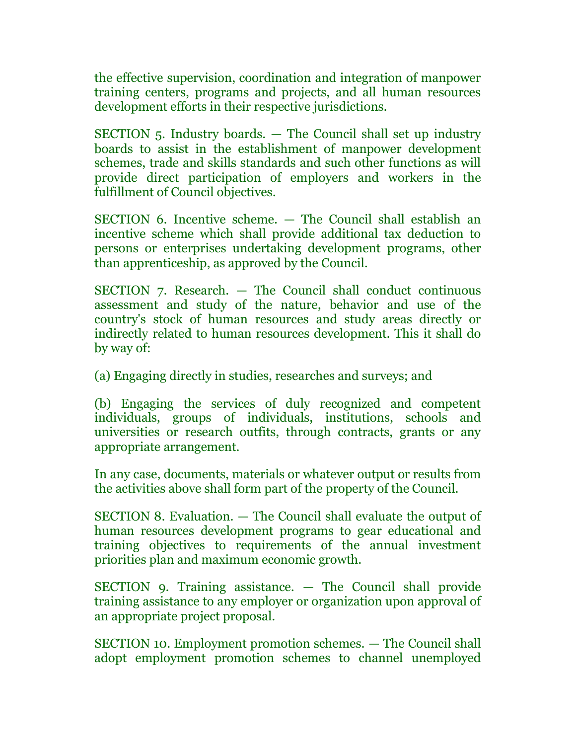the effective supervision, coordination and integration of manpower training centers, programs and projects, and all human resources development efforts in their respective jurisdictions.

SECTION 5. Industry boards. — The Council shall set up industry boards to assist in the establishment of manpower development schemes, trade and skills standards and such other functions as will provide direct participation of employers and workers in the fulfillment of Council objectives.

SECTION 6. Incentive scheme. — The Council shall establish an incentive scheme which shall provide additional tax deduction to persons or enterprises undertaking development programs, other than apprenticeship, as approved by the Council.

SECTION 7. Research. — The Council shall conduct continuous assessment and study of the nature, behavior and use of the country's stock of human resources and study areas directly or indirectly related to human resources development. This it shall do by way of:

(a) Engaging directly in studies, researches and surveys; and

(b) Engaging the services of duly recognized and competent individuals, groups of individuals, institutions, schools and universities or research outfits, through contracts, grants or any appropriate arrangement.

In any case, documents, materials or whatever output or results from the activities above shall form part of the property of the Council.

SECTION 8. Evaluation. — The Council shall evaluate the output of human resources development programs to gear educational and training objectives to requirements of the annual investment priorities plan and maximum economic growth.

SECTION 9. Training assistance. — The Council shall provide training assistance to any employer or organization upon approval of an appropriate project proposal.

SECTION 10. Employment promotion schemes. — The Council shall adopt employment promotion schemes to channel unemployed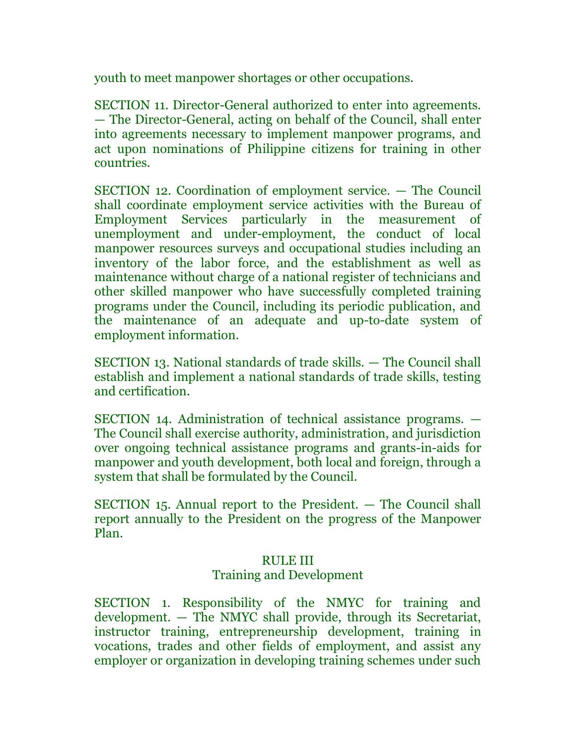youth to meet manpower shortages or other occupations.

SECTION 11. Director-General authorized to enter into agreements. — The Director-General, acting on behalf of the Council, shall enter into agreements necessary to implement manpower programs, and act upon nominations of Philippine citizens for training in other countries.

SECTION 12. Coordination of employment service. — The Council shall coordinate employment service activities with the Bureau of Employment Services particularly in the measurement of unemployment and under-employment, the conduct of local manpower resources surveys and occupational studies including an inventory of the labor force, and the establishment as well as maintenance without charge of a national register of technicians and other skilled manpower who have successfully completed training programs under the Council, including its periodic publication, and the maintenance of an adequate and up-to-date system of employment information.

SECTION 13. National standards of trade skills. — The Council shall establish and implement a national standards of trade skills, testing and certification.

SECTION 14. Administration of technical assistance programs. — The Council shall exercise authority, administration, and jurisdiction over ongoing technical assistance programs and grants-in-aids for manpower and youth development, both local and foreign, through a system that shall be formulated by the Council.

SECTION 15. Annual report to the President. — The Council shall report annually to the President on the progress of the Manpower Plan.

## RULE III

# Training and Development

SECTION 1. Responsibility of the NMYC for training and development. — The NMYC shall provide, through its Secretariat, instructor training, entrepreneurship development, training in vocations, trades and other fields of employment, and assist any employer or organization in developing training schemes under such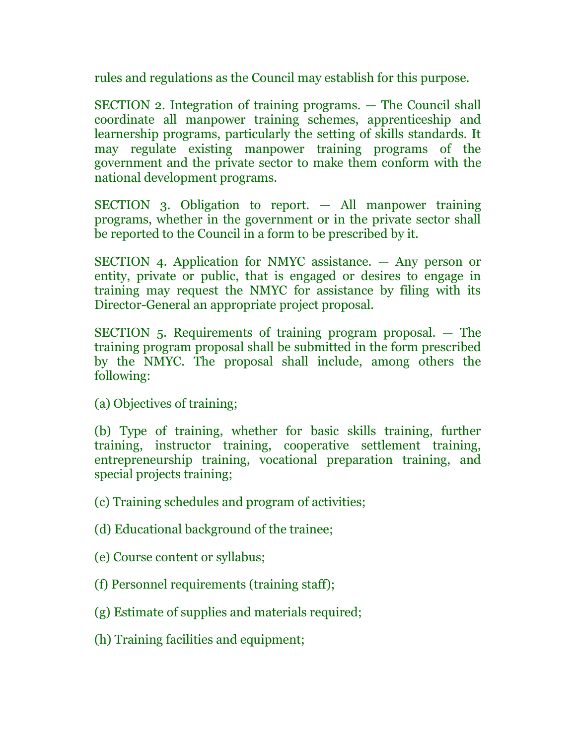rules and regulations as the Council may establish for this purpose.

SECTION 2. Integration of training programs. — The Council shall coordinate all manpower training schemes, apprenticeship and learnership programs, particularly the setting of skills standards. It may regulate existing manpower training programs of the government and the private sector to make them conform with the national development programs.

SECTION 3. Obligation to report. — All manpower training programs, whether in the government or in the private sector shall be reported to the Council in a form to be prescribed by it.

SECTION 4. Application for NMYC assistance. — Any person or entity, private or public, that is engaged or desires to engage in training may request the NMYC for assistance by filing with its Director-General an appropriate project proposal.

SECTION 5. Requirements of training program proposal. — The training program proposal shall be submitted in the form prescribed by the NMYC. The proposal shall include, among others the following:

(a) Objectives of training;

(b) Type of training, whether for basic skills training, further training, instructor training, cooperative settlement training, entrepreneurship training, vocational preparation training, and special projects training;

(c) Training schedules and program of activities;

(d) Educational background of the trainee;

(e) Course content or syllabus;

- (f) Personnel requirements (training staff);
- (g) Estimate of supplies and materials required;
- (h) Training facilities and equipment;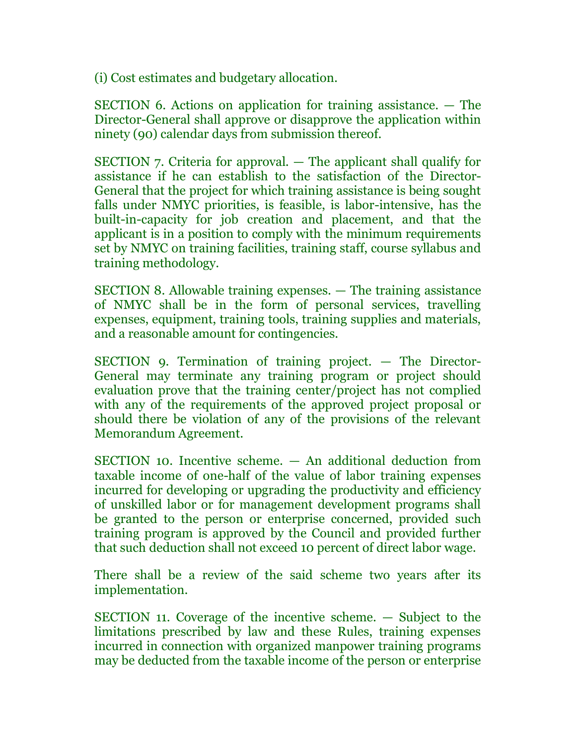(i) Cost estimates and budgetary allocation.

SECTION 6. Actions on application for training assistance. — The Director-General shall approve or disapprove the application within ninety (90) calendar days from submission thereof.

SECTION 7. Criteria for approval. — The applicant shall qualify for assistance if he can establish to the satisfaction of the Director-General that the project for which training assistance is being sought falls under NMYC priorities, is feasible, is labor-intensive, has the built-in-capacity for job creation and placement, and that the applicant is in a position to comply with the minimum requirements set by NMYC on training facilities, training staff, course syllabus and training methodology.

SECTION 8. Allowable training expenses. — The training assistance of NMYC shall be in the form of personal services, travelling expenses, equipment, training tools, training supplies and materials, and a reasonable amount for contingencies.

SECTION 9. Termination of training project. — The Director-General may terminate any training program or project should evaluation prove that the training center/project has not complied with any of the requirements of the approved project proposal or should there be violation of any of the provisions of the relevant Memorandum Agreement.

SECTION 10. Incentive scheme. — An additional deduction from taxable income of one-half of the value of labor training expenses incurred for developing or upgrading the productivity and efficiency of unskilled labor or for management development programs shall be granted to the person or enterprise concerned, provided such training program is approved by the Council and provided further that such deduction shall not exceed 10 percent of direct labor wage.

There shall be a review of the said scheme two years after its implementation.

SECTION 11. Coverage of the incentive scheme. — Subject to the limitations prescribed by law and these Rules, training expenses incurred in connection with organized manpower training programs may be deducted from the taxable income of the person or enterprise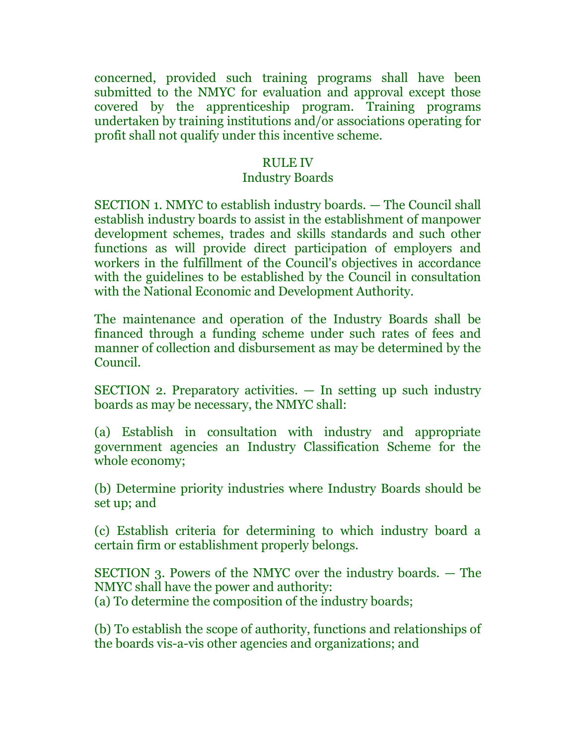concerned, provided such training programs shall have been submitted to the NMYC for evaluation and approval except those covered by the apprenticeship program. Training programs undertaken by training institutions and/or associations operating for profit shall not qualify under this incentive scheme.

### RULE IV

### Industry Boards

SECTION 1. NMYC to establish industry boards. — The Council shall establish industry boards to assist in the establishment of manpower development schemes, trades and skills standards and such other functions as will provide direct participation of employers and workers in the fulfillment of the Council's objectives in accordance with the guidelines to be established by the Council in consultation with the National Economic and Development Authority.

The maintenance and operation of the Industry Boards shall be financed through a funding scheme under such rates of fees and manner of collection and disbursement as may be determined by the Council.

SECTION 2. Preparatory activities. — In setting up such industry boards as may be necessary, the NMYC shall:

(a) Establish in consultation with industry and appropriate government agencies an Industry Classification Scheme for the whole economy;

(b) Determine priority industries where Industry Boards should be set up; and

(c) Establish criteria for determining to which industry board a certain firm or establishment properly belongs.

SECTION 3. Powers of the NMYC over the industry boards. — The NMYC shall have the power and authority: (a) To determine the composition of the industry boards;

(b) To establish the scope of authority, functions and relationships of the boards vis-a-vis other agencies and organizations; and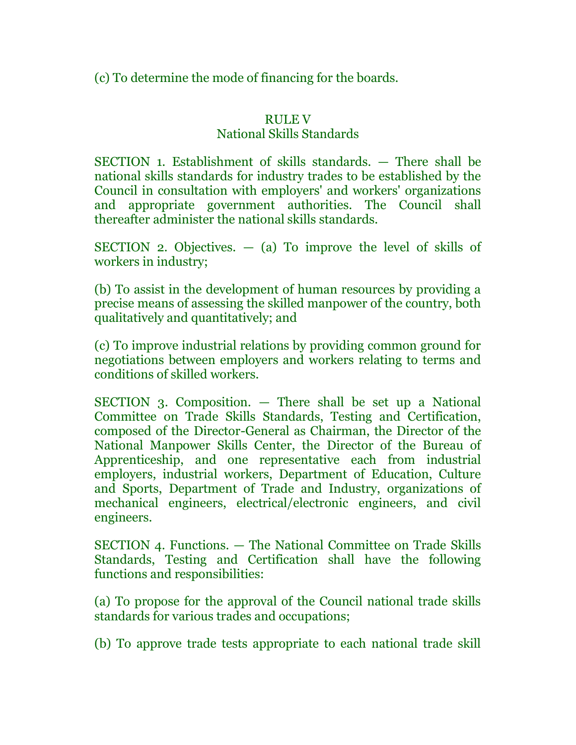(c) To determine the mode of financing for the boards.

# RULE V

# National Skills Standards

SECTION 1. Establishment of skills standards. — There shall be national skills standards for industry trades to be established by the Council in consultation with employers' and workers' organizations and appropriate government authorities. The Council shall thereafter administer the national skills standards.

SECTION 2. Objectives.  $-$  (a) To improve the level of skills of workers in industry;

(b) To assist in the development of human resources by providing a precise means of assessing the skilled manpower of the country, both qualitatively and quantitatively; and

(c) To improve industrial relations by providing common ground for negotiations between employers and workers relating to terms and conditions of skilled workers.

SECTION 3. Composition. — There shall be set up a National Committee on Trade Skills Standards, Testing and Certification, composed of the Director-General as Chairman, the Director of the National Manpower Skills Center, the Director of the Bureau of Apprenticeship, and one representative each from industrial employers, industrial workers, Department of Education, Culture and Sports, Department of Trade and Industry, organizations of mechanical engineers, electrical/electronic engineers, and civil engineers.

SECTION 4. Functions. — The National Committee on Trade Skills Standards, Testing and Certification shall have the following functions and responsibilities:

(a) To propose for the approval of the Council national trade skills standards for various trades and occupations;

(b) To approve trade tests appropriate to each national trade skill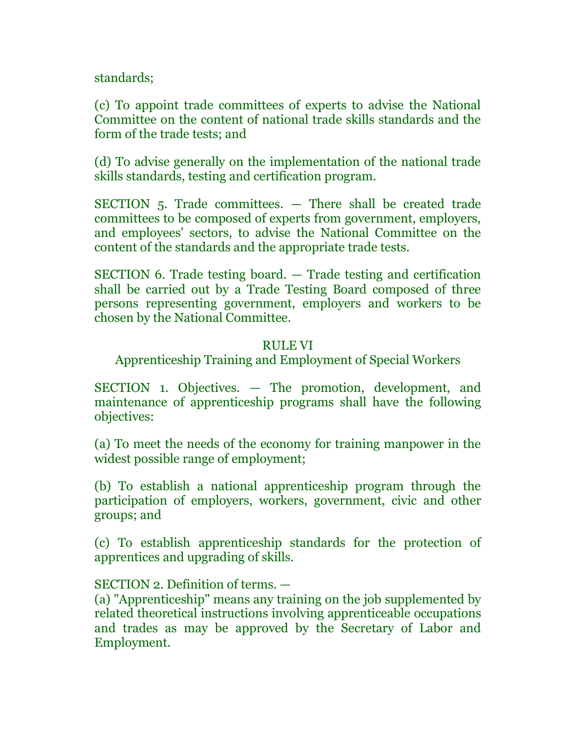standards;

(c) To appoint trade committees of experts to advise the National Committee on the content of national trade skills standards and the form of the trade tests; and

(d) To advise generally on the implementation of the national trade skills standards, testing and certification program.

SECTION 5. Trade committees. — There shall be created trade committees to be composed of experts from government, employers, and employees' sectors, to advise the National Committee on the content of the standards and the appropriate trade tests.

SECTION 6. Trade testing board. — Trade testing and certification shall be carried out by a Trade Testing Board composed of three persons representing government, employers and workers to be chosen by the National Committee.

# RULE VI

Apprenticeship Training and Employment of Special Workers

SECTION 1. Objectives. — The promotion, development, and maintenance of apprenticeship programs shall have the following objectives:

(a) To meet the needs of the economy for training manpower in the widest possible range of employment;

(b) To establish a national apprenticeship program through the participation of employers, workers, government, civic and other groups; and

(c) To establish apprenticeship standards for the protection of apprentices and upgrading of skills.

# SECTION 2. Definition of terms. —

(a) "Apprenticeship" means any training on the job supplemented by related theoretical instructions involving apprenticeable occupations and trades as may be approved by the Secretary of Labor and Employment.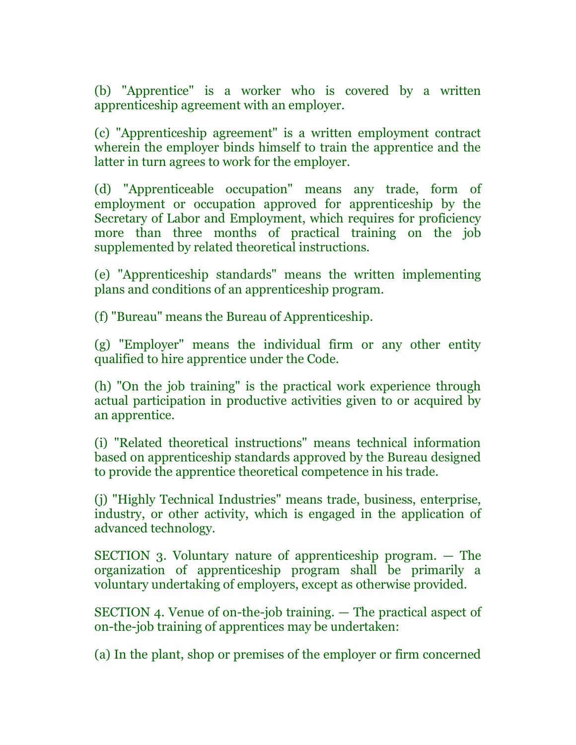(b) "Apprentice" is a worker who is covered by a written apprenticeship agreement with an employer.

(c) "Apprenticeship agreement" is a written employment contract wherein the employer binds himself to train the apprentice and the latter in turn agrees to work for the employer.

(d) "Apprenticeable occupation" means any trade, form of employment or occupation approved for apprenticeship by the Secretary of Labor and Employment, which requires for proficiency more than three months of practical training on the job supplemented by related theoretical instructions.

(e) "Apprenticeship standards" means the written implementing plans and conditions of an apprenticeship program.

(f) "Bureau" means the Bureau of Apprenticeship.

(g) "Employer" means the individual firm or any other entity qualified to hire apprentice under the Code.

(h) "On the job training" is the practical work experience through actual participation in productive activities given to or acquired by an apprentice.

(i) "Related theoretical instructions" means technical information based on apprenticeship standards approved by the Bureau designed to provide the apprentice theoretical competence in his trade.

(j) "Highly Technical Industries" means trade, business, enterprise, industry, or other activity, which is engaged in the application of advanced technology.

SECTION 3. Voluntary nature of apprenticeship program. — The organization of apprenticeship program shall be primarily a voluntary undertaking of employers, except as otherwise provided.

SECTION 4. Venue of on-the-job training. — The practical aspect of on-the-job training of apprentices may be undertaken:

(a) In the plant, shop or premises of the employer or firm concerned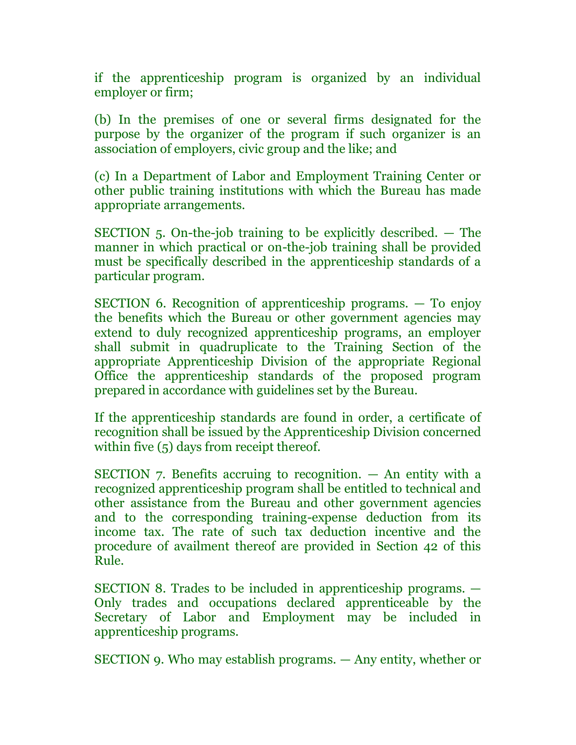if the apprenticeship program is organized by an individual employer or firm;

(b) In the premises of one or several firms designated for the purpose by the organizer of the program if such organizer is an association of employers, civic group and the like; and

(c) In a Department of Labor and Employment Training Center or other public training institutions with which the Bureau has made appropriate arrangements.

SECTION 5. On-the-job training to be explicitly described. — The manner in which practical or on-the-job training shall be provided must be specifically described in the apprenticeship standards of a particular program.

SECTION 6. Recognition of apprenticeship programs. — To enjoy the benefits which the Bureau or other government agencies may extend to duly recognized apprenticeship programs, an employer shall submit in quadruplicate to the Training Section of the appropriate Apprenticeship Division of the appropriate Regional Office the apprenticeship standards of the proposed program prepared in accordance with guidelines set by the Bureau.

If the apprenticeship standards are found in order, a certificate of recognition shall be issued by the Apprenticeship Division concerned within five (5) days from receipt thereof.

SECTION 7. Benefits accruing to recognition. — An entity with a recognized apprenticeship program shall be entitled to technical and other assistance from the Bureau and other government agencies and to the corresponding training-expense deduction from its income tax. The rate of such tax deduction incentive and the procedure of availment thereof are provided in Section 42 of this Rule.

SECTION 8. Trades to be included in apprenticeship programs. — Only trades and occupations declared apprenticeable by the Secretary of Labor and Employment may be included in apprenticeship programs.

SECTION 9. Who may establish programs. — Any entity, whether or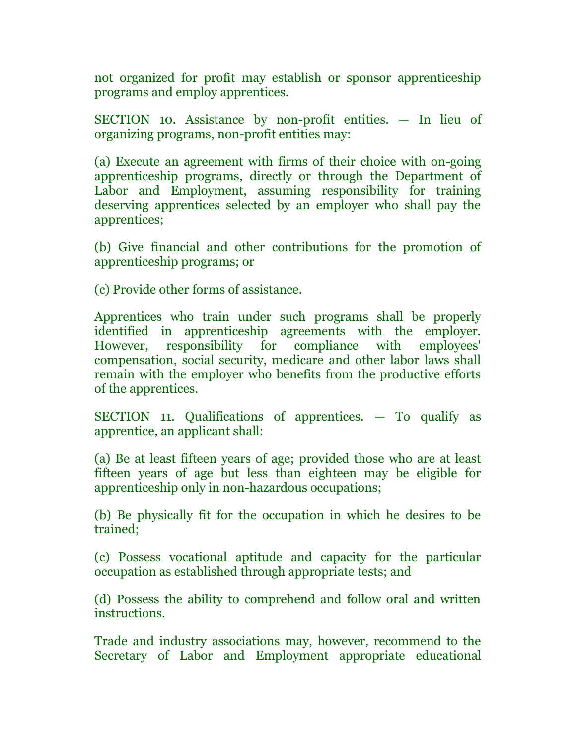not organized for profit may establish or sponsor apprenticeship programs and employ apprentices.

SECTION 10. Assistance by non-profit entities. — In lieu of organizing programs, non-profit entities may:

(a) Execute an agreement with firms of their choice with on-going apprenticeship programs, directly or through the Department of Labor and Employment, assuming responsibility for training deserving apprentices selected by an employer who shall pay the apprentices;

(b) Give financial and other contributions for the promotion of apprenticeship programs; or

(c) Provide other forms of assistance.

Apprentices who train under such programs shall be properly identified in apprenticeship agreements with the employer. However, responsibility for compliance with employees' compensation, social security, medicare and other labor laws shall remain with the employer who benefits from the productive efforts of the apprentices.

SECTION 11. Qualifications of apprentices. — To qualify as apprentice, an applicant shall:

(a) Be at least fifteen years of age; provided those who are at least fifteen years of age but less than eighteen may be eligible for apprenticeship only in non-hazardous occupations;

(b) Be physically fit for the occupation in which he desires to be trained;

(c) Possess vocational aptitude and capacity for the particular occupation as established through appropriate tests; and

(d) Possess the ability to comprehend and follow oral and written instructions.

Trade and industry associations may, however, recommend to the Secretary of Labor and Employment appropriate educational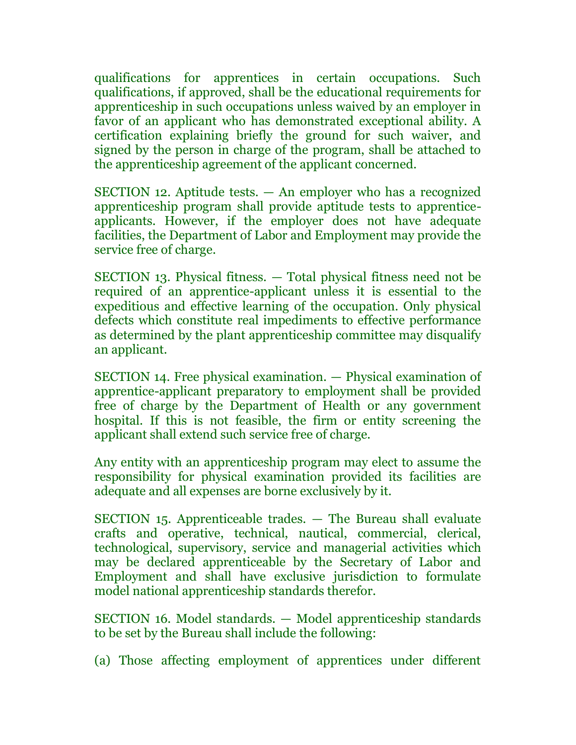qualifications for apprentices in certain occupations. Such qualifications, if approved, shall be the educational requirements for apprenticeship in such occupations unless waived by an employer in favor of an applicant who has demonstrated exceptional ability. A certification explaining briefly the ground for such waiver, and signed by the person in charge of the program, shall be attached to the apprenticeship agreement of the applicant concerned.

SECTION 12. Aptitude tests. — An employer who has a recognized apprenticeship program shall provide aptitude tests to apprenticeapplicants. However, if the employer does not have adequate facilities, the Department of Labor and Employment may provide the service free of charge.

SECTION 13. Physical fitness. — Total physical fitness need not be required of an apprentice-applicant unless it is essential to the expeditious and effective learning of the occupation. Only physical defects which constitute real impediments to effective performance as determined by the plant apprenticeship committee may disqualify an applicant.

SECTION 14. Free physical examination. — Physical examination of apprentice-applicant preparatory to employment shall be provided free of charge by the Department of Health or any government hospital. If this is not feasible, the firm or entity screening the applicant shall extend such service free of charge.

Any entity with an apprenticeship program may elect to assume the responsibility for physical examination provided its facilities are adequate and all expenses are borne exclusively by it.

SECTION 15. Apprenticeable trades. — The Bureau shall evaluate crafts and operative, technical, nautical, commercial, clerical, technological, supervisory, service and managerial activities which may be declared apprenticeable by the Secretary of Labor and Employment and shall have exclusive jurisdiction to formulate model national apprenticeship standards therefor.

SECTION 16. Model standards. — Model apprenticeship standards to be set by the Bureau shall include the following:

(a) Those affecting employment of apprentices under different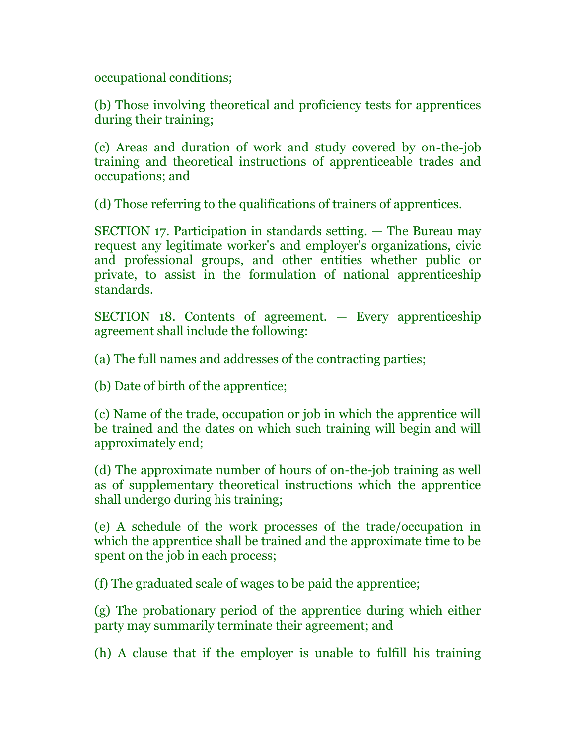occupational conditions;

(b) Those involving theoretical and proficiency tests for apprentices during their training;

(c) Areas and duration of work and study covered by on-the-job training and theoretical instructions of apprenticeable trades and occupations; and

(d) Those referring to the qualifications of trainers of apprentices.

SECTION 17. Participation in standards setting. — The Bureau may request any legitimate worker's and employer's organizations, civic and professional groups, and other entities whether public or private, to assist in the formulation of national apprenticeship standards.

SECTION 18. Contents of agreement. — Every apprenticeship agreement shall include the following:

(a) The full names and addresses of the contracting parties;

(b) Date of birth of the apprentice;

(c) Name of the trade, occupation or job in which the apprentice will be trained and the dates on which such training will begin and will approximately end;

(d) The approximate number of hours of on-the-job training as well as of supplementary theoretical instructions which the apprentice shall undergo during his training;

(e) A schedule of the work processes of the trade/occupation in which the apprentice shall be trained and the approximate time to be spent on the job in each process;

(f) The graduated scale of wages to be paid the apprentice;

(g) The probationary period of the apprentice during which either party may summarily terminate their agreement; and

(h) A clause that if the employer is unable to fulfill his training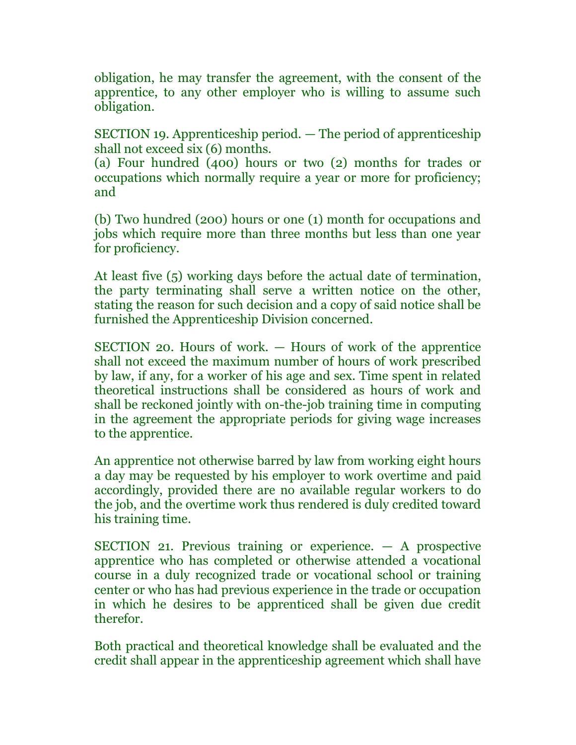obligation, he may transfer the agreement, with the consent of the apprentice, to any other employer who is willing to assume such obligation.

SECTION 19. Apprenticeship period. — The period of apprenticeship shall not exceed six (6) months.

(a) Four hundred (400) hours or two (2) months for trades or occupations which normally require a year or more for proficiency; and

(b) Two hundred (200) hours or one (1) month for occupations and jobs which require more than three months but less than one year for proficiency.

At least five (5) working days before the actual date of termination, the party terminating shall serve a written notice on the other, stating the reason for such decision and a copy of said notice shall be furnished the Apprenticeship Division concerned.

SECTION 20. Hours of work. — Hours of work of the apprentice shall not exceed the maximum number of hours of work prescribed by law, if any, for a worker of his age and sex. Time spent in related theoretical instructions shall be considered as hours of work and shall be reckoned jointly with on-the-job training time in computing in the agreement the appropriate periods for giving wage increases to the apprentice.

An apprentice not otherwise barred by law from working eight hours a day may be requested by his employer to work overtime and paid accordingly, provided there are no available regular workers to do the job, and the overtime work thus rendered is duly credited toward his training time.

SECTION 21. Previous training or experience. — A prospective apprentice who has completed or otherwise attended a vocational course in a duly recognized trade or vocational school or training center or who has had previous experience in the trade or occupation in which he desires to be apprenticed shall be given due credit therefor.

Both practical and theoretical knowledge shall be evaluated and the credit shall appear in the apprenticeship agreement which shall have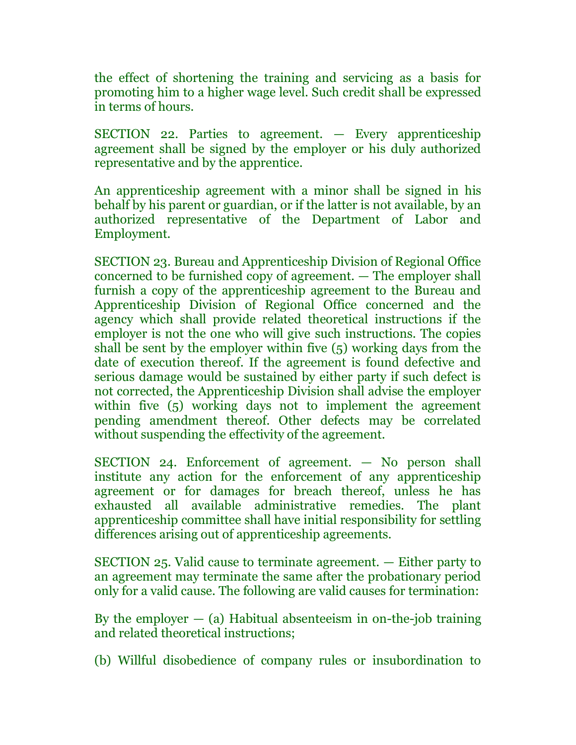the effect of shortening the training and servicing as a basis for promoting him to a higher wage level. Such credit shall be expressed in terms of hours.

SECTION 22. Parties to agreement. — Every apprenticeship agreement shall be signed by the employer or his duly authorized representative and by the apprentice.

An apprenticeship agreement with a minor shall be signed in his behalf by his parent or guardian, or if the latter is not available, by an authorized representative of the Department of Labor and Employment.

SECTION 23. Bureau and Apprenticeship Division of Regional Office concerned to be furnished copy of agreement. — The employer shall furnish a copy of the apprenticeship agreement to the Bureau and Apprenticeship Division of Regional Office concerned and the agency which shall provide related theoretical instructions if the employer is not the one who will give such instructions. The copies shall be sent by the employer within five (5) working days from the date of execution thereof. If the agreement is found defective and serious damage would be sustained by either party if such defect is not corrected, the Apprenticeship Division shall advise the employer within five (5) working days not to implement the agreement pending amendment thereof. Other defects may be correlated without suspending the effectivity of the agreement.

SECTION 24. Enforcement of agreement. — No person shall institute any action for the enforcement of any apprenticeship agreement or for damages for breach thereof, unless he has exhausted all available administrative remedies. The plant apprenticeship committee shall have initial responsibility for settling differences arising out of apprenticeship agreements.

SECTION 25. Valid cause to terminate agreement. — Either party to an agreement may terminate the same after the probationary period only for a valid cause. The following are valid causes for termination:

By the employer  $-$  (a) Habitual absenteeism in on-the-job training and related theoretical instructions;

(b) Willful disobedience of company rules or insubordination to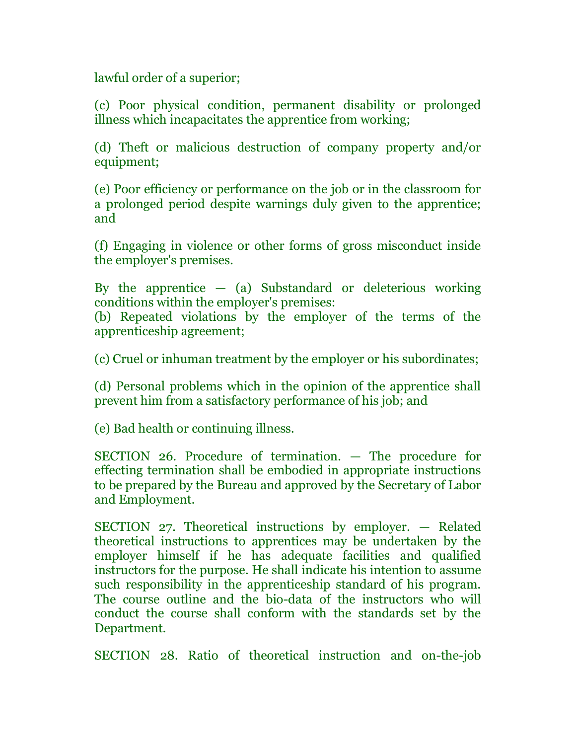lawful order of a superior;

(c) Poor physical condition, permanent disability or prolonged illness which incapacitates the apprentice from working;

(d) Theft or malicious destruction of company property and/or equipment;

(e) Poor efficiency or performance on the job or in the classroom for a prolonged period despite warnings duly given to the apprentice; and

(f) Engaging in violence or other forms of gross misconduct inside the employer's premises.

By the apprentice  $-$  (a) Substandard or deleterious working conditions within the employer's premises:

(b) Repeated violations by the employer of the terms of the apprenticeship agreement;

(c) Cruel or inhuman treatment by the employer or his subordinates;

(d) Personal problems which in the opinion of the apprentice shall prevent him from a satisfactory performance of his job; and

(e) Bad health or continuing illness.

SECTION 26. Procedure of termination. — The procedure for effecting termination shall be embodied in appropriate instructions to be prepared by the Bureau and approved by the Secretary of Labor and Employment.

SECTION 27. Theoretical instructions by employer. — Related theoretical instructions to apprentices may be undertaken by the employer himself if he has adequate facilities and qualified instructors for the purpose. He shall indicate his intention to assume such responsibility in the apprenticeship standard of his program. The course outline and the bio-data of the instructors who will conduct the course shall conform with the standards set by the Department.

SECTION 28. Ratio of theoretical instruction and on-the-job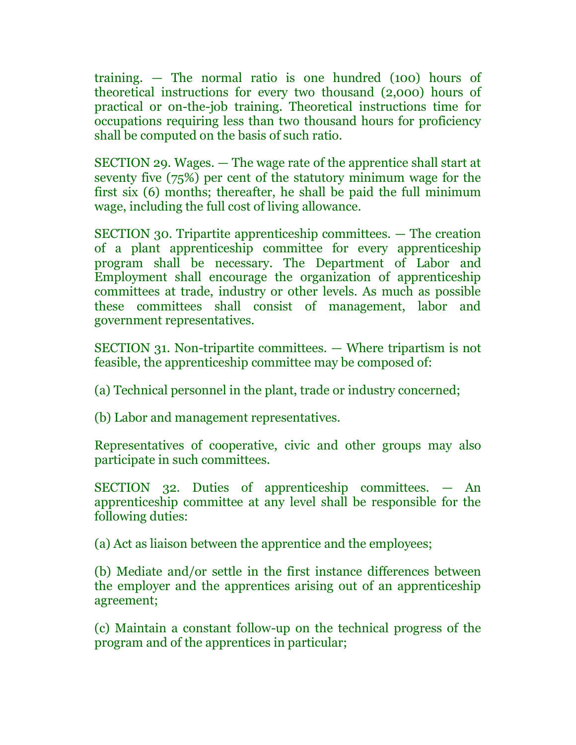training. — The normal ratio is one hundred (100) hours of theoretical instructions for every two thousand (2,000) hours of practical or on-the-job training. Theoretical instructions time for occupations requiring less than two thousand hours for proficiency shall be computed on the basis of such ratio.

SECTION 29. Wages. — The wage rate of the apprentice shall start at seventy five (75%) per cent of the statutory minimum wage for the first six (6) months; thereafter, he shall be paid the full minimum wage, including the full cost of living allowance.

SECTION 30. Tripartite apprenticeship committees. — The creation of a plant apprenticeship committee for every apprenticeship program shall be necessary. The Department of Labor and Employment shall encourage the organization of apprenticeship committees at trade, industry or other levels. As much as possible these committees shall consist of management, labor and government representatives.

SECTION 31. Non-tripartite committees. — Where tripartism is not feasible, the apprenticeship committee may be composed of:

(a) Technical personnel in the plant, trade or industry concerned;

(b) Labor and management representatives.

Representatives of cooperative, civic and other groups may also participate in such committees.

SECTION 32. Duties of apprenticeship committees. — An apprenticeship committee at any level shall be responsible for the following duties:

(a) Act as liaison between the apprentice and the employees;

(b) Mediate and/or settle in the first instance differences between the employer and the apprentices arising out of an apprenticeship agreement;

(c) Maintain a constant follow-up on the technical progress of the program and of the apprentices in particular;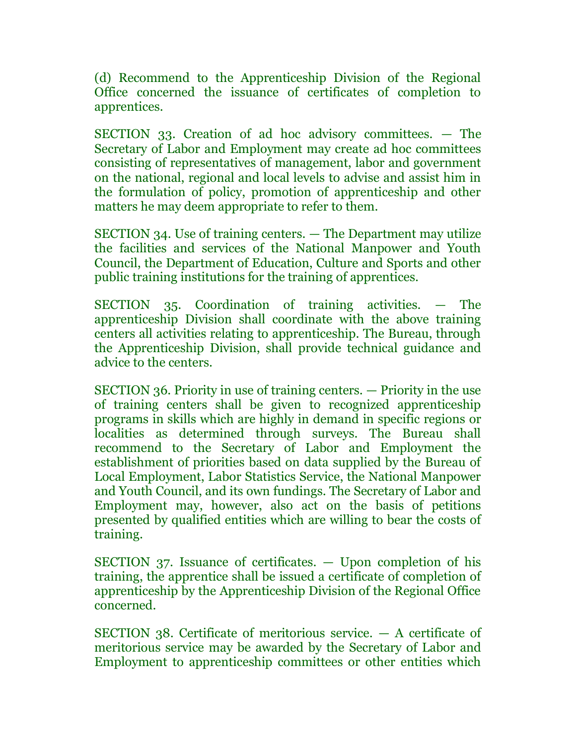(d) Recommend to the Apprenticeship Division of the Regional Office concerned the issuance of certificates of completion to apprentices.

SECTION 33. Creation of ad hoc advisory committees. — The Secretary of Labor and Employment may create ad hoc committees consisting of representatives of management, labor and government on the national, regional and local levels to advise and assist him in the formulation of policy, promotion of apprenticeship and other matters he may deem appropriate to refer to them.

SECTION 34. Use of training centers. — The Department may utilize the facilities and services of the National Manpower and Youth Council, the Department of Education, Culture and Sports and other public training institutions for the training of apprentices.

SECTION 35. Coordination of training activities. — The apprenticeship Division shall coordinate with the above training centers all activities relating to apprenticeship. The Bureau, through the Apprenticeship Division, shall provide technical guidance and advice to the centers.

SECTION 36. Priority in use of training centers. — Priority in the use of training centers shall be given to recognized apprenticeship programs in skills which are highly in demand in specific regions or localities as determined through surveys. The Bureau shall recommend to the Secretary of Labor and Employment the establishment of priorities based on data supplied by the Bureau of Local Employment, Labor Statistics Service, the National Manpower and Youth Council, and its own fundings. The Secretary of Labor and Employment may, however, also act on the basis of petitions presented by qualified entities which are willing to bear the costs of training.

SECTION 37. Issuance of certificates. — Upon completion of his training, the apprentice shall be issued a certificate of completion of apprenticeship by the Apprenticeship Division of the Regional Office concerned.

SECTION 38. Certificate of meritorious service. — A certificate of meritorious service may be awarded by the Secretary of Labor and Employment to apprenticeship committees or other entities which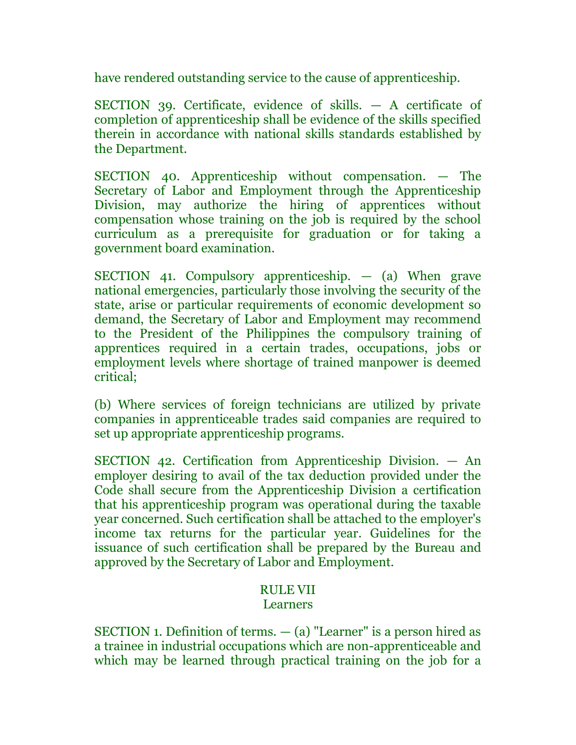have rendered outstanding service to the cause of apprenticeship.

SECTION 39. Certificate, evidence of skills. — A certificate of completion of apprenticeship shall be evidence of the skills specified therein in accordance with national skills standards established by the Department.

SECTION 40. Apprenticeship without compensation. — The Secretary of Labor and Employment through the Apprenticeship Division, may authorize the hiring of apprentices without compensation whose training on the job is required by the school curriculum as a prerequisite for graduation or for taking a government board examination.

SECTION 41. Compulsory apprenticeship. — (a) When grave national emergencies, particularly those involving the security of the state, arise or particular requirements of economic development so demand, the Secretary of Labor and Employment may recommend to the President of the Philippines the compulsory training of apprentices required in a certain trades, occupations, jobs or employment levels where shortage of trained manpower is deemed critical;

(b) Where services of foreign technicians are utilized by private companies in apprenticeable trades said companies are required to set up appropriate apprenticeship programs.

SECTION 42. Certification from Apprenticeship Division. — An employer desiring to avail of the tax deduction provided under the Code shall secure from the Apprenticeship Division a certification that his apprenticeship program was operational during the taxable year concerned. Such certification shall be attached to the employer's income tax returns for the particular year. Guidelines for the issuance of such certification shall be prepared by the Bureau and approved by the Secretary of Labor and Employment.

## RULE VII

## Learners

SECTION 1. Definition of terms.  $-$  (a) "Learner" is a person hired as a trainee in industrial occupations which are non-apprenticeable and which may be learned through practical training on the job for a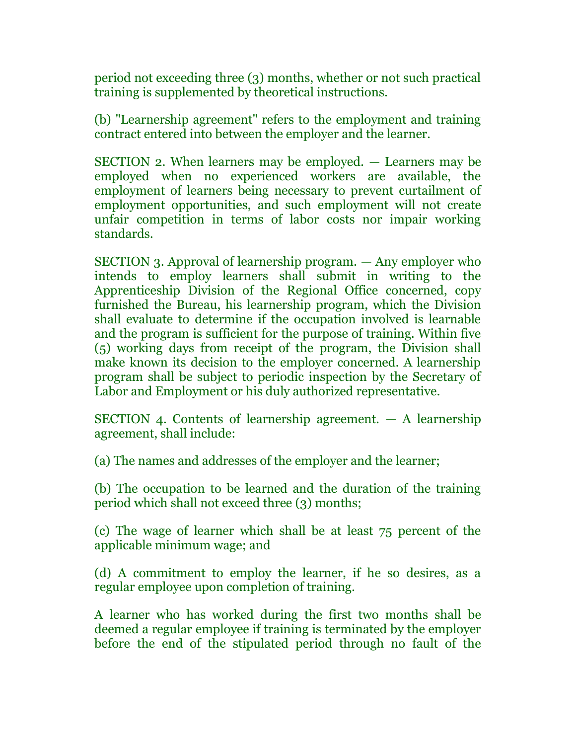period not exceeding three (3) months, whether or not such practical training is supplemented by theoretical instructions.

(b) "Learnership agreement" refers to the employment and training contract entered into between the employer and the learner.

SECTION 2. When learners may be employed. — Learners may be employed when no experienced workers are available, the employment of learners being necessary to prevent curtailment of employment opportunities, and such employment will not create unfair competition in terms of labor costs nor impair working standards.

SECTION 3. Approval of learnership program. — Any employer who intends to employ learners shall submit in writing to the Apprenticeship Division of the Regional Office concerned, copy furnished the Bureau, his learnership program, which the Division shall evaluate to determine if the occupation involved is learnable and the program is sufficient for the purpose of training. Within five (5) working days from receipt of the program, the Division shall make known its decision to the employer concerned. A learnership program shall be subject to periodic inspection by the Secretary of Labor and Employment or his duly authorized representative.

SECTION 4. Contents of learnership agreement. — A learnership agreement, shall include:

(a) The names and addresses of the employer and the learner;

(b) The occupation to be learned and the duration of the training period which shall not exceed three (3) months;

(c) The wage of learner which shall be at least 75 percent of the applicable minimum wage; and

(d) A commitment to employ the learner, if he so desires, as a regular employee upon completion of training.

A learner who has worked during the first two months shall be deemed a regular employee if training is terminated by the employer before the end of the stipulated period through no fault of the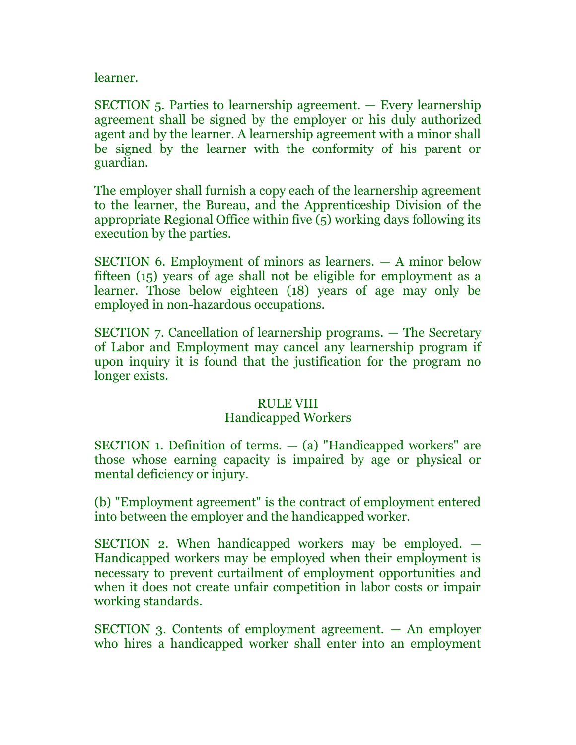learner.

SECTION 5. Parties to learnership agreement. — Every learnership agreement shall be signed by the employer or his duly authorized agent and by the learner. A learnership agreement with a minor shall be signed by the learner with the conformity of his parent or guardian.

The employer shall furnish a copy each of the learnership agreement to the learner, the Bureau, and the Apprenticeship Division of the appropriate Regional Office within five (5) working days following its execution by the parties.

SECTION 6. Employment of minors as learners. — A minor below fifteen (15) years of age shall not be eligible for employment as a learner. Those below eighteen (18) years of age may only be employed in non-hazardous occupations.

SECTION 7. Cancellation of learnership programs. — The Secretary of Labor and Employment may cancel any learnership program if upon inquiry it is found that the justification for the program no longer exists.

# RULE VIII

# Handicapped Workers

SECTION 1. Definition of terms. — (a) "Handicapped workers" are those whose earning capacity is impaired by age or physical or mental deficiency or injury.

(b) "Employment agreement" is the contract of employment entered into between the employer and the handicapped worker.

SECTION 2. When handicapped workers may be employed. — Handicapped workers may be employed when their employment is necessary to prevent curtailment of employment opportunities and when it does not create unfair competition in labor costs or impair working standards.

SECTION 3. Contents of employment agreement. — An employer who hires a handicapped worker shall enter into an employment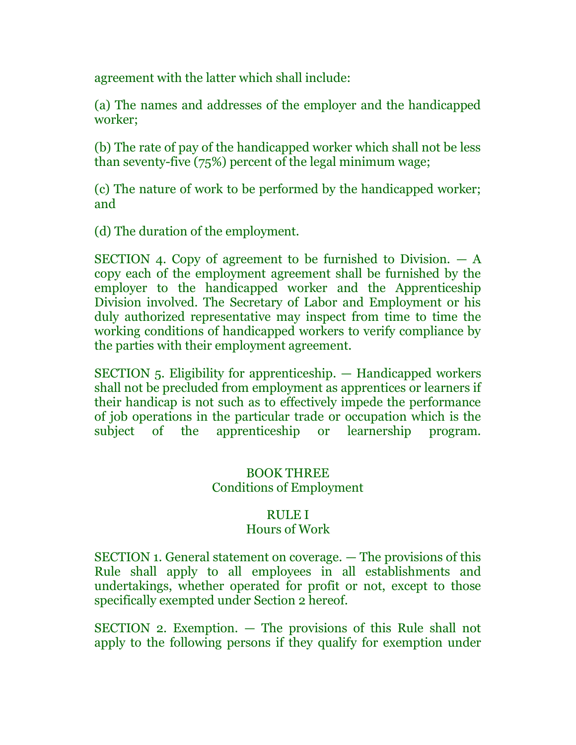agreement with the latter which shall include:

(a) The names and addresses of the employer and the handicapped worker;

(b) The rate of pay of the handicapped worker which shall not be less than seventy-five (75%) percent of the legal minimum wage;

(c) The nature of work to be performed by the handicapped worker; and

(d) The duration of the employment.

SECTION 4. Copy of agreement to be furnished to Division.  $- A$ copy each of the employment agreement shall be furnished by the employer to the handicapped worker and the Apprenticeship Division involved. The Secretary of Labor and Employment or his duly authorized representative may inspect from time to time the working conditions of handicapped workers to verify compliance by the parties with their employment agreement.

SECTION 5. Eligibility for apprenticeship. — Handicapped workers shall not be precluded from employment as apprentices or learners if their handicap is not such as to effectively impede the performance of job operations in the particular trade or occupation which is the subject of the apprenticeship or learnership program.

## BOOK THREE Conditions of Employment

## RULE I

## Hours of Work

SECTION 1. General statement on coverage. — The provisions of this Rule shall apply to all employees in all establishments and undertakings, whether operated for profit or not, except to those specifically exempted under Section 2 hereof.

SECTION 2. Exemption. — The provisions of this Rule shall not apply to the following persons if they qualify for exemption under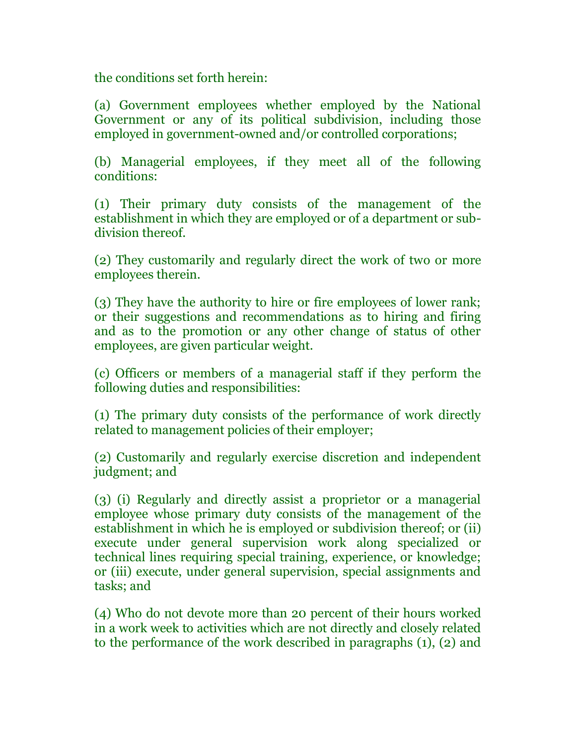the conditions set forth herein:

(a) Government employees whether employed by the National Government or any of its political subdivision, including those employed in government-owned and/or controlled corporations;

(b) Managerial employees, if they meet all of the following conditions:

(1) Their primary duty consists of the management of the establishment in which they are employed or of a department or subdivision thereof.

(2) They customarily and regularly direct the work of two or more employees therein.

(3) They have the authority to hire or fire employees of lower rank; or their suggestions and recommendations as to hiring and firing and as to the promotion or any other change of status of other employees, are given particular weight.

(c) Officers or members of a managerial staff if they perform the following duties and responsibilities:

(1) The primary duty consists of the performance of work directly related to management policies of their employer;

(2) Customarily and regularly exercise discretion and independent judgment; and

(3) (i) Regularly and directly assist a proprietor or a managerial employee whose primary duty consists of the management of the establishment in which he is employed or subdivision thereof; or (ii) execute under general supervision work along specialized or technical lines requiring special training, experience, or knowledge; or (iii) execute, under general supervision, special assignments and tasks; and

(4) Who do not devote more than 20 percent of their hours worked in a work week to activities which are not directly and closely related to the performance of the work described in paragraphs (1), (2) and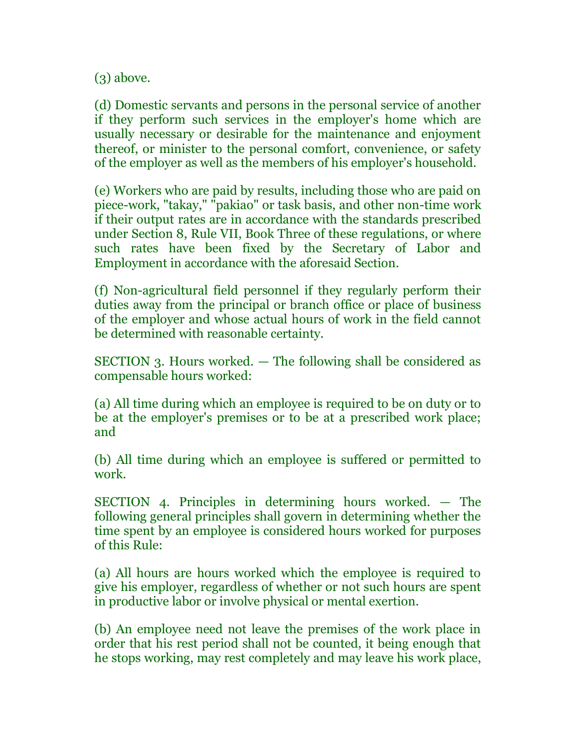(3) above.

(d) Domestic servants and persons in the personal service of another if they perform such services in the employer's home which are usually necessary or desirable for the maintenance and enjoyment thereof, or minister to the personal comfort, convenience, or safety of the employer as well as the members of his employer's household.

(e) Workers who are paid by results, including those who are paid on piece-work, "takay," "pakiao" or task basis, and other non-time work if their output rates are in accordance with the standards prescribed under Section 8, Rule VII, Book Three of these regulations, or where such rates have been fixed by the Secretary of Labor and Employment in accordance with the aforesaid Section.

(f) Non-agricultural field personnel if they regularly perform their duties away from the principal or branch office or place of business of the employer and whose actual hours of work in the field cannot be determined with reasonable certainty.

SECTION 3. Hours worked. — The following shall be considered as compensable hours worked:

(a) All time during which an employee is required to be on duty or to be at the employer's premises or to be at a prescribed work place; and

(b) All time during which an employee is suffered or permitted to work.

SECTION 4. Principles in determining hours worked. — The following general principles shall govern in determining whether the time spent by an employee is considered hours worked for purposes of this Rule:

(a) All hours are hours worked which the employee is required to give his employer, regardless of whether or not such hours are spent in productive labor or involve physical or mental exertion.

(b) An employee need not leave the premises of the work place in order that his rest period shall not be counted, it being enough that he stops working, may rest completely and may leave his work place,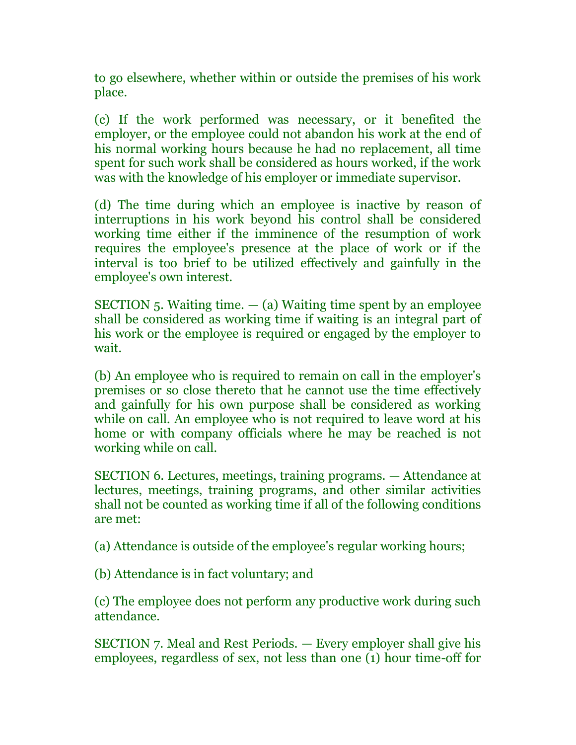to go elsewhere, whether within or outside the premises of his work place.

(c) If the work performed was necessary, or it benefited the employer, or the employee could not abandon his work at the end of his normal working hours because he had no replacement, all time spent for such work shall be considered as hours worked, if the work was with the knowledge of his employer or immediate supervisor.

(d) The time during which an employee is inactive by reason of interruptions in his work beyond his control shall be considered working time either if the imminence of the resumption of work requires the employee's presence at the place of work or if the interval is too brief to be utilized effectively and gainfully in the employee's own interest.

SECTION  $5.$  Waiting time.  $-$  (a) Waiting time spent by an employee shall be considered as working time if waiting is an integral part of his work or the employee is required or engaged by the employer to wait.

(b) An employee who is required to remain on call in the employer's premises or so close thereto that he cannot use the time effectively and gainfully for his own purpose shall be considered as working while on call. An employee who is not required to leave word at his home or with company officials where he may be reached is not working while on call.

SECTION 6. Lectures, meetings, training programs. — Attendance at lectures, meetings, training programs, and other similar activities shall not be counted as working time if all of the following conditions are met:

(a) Attendance is outside of the employee's regular working hours;

(b) Attendance is in fact voluntary; and

(c) The employee does not perform any productive work during such attendance.

SECTION 7. Meal and Rest Periods. — Every employer shall give his employees, regardless of sex, not less than one (1) hour time-off for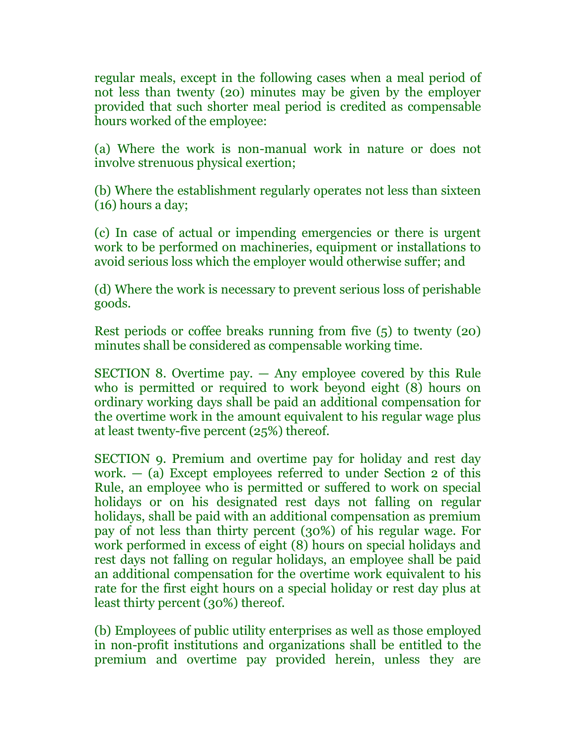regular meals, except in the following cases when a meal period of not less than twenty (20) minutes may be given by the employer provided that such shorter meal period is credited as compensable hours worked of the employee:

(a) Where the work is non-manual work in nature or does not involve strenuous physical exertion;

(b) Where the establishment regularly operates not less than sixteen (16) hours a day;

(c) In case of actual or impending emergencies or there is urgent work to be performed on machineries, equipment or installations to avoid serious loss which the employer would otherwise suffer; and

(d) Where the work is necessary to prevent serious loss of perishable goods.

Rest periods or coffee breaks running from five (5) to twenty (20) minutes shall be considered as compensable working time.

SECTION 8. Overtime pay. — Any employee covered by this Rule who is permitted or required to work beyond eight (8) hours on ordinary working days shall be paid an additional compensation for the overtime work in the amount equivalent to his regular wage plus at least twenty-five percent (25%) thereof.

SECTION 9. Premium and overtime pay for holiday and rest day work. — (a) Except employees referred to under Section 2 of this Rule, an employee who is permitted or suffered to work on special holidays or on his designated rest days not falling on regular holidays, shall be paid with an additional compensation as premium pay of not less than thirty percent (30%) of his regular wage. For work performed in excess of eight (8) hours on special holidays and rest days not falling on regular holidays, an employee shall be paid an additional compensation for the overtime work equivalent to his rate for the first eight hours on a special holiday or rest day plus at least thirty percent (30%) thereof.

(b) Employees of public utility enterprises as well as those employed in non-profit institutions and organizations shall be entitled to the premium and overtime pay provided herein, unless they are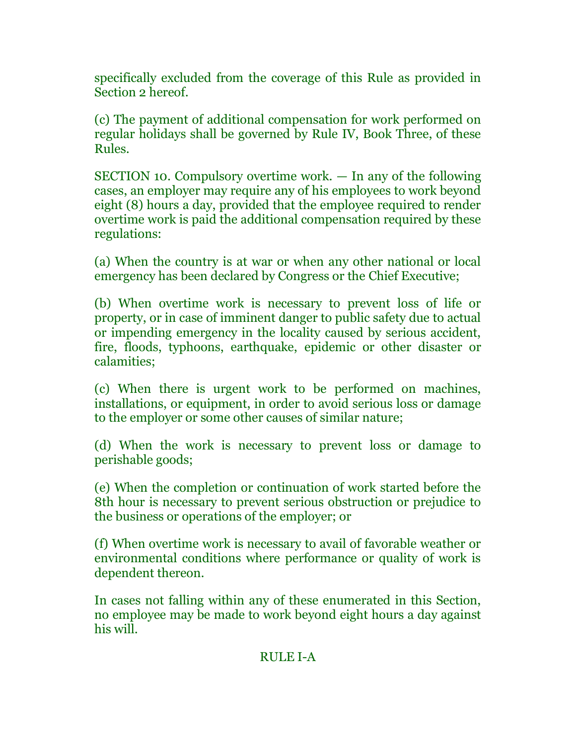specifically excluded from the coverage of this Rule as provided in Section 2 hereof.

(c) The payment of additional compensation for work performed on regular holidays shall be governed by Rule IV, Book Three, of these Rules.

SECTION 10. Compulsory overtime work. — In any of the following cases, an employer may require any of his employees to work beyond eight (8) hours a day, provided that the employee required to render overtime work is paid the additional compensation required by these regulations:

(a) When the country is at war or when any other national or local emergency has been declared by Congress or the Chief Executive;

(b) When overtime work is necessary to prevent loss of life or property, or in case of imminent danger to public safety due to actual or impending emergency in the locality caused by serious accident, fire, floods, typhoons, earthquake, epidemic or other disaster or calamities;

(c) When there is urgent work to be performed on machines, installations, or equipment, in order to avoid serious loss or damage to the employer or some other causes of similar nature;

(d) When the work is necessary to prevent loss or damage to perishable goods;

(e) When the completion or continuation of work started before the 8th hour is necessary to prevent serious obstruction or prejudice to the business or operations of the employer; or

(f) When overtime work is necessary to avail of favorable weather or environmental conditions where performance or quality of work is dependent thereon.

In cases not falling within any of these enumerated in this Section, no employee may be made to work beyond eight hours a day against his will.

# RULE I-A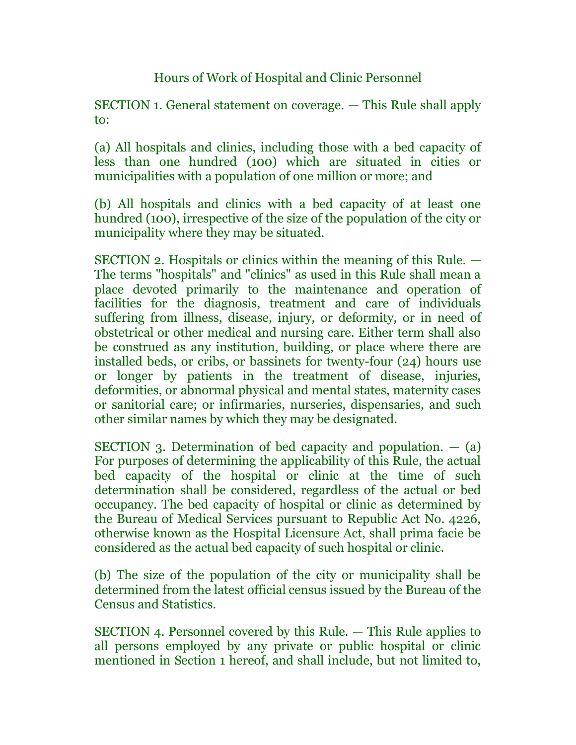Hours of Work of Hospital and Clinic Personnel

SECTION 1. General statement on coverage. — This Rule shall apply to:

(a) All hospitals and clinics, including those with a bed capacity of less than one hundred (100) which are situated in cities or municipalities with a population of one million or more; and

(b) All hospitals and clinics with a bed capacity of at least one hundred (100), irrespective of the size of the population of the city or municipality where they may be situated.

SECTION 2. Hospitals or clinics within the meaning of this Rule. — The terms "hospitals" and "clinics" as used in this Rule shall mean a place devoted primarily to the maintenance and operation of facilities for the diagnosis, treatment and care of individuals suffering from illness, disease, injury, or deformity, or in need of obstetrical or other medical and nursing care. Either term shall also be construed as any institution, building, or place where there are installed beds, or cribs, or bassinets for twenty-four (24) hours use or longer by patients in the treatment of disease, injuries, deformities, or abnormal physical and mental states, maternity cases or sanitorial care; or infirmaries, nurseries, dispensaries, and such other similar names by which they may be designated.

SECTION 3. Determination of bed capacity and population. — (a) For purposes of determining the applicability of this Rule, the actual bed capacity of the hospital or clinic at the time of such determination shall be considered, regardless of the actual or bed occupancy. The bed capacity of hospital or clinic as determined by the Bureau of Medical Services pursuant to Republic Act No. 4226, otherwise known as the Hospital Licensure Act, shall prima facie be considered as the actual bed capacity of such hospital or clinic.

(b) The size of the population of the city or municipality shall be determined from the latest official census issued by the Bureau of the Census and Statistics.

SECTION 4. Personnel covered by this Rule. — This Rule applies to all persons employed by any private or public hospital or clinic mentioned in Section 1 hereof, and shall include, but not limited to,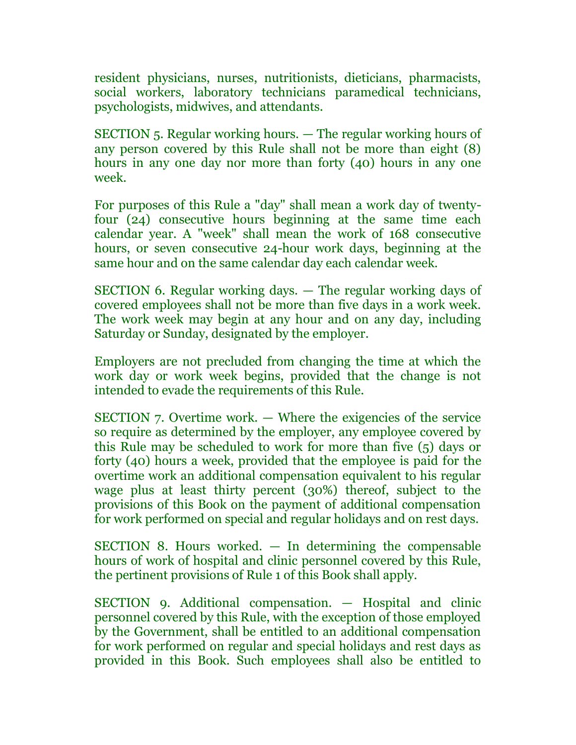resident physicians, nurses, nutritionists, dieticians, pharmacists, social workers, laboratory technicians paramedical technicians, psychologists, midwives, and attendants.

SECTION 5. Regular working hours. — The regular working hours of any person covered by this Rule shall not be more than eight (8) hours in any one day nor more than forty (40) hours in any one week.

For purposes of this Rule a "day" shall mean a work day of twentyfour (24) consecutive hours beginning at the same time each calendar year. A "week" shall mean the work of 168 consecutive hours, or seven consecutive 24-hour work days, beginning at the same hour and on the same calendar day each calendar week.

SECTION 6. Regular working days. — The regular working days of covered employees shall not be more than five days in a work week. The work week may begin at any hour and on any day, including Saturday or Sunday, designated by the employer.

Employers are not precluded from changing the time at which the work day or work week begins, provided that the change is not intended to evade the requirements of this Rule.

SECTION 7. Overtime work. — Where the exigencies of the service so require as determined by the employer, any employee covered by this Rule may be scheduled to work for more than five (5) days or forty (40) hours a week, provided that the employee is paid for the overtime work an additional compensation equivalent to his regular wage plus at least thirty percent (30%) thereof, subject to the provisions of this Book on the payment of additional compensation for work performed on special and regular holidays and on rest days.

SECTION 8. Hours worked. — In determining the compensable hours of work of hospital and clinic personnel covered by this Rule, the pertinent provisions of Rule 1 of this Book shall apply.

SECTION 9. Additional compensation. — Hospital and clinic personnel covered by this Rule, with the exception of those employed by the Government, shall be entitled to an additional compensation for work performed on regular and special holidays and rest days as provided in this Book. Such employees shall also be entitled to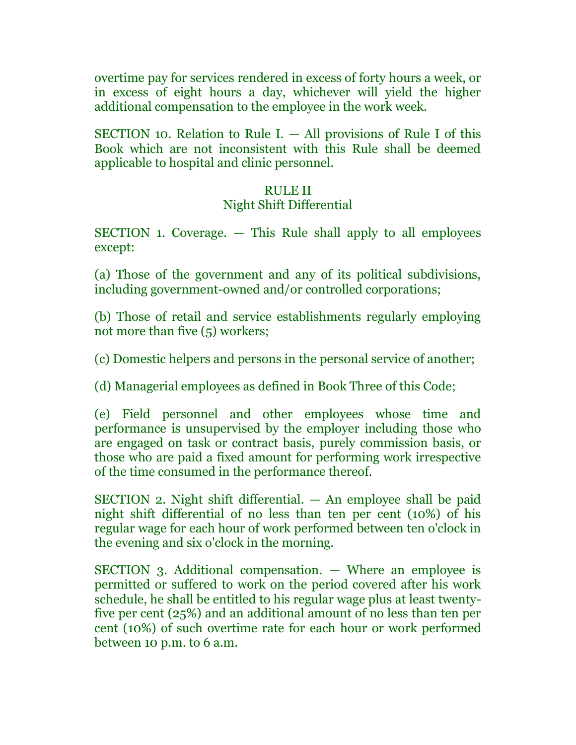overtime pay for services rendered in excess of forty hours a week, or in excess of eight hours a day, whichever will yield the higher additional compensation to the employee in the work week.

SECTION 10. Relation to Rule I. — All provisions of Rule I of this Book which are not inconsistent with this Rule shall be deemed applicable to hospital and clinic personnel.

#### RULE II

# Night Shift Differential

SECTION 1. Coverage. — This Rule shall apply to all employees except:

(a) Those of the government and any of its political subdivisions, including government-owned and/or controlled corporations;

(b) Those of retail and service establishments regularly employing not more than five (5) workers;

(c) Domestic helpers and persons in the personal service of another;

(d) Managerial employees as defined in Book Three of this Code;

(e) Field personnel and other employees whose time and performance is unsupervised by the employer including those who are engaged on task or contract basis, purely commission basis, or those who are paid a fixed amount for performing work irrespective of the time consumed in the performance thereof.

SECTION 2. Night shift differential. — An employee shall be paid night shift differential of no less than ten per cent (10%) of his regular wage for each hour of work performed between ten o'clock in the evening and six o'clock in the morning.

SECTION 3. Additional compensation. — Where an employee is permitted or suffered to work on the period covered after his work schedule, he shall be entitled to his regular wage plus at least twentyfive per cent (25%) and an additional amount of no less than ten per cent (10%) of such overtime rate for each hour or work performed between 10 p.m. to 6 a.m.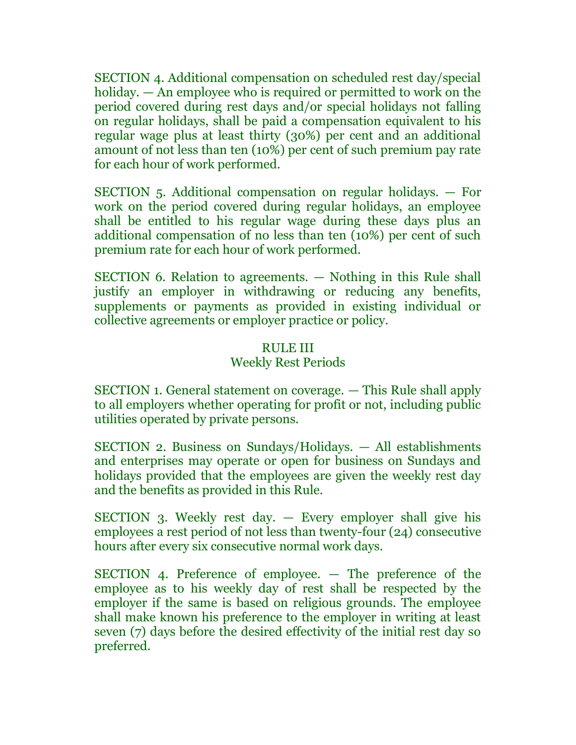SECTION 4. Additional compensation on scheduled rest day/special holiday. — An employee who is required or permitted to work on the period covered during rest days and/or special holidays not falling on regular holidays, shall be paid a compensation equivalent to his regular wage plus at least thirty (30%) per cent and an additional amount of not less than ten (10%) per cent of such premium pay rate for each hour of work performed.

SECTION 5. Additional compensation on regular holidays. — For work on the period covered during regular holidays, an employee shall be entitled to his regular wage during these days plus an additional compensation of no less than ten (10%) per cent of such premium rate for each hour of work performed.

SECTION 6. Relation to agreements. — Nothing in this Rule shall justify an employer in withdrawing or reducing any benefits, supplements or payments as provided in existing individual or collective agreements or employer practice or policy.

### RULE III

### Weekly Rest Periods

SECTION 1. General statement on coverage. — This Rule shall apply to all employers whether operating for profit or not, including public utilities operated by private persons.

SECTION 2. Business on Sundays/Holidays. — All establishments and enterprises may operate or open for business on Sundays and holidays provided that the employees are given the weekly rest day and the benefits as provided in this Rule.

SECTION 3. Weekly rest day. — Every employer shall give his employees a rest period of not less than twenty-four (24) consecutive hours after every six consecutive normal work days.

SECTION 4. Preference of employee. — The preference of the employee as to his weekly day of rest shall be respected by the employer if the same is based on religious grounds. The employee shall make known his preference to the employer in writing at least seven (7) days before the desired effectivity of the initial rest day so preferred.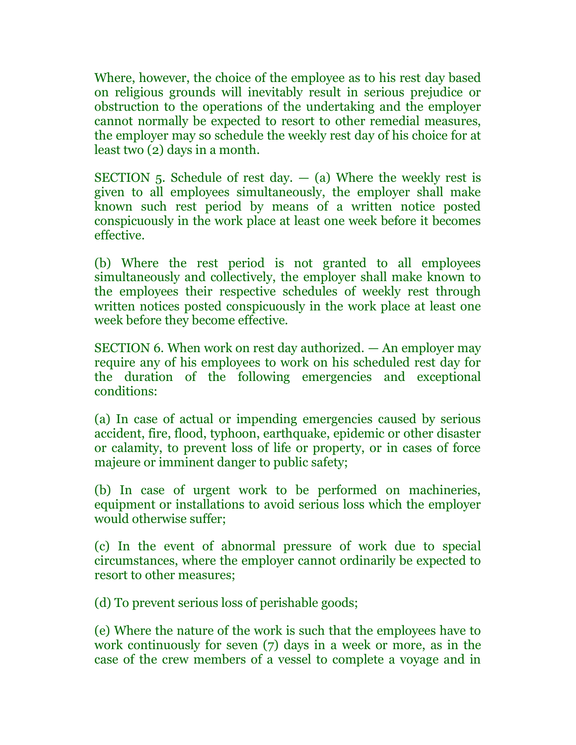Where, however, the choice of the employee as to his rest day based on religious grounds will inevitably result in serious prejudice or obstruction to the operations of the undertaking and the employer cannot normally be expected to resort to other remedial measures, the employer may so schedule the weekly rest day of his choice for at least two (2) days in a month.

SECTION  $5.$  Schedule of rest day.  $-$  (a) Where the weekly rest is given to all employees simultaneously, the employer shall make known such rest period by means of a written notice posted conspicuously in the work place at least one week before it becomes effective.

(b) Where the rest period is not granted to all employees simultaneously and collectively, the employer shall make known to the employees their respective schedules of weekly rest through written notices posted conspicuously in the work place at least one week before they become effective.

SECTION 6. When work on rest day authorized. — An employer may require any of his employees to work on his scheduled rest day for the duration of the following emergencies and exceptional conditions:

(a) In case of actual or impending emergencies caused by serious accident, fire, flood, typhoon, earthquake, epidemic or other disaster or calamity, to prevent loss of life or property, or in cases of force majeure or imminent danger to public safety;

(b) In case of urgent work to be performed on machineries, equipment or installations to avoid serious loss which the employer would otherwise suffer;

(c) In the event of abnormal pressure of work due to special circumstances, where the employer cannot ordinarily be expected to resort to other measures;

(d) To prevent serious loss of perishable goods;

(e) Where the nature of the work is such that the employees have to work continuously for seven (7) days in a week or more, as in the case of the crew members of a vessel to complete a voyage and in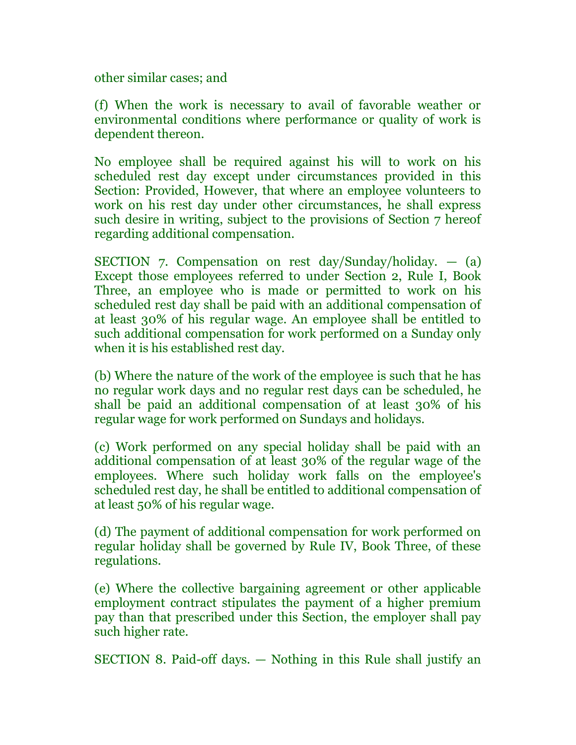other similar cases; and

(f) When the work is necessary to avail of favorable weather or environmental conditions where performance or quality of work is dependent thereon.

No employee shall be required against his will to work on his scheduled rest day except under circumstances provided in this Section: Provided, However, that where an employee volunteers to work on his rest day under other circumstances, he shall express such desire in writing, subject to the provisions of Section 7 hereof regarding additional compensation.

SECTION 7. Compensation on rest  $day/Sunday/holiday.$  - (a) Except those employees referred to under Section 2, Rule I, Book Three, an employee who is made or permitted to work on his scheduled rest day shall be paid with an additional compensation of at least 30% of his regular wage. An employee shall be entitled to such additional compensation for work performed on a Sunday only when it is his established rest day.

(b) Where the nature of the work of the employee is such that he has no regular work days and no regular rest days can be scheduled, he shall be paid an additional compensation of at least 30% of his regular wage for work performed on Sundays and holidays.

(c) Work performed on any special holiday shall be paid with an additional compensation of at least 30% of the regular wage of the employees. Where such holiday work falls on the employee's scheduled rest day, he shall be entitled to additional compensation of at least 50% of his regular wage.

(d) The payment of additional compensation for work performed on regular holiday shall be governed by Rule IV, Book Three, of these regulations.

(e) Where the collective bargaining agreement or other applicable employment contract stipulates the payment of a higher premium pay than that prescribed under this Section, the employer shall pay such higher rate.

SECTION 8. Paid-off days. — Nothing in this Rule shall justify an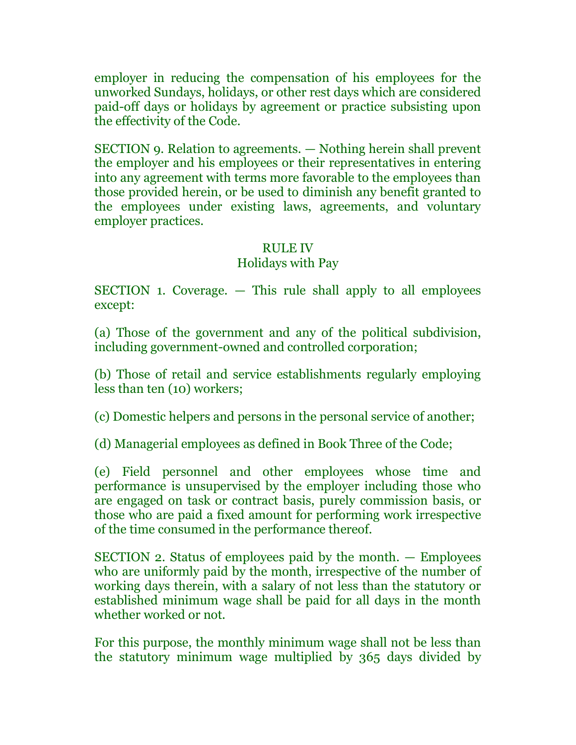employer in reducing the compensation of his employees for the unworked Sundays, holidays, or other rest days which are considered paid-off days or holidays by agreement or practice subsisting upon the effectivity of the Code.

SECTION 9. Relation to agreements. — Nothing herein shall prevent the employer and his employees or their representatives in entering into any agreement with terms more favorable to the employees than those provided herein, or be used to diminish any benefit granted to the employees under existing laws, agreements, and voluntary employer practices.

#### RULE IV

#### Holidays with Pay

SECTION 1. Coverage. — This rule shall apply to all employees except:

(a) Those of the government and any of the political subdivision, including government-owned and controlled corporation;

(b) Those of retail and service establishments regularly employing less than ten (10) workers;

(c) Domestic helpers and persons in the personal service of another;

(d) Managerial employees as defined in Book Three of the Code;

(e) Field personnel and other employees whose time and performance is unsupervised by the employer including those who are engaged on task or contract basis, purely commission basis, or those who are paid a fixed amount for performing work irrespective of the time consumed in the performance thereof.

SECTION 2. Status of employees paid by the month. — Employees who are uniformly paid by the month, irrespective of the number of working days therein, with a salary of not less than the statutory or established minimum wage shall be paid for all days in the month whether worked or not.

For this purpose, the monthly minimum wage shall not be less than the statutory minimum wage multiplied by 365 days divided by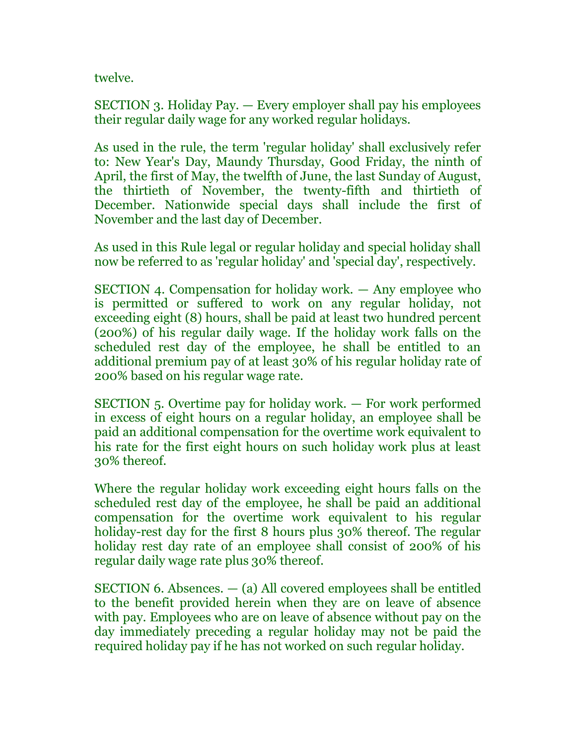twelve.

SECTION 3. Holiday Pay. — Every employer shall pay his employees their regular daily wage for any worked regular holidays.

As used in the rule, the term 'regular holiday' shall exclusively refer to: New Year's Day, Maundy Thursday, Good Friday, the ninth of April, the first of May, the twelfth of June, the last Sunday of August, the thirtieth of November, the twenty-fifth and thirtieth of December. Nationwide special days shall include the first of November and the last day of December.

As used in this Rule legal or regular holiday and special holiday shall now be referred to as 'regular holiday' and 'special day', respectively.

SECTION 4. Compensation for holiday work. — Any employee who is permitted or suffered to work on any regular holiday, not exceeding eight (8) hours, shall be paid at least two hundred percent (200%) of his regular daily wage. If the holiday work falls on the scheduled rest day of the employee, he shall be entitled to an additional premium pay of at least 30% of his regular holiday rate of 200% based on his regular wage rate.

SECTION 5. Overtime pay for holiday work. — For work performed in excess of eight hours on a regular holiday, an employee shall be paid an additional compensation for the overtime work equivalent to his rate for the first eight hours on such holiday work plus at least 30% thereof.

Where the regular holiday work exceeding eight hours falls on the scheduled rest day of the employee, he shall be paid an additional compensation for the overtime work equivalent to his regular holiday-rest day for the first 8 hours plus 30% thereof. The regular holiday rest day rate of an employee shall consist of 200% of his regular daily wage rate plus 30% thereof.

SECTION 6. Absences.  $-$  (a) All covered employees shall be entitled to the benefit provided herein when they are on leave of absence with pay. Employees who are on leave of absence without pay on the day immediately preceding a regular holiday may not be paid the required holiday pay if he has not worked on such regular holiday.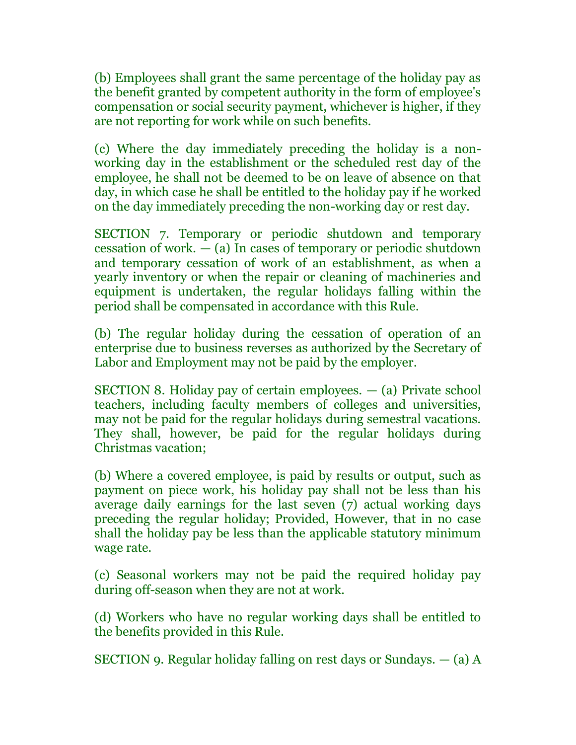(b) Employees shall grant the same percentage of the holiday pay as the benefit granted by competent authority in the form of employee's compensation or social security payment, whichever is higher, if they are not reporting for work while on such benefits.

(c) Where the day immediately preceding the holiday is a nonworking day in the establishment or the scheduled rest day of the employee, he shall not be deemed to be on leave of absence on that day, in which case he shall be entitled to the holiday pay if he worked on the day immediately preceding the non-working day or rest day.

SECTION 7. Temporary or periodic shutdown and temporary cessation of work.  $-$  (a) In cases of temporary or periodic shutdown and temporary cessation of work of an establishment, as when a yearly inventory or when the repair or cleaning of machineries and equipment is undertaken, the regular holidays falling within the period shall be compensated in accordance with this Rule.

(b) The regular holiday during the cessation of operation of an enterprise due to business reverses as authorized by the Secretary of Labor and Employment may not be paid by the employer.

SECTION 8. Holiday pay of certain employees. — (a) Private school teachers, including faculty members of colleges and universities, may not be paid for the regular holidays during semestral vacations. They shall, however, be paid for the regular holidays during Christmas vacation;

(b) Where a covered employee, is paid by results or output, such as payment on piece work, his holiday pay shall not be less than his average daily earnings for the last seven (7) actual working days preceding the regular holiday; Provided, However, that in no case shall the holiday pay be less than the applicable statutory minimum wage rate.

(c) Seasonal workers may not be paid the required holiday pay during off-season when they are not at work.

(d) Workers who have no regular working days shall be entitled to the benefits provided in this Rule.

SECTION 9. Regular holiday falling on rest days or Sundays. — (a) A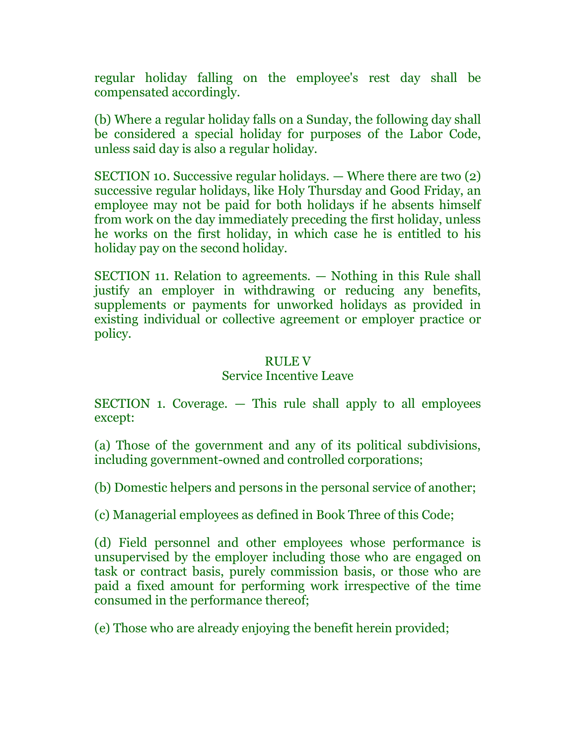regular holiday falling on the employee's rest day shall be compensated accordingly.

(b) Where a regular holiday falls on a Sunday, the following day shall be considered a special holiday for purposes of the Labor Code, unless said day is also a regular holiday.

SECTION 10. Successive regular holidays. — Where there are two (2) successive regular holidays, like Holy Thursday and Good Friday, an employee may not be paid for both holidays if he absents himself from work on the day immediately preceding the first holiday, unless he works on the first holiday, in which case he is entitled to his holiday pay on the second holiday.

SECTION 11. Relation to agreements. — Nothing in this Rule shall justify an employer in withdrawing or reducing any benefits, supplements or payments for unworked holidays as provided in existing individual or collective agreement or employer practice or policy.

#### RULE V

#### Service Incentive Leave

SECTION 1. Coverage. — This rule shall apply to all employees except:

(a) Those of the government and any of its political subdivisions, including government-owned and controlled corporations;

(b) Domestic helpers and persons in the personal service of another;

(c) Managerial employees as defined in Book Three of this Code;

(d) Field personnel and other employees whose performance is unsupervised by the employer including those who are engaged on task or contract basis, purely commission basis, or those who are paid a fixed amount for performing work irrespective of the time consumed in the performance thereof;

(e) Those who are already enjoying the benefit herein provided;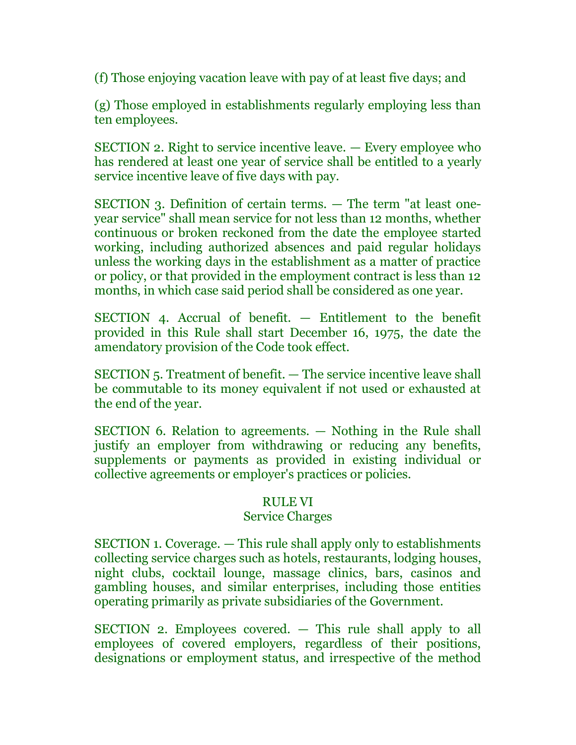(f) Those enjoying vacation leave with pay of at least five days; and

(g) Those employed in establishments regularly employing less than ten employees.

SECTION 2. Right to service incentive leave. — Every employee who has rendered at least one year of service shall be entitled to a yearly service incentive leave of five days with pay.

SECTION 3. Definition of certain terms. — The term "at least oneyear service" shall mean service for not less than 12 months, whether continuous or broken reckoned from the date the employee started working, including authorized absences and paid regular holidays unless the working days in the establishment as a matter of practice or policy, or that provided in the employment contract is less than 12 months, in which case said period shall be considered as one year.

SECTION 4. Accrual of benefit. — Entitlement to the benefit provided in this Rule shall start December 16, 1975, the date the amendatory provision of the Code took effect.

SECTION 5. Treatment of benefit. — The service incentive leave shall be commutable to its money equivalent if not used or exhausted at the end of the year.

SECTION 6. Relation to agreements. — Nothing in the Rule shall justify an employer from withdrawing or reducing any benefits, supplements or payments as provided in existing individual or collective agreements or employer's practices or policies.

## RULE VI

## Service Charges

SECTION 1. Coverage. — This rule shall apply only to establishments collecting service charges such as hotels, restaurants, lodging houses, night clubs, cocktail lounge, massage clinics, bars, casinos and gambling houses, and similar enterprises, including those entities operating primarily as private subsidiaries of the Government.

SECTION 2. Employees covered. — This rule shall apply to all employees of covered employers, regardless of their positions, designations or employment status, and irrespective of the method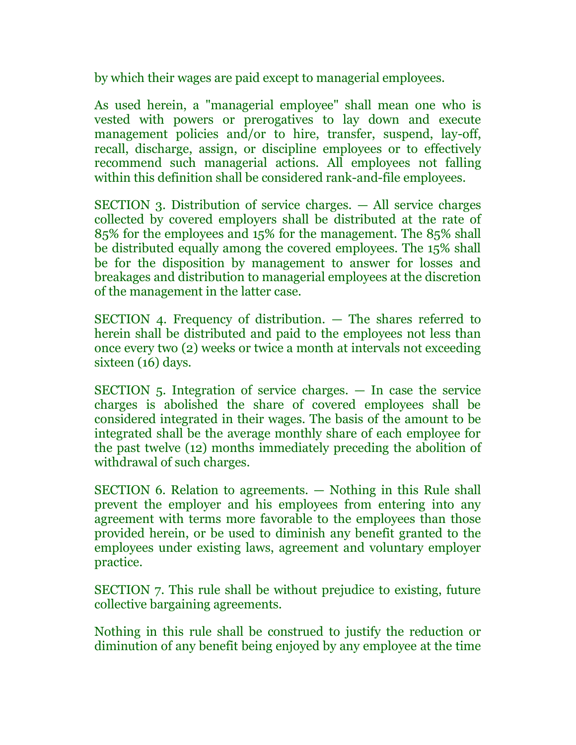by which their wages are paid except to managerial employees.

As used herein, a "managerial employee" shall mean one who is vested with powers or prerogatives to lay down and execute management policies and/or to hire, transfer, suspend, lay-off, recall, discharge, assign, or discipline employees or to effectively recommend such managerial actions. All employees not falling within this definition shall be considered rank-and-file employees.

SECTION 3. Distribution of service charges. — All service charges collected by covered employers shall be distributed at the rate of 85% for the employees and 15% for the management. The 85% shall be distributed equally among the covered employees. The 15% shall be for the disposition by management to answer for losses and breakages and distribution to managerial employees at the discretion of the management in the latter case.

SECTION 4. Frequency of distribution. — The shares referred to herein shall be distributed and paid to the employees not less than once every two (2) weeks or twice a month at intervals not exceeding sixteen (16) days.

SECTION 5. Integration of service charges. — In case the service charges is abolished the share of covered employees shall be considered integrated in their wages. The basis of the amount to be integrated shall be the average monthly share of each employee for the past twelve (12) months immediately preceding the abolition of withdrawal of such charges.

SECTION 6. Relation to agreements. — Nothing in this Rule shall prevent the employer and his employees from entering into any agreement with terms more favorable to the employees than those provided herein, or be used to diminish any benefit granted to the employees under existing laws, agreement and voluntary employer practice.

SECTION 7. This rule shall be without prejudice to existing, future collective bargaining agreements.

Nothing in this rule shall be construed to justify the reduction or diminution of any benefit being enjoyed by any employee at the time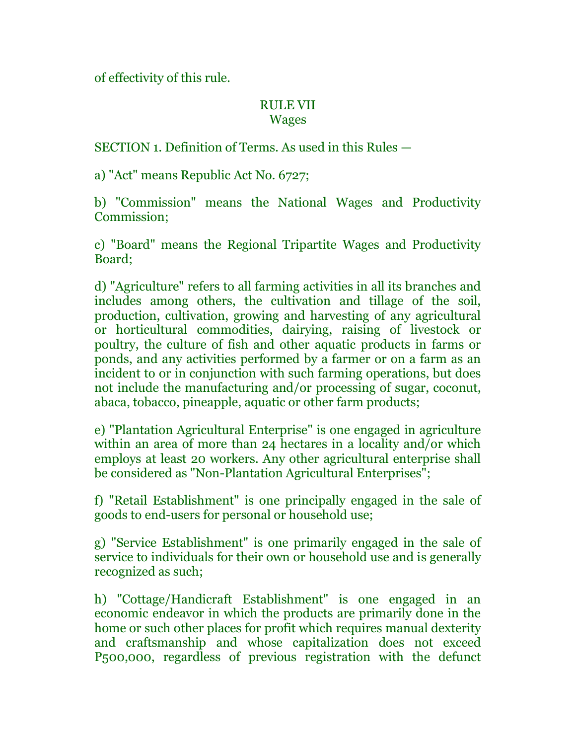of effectivity of this rule.

## RULE VII Wages

SECTION 1. Definition of Terms. As used in this Rules —

a) "Act" means Republic Act No. 6727;

b) "Commission" means the National Wages and Productivity Commission;

c) "Board" means the Regional Tripartite Wages and Productivity Board;

d) "Agriculture" refers to all farming activities in all its branches and includes among others, the cultivation and tillage of the soil, production, cultivation, growing and harvesting of any agricultural or horticultural commodities, dairying, raising of livestock or poultry, the culture of fish and other aquatic products in farms or ponds, and any activities performed by a farmer or on a farm as an incident to or in conjunction with such farming operations, but does not include the manufacturing and/or processing of sugar, coconut, abaca, tobacco, pineapple, aquatic or other farm products;

e) "Plantation Agricultural Enterprise" is one engaged in agriculture within an area of more than 24 hectares in a locality and/or which employs at least 20 workers. Any other agricultural enterprise shall be considered as "Non-Plantation Agricultural Enterprises";

f) "Retail Establishment" is one principally engaged in the sale of goods to end-users for personal or household use;

g) "Service Establishment" is one primarily engaged in the sale of service to individuals for their own or household use and is generally recognized as such;

h) "Cottage/Handicraft Establishment" is one engaged in an economic endeavor in which the products are primarily done in the home or such other places for profit which requires manual dexterity and craftsmanship and whose capitalization does not exceed P500,000, regardless of previous registration with the defunct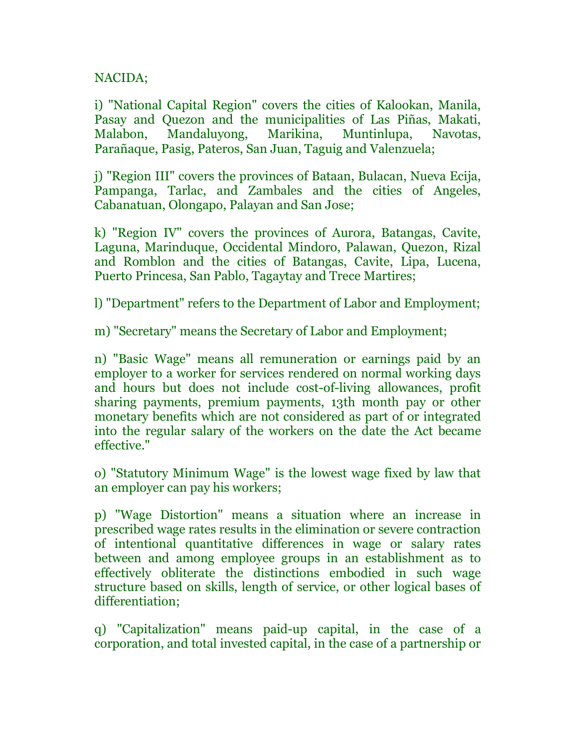# NACIDA;

i) "National Capital Region" covers the cities of Kalookan, Manila, Pasay and Quezon and the municipalities of Las Piñas, Makati, Malabon, Mandaluyong, Marikina, Muntinlupa, Navotas, Parañaque, Pasig, Pateros, San Juan, Taguig and Valenzuela;

j) "Region III" covers the provinces of Bataan, Bulacan, Nueva Ecija, Pampanga, Tarlac, and Zambales and the cities of Angeles, Cabanatuan, Olongapo, Palayan and San Jose;

k) "Region IV" covers the provinces of Aurora, Batangas, Cavite, Laguna, Marinduque, Occidental Mindoro, Palawan, Quezon, Rizal and Romblon and the cities of Batangas, Cavite, Lipa, Lucena, Puerto Princesa, San Pablo, Tagaytay and Trece Martires;

l) "Department" refers to the Department of Labor and Employment;

m) "Secretary" means the Secretary of Labor and Employment;

n) "Basic Wage" means all remuneration or earnings paid by an employer to a worker for services rendered on normal working days and hours but does not include cost-of-living allowances, profit sharing payments, premium payments, 13th month pay or other monetary benefits which are not considered as part of or integrated into the regular salary of the workers on the date the Act became effective."

o) "Statutory Minimum Wage" is the lowest wage fixed by law that an employer can pay his workers;

p) "Wage Distortion" means a situation where an increase in prescribed wage rates results in the elimination or severe contraction of intentional quantitative differences in wage or salary rates between and among employee groups in an establishment as to effectively obliterate the distinctions embodied in such wage structure based on skills, length of service, or other logical bases of differentiation;

q) "Capitalization" means paid-up capital, in the case of a corporation, and total invested capital, in the case of a partnership or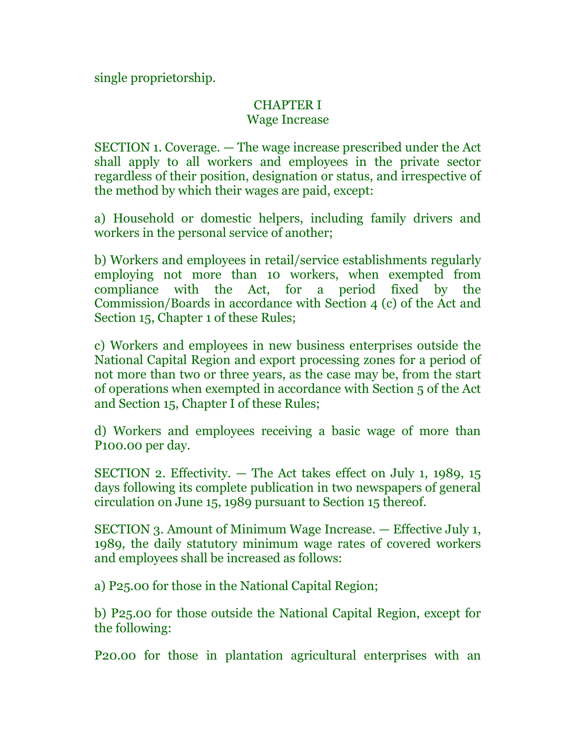single proprietorship.

# CHAPTER I

# Wage Increase

SECTION 1. Coverage. — The wage increase prescribed under the Act shall apply to all workers and employees in the private sector regardless of their position, designation or status, and irrespective of the method by which their wages are paid, except:

a) Household or domestic helpers, including family drivers and workers in the personal service of another;

b) Workers and employees in retail/service establishments regularly employing not more than 10 workers, when exempted from compliance with the Act, for a period fixed by the Commission/Boards in accordance with Section 4 (c) of the Act and Section 15, Chapter 1 of these Rules;

c) Workers and employees in new business enterprises outside the National Capital Region and export processing zones for a period of not more than two or three years, as the case may be, from the start of operations when exempted in accordance with Section 5 of the Act and Section 15, Chapter I of these Rules;

d) Workers and employees receiving a basic wage of more than P100.00 per day.

SECTION 2. Effectivity. — The Act takes effect on July 1, 1989, 15 days following its complete publication in two newspapers of general circulation on June 15, 1989 pursuant to Section 15 thereof.

SECTION 3. Amount of Minimum Wage Increase. — Effective July 1, 1989, the daily statutory minimum wage rates of covered workers and employees shall be increased as follows:

a) P25.00 for those in the National Capital Region;

b) P25.00 for those outside the National Capital Region, except for the following:

P20.00 for those in plantation agricultural enterprises with an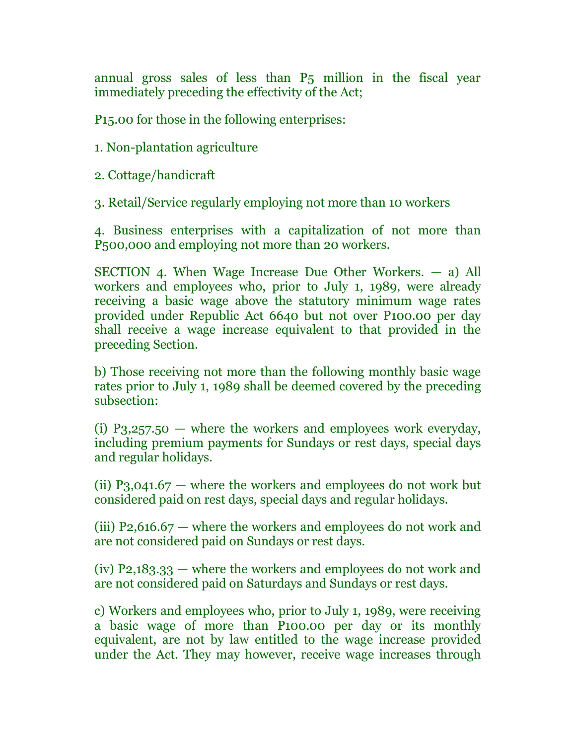annual gross sales of less than P5 million in the fiscal year immediately preceding the effectivity of the Act;

P15.00 for those in the following enterprises:

1. Non-plantation agriculture

2. Cottage/handicraft

3. Retail/Service regularly employing not more than 10 workers

4. Business enterprises with a capitalization of not more than P500,000 and employing not more than 20 workers.

SECTION 4. When Wage Increase Due Other Workers. — a) All workers and employees who, prior to July 1, 1989, were already receiving a basic wage above the statutory minimum wage rates provided under Republic Act 6640 but not over P100.00 per day shall receive a wage increase equivalent to that provided in the preceding Section.

b) Those receiving not more than the following monthly basic wage rates prior to July 1, 1989 shall be deemed covered by the preceding subsection:

(i)  $P_3,257.50$  — where the workers and employees work everyday, including premium payments for Sundays or rest days, special days and regular holidays.

(ii) P<sub>3</sub>,041.67 — where the workers and employees do not work but considered paid on rest days, special days and regular holidays.

(iii) P2,616.67 — where the workers and employees do not work and are not considered paid on Sundays or rest days.

(iv) P2,183.33 — where the workers and employees do not work and are not considered paid on Saturdays and Sundays or rest days.

c) Workers and employees who, prior to July 1, 1989, were receiving a basic wage of more than P100.00 per day or its monthly equivalent, are not by law entitled to the wage increase provided under the Act. They may however, receive wage increases through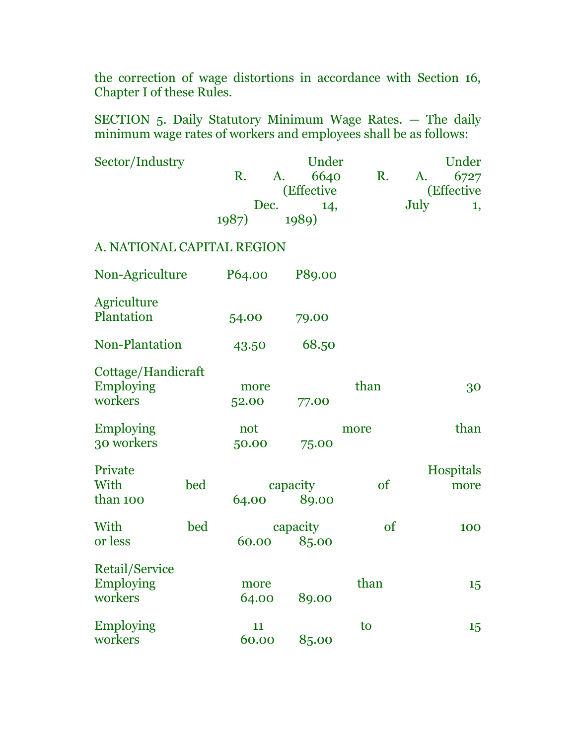the correction of wage distortions in accordance with Section 16, Chapter I of these Rules.

SECTION 5. Daily Statutory Minimum Wage Rates. — The daily minimum wage rates of workers and employees shall be as follows:

| Sector/Industry            |     | Under<br>Under |            |      |            |  |
|----------------------------|-----|----------------|------------|------|------------|--|
|                            |     | R.             | 6640<br>A. | R.   | 6727<br>A. |  |
|                            |     |                | (Effective |      | (Effective |  |
|                            |     | Dec.           | 14,        |      | July<br>1, |  |
|                            |     | 1987)          | 1989)      |      |            |  |
| A. NATIONAL CAPITAL REGION |     |                |            |      |            |  |
| Non-Agriculture            |     | P64.00         | P89.00     |      |            |  |
| Agriculture                |     |                |            |      |            |  |
| Plantation                 |     | 54.00          | 79.00      |      |            |  |
| <b>Non-Plantation</b>      |     | 43.50          | 68.50      |      |            |  |
| Cottage/Handicraft         |     |                |            |      |            |  |
| <b>Employing</b>           |     | more           |            | than | 30         |  |
| workers                    |     | 52.00          | 77.00      |      |            |  |
| <b>Employing</b>           |     | not            |            | more | than       |  |
| 30 workers                 |     | 50.00          | 75.00      |      |            |  |
|                            |     |                |            |      |            |  |
| Private                    |     |                |            |      | Hospitals  |  |
| With                       | bed |                | capacity   |      | more       |  |
| than 100                   |     | 64.00          | 89.00      |      |            |  |
| With                       | bed |                | capacity   |      | 100        |  |
| or less                    |     | 60.00          | 85.00      | of   |            |  |
| Retail/Service             |     |                |            |      |            |  |
| Employing                  |     | more           |            | than |            |  |
| workers                    |     |                |            |      | 15         |  |
|                            |     | 64.00          | 89.00      |      |            |  |
| <b>Employing</b>           |     | 11             |            | to   | 15         |  |
| workers                    |     | 60.00          | 85.00      |      |            |  |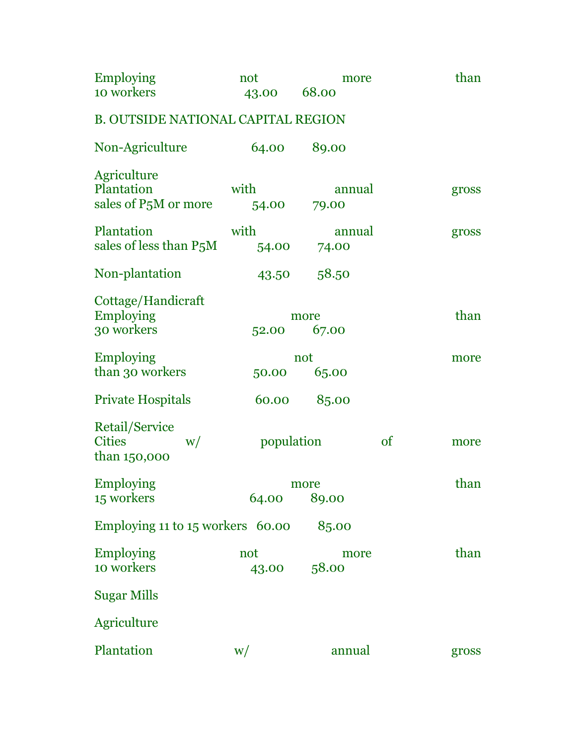| <b>Employing</b>                                      | not           | more            |               | than  |
|-------------------------------------------------------|---------------|-----------------|---------------|-------|
| 10 workers                                            | 43.00         | 68.00           |               |       |
| <b>B. OUTSIDE NATIONAL CAPITAL REGION</b>             |               |                 |               |       |
| Non-Agriculture                                       | 64.00         | 89.00           |               |       |
| Agriculture                                           |               |                 |               |       |
| Plantation<br>sales of P <sub>5</sub> M or more       | with<br>54.00 | annual<br>79.00 |               | gross |
| Plantation<br>sales of less than P <sub>5</sub> M     | with<br>54.00 | annual<br>74.00 |               | gross |
| Non-plantation                                        | 43.50         | 58.50           |               |       |
| Cottage/Handicraft<br><b>Employing</b><br>30 workers  | 52.00         | more<br>67.00   |               | than  |
| <b>Employing</b><br>than 30 workers                   | 50.00         | not<br>65.00    |               | more  |
| <b>Private Hospitals</b>                              | 60.00         | 85.00           |               |       |
| Retail/Service<br><b>Cities</b><br>W/<br>than 150,000 | population    |                 | <sub>of</sub> | more  |
| <b>Employing</b><br>15 workers                        | 64.00         | more<br>89.00   |               | than  |
| Employing 11 to 15 workers 60.00                      |               | 85.00           |               |       |
| <b>Employing</b><br>10 workers                        | not<br>43.00  | more<br>58.00   |               | than  |
| <b>Sugar Mills</b>                                    |               |                 |               |       |
| Agriculture                                           |               |                 |               |       |
| Plantation                                            | W/            | annual          |               | gross |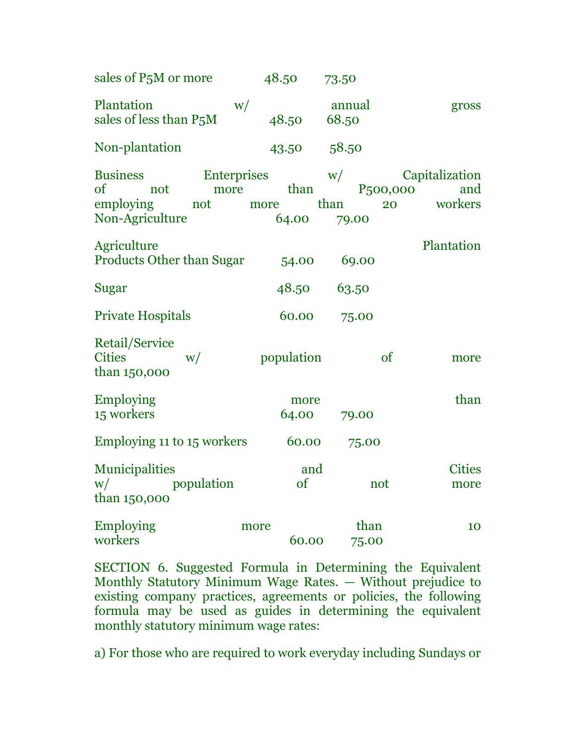| sales of P <sub>5</sub> M or more                 |    | 48.50 | 73.50           |       |
|---------------------------------------------------|----|-------|-----------------|-------|
| Plantation<br>sales of less than P <sub>5</sub> M | W/ | 48.50 | annual<br>68.50 | gross |
| Non-plantation                                    |    | 43.50 | 58.50           |       |

Business Enterprises w/ Capitalization of not more than P500,000 and employing not more than 20 workers Non-Agriculture 64.00 79.00 Agriculture Plantation Products Other than Sugar 54.00 69.00 Sugar 48.50 63.50 Private Hospitals 60.00 75.00 Retail/Service Cities  $w/$  population of more than 150,000 Employing more than 15 workers 64.00 79.00 Employing 11 to 15 workers 60.00 75.00 Municipalities and Cities w/ population of not more than 150,000 Employing more than 10 workers 60.00 75.00

SECTION 6. Suggested Formula in Determining the Equivalent Monthly Statutory Minimum Wage Rates. — Without prejudice to existing company practices, agreements or policies, the following formula may be used as guides in determining the equivalent monthly statutory minimum wage rates:

a) For those who are required to work everyday including Sundays or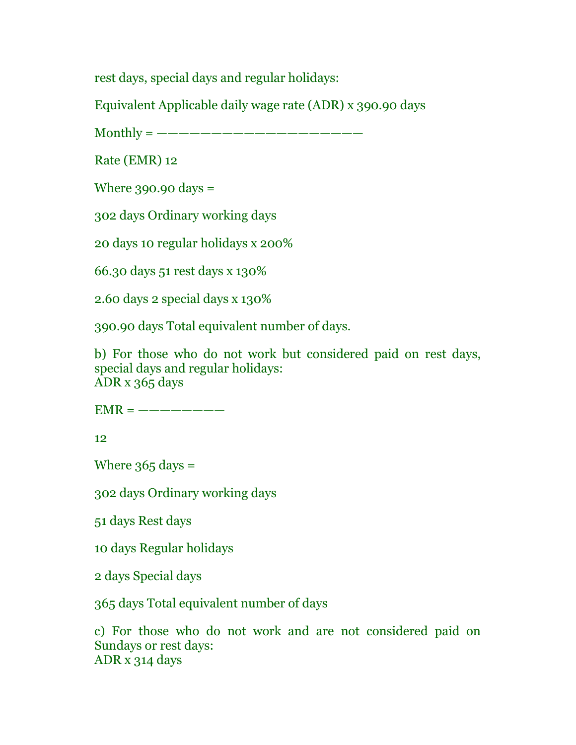rest days, special days and regular holidays:

Equivalent Applicable daily wage rate (ADR) x 390.90 days

 $Monthly =$  ———————————————————————

Rate (EMR) 12

Where 390.90 days =

302 days Ordinary working days

20 days 10 regular holidays x 200%

66.30 days 51 rest days x 130%

2.60 days 2 special days x 130%

390.90 days Total equivalent number of days.

b) For those who do not work but considered paid on rest days, special days and regular holidays: ADR x 365 days

 $EMR =$  ————————

12

Where  $365$  days =

302 days Ordinary working days

51 days Rest days

10 days Regular holidays

2 days Special days

365 days Total equivalent number of days

c) For those who do not work and are not considered paid on Sundays or rest days: ADR x 314 days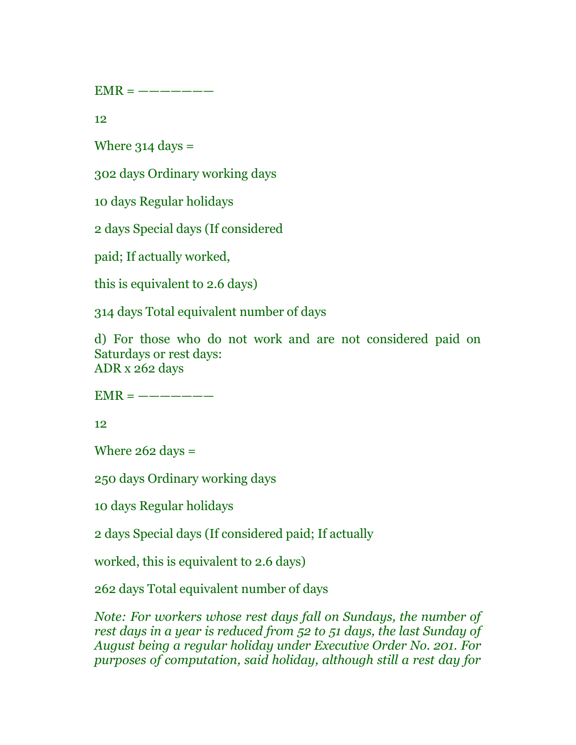$EMR =$  ———————

12

Where  $314$  days =

302 days Ordinary working days

10 days Regular holidays

2 days Special days (If considered

paid; If actually worked,

this is equivalent to 2.6 days)

314 days Total equivalent number of days

d) For those who do not work and are not considered paid on Saturdays or rest days: ADR x 262 days

 $EMR =$  ———————

12

Where  $262$  days =

250 days Ordinary working days

10 days Regular holidays

2 days Special days (If considered paid; If actually

worked, this is equivalent to 2.6 days)

262 days Total equivalent number of days

*Note: For workers whose rest days fall on Sundays, the number of rest days in a year is reduced from 52 to 51 days, the last Sunday of August being a regular holiday under Executive Order No. 201. For purposes of computation, said holiday, although still a rest day for*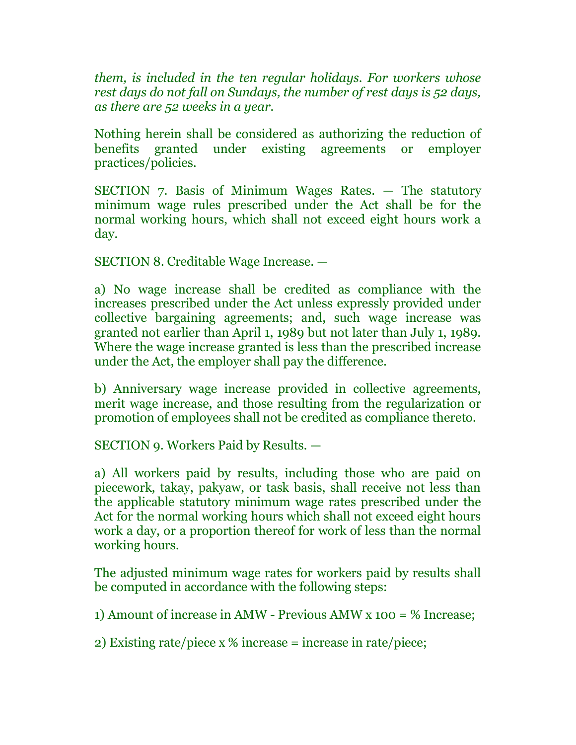*them, is included in the ten regular holidays. For workers whose rest days do not fall on Sundays, the number of rest days is 52 days, as there are 52 weeks in a year.*

Nothing herein shall be considered as authorizing the reduction of benefits granted under existing agreements or employer practices/policies.

SECTION 7. Basis of Minimum Wages Rates. — The statutory minimum wage rules prescribed under the Act shall be for the normal working hours, which shall not exceed eight hours work a day.

SECTION 8. Creditable Wage Increase. —

a) No wage increase shall be credited as compliance with the increases prescribed under the Act unless expressly provided under collective bargaining agreements; and, such wage increase was granted not earlier than April 1, 1989 but not later than July 1, 1989. Where the wage increase granted is less than the prescribed increase under the Act, the employer shall pay the difference.

b) Anniversary wage increase provided in collective agreements, merit wage increase, and those resulting from the regularization or promotion of employees shall not be credited as compliance thereto.

SECTION 9. Workers Paid by Results. —

a) All workers paid by results, including those who are paid on piecework, takay, pakyaw, or task basis, shall receive not less than the applicable statutory minimum wage rates prescribed under the Act for the normal working hours which shall not exceed eight hours work a day, or a proportion thereof for work of less than the normal working hours.

The adjusted minimum wage rates for workers paid by results shall be computed in accordance with the following steps:

1) Amount of increase in AMW - Previous AMW x 100 = % Increase;

2) Existing rate/piece x % increase = increase in rate/piece;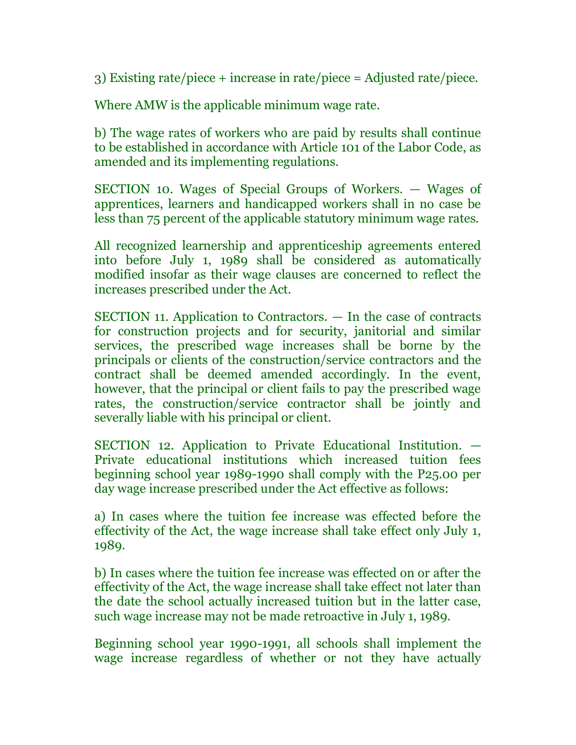3) Existing rate/piece + increase in rate/piece = Adjusted rate/piece.

Where AMW is the applicable minimum wage rate.

b) The wage rates of workers who are paid by results shall continue to be established in accordance with Article 101 of the Labor Code, as amended and its implementing regulations.

SECTION 10. Wages of Special Groups of Workers. — Wages of apprentices, learners and handicapped workers shall in no case be less than 75 percent of the applicable statutory minimum wage rates.

All recognized learnership and apprenticeship agreements entered into before July 1, 1989 shall be considered as automatically modified insofar as their wage clauses are concerned to reflect the increases prescribed under the Act.

SECTION 11. Application to Contractors. — In the case of contracts for construction projects and for security, janitorial and similar services, the prescribed wage increases shall be borne by the principals or clients of the construction/service contractors and the contract shall be deemed amended accordingly. In the event, however, that the principal or client fails to pay the prescribed wage rates, the construction/service contractor shall be jointly and severally liable with his principal or client.

SECTION 12. Application to Private Educational Institution. — Private educational institutions which increased tuition fees beginning school year 1989-1990 shall comply with the P25.00 per day wage increase prescribed under the Act effective as follows:

a) In cases where the tuition fee increase was effected before the effectivity of the Act, the wage increase shall take effect only July 1, 1989.

b) In cases where the tuition fee increase was effected on or after the effectivity of the Act, the wage increase shall take effect not later than the date the school actually increased tuition but in the latter case, such wage increase may not be made retroactive in July 1, 1989.

Beginning school year 1990-1991, all schools shall implement the wage increase regardless of whether or not they have actually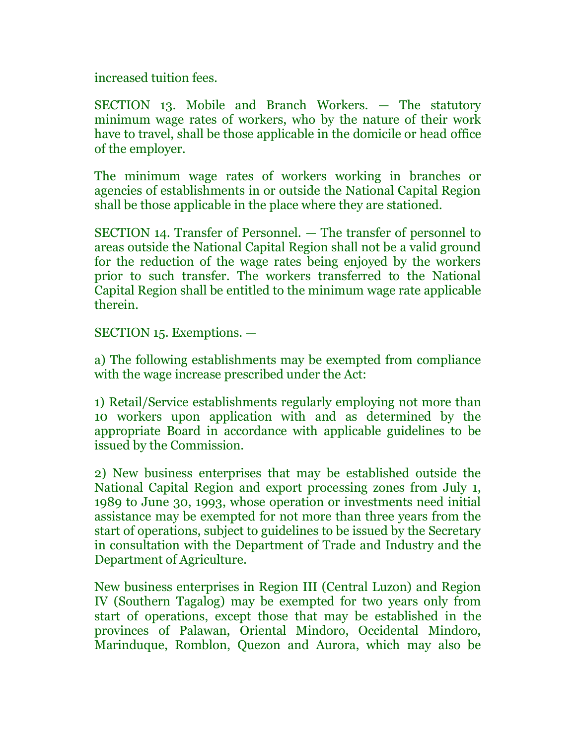increased tuition fees.

SECTION 13. Mobile and Branch Workers. — The statutory minimum wage rates of workers, who by the nature of their work have to travel, shall be those applicable in the domicile or head office of the employer.

The minimum wage rates of workers working in branches or agencies of establishments in or outside the National Capital Region shall be those applicable in the place where they are stationed.

SECTION 14. Transfer of Personnel. — The transfer of personnel to areas outside the National Capital Region shall not be a valid ground for the reduction of the wage rates being enjoyed by the workers prior to such transfer. The workers transferred to the National Capital Region shall be entitled to the minimum wage rate applicable therein.

SECTION 15. Exemptions. —

a) The following establishments may be exempted from compliance with the wage increase prescribed under the Act:

1) Retail/Service establishments regularly employing not more than 10 workers upon application with and as determined by the appropriate Board in accordance with applicable guidelines to be issued by the Commission.

2) New business enterprises that may be established outside the National Capital Region and export processing zones from July 1, 1989 to June 30, 1993, whose operation or investments need initial assistance may be exempted for not more than three years from the start of operations, subject to guidelines to be issued by the Secretary in consultation with the Department of Trade and Industry and the Department of Agriculture.

New business enterprises in Region III (Central Luzon) and Region IV (Southern Tagalog) may be exempted for two years only from start of operations, except those that may be established in the provinces of Palawan, Oriental Mindoro, Occidental Mindoro, Marinduque, Romblon, Quezon and Aurora, which may also be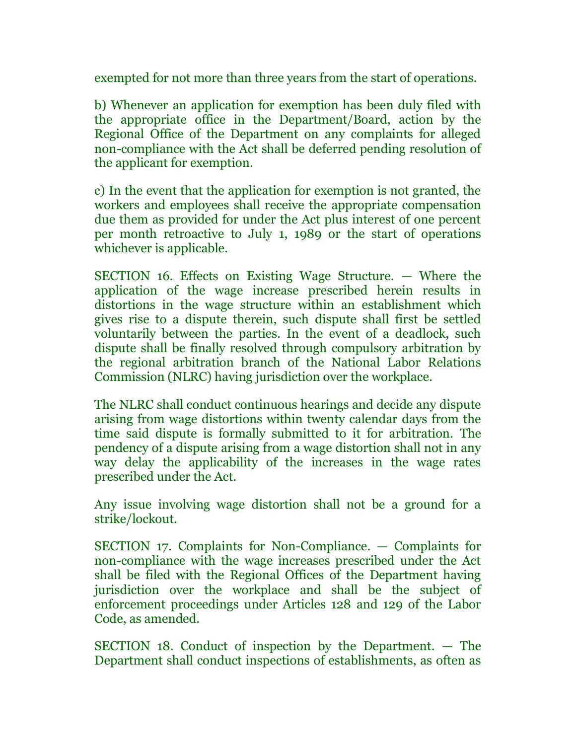exempted for not more than three years from the start of operations.

b) Whenever an application for exemption has been duly filed with the appropriate office in the Department/Board, action by the Regional Office of the Department on any complaints for alleged non-compliance with the Act shall be deferred pending resolution of the applicant for exemption.

c) In the event that the application for exemption is not granted, the workers and employees shall receive the appropriate compensation due them as provided for under the Act plus interest of one percent per month retroactive to July 1, 1989 or the start of operations whichever is applicable.

SECTION 16. Effects on Existing Wage Structure. — Where the application of the wage increase prescribed herein results in distortions in the wage structure within an establishment which gives rise to a dispute therein, such dispute shall first be settled voluntarily between the parties. In the event of a deadlock, such dispute shall be finally resolved through compulsory arbitration by the regional arbitration branch of the National Labor Relations Commission (NLRC) having jurisdiction over the workplace.

The NLRC shall conduct continuous hearings and decide any dispute arising from wage distortions within twenty calendar days from the time said dispute is formally submitted to it for arbitration. The pendency of a dispute arising from a wage distortion shall not in any way delay the applicability of the increases in the wage rates prescribed under the Act.

Any issue involving wage distortion shall not be a ground for a strike/lockout.

SECTION 17. Complaints for Non-Compliance. — Complaints for non-compliance with the wage increases prescribed under the Act shall be filed with the Regional Offices of the Department having jurisdiction over the workplace and shall be the subject of enforcement proceedings under Articles 128 and 129 of the Labor Code, as amended.

SECTION 18. Conduct of inspection by the Department. — The Department shall conduct inspections of establishments, as often as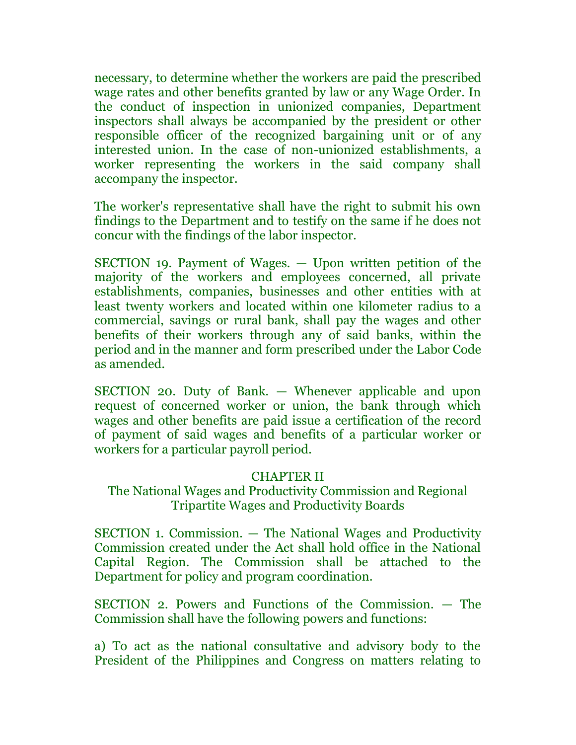necessary, to determine whether the workers are paid the prescribed wage rates and other benefits granted by law or any Wage Order. In the conduct of inspection in unionized companies, Department inspectors shall always be accompanied by the president or other responsible officer of the recognized bargaining unit or of any interested union. In the case of non-unionized establishments, a worker representing the workers in the said company shall accompany the inspector.

The worker's representative shall have the right to submit his own findings to the Department and to testify on the same if he does not concur with the findings of the labor inspector.

SECTION 19. Payment of Wages. — Upon written petition of the majority of the workers and employees concerned, all private establishments, companies, businesses and other entities with at least twenty workers and located within one kilometer radius to a commercial, savings or rural bank, shall pay the wages and other benefits of their workers through any of said banks, within the period and in the manner and form prescribed under the Labor Code as amended.

SECTION 20. Duty of Bank. — Whenever applicable and upon request of concerned worker or union, the bank through which wages and other benefits are paid issue a certification of the record of payment of said wages and benefits of a particular worker or workers for a particular payroll period.

## CHAPTER II

# The National Wages and Productivity Commission and Regional Tripartite Wages and Productivity Boards

SECTION 1. Commission. — The National Wages and Productivity Commission created under the Act shall hold office in the National Capital Region. The Commission shall be attached to the Department for policy and program coordination.

SECTION 2. Powers and Functions of the Commission. — The Commission shall have the following powers and functions:

a) To act as the national consultative and advisory body to the President of the Philippines and Congress on matters relating to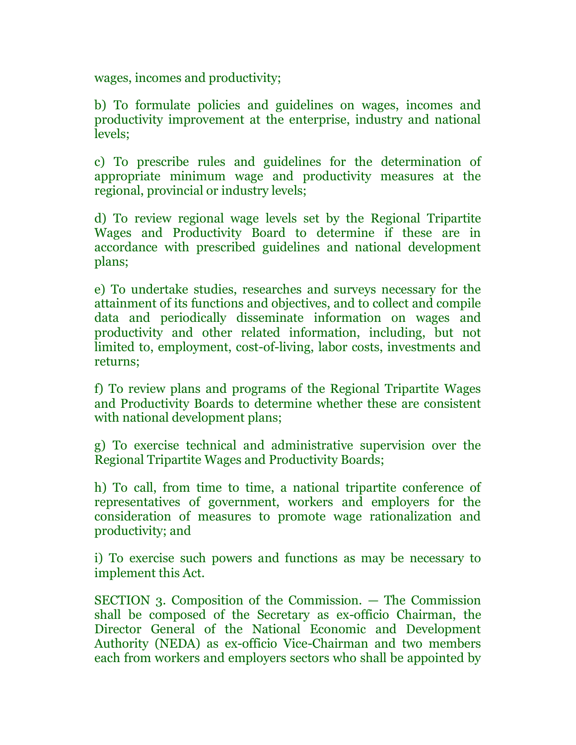wages, incomes and productivity;

b) To formulate policies and guidelines on wages, incomes and productivity improvement at the enterprise, industry and national levels;

c) To prescribe rules and guidelines for the determination of appropriate minimum wage and productivity measures at the regional, provincial or industry levels;

d) To review regional wage levels set by the Regional Tripartite Wages and Productivity Board to determine if these are in accordance with prescribed guidelines and national development plans;

e) To undertake studies, researches and surveys necessary for the attainment of its functions and objectives, and to collect and compile data and periodically disseminate information on wages and productivity and other related information, including, but not limited to, employment, cost-of-living, labor costs, investments and returns;

f) To review plans and programs of the Regional Tripartite Wages and Productivity Boards to determine whether these are consistent with national development plans;

g) To exercise technical and administrative supervision over the Regional Tripartite Wages and Productivity Boards;

h) To call, from time to time, a national tripartite conference of representatives of government, workers and employers for the consideration of measures to promote wage rationalization and productivity; and

i) To exercise such powers and functions as may be necessary to implement this Act.

SECTION 3. Composition of the Commission. — The Commission shall be composed of the Secretary as ex-officio Chairman, the Director General of the National Economic and Development Authority (NEDA) as ex-officio Vice-Chairman and two members each from workers and employers sectors who shall be appointed by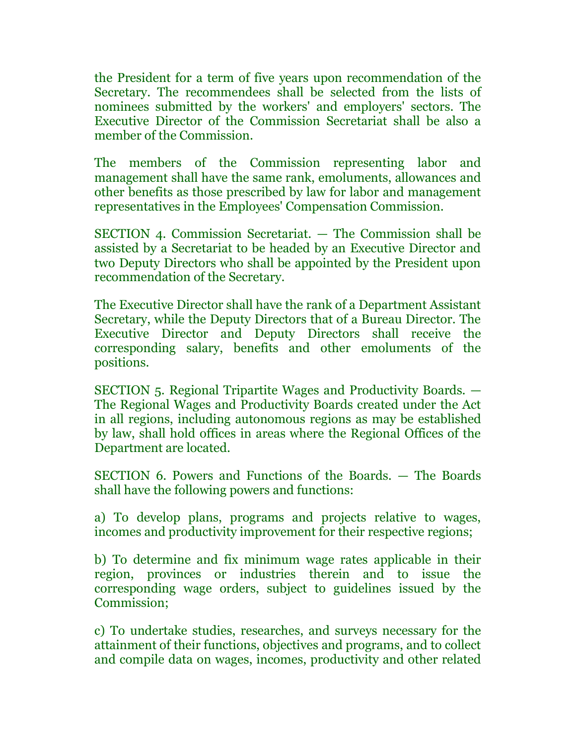the President for a term of five years upon recommendation of the Secretary. The recommendees shall be selected from the lists of nominees submitted by the workers' and employers' sectors. The Executive Director of the Commission Secretariat shall be also a member of the Commission.

The members of the Commission representing labor and management shall have the same rank, emoluments, allowances and other benefits as those prescribed by law for labor and management representatives in the Employees' Compensation Commission.

SECTION 4. Commission Secretariat. — The Commission shall be assisted by a Secretariat to be headed by an Executive Director and two Deputy Directors who shall be appointed by the President upon recommendation of the Secretary.

The Executive Director shall have the rank of a Department Assistant Secretary, while the Deputy Directors that of a Bureau Director. The Executive Director and Deputy Directors shall receive the corresponding salary, benefits and other emoluments of the positions.

SECTION 5. Regional Tripartite Wages and Productivity Boards. — The Regional Wages and Productivity Boards created under the Act in all regions, including autonomous regions as may be established by law, shall hold offices in areas where the Regional Offices of the Department are located.

SECTION 6. Powers and Functions of the Boards. — The Boards shall have the following powers and functions:

a) To develop plans, programs and projects relative to wages, incomes and productivity improvement for their respective regions;

b) To determine and fix minimum wage rates applicable in their region, provinces or industries therein and to issue the corresponding wage orders, subject to guidelines issued by the Commission;

c) To undertake studies, researches, and surveys necessary for the attainment of their functions, objectives and programs, and to collect and compile data on wages, incomes, productivity and other related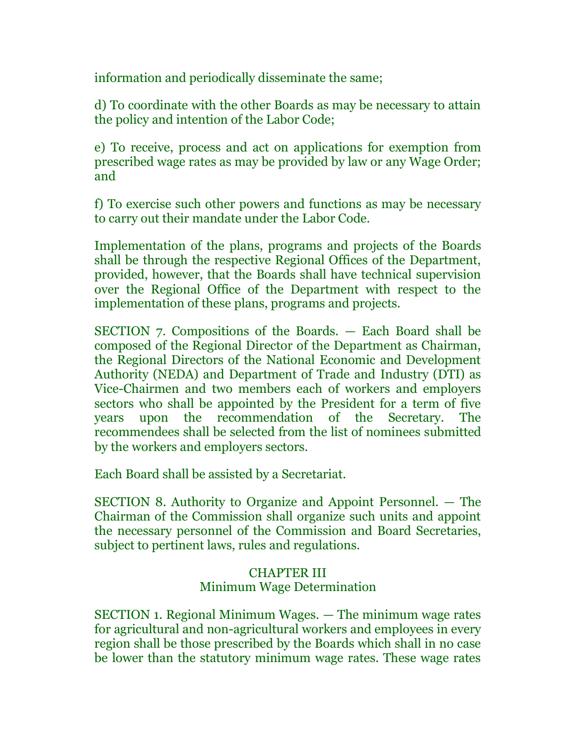information and periodically disseminate the same;

d) To coordinate with the other Boards as may be necessary to attain the policy and intention of the Labor Code;

e) To receive, process and act on applications for exemption from prescribed wage rates as may be provided by law or any Wage Order; and

f) To exercise such other powers and functions as may be necessary to carry out their mandate under the Labor Code.

Implementation of the plans, programs and projects of the Boards shall be through the respective Regional Offices of the Department, provided, however, that the Boards shall have technical supervision over the Regional Office of the Department with respect to the implementation of these plans, programs and projects.

SECTION 7. Compositions of the Boards. — Each Board shall be composed of the Regional Director of the Department as Chairman, the Regional Directors of the National Economic and Development Authority (NEDA) and Department of Trade and Industry (DTI) as Vice-Chairmen and two members each of workers and employers sectors who shall be appointed by the President for a term of five years upon the recommendation of the Secretary. The recommendees shall be selected from the list of nominees submitted by the workers and employers sectors.

Each Board shall be assisted by a Secretariat.

SECTION 8. Authority to Organize and Appoint Personnel. — The Chairman of the Commission shall organize such units and appoint the necessary personnel of the Commission and Board Secretaries, subject to pertinent laws, rules and regulations.

# CHAPTER III Minimum Wage Determination

SECTION 1. Regional Minimum Wages. — The minimum wage rates for agricultural and non-agricultural workers and employees in every region shall be those prescribed by the Boards which shall in no case be lower than the statutory minimum wage rates. These wage rates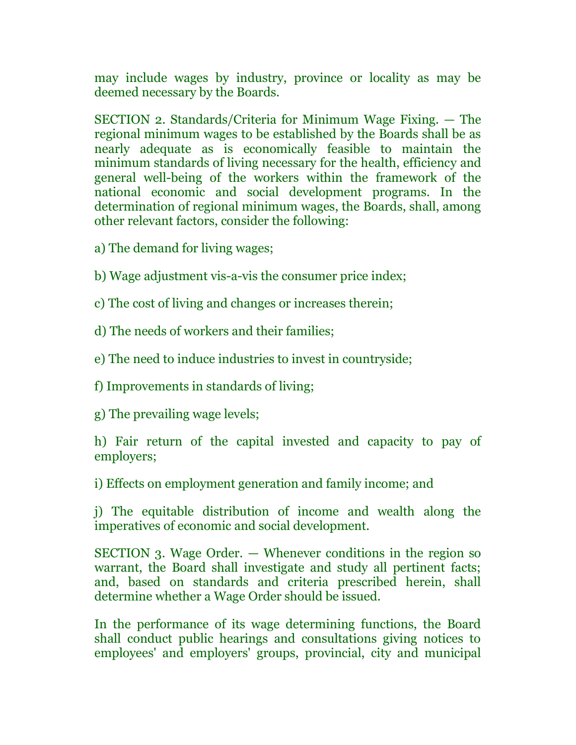may include wages by industry, province or locality as may be deemed necessary by the Boards.

SECTION 2. Standards/Criteria for Minimum Wage Fixing. — The regional minimum wages to be established by the Boards shall be as nearly adequate as is economically feasible to maintain the minimum standards of living necessary for the health, efficiency and general well-being of the workers within the framework of the national economic and social development programs. In the determination of regional minimum wages, the Boards, shall, among other relevant factors, consider the following:

- a) The demand for living wages;
- b) Wage adjustment vis-a-vis the consumer price index;

c) The cost of living and changes or increases therein;

d) The needs of workers and their families;

e) The need to induce industries to invest in countryside;

f) Improvements in standards of living;

g) The prevailing wage levels;

h) Fair return of the capital invested and capacity to pay of employers;

i) Effects on employment generation and family income; and

j) The equitable distribution of income and wealth along the imperatives of economic and social development.

SECTION 3. Wage Order. — Whenever conditions in the region so warrant, the Board shall investigate and study all pertinent facts; and, based on standards and criteria prescribed herein, shall determine whether a Wage Order should be issued.

In the performance of its wage determining functions, the Board shall conduct public hearings and consultations giving notices to employees' and employers' groups, provincial, city and municipal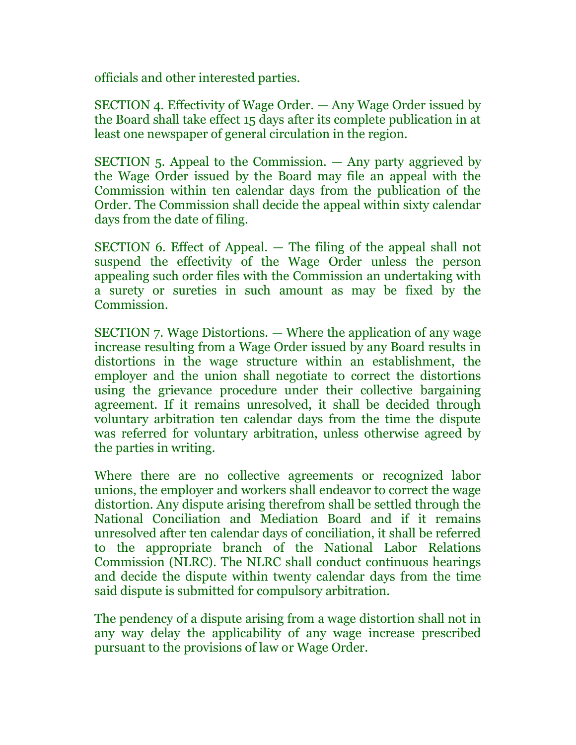officials and other interested parties.

SECTION 4. Effectivity of Wage Order. — Any Wage Order issued by the Board shall take effect 15 days after its complete publication in at least one newspaper of general circulation in the region.

SECTION 5. Appeal to the Commission. — Any party aggrieved by the Wage Order issued by the Board may file an appeal with the Commission within ten calendar days from the publication of the Order. The Commission shall decide the appeal within sixty calendar days from the date of filing.

SECTION 6. Effect of Appeal. — The filing of the appeal shall not suspend the effectivity of the Wage Order unless the person appealing such order files with the Commission an undertaking with a surety or sureties in such amount as may be fixed by the Commission.

SECTION 7. Wage Distortions. — Where the application of any wage increase resulting from a Wage Order issued by any Board results in distortions in the wage structure within an establishment, the employer and the union shall negotiate to correct the distortions using the grievance procedure under their collective bargaining agreement. If it remains unresolved, it shall be decided through voluntary arbitration ten calendar days from the time the dispute was referred for voluntary arbitration, unless otherwise agreed by the parties in writing.

Where there are no collective agreements or recognized labor unions, the employer and workers shall endeavor to correct the wage distortion. Any dispute arising therefrom shall be settled through the National Conciliation and Mediation Board and if it remains unresolved after ten calendar days of conciliation, it shall be referred to the appropriate branch of the National Labor Relations Commission (NLRC). The NLRC shall conduct continuous hearings and decide the dispute within twenty calendar days from the time said dispute is submitted for compulsory arbitration.

The pendency of a dispute arising from a wage distortion shall not in any way delay the applicability of any wage increase prescribed pursuant to the provisions of law or Wage Order.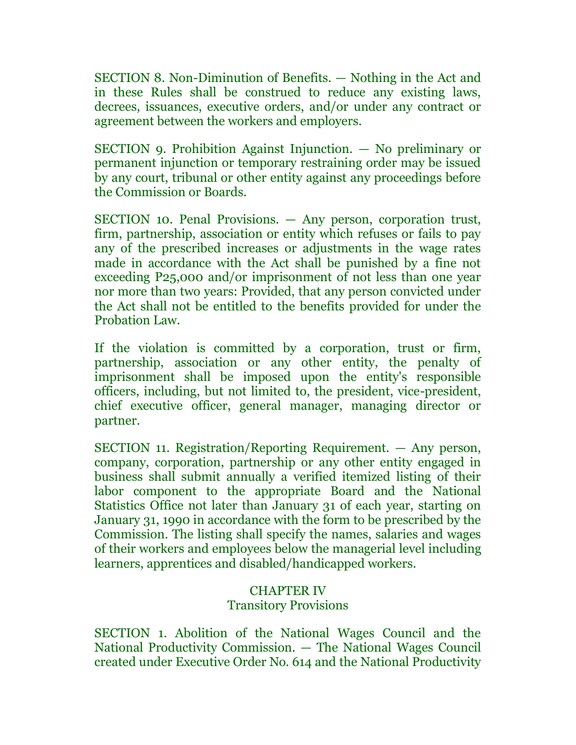SECTION 8. Non-Diminution of Benefits. — Nothing in the Act and in these Rules shall be construed to reduce any existing laws, decrees, issuances, executive orders, and/or under any contract or agreement between the workers and employers.

SECTION 9. Prohibition Against Injunction. — No preliminary or permanent injunction or temporary restraining order may be issued by any court, tribunal or other entity against any proceedings before the Commission or Boards.

SECTION 10. Penal Provisions. — Any person, corporation trust, firm, partnership, association or entity which refuses or fails to pay any of the prescribed increases or adjustments in the wage rates made in accordance with the Act shall be punished by a fine not exceeding P25,000 and/or imprisonment of not less than one year nor more than two years: Provided, that any person convicted under the Act shall not be entitled to the benefits provided for under the Probation Law.

If the violation is committed by a corporation, trust or firm, partnership, association or any other entity, the penalty of imprisonment shall be imposed upon the entity's responsible officers, including, but not limited to, the president, vice-president, chief executive officer, general manager, managing director or partner.

SECTION 11. Registration/Reporting Requirement. — Any person, company, corporation, partnership or any other entity engaged in business shall submit annually a verified itemized listing of their labor component to the appropriate Board and the National Statistics Office not later than January 31 of each year, starting on January 31, 1990 in accordance with the form to be prescribed by the Commission. The listing shall specify the names, salaries and wages of their workers and employees below the managerial level including learners, apprentices and disabled/handicapped workers.

## CHAPTER IV

## Transitory Provisions

SECTION 1. Abolition of the National Wages Council and the National Productivity Commission. — The National Wages Council created under Executive Order No. 614 and the National Productivity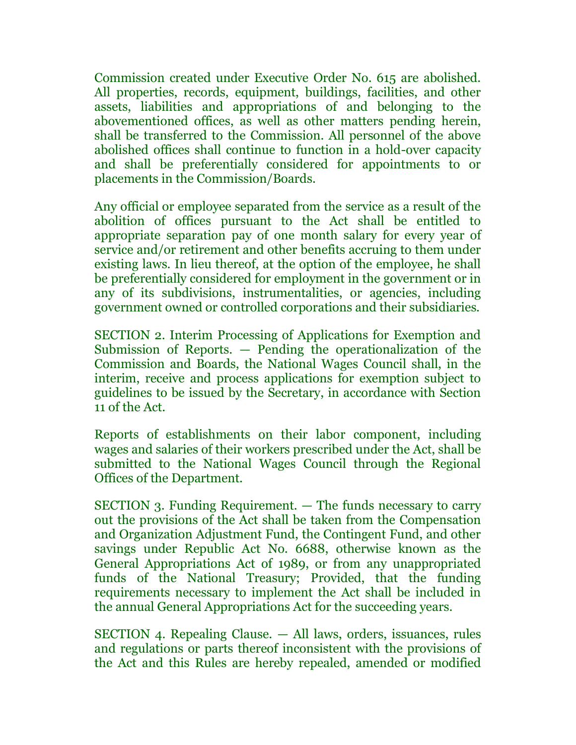Commission created under Executive Order No. 615 are abolished. All properties, records, equipment, buildings, facilities, and other assets, liabilities and appropriations of and belonging to the abovementioned offices, as well as other matters pending herein, shall be transferred to the Commission. All personnel of the above abolished offices shall continue to function in a hold-over capacity and shall be preferentially considered for appointments to or placements in the Commission/Boards.

Any official or employee separated from the service as a result of the abolition of offices pursuant to the Act shall be entitled to appropriate separation pay of one month salary for every year of service and/or retirement and other benefits accruing to them under existing laws. In lieu thereof, at the option of the employee, he shall be preferentially considered for employment in the government or in any of its subdivisions, instrumentalities, or agencies, including government owned or controlled corporations and their subsidiaries.

SECTION 2. Interim Processing of Applications for Exemption and Submission of Reports. — Pending the operationalization of the Commission and Boards, the National Wages Council shall, in the interim, receive and process applications for exemption subject to guidelines to be issued by the Secretary, in accordance with Section 11 of the Act.

Reports of establishments on their labor component, including wages and salaries of their workers prescribed under the Act, shall be submitted to the National Wages Council through the Regional Offices of the Department.

SECTION 3. Funding Requirement. — The funds necessary to carry out the provisions of the Act shall be taken from the Compensation and Organization Adjustment Fund, the Contingent Fund, and other savings under Republic Act No. 6688, otherwise known as the General Appropriations Act of 1989, or from any unappropriated funds of the National Treasury; Provided, that the funding requirements necessary to implement the Act shall be included in the annual General Appropriations Act for the succeeding years.

SECTION 4. Repealing Clause. — All laws, orders, issuances, rules and regulations or parts thereof inconsistent with the provisions of the Act and this Rules are hereby repealed, amended or modified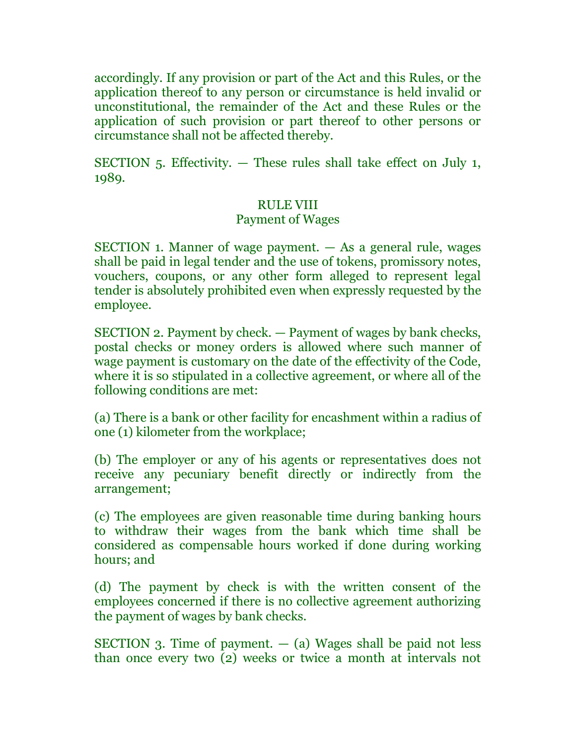accordingly. If any provision or part of the Act and this Rules, or the application thereof to any person or circumstance is held invalid or unconstitutional, the remainder of the Act and these Rules or the application of such provision or part thereof to other persons or circumstance shall not be affected thereby.

SECTION  $5.$  Effectivity.  $-$  These rules shall take effect on July 1, 1989.

## RULE VIII

### Payment of Wages

SECTION 1. Manner of wage payment. — As a general rule, wages shall be paid in legal tender and the use of tokens, promissory notes, vouchers, coupons, or any other form alleged to represent legal tender is absolutely prohibited even when expressly requested by the employee.

SECTION 2. Payment by check. — Payment of wages by bank checks, postal checks or money orders is allowed where such manner of wage payment is customary on the date of the effectivity of the Code, where it is so stipulated in a collective agreement, or where all of the following conditions are met:

(a) There is a bank or other facility for encashment within a radius of one (1) kilometer from the workplace;

(b) The employer or any of his agents or representatives does not receive any pecuniary benefit directly or indirectly from the arrangement;

(c) The employees are given reasonable time during banking hours to withdraw their wages from the bank which time shall be considered as compensable hours worked if done during working hours; and

(d) The payment by check is with the written consent of the employees concerned if there is no collective agreement authorizing the payment of wages by bank checks.

SECTION 3. Time of payment.  $-$  (a) Wages shall be paid not less than once every two (2) weeks or twice a month at intervals not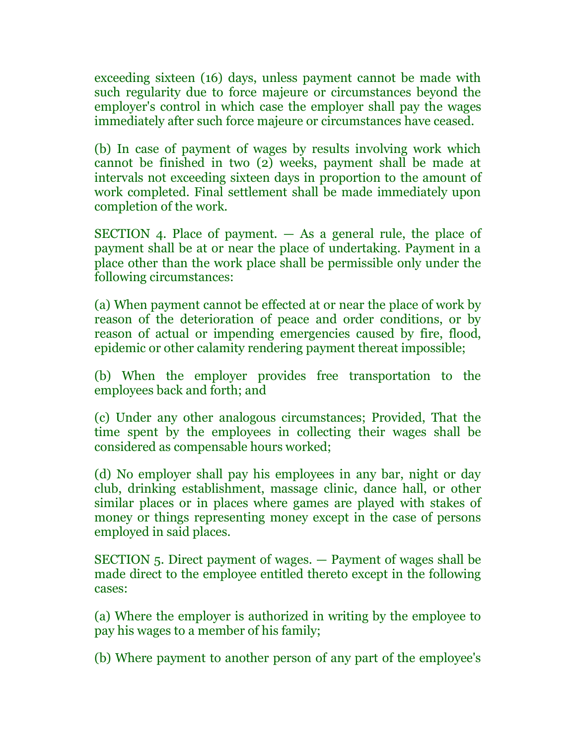exceeding sixteen (16) days, unless payment cannot be made with such regularity due to force majeure or circumstances beyond the employer's control in which case the employer shall pay the wages immediately after such force majeure or circumstances have ceased.

(b) In case of payment of wages by results involving work which cannot be finished in two (2) weeks, payment shall be made at intervals not exceeding sixteen days in proportion to the amount of work completed. Final settlement shall be made immediately upon completion of the work.

SECTION 4. Place of payment.  $-$  As a general rule, the place of payment shall be at or near the place of undertaking. Payment in a place other than the work place shall be permissible only under the following circumstances:

(a) When payment cannot be effected at or near the place of work by reason of the deterioration of peace and order conditions, or by reason of actual or impending emergencies caused by fire, flood, epidemic or other calamity rendering payment thereat impossible;

(b) When the employer provides free transportation to the employees back and forth; and

(c) Under any other analogous circumstances; Provided, That the time spent by the employees in collecting their wages shall be considered as compensable hours worked;

(d) No employer shall pay his employees in any bar, night or day club, drinking establishment, massage clinic, dance hall, or other similar places or in places where games are played with stakes of money or things representing money except in the case of persons employed in said places.

SECTION 5. Direct payment of wages. — Payment of wages shall be made direct to the employee entitled thereto except in the following cases:

(a) Where the employer is authorized in writing by the employee to pay his wages to a member of his family;

(b) Where payment to another person of any part of the employee's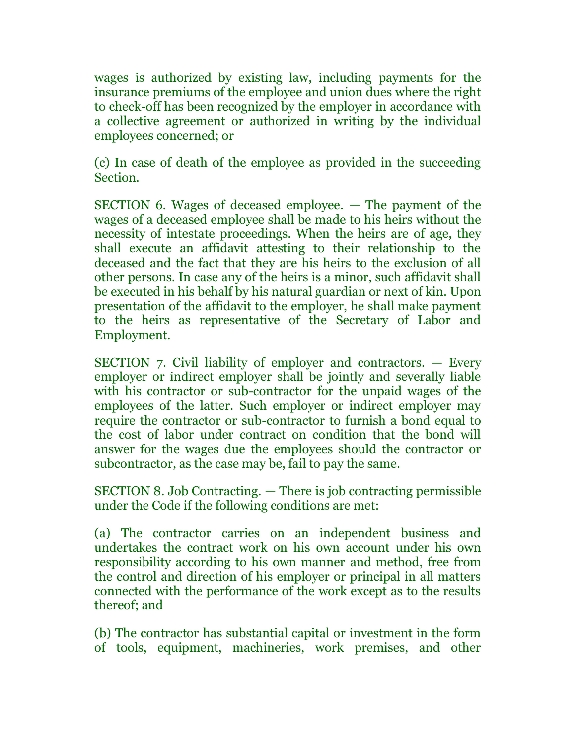wages is authorized by existing law, including payments for the insurance premiums of the employee and union dues where the right to check-off has been recognized by the employer in accordance with a collective agreement or authorized in writing by the individual employees concerned; or

(c) In case of death of the employee as provided in the succeeding Section.

SECTION 6. Wages of deceased employee. — The payment of the wages of a deceased employee shall be made to his heirs without the necessity of intestate proceedings. When the heirs are of age, they shall execute an affidavit attesting to their relationship to the deceased and the fact that they are his heirs to the exclusion of all other persons. In case any of the heirs is a minor, such affidavit shall be executed in his behalf by his natural guardian or next of kin. Upon presentation of the affidavit to the employer, he shall make payment to the heirs as representative of the Secretary of Labor and Employment.

SECTION 7. Civil liability of employer and contractors. — Every employer or indirect employer shall be jointly and severally liable with his contractor or sub-contractor for the unpaid wages of the employees of the latter. Such employer or indirect employer may require the contractor or sub-contractor to furnish a bond equal to the cost of labor under contract on condition that the bond will answer for the wages due the employees should the contractor or subcontractor, as the case may be, fail to pay the same.

SECTION 8. Job Contracting. — There is job contracting permissible under the Code if the following conditions are met:

(a) The contractor carries on an independent business and undertakes the contract work on his own account under his own responsibility according to his own manner and method, free from the control and direction of his employer or principal in all matters connected with the performance of the work except as to the results thereof; and

(b) The contractor has substantial capital or investment in the form of tools, equipment, machineries, work premises, and other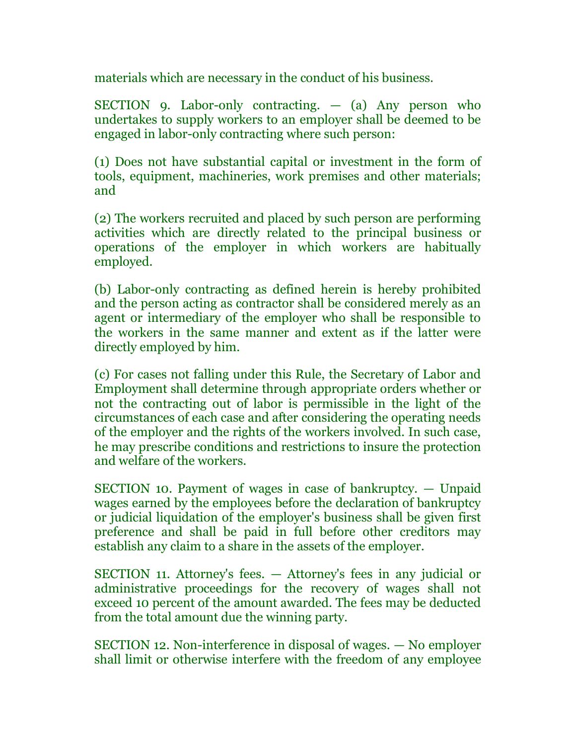materials which are necessary in the conduct of his business.

SECTION 9. Labor-only contracting.  $-$  (a) Any person who undertakes to supply workers to an employer shall be deemed to be engaged in labor-only contracting where such person:

(1) Does not have substantial capital or investment in the form of tools, equipment, machineries, work premises and other materials; and

(2) The workers recruited and placed by such person are performing activities which are directly related to the principal business or operations of the employer in which workers are habitually employed.

(b) Labor-only contracting as defined herein is hereby prohibited and the person acting as contractor shall be considered merely as an agent or intermediary of the employer who shall be responsible to the workers in the same manner and extent as if the latter were directly employed by him.

(c) For cases not falling under this Rule, the Secretary of Labor and Employment shall determine through appropriate orders whether or not the contracting out of labor is permissible in the light of the circumstances of each case and after considering the operating needs of the employer and the rights of the workers involved. In such case, he may prescribe conditions and restrictions to insure the protection and welfare of the workers.

SECTION 10. Payment of wages in case of bankruptcy. — Unpaid wages earned by the employees before the declaration of bankruptcy or judicial liquidation of the employer's business shall be given first preference and shall be paid in full before other creditors may establish any claim to a share in the assets of the employer.

SECTION 11. Attorney's fees. — Attorney's fees in any judicial or administrative proceedings for the recovery of wages shall not exceed 10 percent of the amount awarded. The fees may be deducted from the total amount due the winning party.

SECTION 12. Non-interference in disposal of wages. — No employer shall limit or otherwise interfere with the freedom of any employee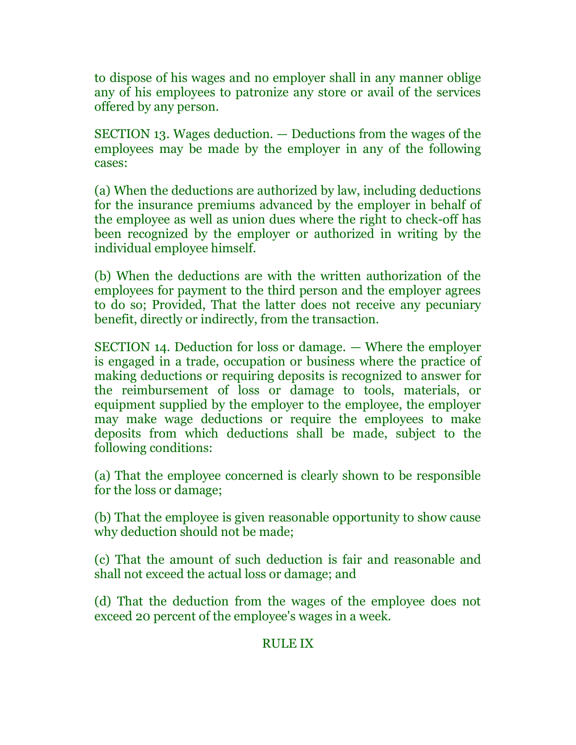to dispose of his wages and no employer shall in any manner oblige any of his employees to patronize any store or avail of the services offered by any person.

SECTION 13. Wages deduction. — Deductions from the wages of the employees may be made by the employer in any of the following cases:

(a) When the deductions are authorized by law, including deductions for the insurance premiums advanced by the employer in behalf of the employee as well as union dues where the right to check-off has been recognized by the employer or authorized in writing by the individual employee himself.

(b) When the deductions are with the written authorization of the employees for payment to the third person and the employer agrees to do so; Provided, That the latter does not receive any pecuniary benefit, directly or indirectly, from the transaction.

SECTION 14. Deduction for loss or damage. — Where the employer is engaged in a trade, occupation or business where the practice of making deductions or requiring deposits is recognized to answer for the reimbursement of loss or damage to tools, materials, or equipment supplied by the employer to the employee, the employer may make wage deductions or require the employees to make deposits from which deductions shall be made, subject to the following conditions:

(a) That the employee concerned is clearly shown to be responsible for the loss or damage;

(b) That the employee is given reasonable opportunity to show cause why deduction should not be made;

(c) That the amount of such deduction is fair and reasonable and shall not exceed the actual loss or damage; and

(d) That the deduction from the wages of the employee does not exceed 20 percent of the employee's wages in a week.

### RULE IX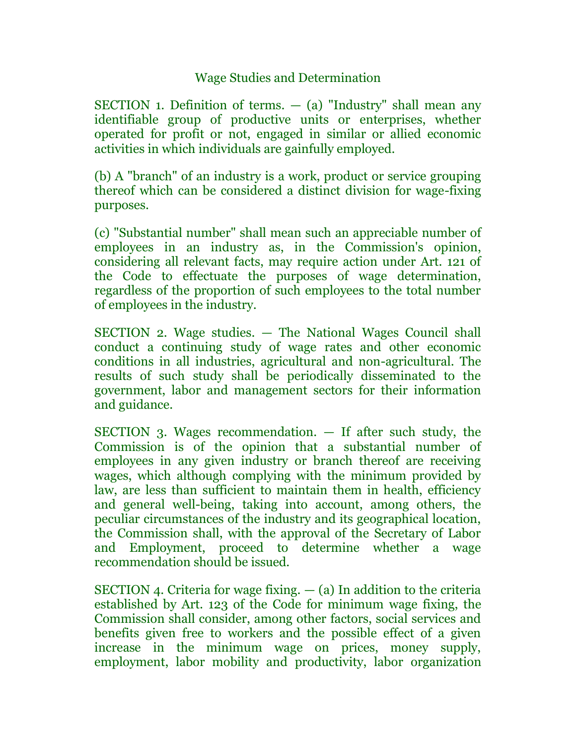# Wage Studies and Determination

SECTION 1. Definition of terms.  $-$  (a) "Industry" shall mean any identifiable group of productive units or enterprises, whether operated for profit or not, engaged in similar or allied economic activities in which individuals are gainfully employed.

(b) A "branch" of an industry is a work, product or service grouping thereof which can be considered a distinct division for wage-fixing purposes.

(c) "Substantial number" shall mean such an appreciable number of employees in an industry as, in the Commission's opinion, considering all relevant facts, may require action under Art. 121 of the Code to effectuate the purposes of wage determination, regardless of the proportion of such employees to the total number of employees in the industry.

SECTION 2. Wage studies. — The National Wages Council shall conduct a continuing study of wage rates and other economic conditions in all industries, agricultural and non-agricultural. The results of such study shall be periodically disseminated to the government, labor and management sectors for their information and guidance.

SECTION 3. Wages recommendation. — If after such study, the Commission is of the opinion that a substantial number of employees in any given industry or branch thereof are receiving wages, which although complying with the minimum provided by law, are less than sufficient to maintain them in health, efficiency and general well-being, taking into account, among others, the peculiar circumstances of the industry and its geographical location, the Commission shall, with the approval of the Secretary of Labor and Employment, proceed to determine whether a wage recommendation should be issued.

SECTION 4. Criteria for wage fixing.  $-$  (a) In addition to the criteria established by Art. 123 of the Code for minimum wage fixing, the Commission shall consider, among other factors, social services and benefits given free to workers and the possible effect of a given increase in the minimum wage on prices, money supply, employment, labor mobility and productivity, labor organization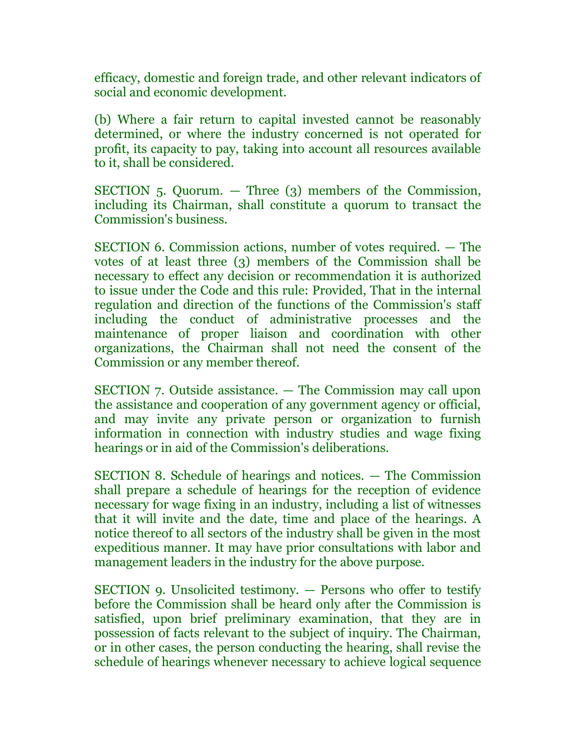efficacy, domestic and foreign trade, and other relevant indicators of social and economic development.

(b) Where a fair return to capital invested cannot be reasonably determined, or where the industry concerned is not operated for profit, its capacity to pay, taking into account all resources available to it, shall be considered.

SECTION 5. Quorum. — Three (3) members of the Commission, including its Chairman, shall constitute a quorum to transact the Commission's business.

SECTION 6. Commission actions, number of votes required. — The votes of at least three (3) members of the Commission shall be necessary to effect any decision or recommendation it is authorized to issue under the Code and this rule: Provided, That in the internal regulation and direction of the functions of the Commission's staff including the conduct of administrative processes and the maintenance of proper liaison and coordination with other organizations, the Chairman shall not need the consent of the Commission or any member thereof.

SECTION 7. Outside assistance. — The Commission may call upon the assistance and cooperation of any government agency or official, and may invite any private person or organization to furnish information in connection with industry studies and wage fixing hearings or in aid of the Commission's deliberations.

SECTION 8. Schedule of hearings and notices. — The Commission shall prepare a schedule of hearings for the reception of evidence necessary for wage fixing in an industry, including a list of witnesses that it will invite and the date, time and place of the hearings. A notice thereof to all sectors of the industry shall be given in the most expeditious manner. It may have prior consultations with labor and management leaders in the industry for the above purpose.

SECTION 9. Unsolicited testimony. — Persons who offer to testify before the Commission shall be heard only after the Commission is satisfied, upon brief preliminary examination, that they are in possession of facts relevant to the subject of inquiry. The Chairman, or in other cases, the person conducting the hearing, shall revise the schedule of hearings whenever necessary to achieve logical sequence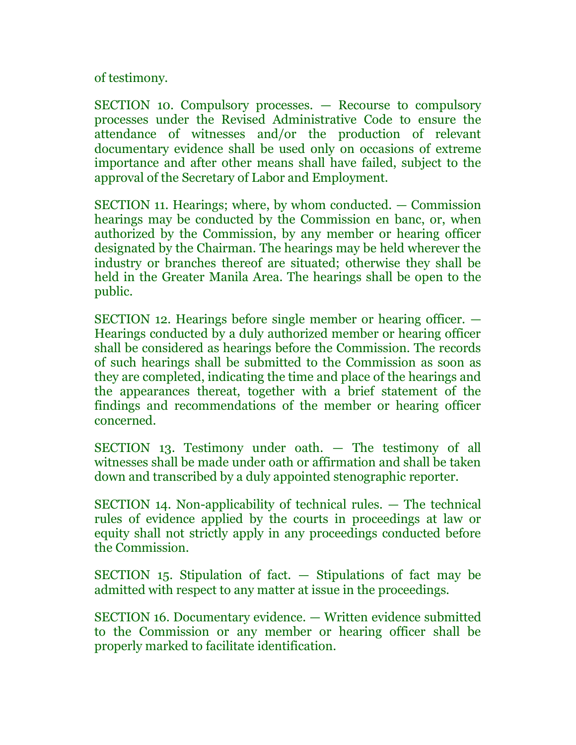of testimony.

SECTION 10. Compulsory processes. — Recourse to compulsory processes under the Revised Administrative Code to ensure the attendance of witnesses and/or the production of relevant documentary evidence shall be used only on occasions of extreme importance and after other means shall have failed, subject to the approval of the Secretary of Labor and Employment.

SECTION 11. Hearings; where, by whom conducted. — Commission hearings may be conducted by the Commission en banc, or, when authorized by the Commission, by any member or hearing officer designated by the Chairman. The hearings may be held wherever the industry or branches thereof are situated; otherwise they shall be held in the Greater Manila Area. The hearings shall be open to the public.

SECTION 12. Hearings before single member or hearing officer. — Hearings conducted by a duly authorized member or hearing officer shall be considered as hearings before the Commission. The records of such hearings shall be submitted to the Commission as soon as they are completed, indicating the time and place of the hearings and the appearances thereat, together with a brief statement of the findings and recommendations of the member or hearing officer concerned.

SECTION 13. Testimony under oath. — The testimony of all witnesses shall be made under oath or affirmation and shall be taken down and transcribed by a duly appointed stenographic reporter.

SECTION 14. Non-applicability of technical rules. — The technical rules of evidence applied by the courts in proceedings at law or equity shall not strictly apply in any proceedings conducted before the Commission.

SECTION 15. Stipulation of fact. — Stipulations of fact may be admitted with respect to any matter at issue in the proceedings.

SECTION 16. Documentary evidence. — Written evidence submitted to the Commission or any member or hearing officer shall be properly marked to facilitate identification.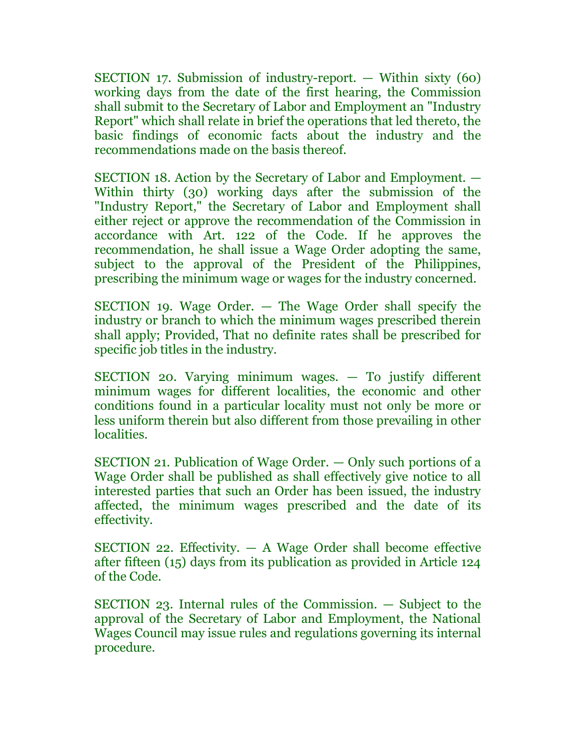SECTION 17. Submission of industry-report. — Within sixty (60) working days from the date of the first hearing, the Commission shall submit to the Secretary of Labor and Employment an "Industry Report" which shall relate in brief the operations that led thereto, the basic findings of economic facts about the industry and the recommendations made on the basis thereof.

SECTION 18. Action by the Secretary of Labor and Employment. — Within thirty (30) working days after the submission of the "Industry Report," the Secretary of Labor and Employment shall either reject or approve the recommendation of the Commission in accordance with Art. 122 of the Code. If he approves the recommendation, he shall issue a Wage Order adopting the same, subject to the approval of the President of the Philippines, prescribing the minimum wage or wages for the industry concerned.

SECTION 19. Wage Order. — The Wage Order shall specify the industry or branch to which the minimum wages prescribed therein shall apply; Provided, That no definite rates shall be prescribed for specific job titles in the industry.

SECTION 20. Varying minimum wages. — To justify different minimum wages for different localities, the economic and other conditions found in a particular locality must not only be more or less uniform therein but also different from those prevailing in other localities.

SECTION 21. Publication of Wage Order. — Only such portions of a Wage Order shall be published as shall effectively give notice to all interested parties that such an Order has been issued, the industry affected, the minimum wages prescribed and the date of its effectivity.

SECTION 22. Effectivity.  $- A$  Wage Order shall become effective after fifteen (15) days from its publication as provided in Article 124 of the Code.

SECTION 23. Internal rules of the Commission. — Subject to the approval of the Secretary of Labor and Employment, the National Wages Council may issue rules and regulations governing its internal procedure.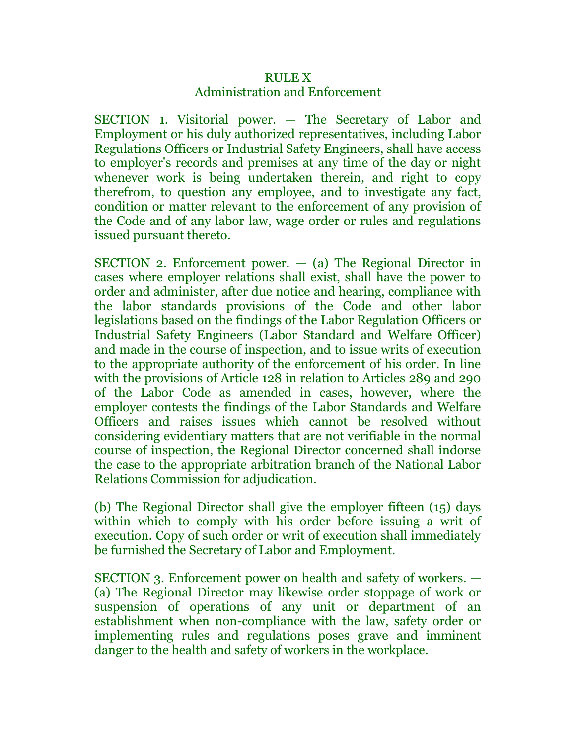# RULE X Administration and Enforcement

SECTION 1. Visitorial power. — The Secretary of Labor and Employment or his duly authorized representatives, including Labor Regulations Officers or Industrial Safety Engineers, shall have access to employer's records and premises at any time of the day or night whenever work is being undertaken therein, and right to copy therefrom, to question any employee, and to investigate any fact, condition or matter relevant to the enforcement of any provision of the Code and of any labor law, wage order or rules and regulations issued pursuant thereto.

SECTION 2. Enforcement power.  $-$  (a) The Regional Director in cases where employer relations shall exist, shall have the power to order and administer, after due notice and hearing, compliance with the labor standards provisions of the Code and other labor legislations based on the findings of the Labor Regulation Officers or Industrial Safety Engineers (Labor Standard and Welfare Officer) and made in the course of inspection, and to issue writs of execution to the appropriate authority of the enforcement of his order. In line with the provisions of Article 128 in relation to Articles 289 and 290 of the Labor Code as amended in cases, however, where the employer contests the findings of the Labor Standards and Welfare Officers and raises issues which cannot be resolved without considering evidentiary matters that are not verifiable in the normal course of inspection, the Regional Director concerned shall indorse the case to the appropriate arbitration branch of the National Labor Relations Commission for adjudication.

(b) The Regional Director shall give the employer fifteen (15) days within which to comply with his order before issuing a writ of execution. Copy of such order or writ of execution shall immediately be furnished the Secretary of Labor and Employment.

SECTION 3. Enforcement power on health and safety of workers. — (a) The Regional Director may likewise order stoppage of work or suspension of operations of any unit or department of an establishment when non-compliance with the law, safety order or implementing rules and regulations poses grave and imminent danger to the health and safety of workers in the workplace.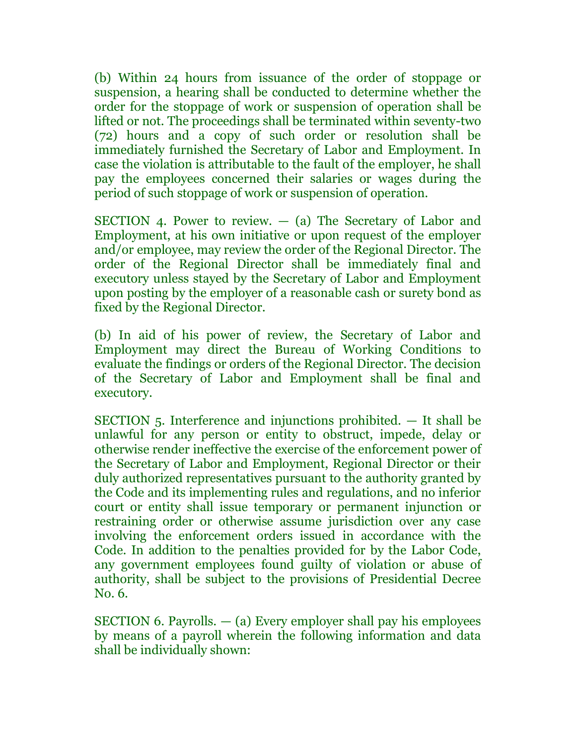(b) Within 24 hours from issuance of the order of stoppage or suspension, a hearing shall be conducted to determine whether the order for the stoppage of work or suspension of operation shall be lifted or not. The proceedings shall be terminated within seventy-two (72) hours and a copy of such order or resolution shall be immediately furnished the Secretary of Labor and Employment. In case the violation is attributable to the fault of the employer, he shall pay the employees concerned their salaries or wages during the period of such stoppage of work or suspension of operation.

SECTION 4. Power to review.  $-$  (a) The Secretary of Labor and Employment, at his own initiative or upon request of the employer and/or employee, may review the order of the Regional Director. The order of the Regional Director shall be immediately final and executory unless stayed by the Secretary of Labor and Employment upon posting by the employer of a reasonable cash or surety bond as fixed by the Regional Director.

(b) In aid of his power of review, the Secretary of Labor and Employment may direct the Bureau of Working Conditions to evaluate the findings or orders of the Regional Director. The decision of the Secretary of Labor and Employment shall be final and executory.

SECTION 5. Interference and injunctions prohibited. — It shall be unlawful for any person or entity to obstruct, impede, delay or otherwise render ineffective the exercise of the enforcement power of the Secretary of Labor and Employment, Regional Director or their duly authorized representatives pursuant to the authority granted by the Code and its implementing rules and regulations, and no inferior court or entity shall issue temporary or permanent injunction or restraining order or otherwise assume jurisdiction over any case involving the enforcement orders issued in accordance with the Code. In addition to the penalties provided for by the Labor Code, any government employees found guilty of violation or abuse of authority, shall be subject to the provisions of Presidential Decree No. 6.

SECTION 6. Payrolls.  $-$  (a) Every employer shall pay his employees by means of a payroll wherein the following information and data shall be individually shown: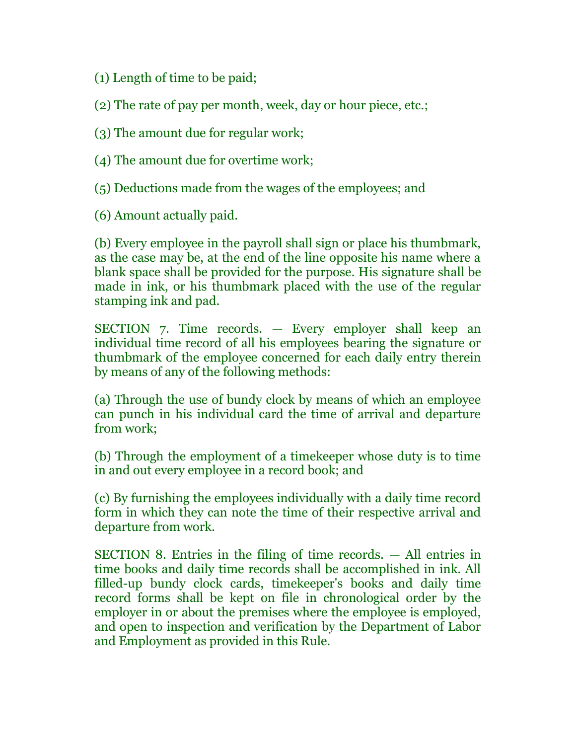(1) Length of time to be paid;

(2) The rate of pay per month, week, day or hour piece, etc.;

(3) The amount due for regular work;

(4) The amount due for overtime work;

(5) Deductions made from the wages of the employees; and

(6) Amount actually paid.

(b) Every employee in the payroll shall sign or place his thumbmark, as the case may be, at the end of the line opposite his name where a blank space shall be provided for the purpose. His signature shall be made in ink, or his thumbmark placed with the use of the regular stamping ink and pad.

SECTION 7. Time records. — Every employer shall keep an individual time record of all his employees bearing the signature or thumbmark of the employee concerned for each daily entry therein by means of any of the following methods:

(a) Through the use of bundy clock by means of which an employee can punch in his individual card the time of arrival and departure from work;

(b) Through the employment of a timekeeper whose duty is to time in and out every employee in a record book; and

(c) By furnishing the employees individually with a daily time record form in which they can note the time of their respective arrival and departure from work.

SECTION 8. Entries in the filing of time records. — All entries in time books and daily time records shall be accomplished in ink. All filled-up bundy clock cards, timekeeper's books and daily time record forms shall be kept on file in chronological order by the employer in or about the premises where the employee is employed, and open to inspection and verification by the Department of Labor and Employment as provided in this Rule.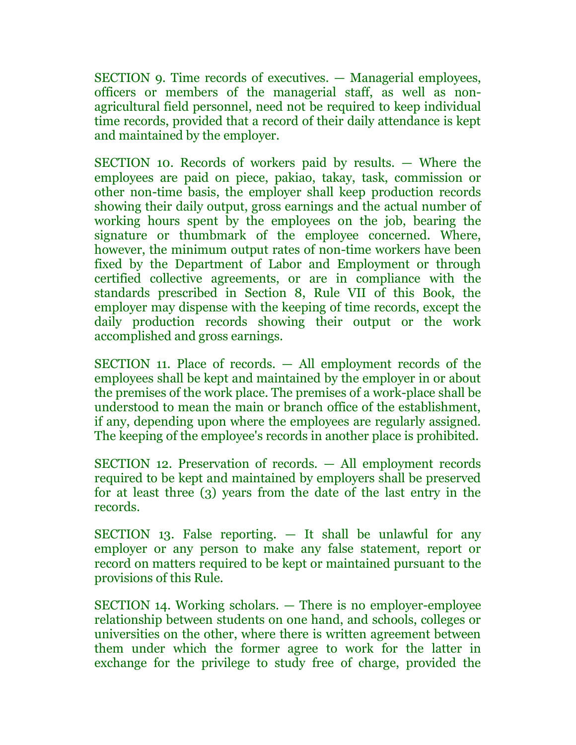SECTION 9. Time records of executives. — Managerial employees, officers or members of the managerial staff, as well as nonagricultural field personnel, need not be required to keep individual time records, provided that a record of their daily attendance is kept and maintained by the employer.

SECTION 10. Records of workers paid by results. — Where the employees are paid on piece, pakiao, takay, task, commission or other non-time basis, the employer shall keep production records showing their daily output, gross earnings and the actual number of working hours spent by the employees on the job, bearing the signature or thumbmark of the employee concerned. Where, however, the minimum output rates of non-time workers have been fixed by the Department of Labor and Employment or through certified collective agreements, or are in compliance with the standards prescribed in Section 8, Rule VII of this Book, the employer may dispense with the keeping of time records, except the daily production records showing their output or the work accomplished and gross earnings.

SECTION 11. Place of records. — All employment records of the employees shall be kept and maintained by the employer in or about the premises of the work place. The premises of a work-place shall be understood to mean the main or branch office of the establishment, if any, depending upon where the employees are regularly assigned. The keeping of the employee's records in another place is prohibited.

SECTION 12. Preservation of records. — All employment records required to be kept and maintained by employers shall be preserved for at least three (3) years from the date of the last entry in the records.

SECTION 13. False reporting. — It shall be unlawful for any employer or any person to make any false statement, report or record on matters required to be kept or maintained pursuant to the provisions of this Rule.

SECTION 14. Working scholars. — There is no employer-employee relationship between students on one hand, and schools, colleges or universities on the other, where there is written agreement between them under which the former agree to work for the latter in exchange for the privilege to study free of charge, provided the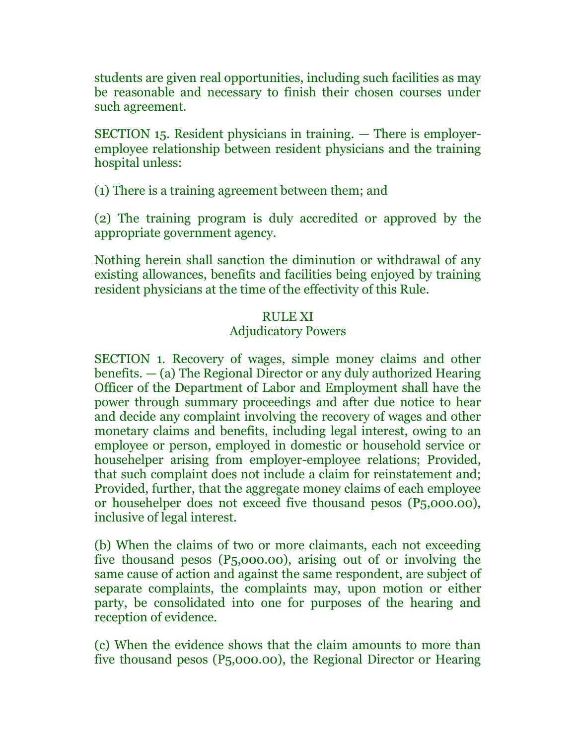students are given real opportunities, including such facilities as may be reasonable and necessary to finish their chosen courses under such agreement.

SECTION 15. Resident physicians in training. — There is employeremployee relationship between resident physicians and the training hospital unless:

(1) There is a training agreement between them; and

(2) The training program is duly accredited or approved by the appropriate government agency.

Nothing herein shall sanction the diminution or withdrawal of any existing allowances, benefits and facilities being enjoyed by training resident physicians at the time of the effectivity of this Rule.

### RULE XI

#### Adjudicatory Powers

SECTION 1. Recovery of wages, simple money claims and other benefits. — (a) The Regional Director or any duly authorized Hearing Officer of the Department of Labor and Employment shall have the power through summary proceedings and after due notice to hear and decide any complaint involving the recovery of wages and other monetary claims and benefits, including legal interest, owing to an employee or person, employed in domestic or household service or househelper arising from employer-employee relations; Provided, that such complaint does not include a claim for reinstatement and; Provided, further, that the aggregate money claims of each employee or househelper does not exceed five thousand pesos (P5,000.00), inclusive of legal interest.

(b) When the claims of two or more claimants, each not exceeding five thousand pesos (P5,000.00), arising out of or involving the same cause of action and against the same respondent, are subject of separate complaints, the complaints may, upon motion or either party, be consolidated into one for purposes of the hearing and reception of evidence.

(c) When the evidence shows that the claim amounts to more than five thousand pesos (P5,000.00), the Regional Director or Hearing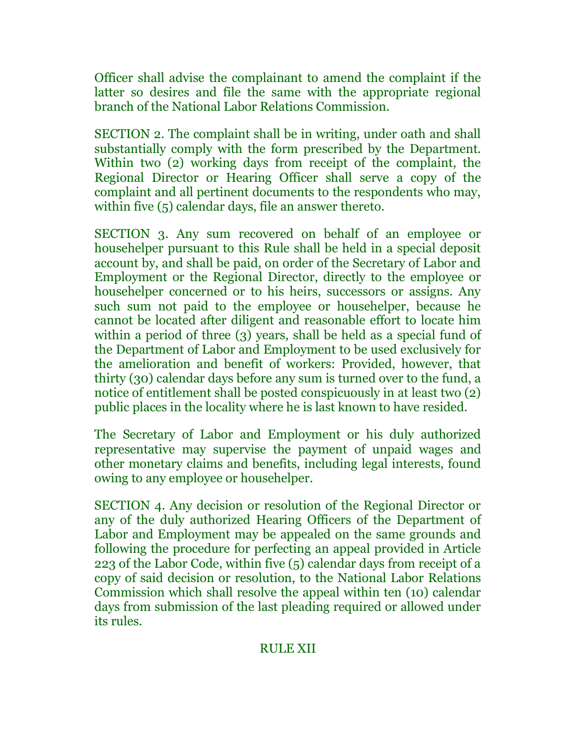Officer shall advise the complainant to amend the complaint if the latter so desires and file the same with the appropriate regional branch of the National Labor Relations Commission.

SECTION 2. The complaint shall be in writing, under oath and shall substantially comply with the form prescribed by the Department. Within two (2) working days from receipt of the complaint, the Regional Director or Hearing Officer shall serve a copy of the complaint and all pertinent documents to the respondents who may, within five (5) calendar days, file an answer thereto.

SECTION 3. Any sum recovered on behalf of an employee or househelper pursuant to this Rule shall be held in a special deposit account by, and shall be paid, on order of the Secretary of Labor and Employment or the Regional Director, directly to the employee or househelper concerned or to his heirs, successors or assigns. Any such sum not paid to the employee or househelper, because he cannot be located after diligent and reasonable effort to locate him within a period of three (3) years, shall be held as a special fund of the Department of Labor and Employment to be used exclusively for the amelioration and benefit of workers: Provided, however, that thirty (30) calendar days before any sum is turned over to the fund, a notice of entitlement shall be posted conspicuously in at least two (2) public places in the locality where he is last known to have resided.

The Secretary of Labor and Employment or his duly authorized representative may supervise the payment of unpaid wages and other monetary claims and benefits, including legal interests, found owing to any employee or househelper.

SECTION 4. Any decision or resolution of the Regional Director or any of the duly authorized Hearing Officers of the Department of Labor and Employment may be appealed on the same grounds and following the procedure for perfecting an appeal provided in Article 223 of the Labor Code, within five (5) calendar days from receipt of a copy of said decision or resolution, to the National Labor Relations Commission which shall resolve the appeal within ten (10) calendar days from submission of the last pleading required or allowed under its rules.

### RULE XII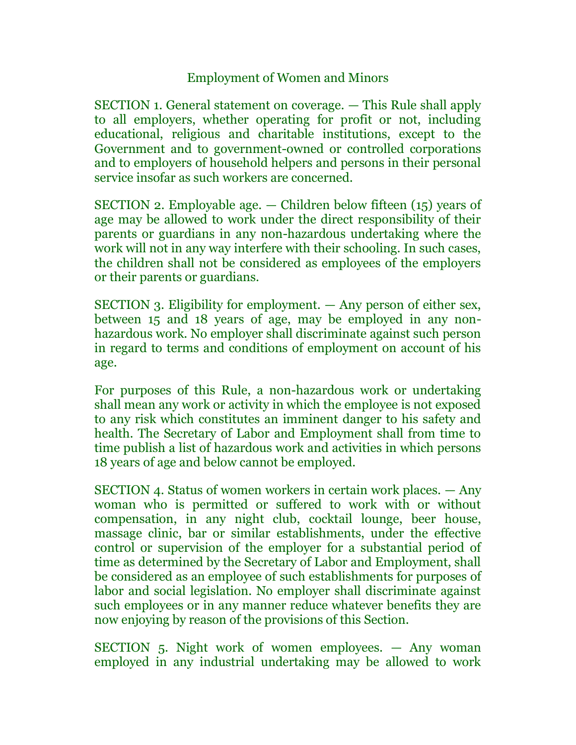# Employment of Women and Minors

SECTION 1. General statement on coverage. — This Rule shall apply to all employers, whether operating for profit or not, including educational, religious and charitable institutions, except to the Government and to government-owned or controlled corporations and to employers of household helpers and persons in their personal service insofar as such workers are concerned.

SECTION 2. Employable age. — Children below fifteen (15) years of age may be allowed to work under the direct responsibility of their parents or guardians in any non-hazardous undertaking where the work will not in any way interfere with their schooling. In such cases, the children shall not be considered as employees of the employers or their parents or guardians.

SECTION 3. Eligibility for employment. — Any person of either sex, between 15 and 18 years of age, may be employed in any nonhazardous work. No employer shall discriminate against such person in regard to terms and conditions of employment on account of his age.

For purposes of this Rule, a non-hazardous work or undertaking shall mean any work or activity in which the employee is not exposed to any risk which constitutes an imminent danger to his safety and health. The Secretary of Labor and Employment shall from time to time publish a list of hazardous work and activities in which persons 18 years of age and below cannot be employed.

SECTION 4. Status of women workers in certain work places. — Any woman who is permitted or suffered to work with or without compensation, in any night club, cocktail lounge, beer house, massage clinic, bar or similar establishments, under the effective control or supervision of the employer for a substantial period of time as determined by the Secretary of Labor and Employment, shall be considered as an employee of such establishments for purposes of labor and social legislation. No employer shall discriminate against such employees or in any manner reduce whatever benefits they are now enjoying by reason of the provisions of this Section.

SECTION 5. Night work of women employees. — Any woman employed in any industrial undertaking may be allowed to work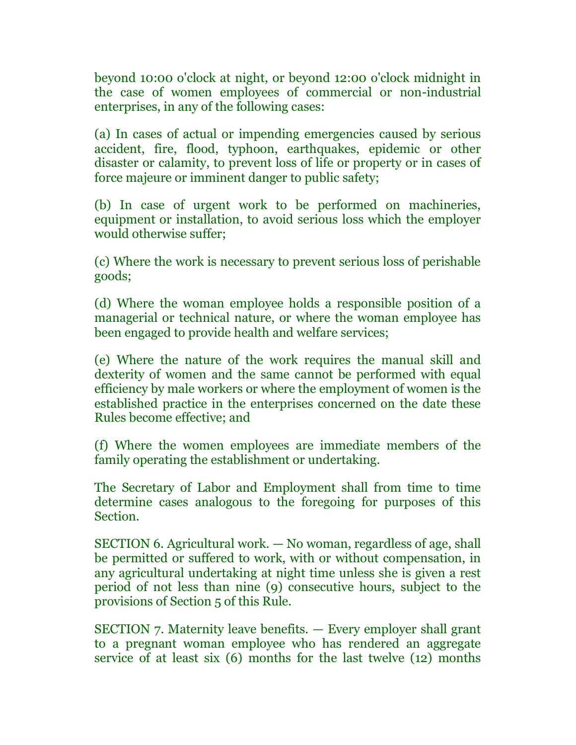beyond 10:00 o'clock at night, or beyond 12:00 o'clock midnight in the case of women employees of commercial or non-industrial enterprises, in any of the following cases:

(a) In cases of actual or impending emergencies caused by serious accident, fire, flood, typhoon, earthquakes, epidemic or other disaster or calamity, to prevent loss of life or property or in cases of force majeure or imminent danger to public safety;

(b) In case of urgent work to be performed on machineries, equipment or installation, to avoid serious loss which the employer would otherwise suffer;

(c) Where the work is necessary to prevent serious loss of perishable goods;

(d) Where the woman employee holds a responsible position of a managerial or technical nature, or where the woman employee has been engaged to provide health and welfare services;

(e) Where the nature of the work requires the manual skill and dexterity of women and the same cannot be performed with equal efficiency by male workers or where the employment of women is the established practice in the enterprises concerned on the date these Rules become effective; and

(f) Where the women employees are immediate members of the family operating the establishment or undertaking.

The Secretary of Labor and Employment shall from time to time determine cases analogous to the foregoing for purposes of this Section.

SECTION 6. Agricultural work. — No woman, regardless of age, shall be permitted or suffered to work, with or without compensation, in any agricultural undertaking at night time unless she is given a rest period of not less than nine (9) consecutive hours, subject to the provisions of Section 5 of this Rule.

SECTION 7. Maternity leave benefits. — Every employer shall grant to a pregnant woman employee who has rendered an aggregate service of at least six (6) months for the last twelve (12) months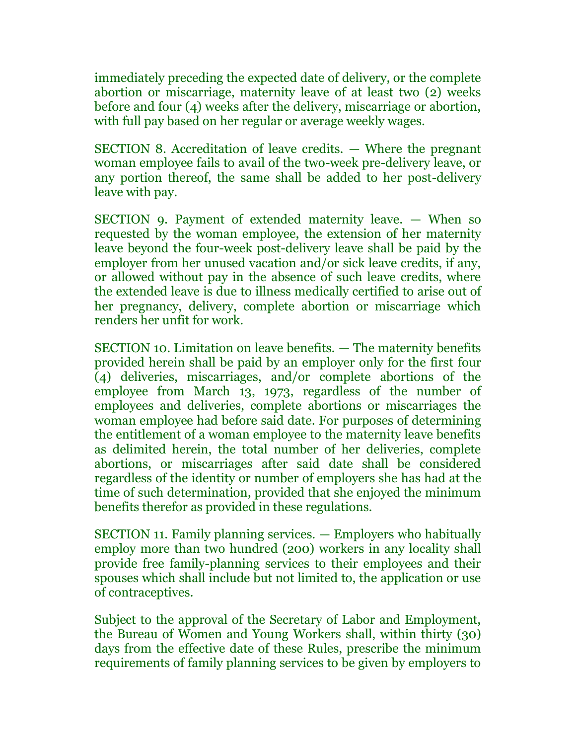immediately preceding the expected date of delivery, or the complete abortion or miscarriage, maternity leave of at least two (2) weeks before and four (4) weeks after the delivery, miscarriage or abortion, with full pay based on her regular or average weekly wages.

SECTION 8. Accreditation of leave credits. — Where the pregnant woman employee fails to avail of the two-week pre-delivery leave, or any portion thereof, the same shall be added to her post-delivery leave with pay.

SECTION 9. Payment of extended maternity leave. — When so requested by the woman employee, the extension of her maternity leave beyond the four-week post-delivery leave shall be paid by the employer from her unused vacation and/or sick leave credits, if any, or allowed without pay in the absence of such leave credits, where the extended leave is due to illness medically certified to arise out of her pregnancy, delivery, complete abortion or miscarriage which renders her unfit for work.

SECTION 10. Limitation on leave benefits. — The maternity benefits provided herein shall be paid by an employer only for the first four (4) deliveries, miscarriages, and/or complete abortions of the employee from March 13, 1973, regardless of the number of employees and deliveries, complete abortions or miscarriages the woman employee had before said date. For purposes of determining the entitlement of a woman employee to the maternity leave benefits as delimited herein, the total number of her deliveries, complete abortions, or miscarriages after said date shall be considered regardless of the identity or number of employers she has had at the time of such determination, provided that she enjoyed the minimum benefits therefor as provided in these regulations.

SECTION 11. Family planning services. — Employers who habitually employ more than two hundred (200) workers in any locality shall provide free family-planning services to their employees and their spouses which shall include but not limited to, the application or use of contraceptives.

Subject to the approval of the Secretary of Labor and Employment, the Bureau of Women and Young Workers shall, within thirty (30) days from the effective date of these Rules, prescribe the minimum requirements of family planning services to be given by employers to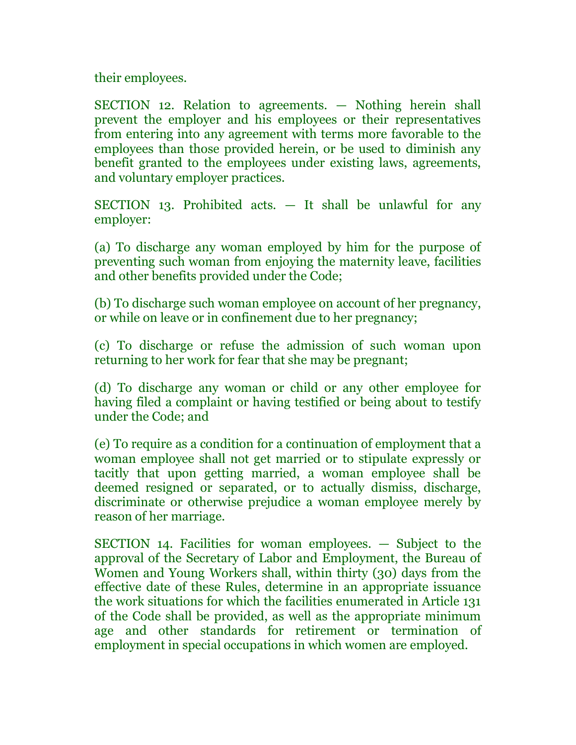their employees.

SECTION 12. Relation to agreements. — Nothing herein shall prevent the employer and his employees or their representatives from entering into any agreement with terms more favorable to the employees than those provided herein, or be used to diminish any benefit granted to the employees under existing laws, agreements, and voluntary employer practices.

SECTION 13. Prohibited acts. — It shall be unlawful for any employer:

(a) To discharge any woman employed by him for the purpose of preventing such woman from enjoying the maternity leave, facilities and other benefits provided under the Code;

(b) To discharge such woman employee on account of her pregnancy, or while on leave or in confinement due to her pregnancy;

(c) To discharge or refuse the admission of such woman upon returning to her work for fear that she may be pregnant;

(d) To discharge any woman or child or any other employee for having filed a complaint or having testified or being about to testify under the Code; and

(e) To require as a condition for a continuation of employment that a woman employee shall not get married or to stipulate expressly or tacitly that upon getting married, a woman employee shall be deemed resigned or separated, or to actually dismiss, discharge, discriminate or otherwise prejudice a woman employee merely by reason of her marriage.

SECTION 14. Facilities for woman employees. — Subject to the approval of the Secretary of Labor and Employment, the Bureau of Women and Young Workers shall, within thirty (30) days from the effective date of these Rules, determine in an appropriate issuance the work situations for which the facilities enumerated in Article 131 of the Code shall be provided, as well as the appropriate minimum age and other standards for retirement or termination of employment in special occupations in which women are employed.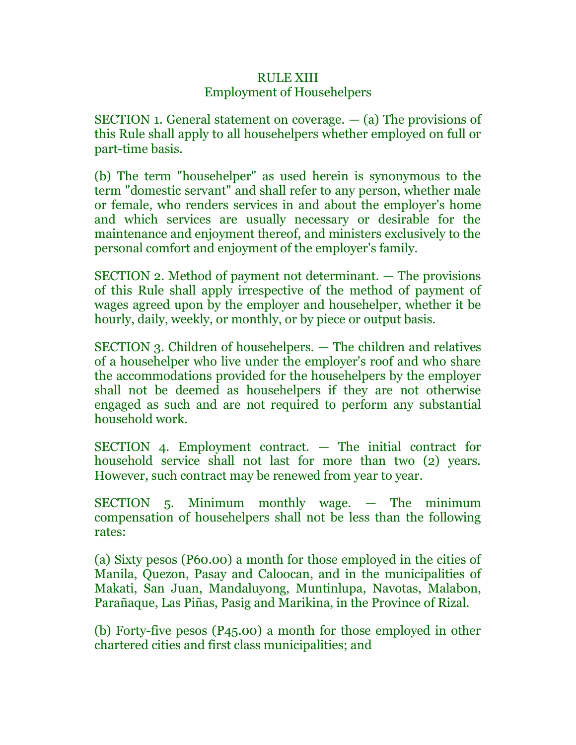# RULE XIII Employment of Househelpers

SECTION 1. General statement on coverage. — (a) The provisions of this Rule shall apply to all househelpers whether employed on full or part-time basis.

(b) The term "househelper" as used herein is synonymous to the term "domestic servant" and shall refer to any person, whether male or female, who renders services in and about the employer's home and which services are usually necessary or desirable for the maintenance and enjoyment thereof, and ministers exclusively to the personal comfort and enjoyment of the employer's family.

SECTION 2. Method of payment not determinant. — The provisions of this Rule shall apply irrespective of the method of payment of wages agreed upon by the employer and househelper, whether it be hourly, daily, weekly, or monthly, or by piece or output basis.

SECTION 3. Children of househelpers. — The children and relatives of a househelper who live under the employer's roof and who share the accommodations provided for the househelpers by the employer shall not be deemed as househelpers if they are not otherwise engaged as such and are not required to perform any substantial household work.

SECTION 4. Employment contract. — The initial contract for household service shall not last for more than two (2) years. However, such contract may be renewed from year to year.

SECTION 5. Minimum monthly wage. — The minimum compensation of househelpers shall not be less than the following rates:

(a) Sixty pesos (P60.00) a month for those employed in the cities of Manila, Quezon, Pasay and Caloocan, and in the municipalities of Makati, San Juan, Mandaluyong, Muntinlupa, Navotas, Malabon, Parañaque, Las Piñas, Pasig and Marikina, in the Province of Rizal.

(b) Forty-five pesos (P45.00) a month for those employed in other chartered cities and first class municipalities; and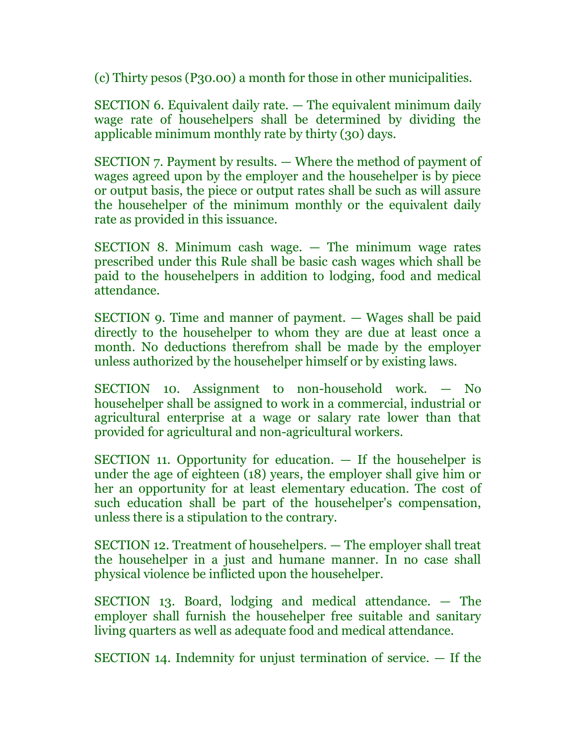(c) Thirty pesos (P30.00) a month for those in other municipalities.

SECTION 6. Equivalent daily rate. — The equivalent minimum daily wage rate of househelpers shall be determined by dividing the applicable minimum monthly rate by thirty (30) days.

SECTION 7. Payment by results. — Where the method of payment of wages agreed upon by the employer and the househelper is by piece or output basis, the piece or output rates shall be such as will assure the househelper of the minimum monthly or the equivalent daily rate as provided in this issuance.

SECTION 8. Minimum cash wage. — The minimum wage rates prescribed under this Rule shall be basic cash wages which shall be paid to the househelpers in addition to lodging, food and medical attendance.

SECTION 9. Time and manner of payment. — Wages shall be paid directly to the househelper to whom they are due at least once a month. No deductions therefrom shall be made by the employer unless authorized by the househelper himself or by existing laws.

SECTION 10. Assignment to non-household work. — No househelper shall be assigned to work in a commercial, industrial or agricultural enterprise at a wage or salary rate lower than that provided for agricultural and non-agricultural workers.

SECTION 11. Opportunity for education. — If the househelper is under the age of eighteen (18) years, the employer shall give him or her an opportunity for at least elementary education. The cost of such education shall be part of the househelper's compensation, unless there is a stipulation to the contrary.

SECTION 12. Treatment of househelpers. — The employer shall treat the househelper in a just and humane manner. In no case shall physical violence be inflicted upon the househelper.

SECTION 13. Board, lodging and medical attendance. — The employer shall furnish the househelper free suitable and sanitary living quarters as well as adequate food and medical attendance.

SECTION 14. Indemnity for unjust termination of service. — If the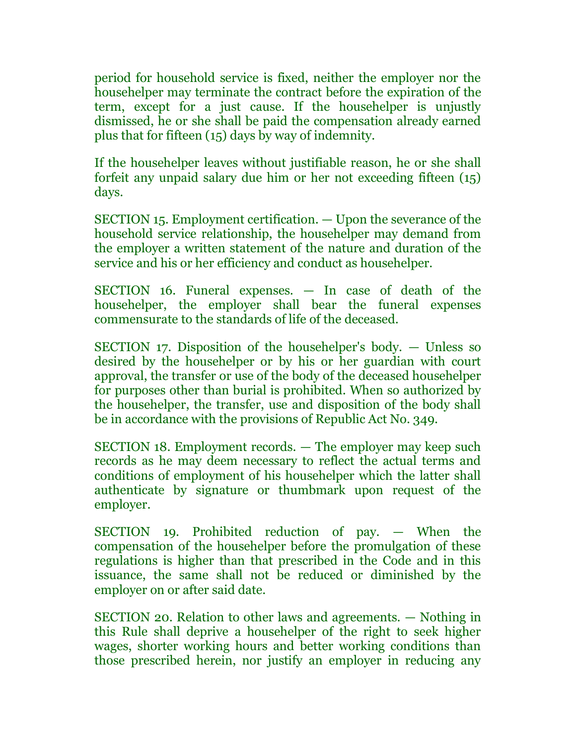period for household service is fixed, neither the employer nor the househelper may terminate the contract before the expiration of the term, except for a just cause. If the househelper is unjustly dismissed, he or she shall be paid the compensation already earned plus that for fifteen (15) days by way of indemnity.

If the househelper leaves without justifiable reason, he or she shall forfeit any unpaid salary due him or her not exceeding fifteen (15) days.

SECTION 15. Employment certification. — Upon the severance of the household service relationship, the househelper may demand from the employer a written statement of the nature and duration of the service and his or her efficiency and conduct as househelper.

SECTION 16. Funeral expenses. — In case of death of the househelper, the employer shall bear the funeral expenses commensurate to the standards of life of the deceased.

SECTION 17. Disposition of the househelper's body. — Unless so desired by the househelper or by his or her guardian with court approval, the transfer or use of the body of the deceased househelper for purposes other than burial is prohibited. When so authorized by the househelper, the transfer, use and disposition of the body shall be in accordance with the provisions of Republic Act No. 349.

SECTION 18. Employment records. — The employer may keep such records as he may deem necessary to reflect the actual terms and conditions of employment of his househelper which the latter shall authenticate by signature or thumbmark upon request of the employer.

SECTION 19. Prohibited reduction of pay. — When the compensation of the househelper before the promulgation of these regulations is higher than that prescribed in the Code and in this issuance, the same shall not be reduced or diminished by the employer on or after said date.

SECTION 20. Relation to other laws and agreements. — Nothing in this Rule shall deprive a househelper of the right to seek higher wages, shorter working hours and better working conditions than those prescribed herein, nor justify an employer in reducing any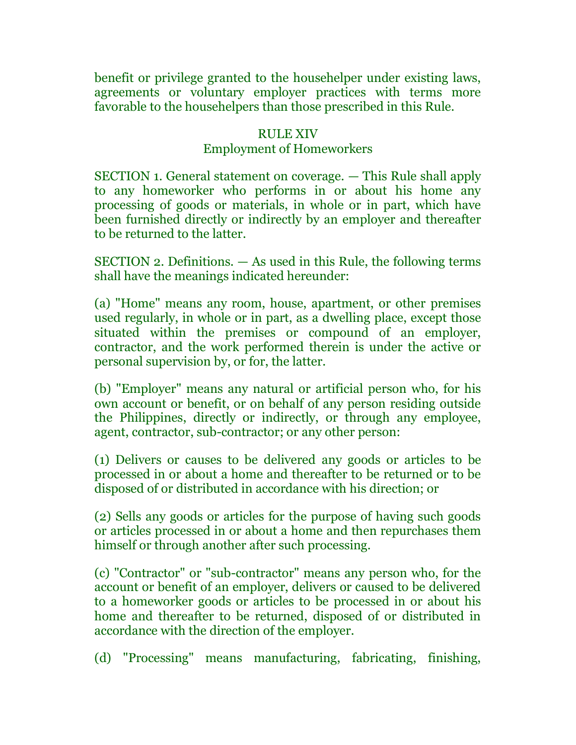benefit or privilege granted to the househelper under existing laws, agreements or voluntary employer practices with terms more favorable to the househelpers than those prescribed in this Rule.

# RULE XIV Employment of Homeworkers

SECTION 1. General statement on coverage. — This Rule shall apply to any homeworker who performs in or about his home any processing of goods or materials, in whole or in part, which have been furnished directly or indirectly by an employer and thereafter to be returned to the latter.

SECTION 2. Definitions. — As used in this Rule, the following terms shall have the meanings indicated hereunder:

(a) "Home" means any room, house, apartment, or other premises used regularly, in whole or in part, as a dwelling place, except those situated within the premises or compound of an employer, contractor, and the work performed therein is under the active or personal supervision by, or for, the latter.

(b) "Employer" means any natural or artificial person who, for his own account or benefit, or on behalf of any person residing outside the Philippines, directly or indirectly, or through any employee, agent, contractor, sub-contractor; or any other person:

(1) Delivers or causes to be delivered any goods or articles to be processed in or about a home and thereafter to be returned or to be disposed of or distributed in accordance with his direction; or

(2) Sells any goods or articles for the purpose of having such goods or articles processed in or about a home and then repurchases them himself or through another after such processing.

(c) "Contractor" or "sub-contractor" means any person who, for the account or benefit of an employer, delivers or caused to be delivered to a homeworker goods or articles to be processed in or about his home and thereafter to be returned, disposed of or distributed in accordance with the direction of the employer.

(d) "Processing" means manufacturing, fabricating, finishing,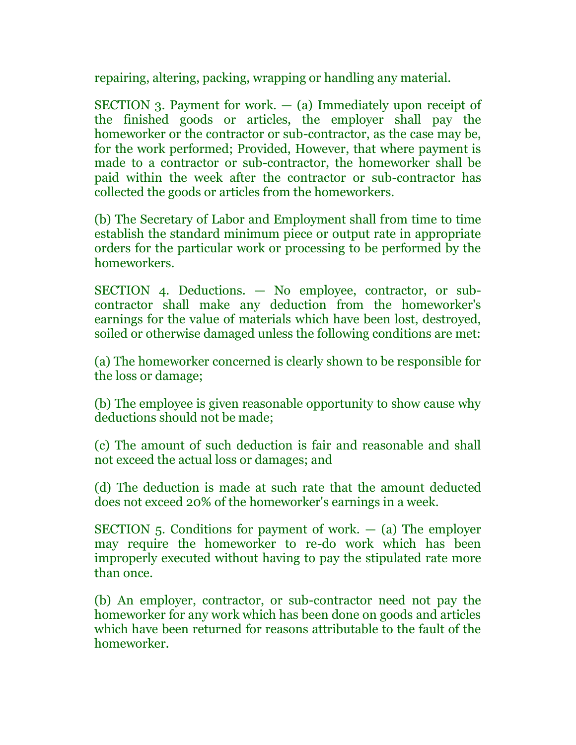repairing, altering, packing, wrapping or handling any material.

SECTION 3. Payment for work.  $-$  (a) Immediately upon receipt of the finished goods or articles, the employer shall pay the homeworker or the contractor or sub-contractor, as the case may be, for the work performed; Provided, However, that where payment is made to a contractor or sub-contractor, the homeworker shall be paid within the week after the contractor or sub-contractor has collected the goods or articles from the homeworkers.

(b) The Secretary of Labor and Employment shall from time to time establish the standard minimum piece or output rate in appropriate orders for the particular work or processing to be performed by the homeworkers.

SECTION 4. Deductions. — No employee, contractor, or subcontractor shall make any deduction from the homeworker's earnings for the value of materials which have been lost, destroyed, soiled or otherwise damaged unless the following conditions are met:

(a) The homeworker concerned is clearly shown to be responsible for the loss or damage;

(b) The employee is given reasonable opportunity to show cause why deductions should not be made;

(c) The amount of such deduction is fair and reasonable and shall not exceed the actual loss or damages; and

(d) The deduction is made at such rate that the amount deducted does not exceed 20% of the homeworker's earnings in a week.

SECTION 5. Conditions for payment of work.  $-$  (a) The employer may require the homeworker to re-do work which has been improperly executed without having to pay the stipulated rate more than once.

(b) An employer, contractor, or sub-contractor need not pay the homeworker for any work which has been done on goods and articles which have been returned for reasons attributable to the fault of the homeworker.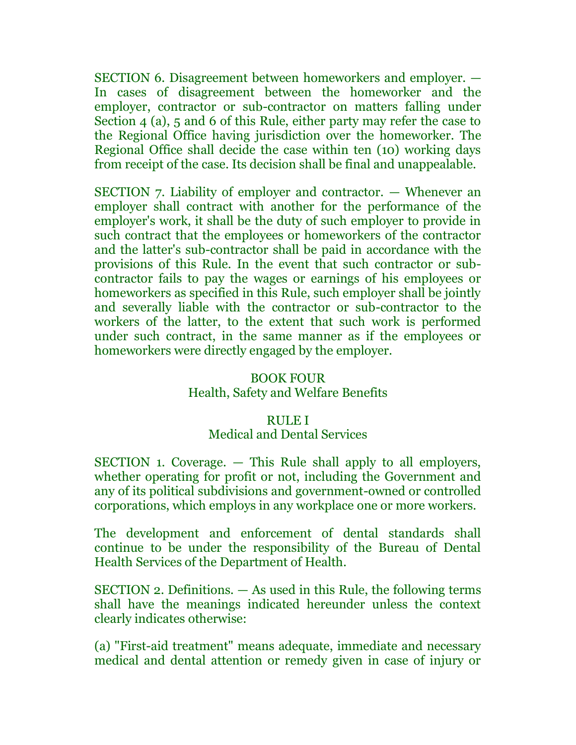SECTION 6. Disagreement between homeworkers and employer. — In cases of disagreement between the homeworker and the employer, contractor or sub-contractor on matters falling under Section 4 (a), 5 and 6 of this Rule, either party may refer the case to the Regional Office having jurisdiction over the homeworker. The Regional Office shall decide the case within ten (10) working days from receipt of the case. Its decision shall be final and unappealable.

SECTION 7. Liability of employer and contractor. — Whenever an employer shall contract with another for the performance of the employer's work, it shall be the duty of such employer to provide in such contract that the employees or homeworkers of the contractor and the latter's sub-contractor shall be paid in accordance with the provisions of this Rule. In the event that such contractor or subcontractor fails to pay the wages or earnings of his employees or homeworkers as specified in this Rule, such employer shall be jointly and severally liable with the contractor or sub-contractor to the workers of the latter, to the extent that such work is performed under such contract, in the same manner as if the employees or homeworkers were directly engaged by the employer.

#### BOOK FOUR

### Health, Safety and Welfare Benefits

#### RULE I

### Medical and Dental Services

SECTION 1. Coverage. — This Rule shall apply to all employers, whether operating for profit or not, including the Government and any of its political subdivisions and government-owned or controlled corporations, which employs in any workplace one or more workers.

The development and enforcement of dental standards shall continue to be under the responsibility of the Bureau of Dental Health Services of the Department of Health.

SECTION 2. Definitions. — As used in this Rule, the following terms shall have the meanings indicated hereunder unless the context clearly indicates otherwise:

(a) "First-aid treatment" means adequate, immediate and necessary medical and dental attention or remedy given in case of injury or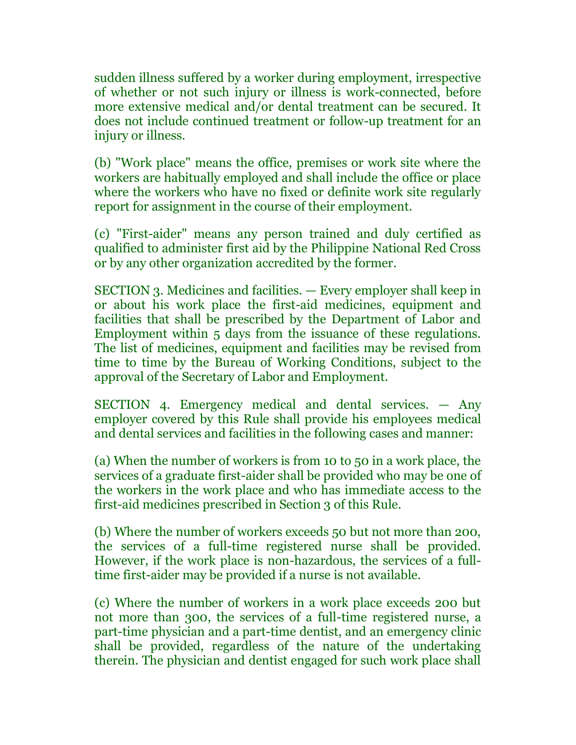sudden illness suffered by a worker during employment, irrespective of whether or not such injury or illness is work-connected, before more extensive medical and/or dental treatment can be secured. It does not include continued treatment or follow-up treatment for an injury or illness.

(b) "Work place" means the office, premises or work site where the workers are habitually employed and shall include the office or place where the workers who have no fixed or definite work site regularly report for assignment in the course of their employment.

(c) "First-aider" means any person trained and duly certified as qualified to administer first aid by the Philippine National Red Cross or by any other organization accredited by the former.

SECTION 3. Medicines and facilities. — Every employer shall keep in or about his work place the first-aid medicines, equipment and facilities that shall be prescribed by the Department of Labor and Employment within 5 days from the issuance of these regulations. The list of medicines, equipment and facilities may be revised from time to time by the Bureau of Working Conditions, subject to the approval of the Secretary of Labor and Employment.

SECTION 4. Emergency medical and dental services. — Any employer covered by this Rule shall provide his employees medical and dental services and facilities in the following cases and manner:

(a) When the number of workers is from 10 to 50 in a work place, the services of a graduate first-aider shall be provided who may be one of the workers in the work place and who has immediate access to the first-aid medicines prescribed in Section 3 of this Rule.

(b) Where the number of workers exceeds 50 but not more than 200, the services of a full-time registered nurse shall be provided. However, if the work place is non-hazardous, the services of a fulltime first-aider may be provided if a nurse is not available.

(c) Where the number of workers in a work place exceeds 200 but not more than 300, the services of a full-time registered nurse, a part-time physician and a part-time dentist, and an emergency clinic shall be provided, regardless of the nature of the undertaking therein. The physician and dentist engaged for such work place shall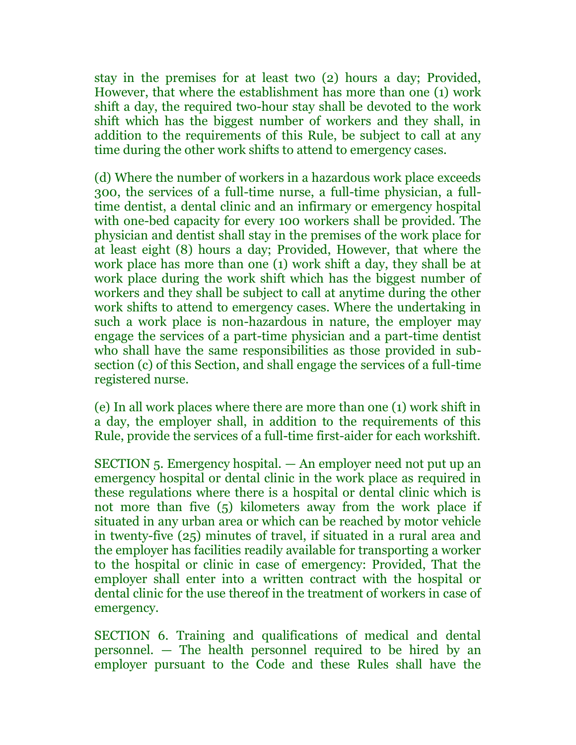stay in the premises for at least two (2) hours a day; Provided, However, that where the establishment has more than one (1) work shift a day, the required two-hour stay shall be devoted to the work shift which has the biggest number of workers and they shall, in addition to the requirements of this Rule, be subject to call at any time during the other work shifts to attend to emergency cases.

(d) Where the number of workers in a hazardous work place exceeds 300, the services of a full-time nurse, a full-time physician, a fulltime dentist, a dental clinic and an infirmary or emergency hospital with one-bed capacity for every 100 workers shall be provided. The physician and dentist shall stay in the premises of the work place for at least eight (8) hours a day; Provided, However, that where the work place has more than one (1) work shift a day, they shall be at work place during the work shift which has the biggest number of workers and they shall be subject to call at anytime during the other work shifts to attend to emergency cases. Where the undertaking in such a work place is non-hazardous in nature, the employer may engage the services of a part-time physician and a part-time dentist who shall have the same responsibilities as those provided in subsection (c) of this Section, and shall engage the services of a full-time registered nurse.

(e) In all work places where there are more than one (1) work shift in a day, the employer shall, in addition to the requirements of this Rule, provide the services of a full-time first-aider for each workshift.

SECTION 5. Emergency hospital. — An employer need not put up an emergency hospital or dental clinic in the work place as required in these regulations where there is a hospital or dental clinic which is not more than five (5) kilometers away from the work place if situated in any urban area or which can be reached by motor vehicle in twenty-five (25) minutes of travel, if situated in a rural area and the employer has facilities readily available for transporting a worker to the hospital or clinic in case of emergency: Provided, That the employer shall enter into a written contract with the hospital or dental clinic for the use thereof in the treatment of workers in case of emergency.

SECTION 6. Training and qualifications of medical and dental personnel. — The health personnel required to be hired by an employer pursuant to the Code and these Rules shall have the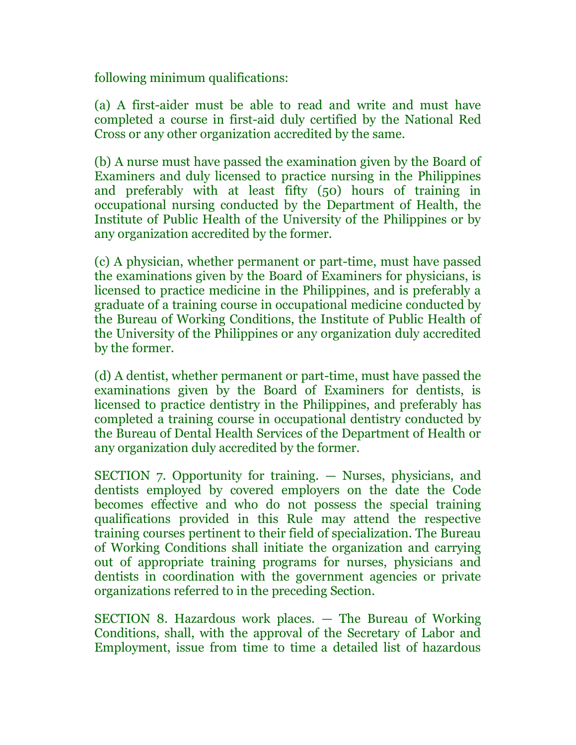following minimum qualifications:

(a) A first-aider must be able to read and write and must have completed a course in first-aid duly certified by the National Red Cross or any other organization accredited by the same.

(b) A nurse must have passed the examination given by the Board of Examiners and duly licensed to practice nursing in the Philippines and preferably with at least fifty (50) hours of training in occupational nursing conducted by the Department of Health, the Institute of Public Health of the University of the Philippines or by any organization accredited by the former.

(c) A physician, whether permanent or part-time, must have passed the examinations given by the Board of Examiners for physicians, is licensed to practice medicine in the Philippines, and is preferably a graduate of a training course in occupational medicine conducted by the Bureau of Working Conditions, the Institute of Public Health of the University of the Philippines or any organization duly accredited by the former.

(d) A dentist, whether permanent or part-time, must have passed the examinations given by the Board of Examiners for dentists, is licensed to practice dentistry in the Philippines, and preferably has completed a training course in occupational dentistry conducted by the Bureau of Dental Health Services of the Department of Health or any organization duly accredited by the former.

SECTION 7. Opportunity for training. — Nurses, physicians, and dentists employed by covered employers on the date the Code becomes effective and who do not possess the special training qualifications provided in this Rule may attend the respective training courses pertinent to their field of specialization. The Bureau of Working Conditions shall initiate the organization and carrying out of appropriate training programs for nurses, physicians and dentists in coordination with the government agencies or private organizations referred to in the preceding Section.

SECTION 8. Hazardous work places. — The Bureau of Working Conditions, shall, with the approval of the Secretary of Labor and Employment, issue from time to time a detailed list of hazardous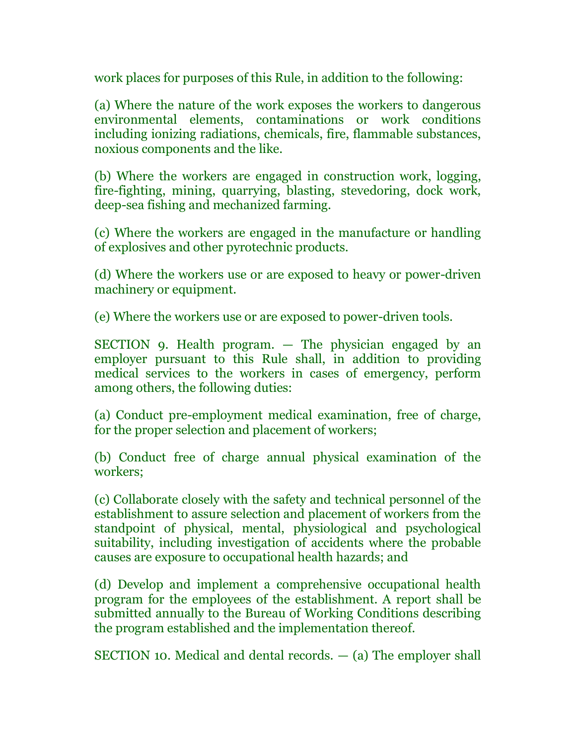work places for purposes of this Rule, in addition to the following:

(a) Where the nature of the work exposes the workers to dangerous environmental elements, contaminations or work conditions including ionizing radiations, chemicals, fire, flammable substances, noxious components and the like.

(b) Where the workers are engaged in construction work, logging, fire-fighting, mining, quarrying, blasting, stevedoring, dock work, deep-sea fishing and mechanized farming.

(c) Where the workers are engaged in the manufacture or handling of explosives and other pyrotechnic products.

(d) Where the workers use or are exposed to heavy or power-driven machinery or equipment.

(e) Where the workers use or are exposed to power-driven tools.

SECTION 9. Health program. — The physician engaged by an employer pursuant to this Rule shall, in addition to providing medical services to the workers in cases of emergency, perform among others, the following duties:

(a) Conduct pre-employment medical examination, free of charge, for the proper selection and placement of workers;

(b) Conduct free of charge annual physical examination of the workers;

(c) Collaborate closely with the safety and technical personnel of the establishment to assure selection and placement of workers from the standpoint of physical, mental, physiological and psychological suitability, including investigation of accidents where the probable causes are exposure to occupational health hazards; and

(d) Develop and implement a comprehensive occupational health program for the employees of the establishment. A report shall be submitted annually to the Bureau of Working Conditions describing the program established and the implementation thereof.

SECTION 10. Medical and dental records. — (a) The employer shall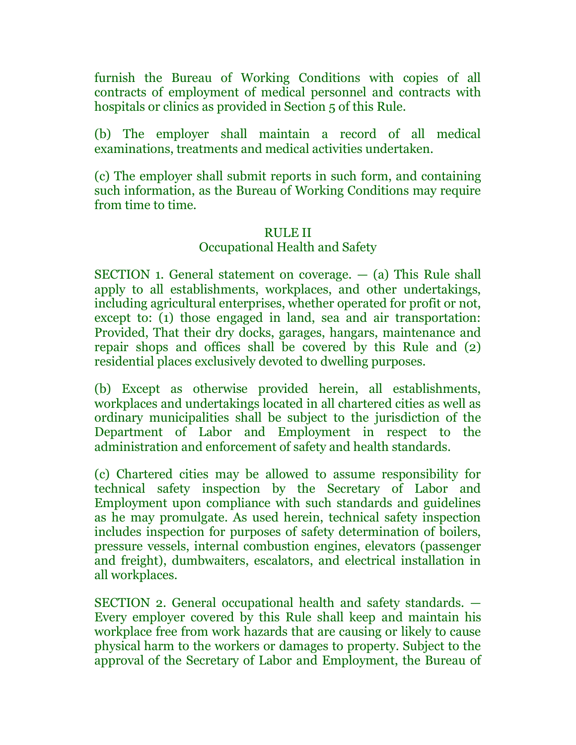furnish the Bureau of Working Conditions with copies of all contracts of employment of medical personnel and contracts with hospitals or clinics as provided in Section 5 of this Rule.

(b) The employer shall maintain a record of all medical examinations, treatments and medical activities undertaken.

(c) The employer shall submit reports in such form, and containing such information, as the Bureau of Working Conditions may require from time to time.

### RULE II

### Occupational Health and Safety

SECTION 1. General statement on coverage. — (a) This Rule shall apply to all establishments, workplaces, and other undertakings, including agricultural enterprises, whether operated for profit or not, except to: (1) those engaged in land, sea and air transportation: Provided, That their dry docks, garages, hangars, maintenance and repair shops and offices shall be covered by this Rule and (2) residential places exclusively devoted to dwelling purposes.

(b) Except as otherwise provided herein, all establishments, workplaces and undertakings located in all chartered cities as well as ordinary municipalities shall be subject to the jurisdiction of the Department of Labor and Employment in respect to the administration and enforcement of safety and health standards.

(c) Chartered cities may be allowed to assume responsibility for technical safety inspection by the Secretary of Labor and Employment upon compliance with such standards and guidelines as he may promulgate. As used herein, technical safety inspection includes inspection for purposes of safety determination of boilers, pressure vessels, internal combustion engines, elevators (passenger and freight), dumbwaiters, escalators, and electrical installation in all workplaces.

SECTION 2. General occupational health and safety standards. — Every employer covered by this Rule shall keep and maintain his workplace free from work hazards that are causing or likely to cause physical harm to the workers or damages to property. Subject to the approval of the Secretary of Labor and Employment, the Bureau of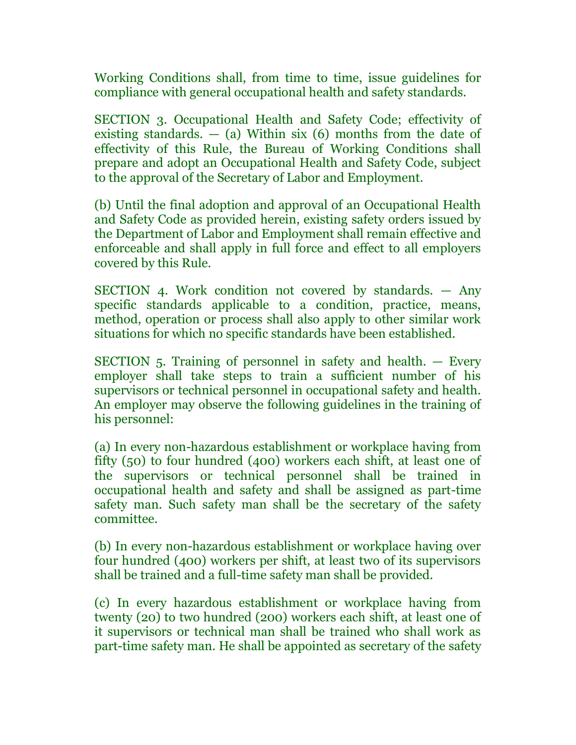Working Conditions shall, from time to time, issue guidelines for compliance with general occupational health and safety standards.

SECTION 3. Occupational Health and Safety Code; effectivity of existing standards.  $-$  (a) Within six (6) months from the date of effectivity of this Rule, the Bureau of Working Conditions shall prepare and adopt an Occupational Health and Safety Code, subject to the approval of the Secretary of Labor and Employment.

(b) Until the final adoption and approval of an Occupational Health and Safety Code as provided herein, existing safety orders issued by the Department of Labor and Employment shall remain effective and enforceable and shall apply in full force and effect to all employers covered by this Rule.

SECTION 4. Work condition not covered by standards. — Any specific standards applicable to a condition, practice, means, method, operation or process shall also apply to other similar work situations for which no specific standards have been established.

SECTION 5. Training of personnel in safety and health. — Every employer shall take steps to train a sufficient number of his supervisors or technical personnel in occupational safety and health. An employer may observe the following guidelines in the training of his personnel:

(a) In every non-hazardous establishment or workplace having from fifty (50) to four hundred (400) workers each shift, at least one of the supervisors or technical personnel shall be trained in occupational health and safety and shall be assigned as part-time safety man. Such safety man shall be the secretary of the safety committee.

(b) In every non-hazardous establishment or workplace having over four hundred (400) workers per shift, at least two of its supervisors shall be trained and a full-time safety man shall be provided.

(c) In every hazardous establishment or workplace having from twenty (20) to two hundred (200) workers each shift, at least one of it supervisors or technical man shall be trained who shall work as part-time safety man. He shall be appointed as secretary of the safety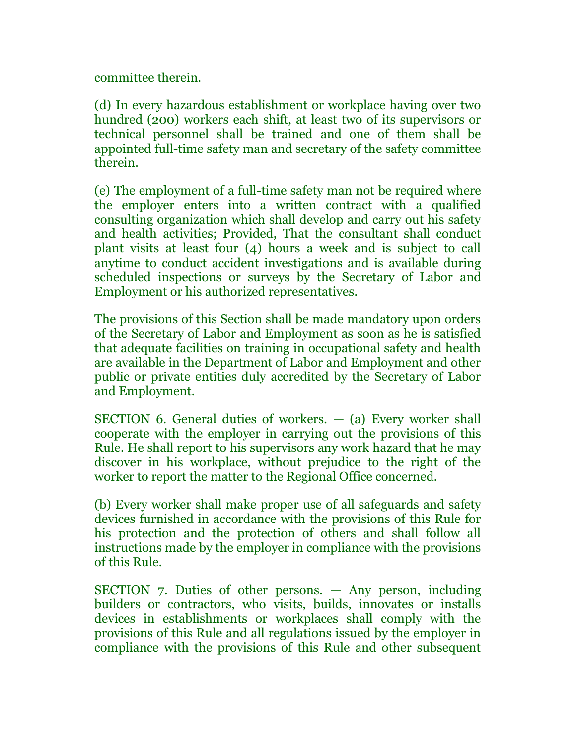committee therein.

(d) In every hazardous establishment or workplace having over two hundred (200) workers each shift, at least two of its supervisors or technical personnel shall be trained and one of them shall be appointed full-time safety man and secretary of the safety committee therein.

(e) The employment of a full-time safety man not be required where the employer enters into a written contract with a qualified consulting organization which shall develop and carry out his safety and health activities; Provided, That the consultant shall conduct plant visits at least four (4) hours a week and is subject to call anytime to conduct accident investigations and is available during scheduled inspections or surveys by the Secretary of Labor and Employment or his authorized representatives.

The provisions of this Section shall be made mandatory upon orders of the Secretary of Labor and Employment as soon as he is satisfied that adequate facilities on training in occupational safety and health are available in the Department of Labor and Employment and other public or private entities duly accredited by the Secretary of Labor and Employment.

SECTION 6. General duties of workers.  $-$  (a) Every worker shall cooperate with the employer in carrying out the provisions of this Rule. He shall report to his supervisors any work hazard that he may discover in his workplace, without prejudice to the right of the worker to report the matter to the Regional Office concerned.

(b) Every worker shall make proper use of all safeguards and safety devices furnished in accordance with the provisions of this Rule for his protection and the protection of others and shall follow all instructions made by the employer in compliance with the provisions of this Rule.

SECTION 7. Duties of other persons. — Any person, including builders or contractors, who visits, builds, innovates or installs devices in establishments or workplaces shall comply with the provisions of this Rule and all regulations issued by the employer in compliance with the provisions of this Rule and other subsequent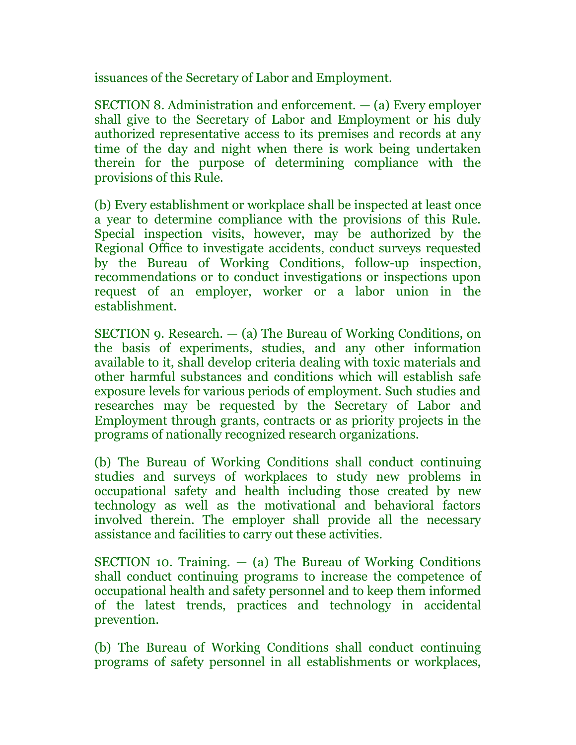issuances of the Secretary of Labor and Employment.

SECTION 8. Administration and enforcement. — (a) Every employer shall give to the Secretary of Labor and Employment or his duly authorized representative access to its premises and records at any time of the day and night when there is work being undertaken therein for the purpose of determining compliance with the provisions of this Rule.

(b) Every establishment or workplace shall be inspected at least once a year to determine compliance with the provisions of this Rule. Special inspection visits, however, may be authorized by the Regional Office to investigate accidents, conduct surveys requested by the Bureau of Working Conditions, follow-up inspection, recommendations or to conduct investigations or inspections upon request of an employer, worker or a labor union in the establishment.

SECTION 9. Research. — (a) The Bureau of Working Conditions, on the basis of experiments, studies, and any other information available to it, shall develop criteria dealing with toxic materials and other harmful substances and conditions which will establish safe exposure levels for various periods of employment. Such studies and researches may be requested by the Secretary of Labor and Employment through grants, contracts or as priority projects in the programs of nationally recognized research organizations.

(b) The Bureau of Working Conditions shall conduct continuing studies and surveys of workplaces to study new problems in occupational safety and health including those created by new technology as well as the motivational and behavioral factors involved therein. The employer shall provide all the necessary assistance and facilities to carry out these activities.

SECTION 10. Training.  $-$  (a) The Bureau of Working Conditions shall conduct continuing programs to increase the competence of occupational health and safety personnel and to keep them informed of the latest trends, practices and technology in accidental prevention.

(b) The Bureau of Working Conditions shall conduct continuing programs of safety personnel in all establishments or workplaces,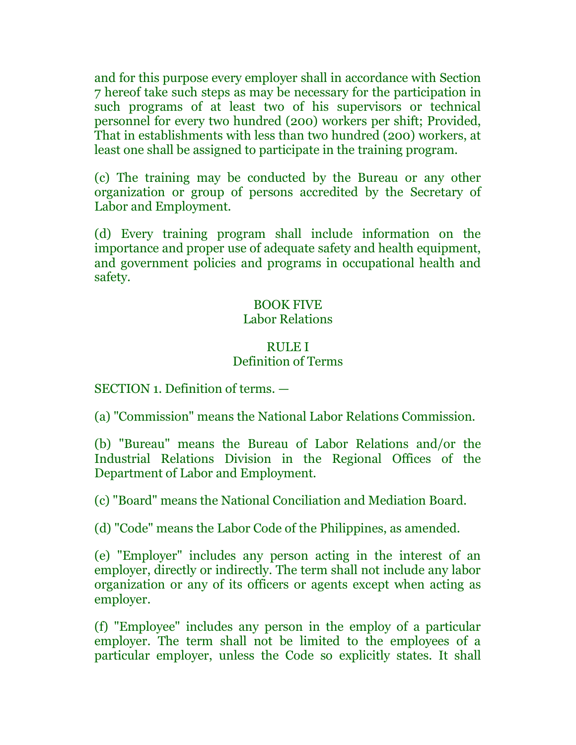and for this purpose every employer shall in accordance with Section 7 hereof take such steps as may be necessary for the participation in such programs of at least two of his supervisors or technical personnel for every two hundred (200) workers per shift; Provided, That in establishments with less than two hundred (200) workers, at least one shall be assigned to participate in the training program.

(c) The training may be conducted by the Bureau or any other organization or group of persons accredited by the Secretary of Labor and Employment.

(d) Every training program shall include information on the importance and proper use of adequate safety and health equipment, and government policies and programs in occupational health and safety.

## BOOK FIVE Labor Relations

### RULE I Definition of Terms

SECTION 1. Definition of terms. —

(a) "Commission" means the National Labor Relations Commission.

(b) "Bureau" means the Bureau of Labor Relations and/or the Industrial Relations Division in the Regional Offices of the Department of Labor and Employment.

(c) "Board" means the National Conciliation and Mediation Board.

(d) "Code" means the Labor Code of the Philippines, as amended.

(e) "Employer" includes any person acting in the interest of an employer, directly or indirectly. The term shall not include any labor organization or any of its officers or agents except when acting as employer.

(f) "Employee" includes any person in the employ of a particular employer. The term shall not be limited to the employees of a particular employer, unless the Code so explicitly states. It shall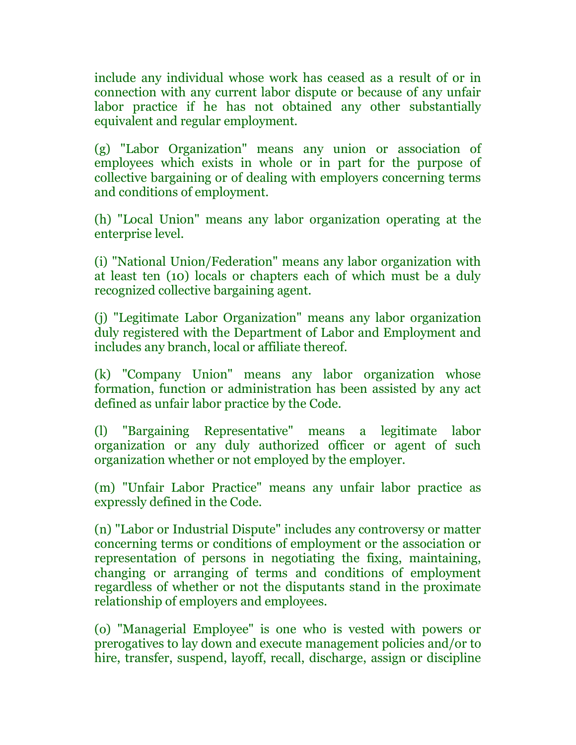include any individual whose work has ceased as a result of or in connection with any current labor dispute or because of any unfair labor practice if he has not obtained any other substantially equivalent and regular employment.

(g) "Labor Organization" means any union or association of employees which exists in whole or in part for the purpose of collective bargaining or of dealing with employers concerning terms and conditions of employment.

(h) "Local Union" means any labor organization operating at the enterprise level.

(i) "National Union/Federation" means any labor organization with at least ten (10) locals or chapters each of which must be a duly recognized collective bargaining agent.

(j) "Legitimate Labor Organization" means any labor organization duly registered with the Department of Labor and Employment and includes any branch, local or affiliate thereof.

(k) "Company Union" means any labor organization whose formation, function or administration has been assisted by any act defined as unfair labor practice by the Code.

(l) "Bargaining Representative" means a legitimate labor organization or any duly authorized officer or agent of such organization whether or not employed by the employer.

(m) "Unfair Labor Practice" means any unfair labor practice as expressly defined in the Code.

(n) "Labor or Industrial Dispute" includes any controversy or matter concerning terms or conditions of employment or the association or representation of persons in negotiating the fixing, maintaining, changing or arranging of terms and conditions of employment regardless of whether or not the disputants stand in the proximate relationship of employers and employees.

(o) "Managerial Employee" is one who is vested with powers or prerogatives to lay down and execute management policies and/or to hire, transfer, suspend, layoff, recall, discharge, assign or discipline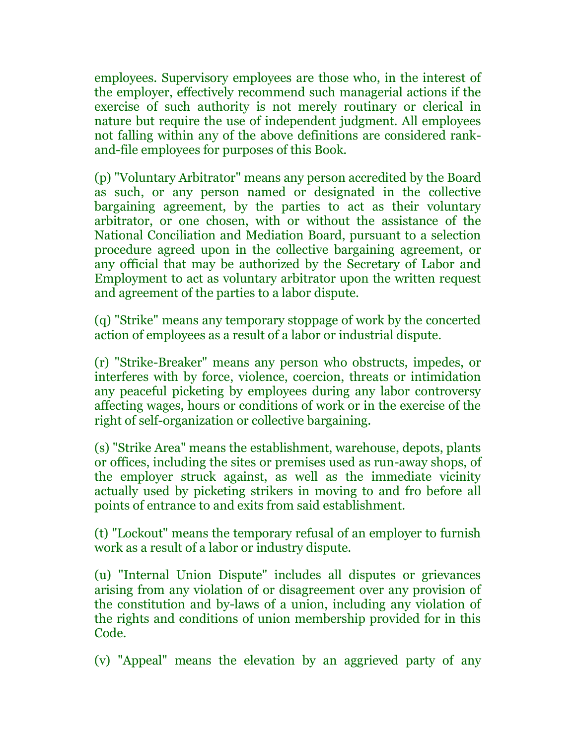employees. Supervisory employees are those who, in the interest of the employer, effectively recommend such managerial actions if the exercise of such authority is not merely routinary or clerical in nature but require the use of independent judgment. All employees not falling within any of the above definitions are considered rankand-file employees for purposes of this Book.

(p) "Voluntary Arbitrator" means any person accredited by the Board as such, or any person named or designated in the collective bargaining agreement, by the parties to act as their voluntary arbitrator, or one chosen, with or without the assistance of the National Conciliation and Mediation Board, pursuant to a selection procedure agreed upon in the collective bargaining agreement, or any official that may be authorized by the Secretary of Labor and Employment to act as voluntary arbitrator upon the written request and agreement of the parties to a labor dispute.

(q) "Strike" means any temporary stoppage of work by the concerted action of employees as a result of a labor or industrial dispute.

(r) "Strike-Breaker" means any person who obstructs, impedes, or interferes with by force, violence, coercion, threats or intimidation any peaceful picketing by employees during any labor controversy affecting wages, hours or conditions of work or in the exercise of the right of self-organization or collective bargaining.

(s) "Strike Area" means the establishment, warehouse, depots, plants or offices, including the sites or premises used as run-away shops, of the employer struck against, as well as the immediate vicinity actually used by picketing strikers in moving to and fro before all points of entrance to and exits from said establishment.

(t) "Lockout" means the temporary refusal of an employer to furnish work as a result of a labor or industry dispute.

(u) "Internal Union Dispute" includes all disputes or grievances arising from any violation of or disagreement over any provision of the constitution and by-laws of a union, including any violation of the rights and conditions of union membership provided for in this Code.

(v) "Appeal" means the elevation by an aggrieved party of any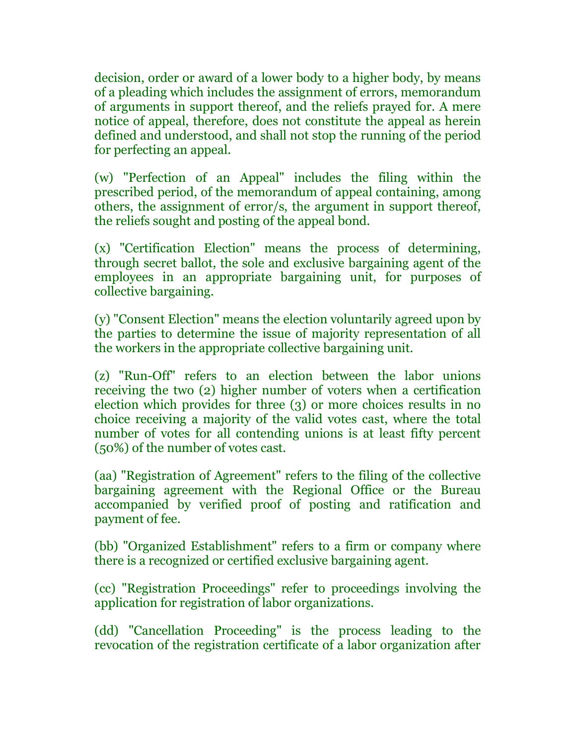decision, order or award of a lower body to a higher body, by means of a pleading which includes the assignment of errors, memorandum of arguments in support thereof, and the reliefs prayed for. A mere notice of appeal, therefore, does not constitute the appeal as herein defined and understood, and shall not stop the running of the period for perfecting an appeal.

(w) "Perfection of an Appeal" includes the filing within the prescribed period, of the memorandum of appeal containing, among others, the assignment of error/s, the argument in support thereof, the reliefs sought and posting of the appeal bond.

(x) "Certification Election" means the process of determining, through secret ballot, the sole and exclusive bargaining agent of the employees in an appropriate bargaining unit, for purposes of collective bargaining.

(y) "Consent Election" means the election voluntarily agreed upon by the parties to determine the issue of majority representation of all the workers in the appropriate collective bargaining unit.

(z) "Run-Off" refers to an election between the labor unions receiving the two (2) higher number of voters when a certification election which provides for three (3) or more choices results in no choice receiving a majority of the valid votes cast, where the total number of votes for all contending unions is at least fifty percent (50%) of the number of votes cast.

(aa) "Registration of Agreement" refers to the filing of the collective bargaining agreement with the Regional Office or the Bureau accompanied by verified proof of posting and ratification and payment of fee.

(bb) "Organized Establishment" refers to a firm or company where there is a recognized or certified exclusive bargaining agent.

(cc) "Registration Proceedings" refer to proceedings involving the application for registration of labor organizations.

(dd) "Cancellation Proceeding" is the process leading to the revocation of the registration certificate of a labor organization after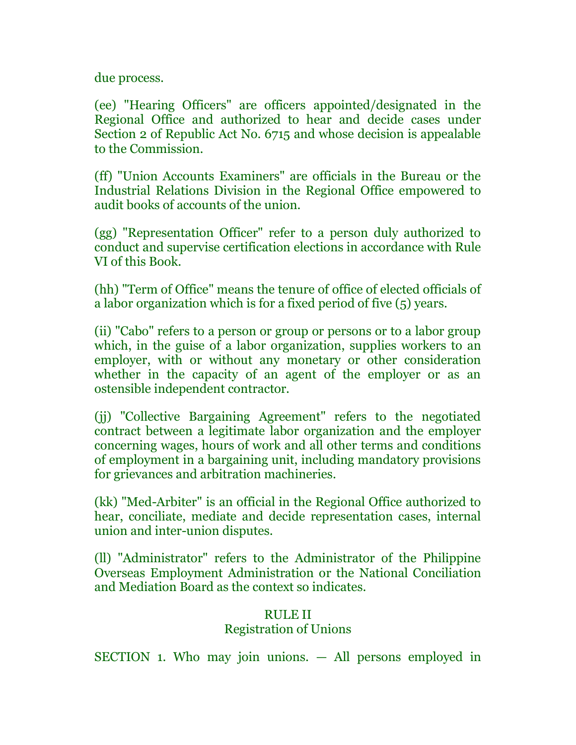due process.

(ee) "Hearing Officers" are officers appointed/designated in the Regional Office and authorized to hear and decide cases under Section 2 of Republic Act No. 6715 and whose decision is appealable to the Commission.

(ff) "Union Accounts Examiners" are officials in the Bureau or the Industrial Relations Division in the Regional Office empowered to audit books of accounts of the union.

(gg) "Representation Officer" refer to a person duly authorized to conduct and supervise certification elections in accordance with Rule VI of this Book.

(hh) "Term of Office" means the tenure of office of elected officials of a labor organization which is for a fixed period of five (5) years.

(ii) "Cabo" refers to a person or group or persons or to a labor group which, in the guise of a labor organization, supplies workers to an employer, with or without any monetary or other consideration whether in the capacity of an agent of the employer or as an ostensible independent contractor.

(jj) "Collective Bargaining Agreement" refers to the negotiated contract between a legitimate labor organization and the employer concerning wages, hours of work and all other terms and conditions of employment in a bargaining unit, including mandatory provisions for grievances and arbitration machineries.

(kk) "Med-Arbiter" is an official in the Regional Office authorized to hear, conciliate, mediate and decide representation cases, internal union and inter-union disputes.

(ll) "Administrator" refers to the Administrator of the Philippine Overseas Employment Administration or the National Conciliation and Mediation Board as the context so indicates.

# RULE II Registration of Unions

SECTION 1. Who may join unions. — All persons employed in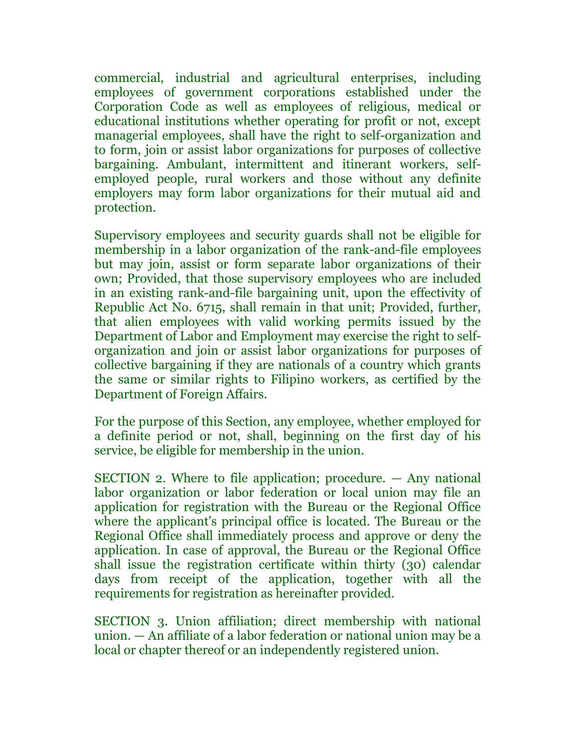commercial, industrial and agricultural enterprises, including employees of government corporations established under the Corporation Code as well as employees of religious, medical or educational institutions whether operating for profit or not, except managerial employees, shall have the right to self-organization and to form, join or assist labor organizations for purposes of collective bargaining. Ambulant, intermittent and itinerant workers, selfemployed people, rural workers and those without any definite employers may form labor organizations for their mutual aid and protection.

Supervisory employees and security guards shall not be eligible for membership in a labor organization of the rank-and-file employees but may join, assist or form separate labor organizations of their own; Provided, that those supervisory employees who are included in an existing rank-and-file bargaining unit, upon the effectivity of Republic Act No. 6715, shall remain in that unit; Provided, further, that alien employees with valid working permits issued by the Department of Labor and Employment may exercise the right to selforganization and join or assist labor organizations for purposes of collective bargaining if they are nationals of a country which grants the same or similar rights to Filipino workers, as certified by the Department of Foreign Affairs.

For the purpose of this Section, any employee, whether employed for a definite period or not, shall, beginning on the first day of his service, be eligible for membership in the union.

SECTION 2. Where to file application; procedure. — Any national labor organization or labor federation or local union may file an application for registration with the Bureau or the Regional Office where the applicant's principal office is located. The Bureau or the Regional Office shall immediately process and approve or deny the application. In case of approval, the Bureau or the Regional Office shall issue the registration certificate within thirty (30) calendar days from receipt of the application, together with all the requirements for registration as hereinafter provided.

SECTION 3. Union affiliation; direct membership with national union. — An affiliate of a labor federation or national union may be a local or chapter thereof or an independently registered union.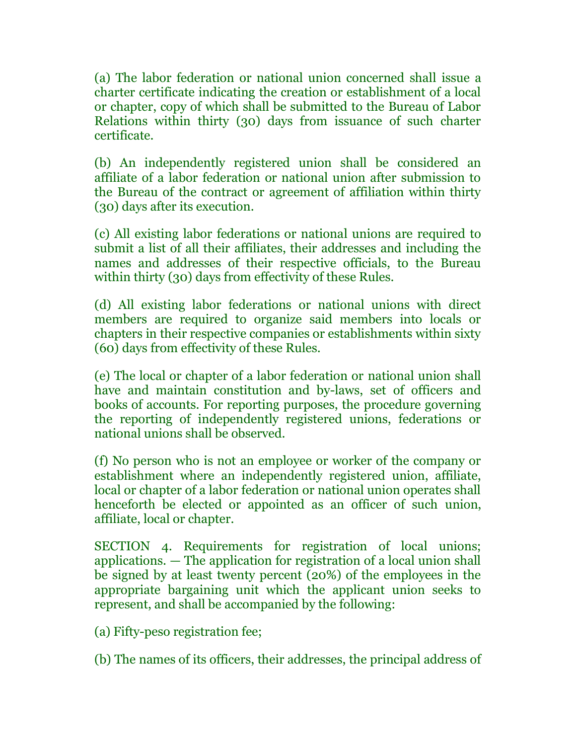(a) The labor federation or national union concerned shall issue a charter certificate indicating the creation or establishment of a local or chapter, copy of which shall be submitted to the Bureau of Labor Relations within thirty (30) days from issuance of such charter certificate.

(b) An independently registered union shall be considered an affiliate of a labor federation or national union after submission to the Bureau of the contract or agreement of affiliation within thirty (30) days after its execution.

(c) All existing labor federations or national unions are required to submit a list of all their affiliates, their addresses and including the names and addresses of their respective officials, to the Bureau within thirty (30) days from effectivity of these Rules.

(d) All existing labor federations or national unions with direct members are required to organize said members into locals or chapters in their respective companies or establishments within sixty (60) days from effectivity of these Rules.

(e) The local or chapter of a labor federation or national union shall have and maintain constitution and by-laws, set of officers and books of accounts. For reporting purposes, the procedure governing the reporting of independently registered unions, federations or national unions shall be observed.

(f) No person who is not an employee or worker of the company or establishment where an independently registered union, affiliate, local or chapter of a labor federation or national union operates shall henceforth be elected or appointed as an officer of such union, affiliate, local or chapter.

SECTION 4. Requirements for registration of local unions; applications. — The application for registration of a local union shall be signed by at least twenty percent (20%) of the employees in the appropriate bargaining unit which the applicant union seeks to represent, and shall be accompanied by the following:

(a) Fifty-peso registration fee;

(b) The names of its officers, their addresses, the principal address of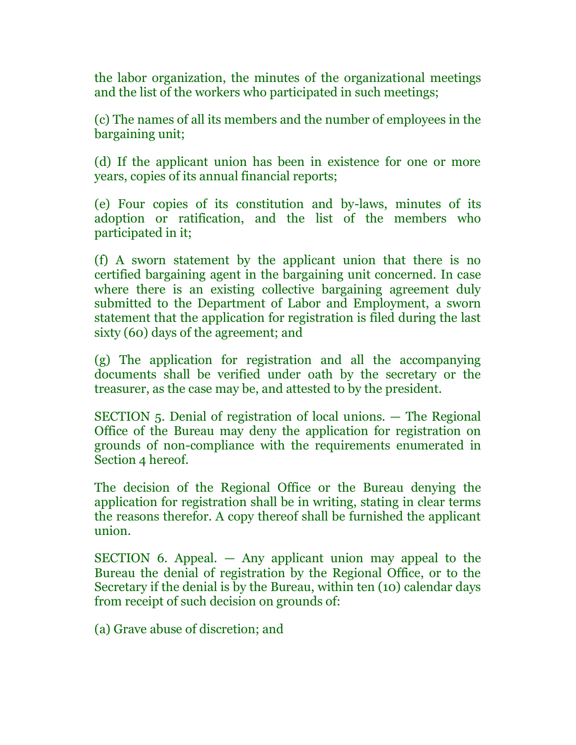the labor organization, the minutes of the organizational meetings and the list of the workers who participated in such meetings;

(c) The names of all its members and the number of employees in the bargaining unit;

(d) If the applicant union has been in existence for one or more years, copies of its annual financial reports;

(e) Four copies of its constitution and by-laws, minutes of its adoption or ratification, and the list of the members who participated in it;

(f) A sworn statement by the applicant union that there is no certified bargaining agent in the bargaining unit concerned. In case where there is an existing collective bargaining agreement duly submitted to the Department of Labor and Employment, a sworn statement that the application for registration is filed during the last sixty (60) days of the agreement; and

(g) The application for registration and all the accompanying documents shall be verified under oath by the secretary or the treasurer, as the case may be, and attested to by the president.

SECTION 5. Denial of registration of local unions. — The Regional Office of the Bureau may deny the application for registration on grounds of non-compliance with the requirements enumerated in Section 4 hereof.

The decision of the Regional Office or the Bureau denying the application for registration shall be in writing, stating in clear terms the reasons therefor. A copy thereof shall be furnished the applicant union.

SECTION 6. Appeal. — Any applicant union may appeal to the Bureau the denial of registration by the Regional Office, or to the Secretary if the denial is by the Bureau, within ten (10) calendar days from receipt of such decision on grounds of:

(a) Grave abuse of discretion; and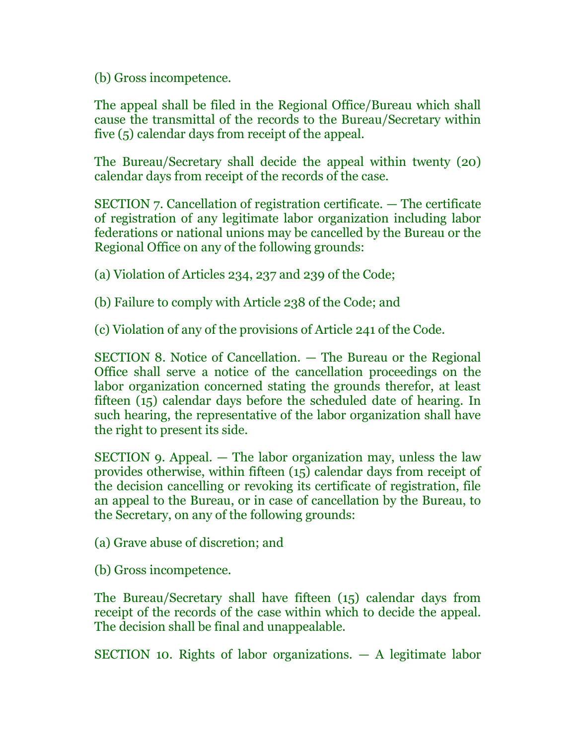(b) Gross incompetence.

The appeal shall be filed in the Regional Office/Bureau which shall cause the transmittal of the records to the Bureau/Secretary within five (5) calendar days from receipt of the appeal.

The Bureau/Secretary shall decide the appeal within twenty (20) calendar days from receipt of the records of the case.

SECTION 7. Cancellation of registration certificate. — The certificate of registration of any legitimate labor organization including labor federations or national unions may be cancelled by the Bureau or the Regional Office on any of the following grounds:

(a) Violation of Articles 234, 237 and 239 of the Code;

(b) Failure to comply with Article 238 of the Code; and

(c) Violation of any of the provisions of Article 241 of the Code.

SECTION 8. Notice of Cancellation. — The Bureau or the Regional Office shall serve a notice of the cancellation proceedings on the labor organization concerned stating the grounds therefor, at least fifteen (15) calendar days before the scheduled date of hearing. In such hearing, the representative of the labor organization shall have the right to present its side.

SECTION 9. Appeal. — The labor organization may, unless the law provides otherwise, within fifteen (15) calendar days from receipt of the decision cancelling or revoking its certificate of registration, file an appeal to the Bureau, or in case of cancellation by the Bureau, to the Secretary, on any of the following grounds:

(a) Grave abuse of discretion; and

(b) Gross incompetence.

The Bureau/Secretary shall have fifteen (15) calendar days from receipt of the records of the case within which to decide the appeal. The decision shall be final and unappealable.

SECTION 10. Rights of labor organizations. — A legitimate labor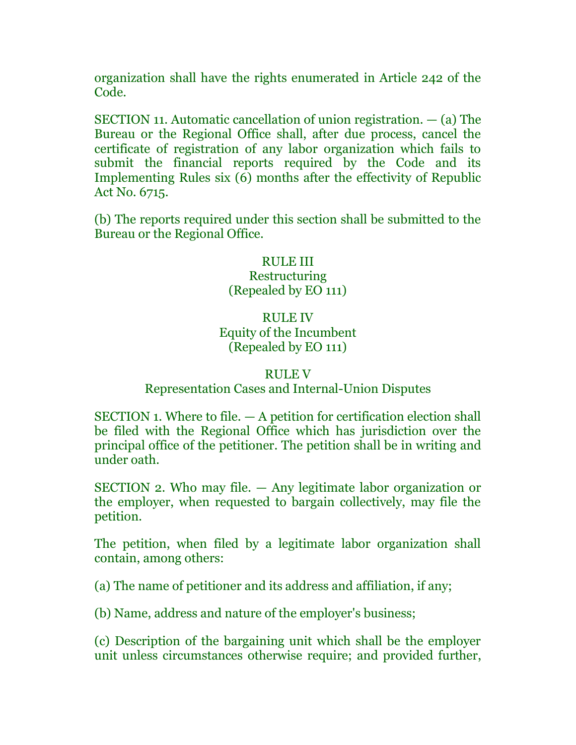organization shall have the rights enumerated in Article 242 of the Code.

SECTION 11. Automatic cancellation of union registration. — (a) The Bureau or the Regional Office shall, after due process, cancel the certificate of registration of any labor organization which fails to submit the financial reports required by the Code and its Implementing Rules six (6) months after the effectivity of Republic Act No. 6715.

(b) The reports required under this section shall be submitted to the Bureau or the Regional Office.

# RULE III **Restructuring** (Repealed by EO 111)

# RULE IV Equity of the Incumbent (Repealed by EO 111)

#### RULE V

# Representation Cases and Internal-Union Disputes

SECTION 1. Where to file. — A petition for certification election shall be filed with the Regional Office which has jurisdiction over the principal office of the petitioner. The petition shall be in writing and under oath.

SECTION 2. Who may file. — Any legitimate labor organization or the employer, when requested to bargain collectively, may file the petition.

The petition, when filed by a legitimate labor organization shall contain, among others:

(a) The name of petitioner and its address and affiliation, if any;

(b) Name, address and nature of the employer's business;

(c) Description of the bargaining unit which shall be the employer unit unless circumstances otherwise require; and provided further,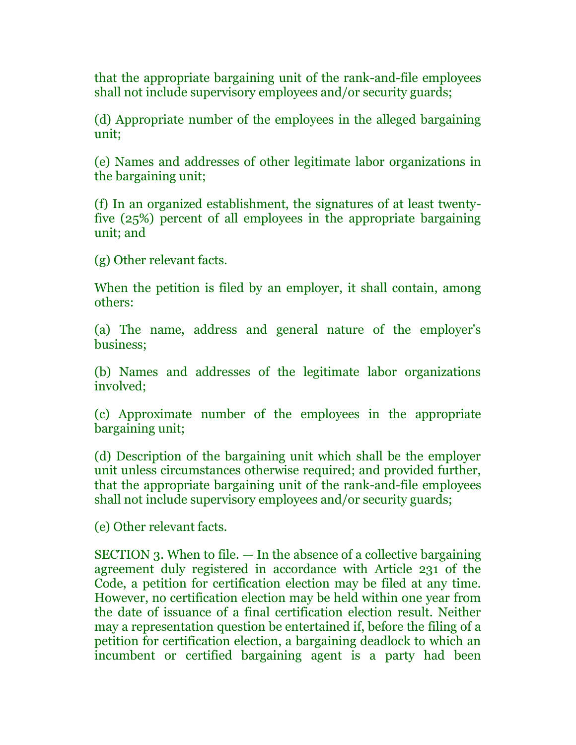that the appropriate bargaining unit of the rank-and-file employees shall not include supervisory employees and/or security guards;

(d) Appropriate number of the employees in the alleged bargaining unit;

(e) Names and addresses of other legitimate labor organizations in the bargaining unit;

(f) In an organized establishment, the signatures of at least twentyfive (25%) percent of all employees in the appropriate bargaining unit; and

(g) Other relevant facts.

When the petition is filed by an employer, it shall contain, among others:

(a) The name, address and general nature of the employer's business;

(b) Names and addresses of the legitimate labor organizations involved;

(c) Approximate number of the employees in the appropriate bargaining unit;

(d) Description of the bargaining unit which shall be the employer unit unless circumstances otherwise required; and provided further, that the appropriate bargaining unit of the rank-and-file employees shall not include supervisory employees and/or security guards;

(e) Other relevant facts.

SECTION 3. When to file. — In the absence of a collective bargaining agreement duly registered in accordance with Article 231 of the Code, a petition for certification election may be filed at any time. However, no certification election may be held within one year from the date of issuance of a final certification election result. Neither may a representation question be entertained if, before the filing of a petition for certification election, a bargaining deadlock to which an incumbent or certified bargaining agent is a party had been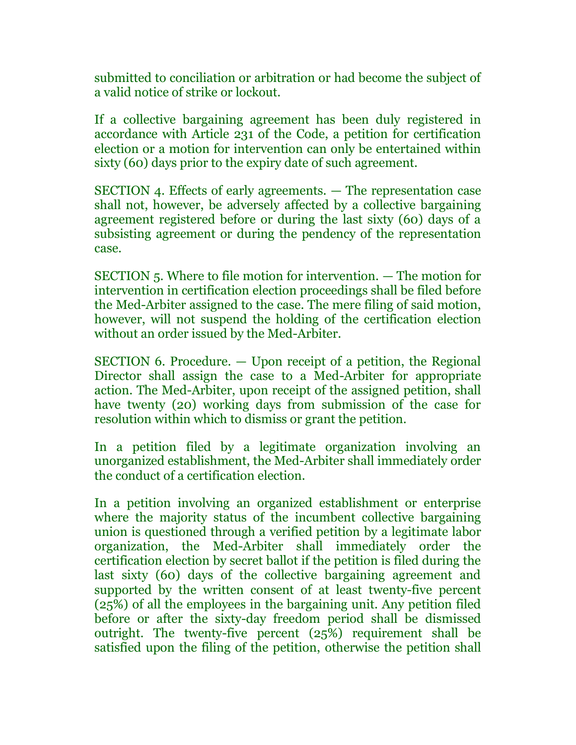submitted to conciliation or arbitration or had become the subject of a valid notice of strike or lockout.

If a collective bargaining agreement has been duly registered in accordance with Article 231 of the Code, a petition for certification election or a motion for intervention can only be entertained within sixty (60) days prior to the expiry date of such agreement.

SECTION 4. Effects of early agreements. — The representation case shall not, however, be adversely affected by a collective bargaining agreement registered before or during the last sixty (60) days of a subsisting agreement or during the pendency of the representation case.

SECTION 5. Where to file motion for intervention. — The motion for intervention in certification election proceedings shall be filed before the Med-Arbiter assigned to the case. The mere filing of said motion, however, will not suspend the holding of the certification election without an order issued by the Med-Arbiter.

SECTION 6. Procedure. — Upon receipt of a petition, the Regional Director shall assign the case to a Med-Arbiter for appropriate action. The Med-Arbiter, upon receipt of the assigned petition, shall have twenty (20) working days from submission of the case for resolution within which to dismiss or grant the petition.

In a petition filed by a legitimate organization involving an unorganized establishment, the Med-Arbiter shall immediately order the conduct of a certification election.

In a petition involving an organized establishment or enterprise where the majority status of the incumbent collective bargaining union is questioned through a verified petition by a legitimate labor organization, the Med-Arbiter shall immediately order the certification election by secret ballot if the petition is filed during the last sixty (60) days of the collective bargaining agreement and supported by the written consent of at least twenty-five percent (25%) of all the employees in the bargaining unit. Any petition filed before or after the sixty-day freedom period shall be dismissed outright. The twenty-five percent (25%) requirement shall be satisfied upon the filing of the petition, otherwise the petition shall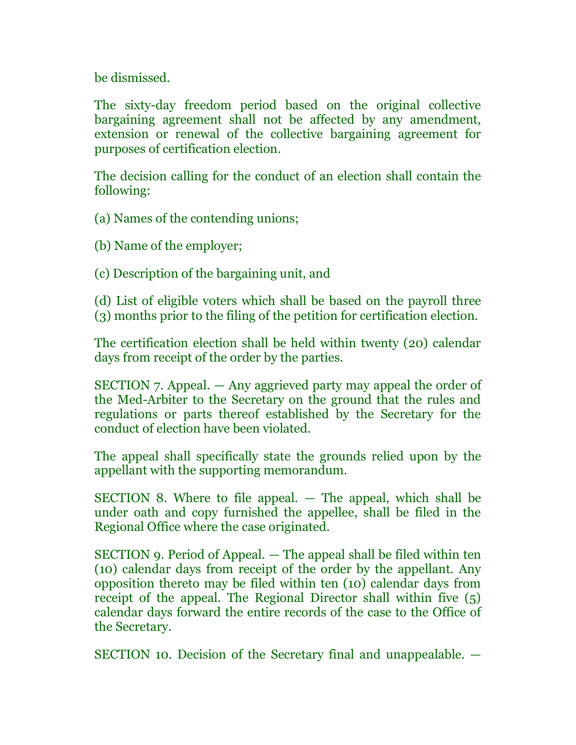be dismissed.

The sixty-day freedom period based on the original collective bargaining agreement shall not be affected by any amendment, extension or renewal of the collective bargaining agreement for purposes of certification election.

The decision calling for the conduct of an election shall contain the following:

(a) Names of the contending unions;

(b) Name of the employer;

(c) Description of the bargaining unit, and

(d) List of eligible voters which shall be based on the payroll three (3) months prior to the filing of the petition for certification election.

The certification election shall be held within twenty (20) calendar days from receipt of the order by the parties.

SECTION 7. Appeal. — Any aggrieved party may appeal the order of the Med-Arbiter to the Secretary on the ground that the rules and regulations or parts thereof established by the Secretary for the conduct of election have been violated.

The appeal shall specifically state the grounds relied upon by the appellant with the supporting memorandum.

SECTION 8. Where to file appeal. — The appeal, which shall be under oath and copy furnished the appellee, shall be filed in the Regional Office where the case originated.

SECTION 9. Period of Appeal. — The appeal shall be filed within ten (10) calendar days from receipt of the order by the appellant. Any opposition thereto may be filed within ten (10) calendar days from receipt of the appeal. The Regional Director shall within five (5) calendar days forward the entire records of the case to the Office of the Secretary.

SECTION 10. Decision of the Secretary final and unappealable. —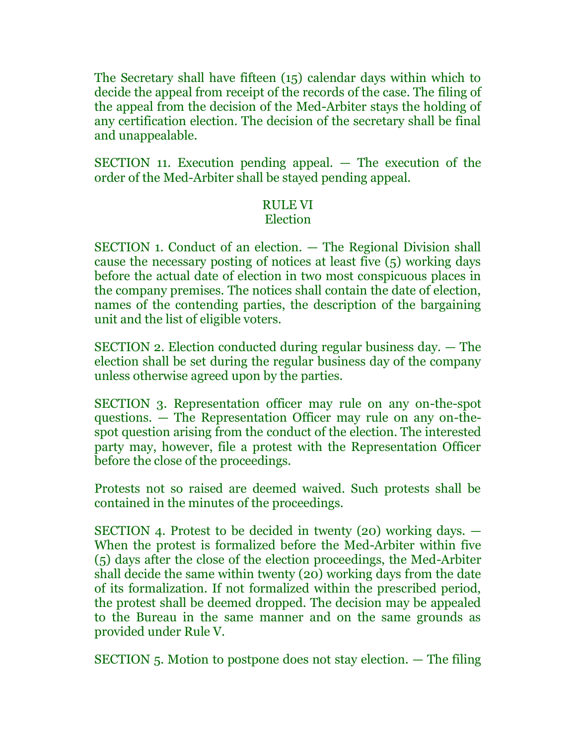The Secretary shall have fifteen (15) calendar days within which to decide the appeal from receipt of the records of the case. The filing of the appeal from the decision of the Med-Arbiter stays the holding of any certification election. The decision of the secretary shall be final and unappealable.

SECTION 11. Execution pending appeal. — The execution of the order of the Med-Arbiter shall be stayed pending appeal.

# RULE VI

# Election

SECTION 1. Conduct of an election. — The Regional Division shall cause the necessary posting of notices at least five (5) working days before the actual date of election in two most conspicuous places in the company premises. The notices shall contain the date of election, names of the contending parties, the description of the bargaining unit and the list of eligible voters.

SECTION 2. Election conducted during regular business day. — The election shall be set during the regular business day of the company unless otherwise agreed upon by the parties.

SECTION 3. Representation officer may rule on any on-the-spot questions. — The Representation Officer may rule on any on-thespot question arising from the conduct of the election. The interested party may, however, file a protest with the Representation Officer before the close of the proceedings.

Protests not so raised are deemed waived. Such protests shall be contained in the minutes of the proceedings.

SECTION 4. Protest to be decided in twenty (20) working days. — When the protest is formalized before the Med-Arbiter within five (5) days after the close of the election proceedings, the Med-Arbiter shall decide the same within twenty (20) working days from the date of its formalization. If not formalized within the prescribed period, the protest shall be deemed dropped. The decision may be appealed to the Bureau in the same manner and on the same grounds as provided under Rule V.

SECTION 5. Motion to postpone does not stay election. — The filing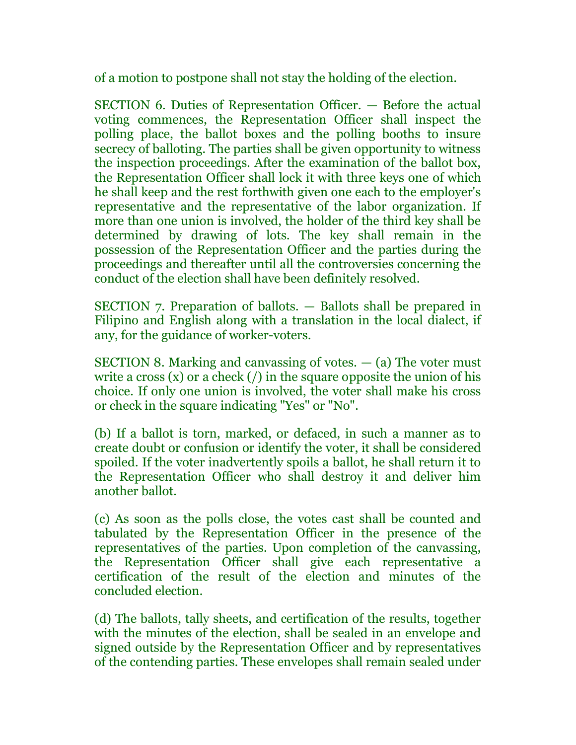of a motion to postpone shall not stay the holding of the election.

SECTION 6. Duties of Representation Officer. — Before the actual voting commences, the Representation Officer shall inspect the polling place, the ballot boxes and the polling booths to insure secrecy of balloting. The parties shall be given opportunity to witness the inspection proceedings. After the examination of the ballot box, the Representation Officer shall lock it with three keys one of which he shall keep and the rest forthwith given one each to the employer's representative and the representative of the labor organization. If more than one union is involved, the holder of the third key shall be determined by drawing of lots. The key shall remain in the possession of the Representation Officer and the parties during the proceedings and thereafter until all the controversies concerning the conduct of the election shall have been definitely resolved.

SECTION 7. Preparation of ballots. — Ballots shall be prepared in Filipino and English along with a translation in the local dialect, if any, for the guidance of worker-voters.

SECTION 8. Marking and canvassing of votes.  $-$  (a) The voter must write a cross  $(x)$  or a check  $($ ) in the square opposite the union of his choice. If only one union is involved, the voter shall make his cross or check in the square indicating "Yes" or "No".

(b) If a ballot is torn, marked, or defaced, in such a manner as to create doubt or confusion or identify the voter, it shall be considered spoiled. If the voter inadvertently spoils a ballot, he shall return it to the Representation Officer who shall destroy it and deliver him another ballot.

(c) As soon as the polls close, the votes cast shall be counted and tabulated by the Representation Officer in the presence of the representatives of the parties. Upon completion of the canvassing, the Representation Officer shall give each representative a certification of the result of the election and minutes of the concluded election.

(d) The ballots, tally sheets, and certification of the results, together with the minutes of the election, shall be sealed in an envelope and signed outside by the Representation Officer and by representatives of the contending parties. These envelopes shall remain sealed under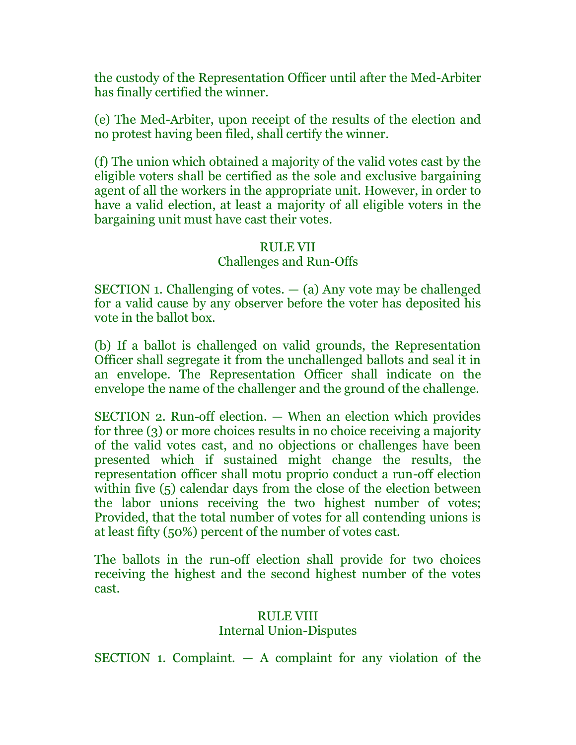the custody of the Representation Officer until after the Med-Arbiter has finally certified the winner.

(e) The Med-Arbiter, upon receipt of the results of the election and no protest having been filed, shall certify the winner.

(f) The union which obtained a majority of the valid votes cast by the eligible voters shall be certified as the sole and exclusive bargaining agent of all the workers in the appropriate unit. However, in order to have a valid election, at least a majority of all eligible voters in the bargaining unit must have cast their votes.

#### RULE VII

#### Challenges and Run-Offs

SECTION 1. Challenging of votes. — (a) Any vote may be challenged for a valid cause by any observer before the voter has deposited his vote in the ballot box.

(b) If a ballot is challenged on valid grounds, the Representation Officer shall segregate it from the unchallenged ballots and seal it in an envelope. The Representation Officer shall indicate on the envelope the name of the challenger and the ground of the challenge.

SECTION 2. Run-off election. — When an election which provides for three (3) or more choices results in no choice receiving a majority of the valid votes cast, and no objections or challenges have been presented which if sustained might change the results, the representation officer shall motu proprio conduct a run-off election within five (5) calendar days from the close of the election between the labor unions receiving the two highest number of votes; Provided, that the total number of votes for all contending unions is at least fifty (50%) percent of the number of votes cast.

The ballots in the run-off election shall provide for two choices receiving the highest and the second highest number of the votes cast.

## RULE VIII Internal Union-Disputes

SECTION 1. Complaint. — A complaint for any violation of the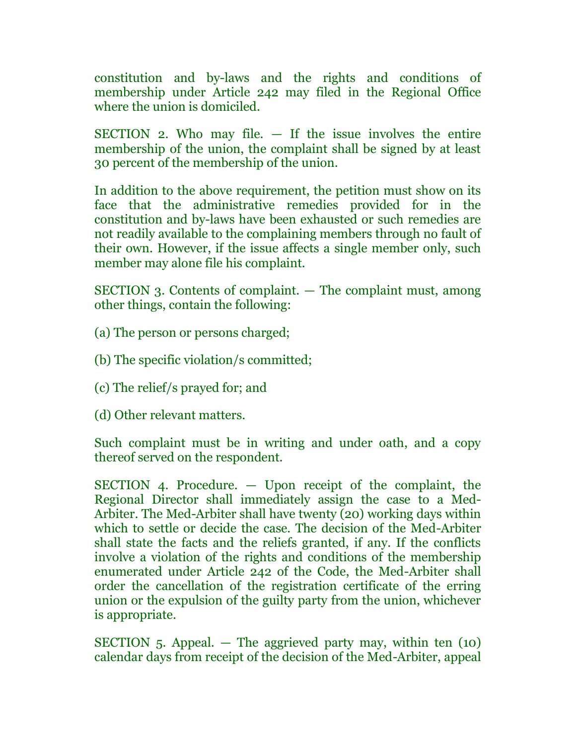constitution and by-laws and the rights and conditions of membership under Article 242 may filed in the Regional Office where the union is domiciled.

SECTION 2. Who may file. — If the issue involves the entire membership of the union, the complaint shall be signed by at least 30 percent of the membership of the union.

In addition to the above requirement, the petition must show on its face that the administrative remedies provided for in the constitution and by-laws have been exhausted or such remedies are not readily available to the complaining members through no fault of their own. However, if the issue affects a single member only, such member may alone file his complaint.

SECTION 3. Contents of complaint. — The complaint must, among other things, contain the following:

(a) The person or persons charged;

(b) The specific violation/s committed;

(c) The relief/s prayed for; and

(d) Other relevant matters.

Such complaint must be in writing and under oath, and a copy thereof served on the respondent.

SECTION 4. Procedure. — Upon receipt of the complaint, the Regional Director shall immediately assign the case to a Med-Arbiter. The Med-Arbiter shall have twenty (20) working days within which to settle or decide the case. The decision of the Med-Arbiter shall state the facts and the reliefs granted, if any. If the conflicts involve a violation of the rights and conditions of the membership enumerated under Article 242 of the Code, the Med-Arbiter shall order the cancellation of the registration certificate of the erring union or the expulsion of the guilty party from the union, whichever is appropriate.

SECTION 5. Appeal.  $-$  The aggrieved party may, within ten (10) calendar days from receipt of the decision of the Med-Arbiter, appeal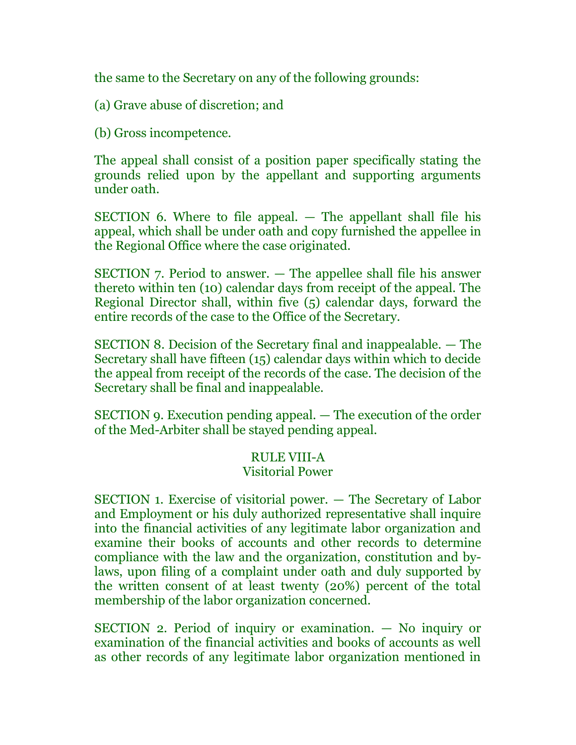the same to the Secretary on any of the following grounds:

(a) Grave abuse of discretion; and

(b) Gross incompetence.

The appeal shall consist of a position paper specifically stating the grounds relied upon by the appellant and supporting arguments under oath.

SECTION 6. Where to file appeal. — The appellant shall file his appeal, which shall be under oath and copy furnished the appellee in the Regional Office where the case originated.

SECTION 7. Period to answer. — The appellee shall file his answer thereto within ten (10) calendar days from receipt of the appeal. The Regional Director shall, within five (5) calendar days, forward the entire records of the case to the Office of the Secretary.

SECTION 8. Decision of the Secretary final and inappealable. — The Secretary shall have fifteen (15) calendar days within which to decide the appeal from receipt of the records of the case. The decision of the Secretary shall be final and inappealable.

SECTION 9. Execution pending appeal. — The execution of the order of the Med-Arbiter shall be stayed pending appeal.

# RULE VIII-A

# Visitorial Power

SECTION 1. Exercise of visitorial power. — The Secretary of Labor and Employment or his duly authorized representative shall inquire into the financial activities of any legitimate labor organization and examine their books of accounts and other records to determine compliance with the law and the organization, constitution and bylaws, upon filing of a complaint under oath and duly supported by the written consent of at least twenty (20%) percent of the total membership of the labor organization concerned.

SECTION 2. Period of inquiry or examination. — No inquiry or examination of the financial activities and books of accounts as well as other records of any legitimate labor organization mentioned in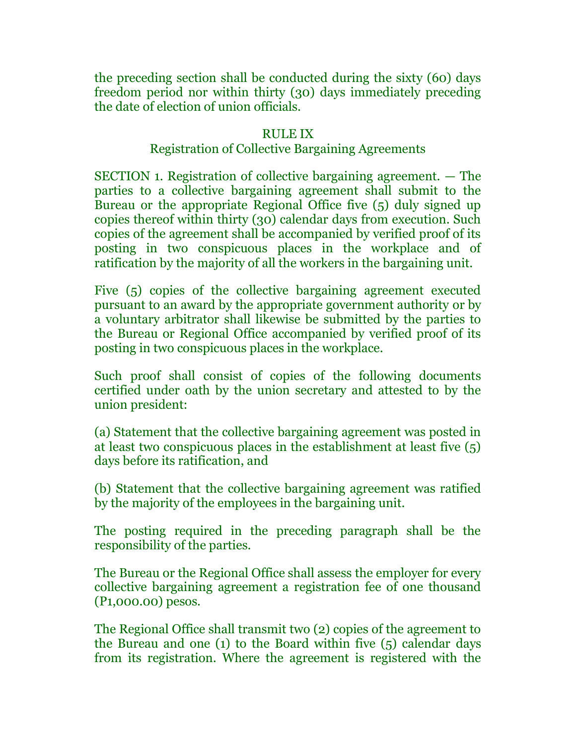the preceding section shall be conducted during the sixty (60) days freedom period nor within thirty (30) days immediately preceding the date of election of union officials.

#### RULE IX

# Registration of Collective Bargaining Agreements

SECTION 1. Registration of collective bargaining agreement. — The parties to a collective bargaining agreement shall submit to the Bureau or the appropriate Regional Office five (5) duly signed up copies thereof within thirty (30) calendar days from execution. Such copies of the agreement shall be accompanied by verified proof of its posting in two conspicuous places in the workplace and of ratification by the majority of all the workers in the bargaining unit.

Five (5) copies of the collective bargaining agreement executed pursuant to an award by the appropriate government authority or by a voluntary arbitrator shall likewise be submitted by the parties to the Bureau or Regional Office accompanied by verified proof of its posting in two conspicuous places in the workplace.

Such proof shall consist of copies of the following documents certified under oath by the union secretary and attested to by the union president:

(a) Statement that the collective bargaining agreement was posted in at least two conspicuous places in the establishment at least five (5) days before its ratification, and

(b) Statement that the collective bargaining agreement was ratified by the majority of the employees in the bargaining unit.

The posting required in the preceding paragraph shall be the responsibility of the parties.

The Bureau or the Regional Office shall assess the employer for every collective bargaining agreement a registration fee of one thousand (P1,000.00) pesos.

The Regional Office shall transmit two (2) copies of the agreement to the Bureau and one (1) to the Board within five (5) calendar days from its registration. Where the agreement is registered with the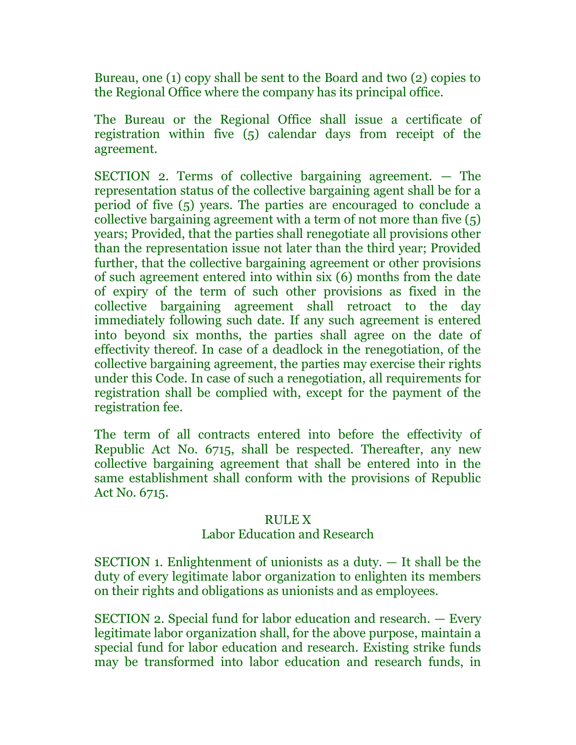Bureau, one (1) copy shall be sent to the Board and two (2) copies to the Regional Office where the company has its principal office.

The Bureau or the Regional Office shall issue a certificate of registration within five (5) calendar days from receipt of the agreement.

SECTION 2. Terms of collective bargaining agreement. — The representation status of the collective bargaining agent shall be for a period of five (5) years. The parties are encouraged to conclude a collective bargaining agreement with a term of not more than five (5) years; Provided, that the parties shall renegotiate all provisions other than the representation issue not later than the third year; Provided further, that the collective bargaining agreement or other provisions of such agreement entered into within six (6) months from the date of expiry of the term of such other provisions as fixed in the collective bargaining agreement shall retroact to the day immediately following such date. If any such agreement is entered into beyond six months, the parties shall agree on the date of effectivity thereof. In case of a deadlock in the renegotiation, of the collective bargaining agreement, the parties may exercise their rights under this Code. In case of such a renegotiation, all requirements for registration shall be complied with, except for the payment of the registration fee.

The term of all contracts entered into before the effectivity of Republic Act No. 6715, shall be respected. Thereafter, any new collective bargaining agreement that shall be entered into in the same establishment shall conform with the provisions of Republic Act No. 6715.

#### RULE X

## Labor Education and Research

SECTION 1. Enlightenment of unionists as a duty. — It shall be the duty of every legitimate labor organization to enlighten its members on their rights and obligations as unionists and as employees.

SECTION 2. Special fund for labor education and research. — Every legitimate labor organization shall, for the above purpose, maintain a special fund for labor education and research. Existing strike funds may be transformed into labor education and research funds, in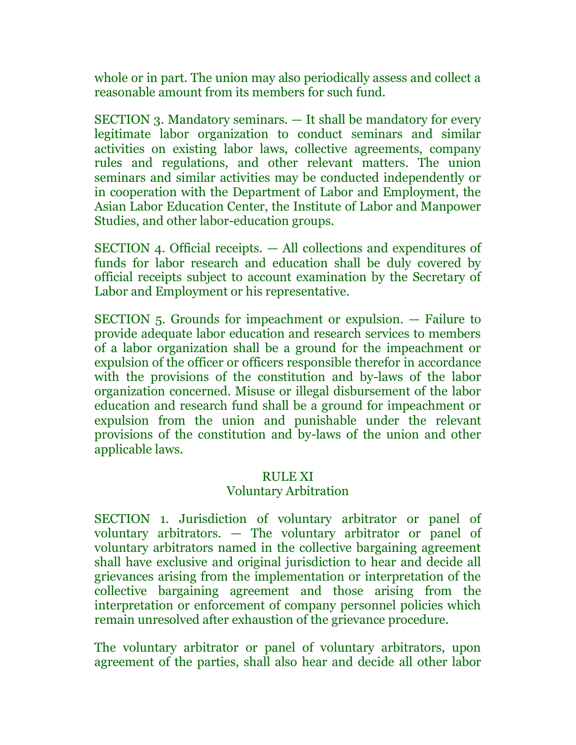whole or in part. The union may also periodically assess and collect a reasonable amount from its members for such fund.

SECTION 3. Mandatory seminars. — It shall be mandatory for every legitimate labor organization to conduct seminars and similar activities on existing labor laws, collective agreements, company rules and regulations, and other relevant matters. The union seminars and similar activities may be conducted independently or in cooperation with the Department of Labor and Employment, the Asian Labor Education Center, the Institute of Labor and Manpower Studies, and other labor-education groups.

SECTION 4. Official receipts. — All collections and expenditures of funds for labor research and education shall be duly covered by official receipts subject to account examination by the Secretary of Labor and Employment or his representative.

SECTION 5. Grounds for impeachment or expulsion. — Failure to provide adequate labor education and research services to members of a labor organization shall be a ground for the impeachment or expulsion of the officer or officers responsible therefor in accordance with the provisions of the constitution and by-laws of the labor organization concerned. Misuse or illegal disbursement of the labor education and research fund shall be a ground for impeachment or expulsion from the union and punishable under the relevant provisions of the constitution and by-laws of the union and other applicable laws.

#### RULE XI

## Voluntary Arbitration

SECTION 1. Jurisdiction of voluntary arbitrator or panel of voluntary arbitrators. — The voluntary arbitrator or panel of voluntary arbitrators named in the collective bargaining agreement shall have exclusive and original jurisdiction to hear and decide all grievances arising from the implementation or interpretation of the collective bargaining agreement and those arising from the interpretation or enforcement of company personnel policies which remain unresolved after exhaustion of the grievance procedure.

The voluntary arbitrator or panel of voluntary arbitrators, upon agreement of the parties, shall also hear and decide all other labor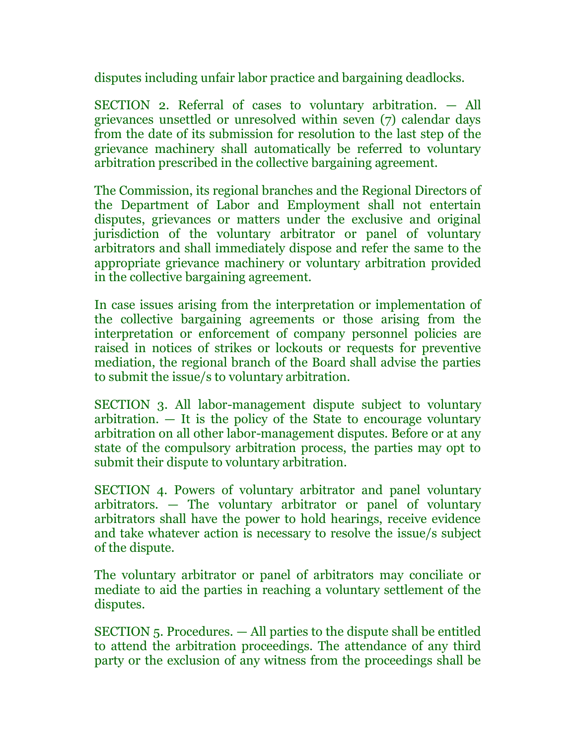disputes including unfair labor practice and bargaining deadlocks.

SECTION 2. Referral of cases to voluntary arbitration. — All grievances unsettled or unresolved within seven (7) calendar days from the date of its submission for resolution to the last step of the grievance machinery shall automatically be referred to voluntary arbitration prescribed in the collective bargaining agreement.

The Commission, its regional branches and the Regional Directors of the Department of Labor and Employment shall not entertain disputes, grievances or matters under the exclusive and original jurisdiction of the voluntary arbitrator or panel of voluntary arbitrators and shall immediately dispose and refer the same to the appropriate grievance machinery or voluntary arbitration provided in the collective bargaining agreement.

In case issues arising from the interpretation or implementation of the collective bargaining agreements or those arising from the interpretation or enforcement of company personnel policies are raised in notices of strikes or lockouts or requests for preventive mediation, the regional branch of the Board shall advise the parties to submit the issue/s to voluntary arbitration.

SECTION 3. All labor-management dispute subject to voluntary arbitration.  $-$  It is the policy of the State to encourage voluntary arbitration on all other labor-management disputes. Before or at any state of the compulsory arbitration process, the parties may opt to submit their dispute to voluntary arbitration.

SECTION 4. Powers of voluntary arbitrator and panel voluntary arbitrators. — The voluntary arbitrator or panel of voluntary arbitrators shall have the power to hold hearings, receive evidence and take whatever action is necessary to resolve the issue/s subject of the dispute.

The voluntary arbitrator or panel of arbitrators may conciliate or mediate to aid the parties in reaching a voluntary settlement of the disputes.

SECTION 5. Procedures. — All parties to the dispute shall be entitled to attend the arbitration proceedings. The attendance of any third party or the exclusion of any witness from the proceedings shall be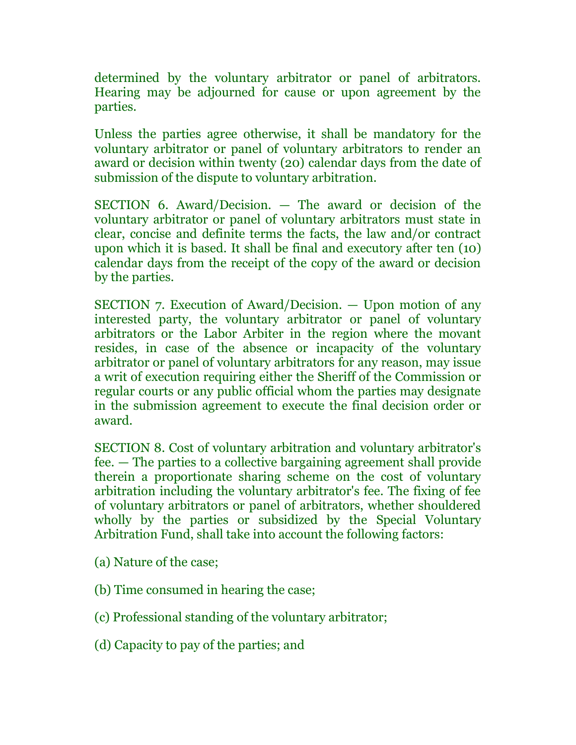determined by the voluntary arbitrator or panel of arbitrators. Hearing may be adjourned for cause or upon agreement by the parties.

Unless the parties agree otherwise, it shall be mandatory for the voluntary arbitrator or panel of voluntary arbitrators to render an award or decision within twenty (20) calendar days from the date of submission of the dispute to voluntary arbitration.

SECTION 6. Award/Decision. — The award or decision of the voluntary arbitrator or panel of voluntary arbitrators must state in clear, concise and definite terms the facts, the law and/or contract upon which it is based. It shall be final and executory after ten (10) calendar days from the receipt of the copy of the award or decision by the parties.

SECTION 7. Execution of Award/Decision. — Upon motion of any interested party, the voluntary arbitrator or panel of voluntary arbitrators or the Labor Arbiter in the region where the movant resides, in case of the absence or incapacity of the voluntary arbitrator or panel of voluntary arbitrators for any reason, may issue a writ of execution requiring either the Sheriff of the Commission or regular courts or any public official whom the parties may designate in the submission agreement to execute the final decision order or award.

SECTION 8. Cost of voluntary arbitration and voluntary arbitrator's fee. — The parties to a collective bargaining agreement shall provide therein a proportionate sharing scheme on the cost of voluntary arbitration including the voluntary arbitrator's fee. The fixing of fee of voluntary arbitrators or panel of arbitrators, whether shouldered wholly by the parties or subsidized by the Special Voluntary Arbitration Fund, shall take into account the following factors:

- (a) Nature of the case;
- (b) Time consumed in hearing the case;
- (c) Professional standing of the voluntary arbitrator;
- (d) Capacity to pay of the parties; and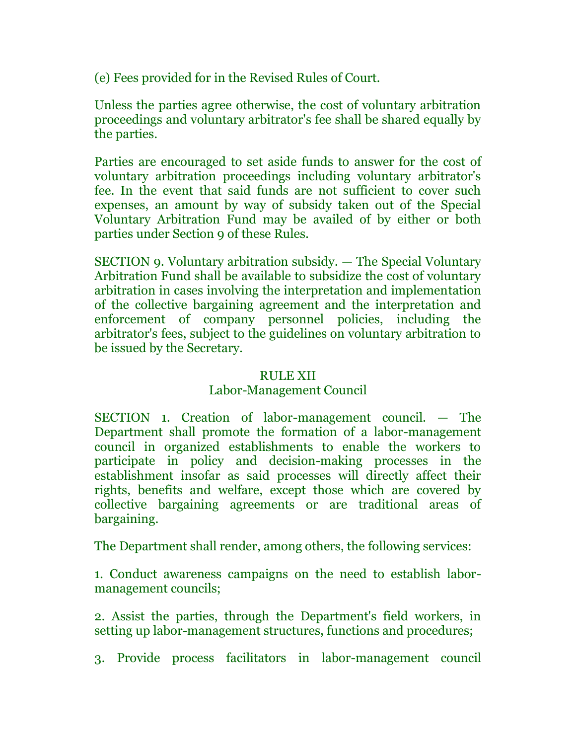(e) Fees provided for in the Revised Rules of Court.

Unless the parties agree otherwise, the cost of voluntary arbitration proceedings and voluntary arbitrator's fee shall be shared equally by the parties.

Parties are encouraged to set aside funds to answer for the cost of voluntary arbitration proceedings including voluntary arbitrator's fee. In the event that said funds are not sufficient to cover such expenses, an amount by way of subsidy taken out of the Special Voluntary Arbitration Fund may be availed of by either or both parties under Section 9 of these Rules.

SECTION 9. Voluntary arbitration subsidy. — The Special Voluntary Arbitration Fund shall be available to subsidize the cost of voluntary arbitration in cases involving the interpretation and implementation of the collective bargaining agreement and the interpretation and enforcement of company personnel policies, including the arbitrator's fees, subject to the guidelines on voluntary arbitration to be issued by the Secretary.

## RULE XII

# Labor-Management Council

SECTION 1. Creation of labor-management council. — The Department shall promote the formation of a labor-management council in organized establishments to enable the workers to participate in policy and decision-making processes in the establishment insofar as said processes will directly affect their rights, benefits and welfare, except those which are covered by collective bargaining agreements or are traditional areas of bargaining.

The Department shall render, among others, the following services:

1. Conduct awareness campaigns on the need to establish labormanagement councils;

2. Assist the parties, through the Department's field workers, in setting up labor-management structures, functions and procedures;

3. Provide process facilitators in labor-management council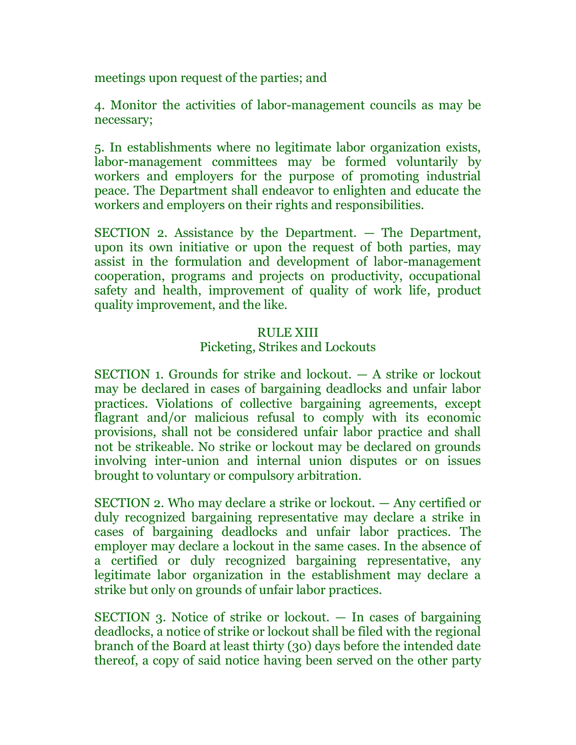meetings upon request of the parties; and

4. Monitor the activities of labor-management councils as may be necessary;

5. In establishments where no legitimate labor organization exists, labor-management committees may be formed voluntarily by workers and employers for the purpose of promoting industrial peace. The Department shall endeavor to enlighten and educate the workers and employers on their rights and responsibilities.

SECTION 2. Assistance by the Department. — The Department, upon its own initiative or upon the request of both parties, may assist in the formulation and development of labor-management cooperation, programs and projects on productivity, occupational safety and health, improvement of quality of work life, product quality improvement, and the like.

#### RULE XIII

## Picketing, Strikes and Lockouts

SECTION 1. Grounds for strike and lockout. — A strike or lockout may be declared in cases of bargaining deadlocks and unfair labor practices. Violations of collective bargaining agreements, except flagrant and/or malicious refusal to comply with its economic provisions, shall not be considered unfair labor practice and shall not be strikeable. No strike or lockout may be declared on grounds involving inter-union and internal union disputes or on issues brought to voluntary or compulsory arbitration.

SECTION 2. Who may declare a strike or lockout. — Any certified or duly recognized bargaining representative may declare a strike in cases of bargaining deadlocks and unfair labor practices. The employer may declare a lockout in the same cases. In the absence of a certified or duly recognized bargaining representative, any legitimate labor organization in the establishment may declare a strike but only on grounds of unfair labor practices.

SECTION 3. Notice of strike or lockout. — In cases of bargaining deadlocks, a notice of strike or lockout shall be filed with the regional branch of the Board at least thirty (30) days before the intended date thereof, a copy of said notice having been served on the other party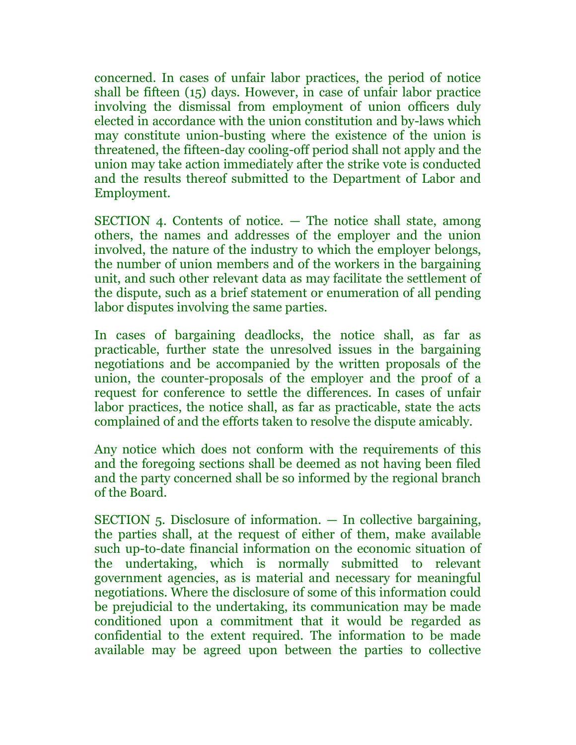concerned. In cases of unfair labor practices, the period of notice shall be fifteen (15) days. However, in case of unfair labor practice involving the dismissal from employment of union officers duly elected in accordance with the union constitution and by-laws which may constitute union-busting where the existence of the union is threatened, the fifteen-day cooling-off period shall not apply and the union may take action immediately after the strike vote is conducted and the results thereof submitted to the Department of Labor and Employment.

SECTION 4. Contents of notice. — The notice shall state, among others, the names and addresses of the employer and the union involved, the nature of the industry to which the employer belongs, the number of union members and of the workers in the bargaining unit, and such other relevant data as may facilitate the settlement of the dispute, such as a brief statement or enumeration of all pending labor disputes involving the same parties.

In cases of bargaining deadlocks, the notice shall, as far as practicable, further state the unresolved issues in the bargaining negotiations and be accompanied by the written proposals of the union, the counter-proposals of the employer and the proof of a request for conference to settle the differences. In cases of unfair labor practices, the notice shall, as far as practicable, state the acts complained of and the efforts taken to resolve the dispute amicably.

Any notice which does not conform with the requirements of this and the foregoing sections shall be deemed as not having been filed and the party concerned shall be so informed by the regional branch of the Board.

SECTION 5. Disclosure of information. — In collective bargaining, the parties shall, at the request of either of them, make available such up-to-date financial information on the economic situation of the undertaking, which is normally submitted to relevant government agencies, as is material and necessary for meaningful negotiations. Where the disclosure of some of this information could be prejudicial to the undertaking, its communication may be made conditioned upon a commitment that it would be regarded as confidential to the extent required. The information to be made available may be agreed upon between the parties to collective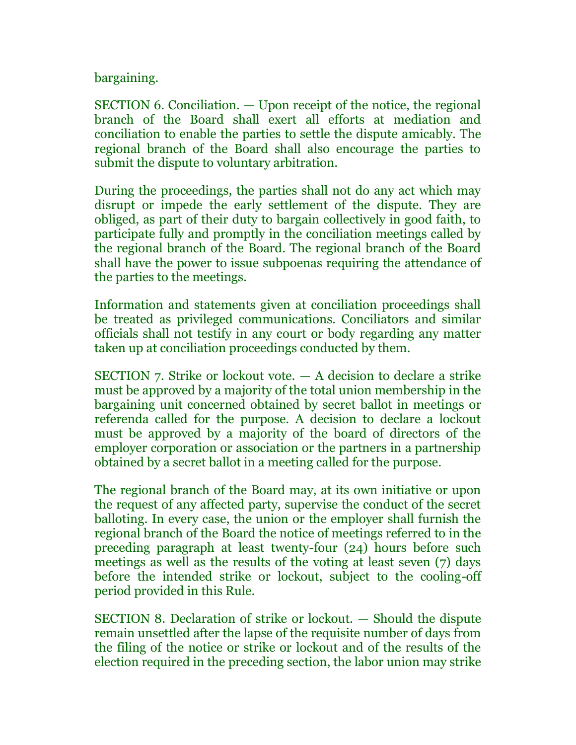bargaining.

SECTION 6. Conciliation. — Upon receipt of the notice, the regional branch of the Board shall exert all efforts at mediation and conciliation to enable the parties to settle the dispute amicably. The regional branch of the Board shall also encourage the parties to submit the dispute to voluntary arbitration.

During the proceedings, the parties shall not do any act which may disrupt or impede the early settlement of the dispute. They are obliged, as part of their duty to bargain collectively in good faith, to participate fully and promptly in the conciliation meetings called by the regional branch of the Board. The regional branch of the Board shall have the power to issue subpoenas requiring the attendance of the parties to the meetings.

Information and statements given at conciliation proceedings shall be treated as privileged communications. Conciliators and similar officials shall not testify in any court or body regarding any matter taken up at conciliation proceedings conducted by them.

SECTION 7. Strike or lockout vote. — A decision to declare a strike must be approved by a majority of the total union membership in the bargaining unit concerned obtained by secret ballot in meetings or referenda called for the purpose. A decision to declare a lockout must be approved by a majority of the board of directors of the employer corporation or association or the partners in a partnership obtained by a secret ballot in a meeting called for the purpose.

The regional branch of the Board may, at its own initiative or upon the request of any affected party, supervise the conduct of the secret balloting. In every case, the union or the employer shall furnish the regional branch of the Board the notice of meetings referred to in the preceding paragraph at least twenty-four (24) hours before such meetings as well as the results of the voting at least seven (7) days before the intended strike or lockout, subject to the cooling-off period provided in this Rule.

SECTION 8. Declaration of strike or lockout. — Should the dispute remain unsettled after the lapse of the requisite number of days from the filing of the notice or strike or lockout and of the results of the election required in the preceding section, the labor union may strike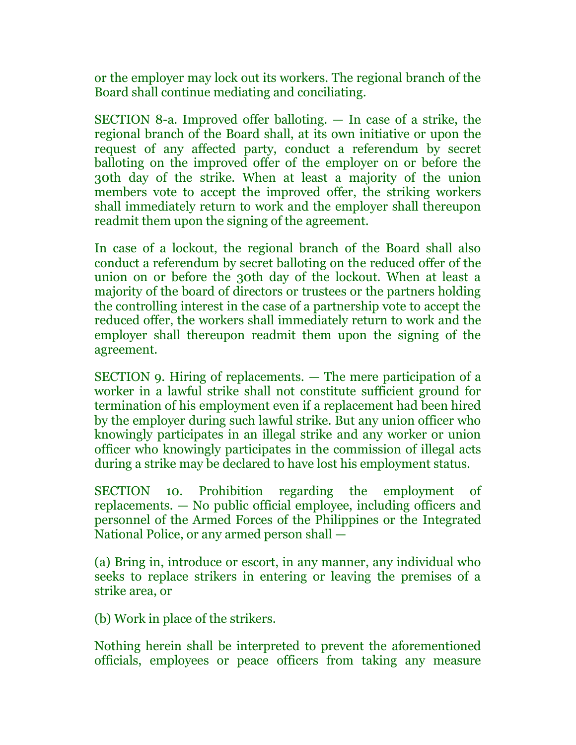or the employer may lock out its workers. The regional branch of the Board shall continue mediating and conciliating.

SECTION 8-a. Improved offer balloting. — In case of a strike, the regional branch of the Board shall, at its own initiative or upon the request of any affected party, conduct a referendum by secret balloting on the improved offer of the employer on or before the 30th day of the strike. When at least a majority of the union members vote to accept the improved offer, the striking workers shall immediately return to work and the employer shall thereupon readmit them upon the signing of the agreement.

In case of a lockout, the regional branch of the Board shall also conduct a referendum by secret balloting on the reduced offer of the union on or before the 30th day of the lockout. When at least a majority of the board of directors or trustees or the partners holding the controlling interest in the case of a partnership vote to accept the reduced offer, the workers shall immediately return to work and the employer shall thereupon readmit them upon the signing of the agreement.

SECTION 9. Hiring of replacements. — The mere participation of a worker in a lawful strike shall not constitute sufficient ground for termination of his employment even if a replacement had been hired by the employer during such lawful strike. But any union officer who knowingly participates in an illegal strike and any worker or union officer who knowingly participates in the commission of illegal acts during a strike may be declared to have lost his employment status.

SECTION 10. Prohibition regarding the employment of replacements. — No public official employee, including officers and personnel of the Armed Forces of the Philippines or the Integrated National Police, or any armed person shall —

(a) Bring in, introduce or escort, in any manner, any individual who seeks to replace strikers in entering or leaving the premises of a strike area, or

(b) Work in place of the strikers.

Nothing herein shall be interpreted to prevent the aforementioned officials, employees or peace officers from taking any measure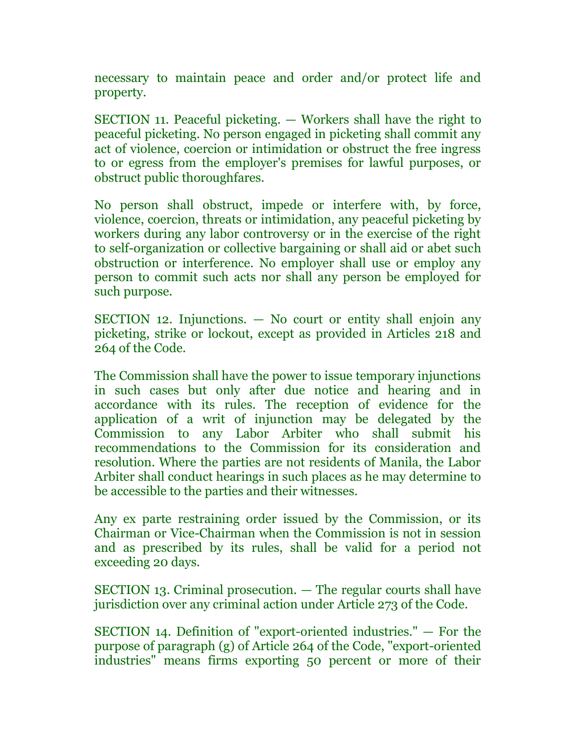necessary to maintain peace and order and/or protect life and property.

SECTION 11. Peaceful picketing. — Workers shall have the right to peaceful picketing. No person engaged in picketing shall commit any act of violence, coercion or intimidation or obstruct the free ingress to or egress from the employer's premises for lawful purposes, or obstruct public thoroughfares.

No person shall obstruct, impede or interfere with, by force, violence, coercion, threats or intimidation, any peaceful picketing by workers during any labor controversy or in the exercise of the right to self-organization or collective bargaining or shall aid or abet such obstruction or interference. No employer shall use or employ any person to commit such acts nor shall any person be employed for such purpose.

SECTION 12. Injunctions. — No court or entity shall enjoin any picketing, strike or lockout, except as provided in Articles 218 and 264 of the Code.

The Commission shall have the power to issue temporary injunctions in such cases but only after due notice and hearing and in accordance with its rules. The reception of evidence for the application of a writ of injunction may be delegated by the Commission to any Labor Arbiter who shall submit his recommendations to the Commission for its consideration and resolution. Where the parties are not residents of Manila, the Labor Arbiter shall conduct hearings in such places as he may determine to be accessible to the parties and their witnesses.

Any ex parte restraining order issued by the Commission, or its Chairman or Vice-Chairman when the Commission is not in session and as prescribed by its rules, shall be valid for a period not exceeding 20 days.

SECTION 13. Criminal prosecution. — The regular courts shall have jurisdiction over any criminal action under Article 273 of the Code.

SECTION 14. Definition of "export-oriented industries." — For the purpose of paragraph (g) of Article 264 of the Code, "export-oriented industries" means firms exporting 50 percent or more of their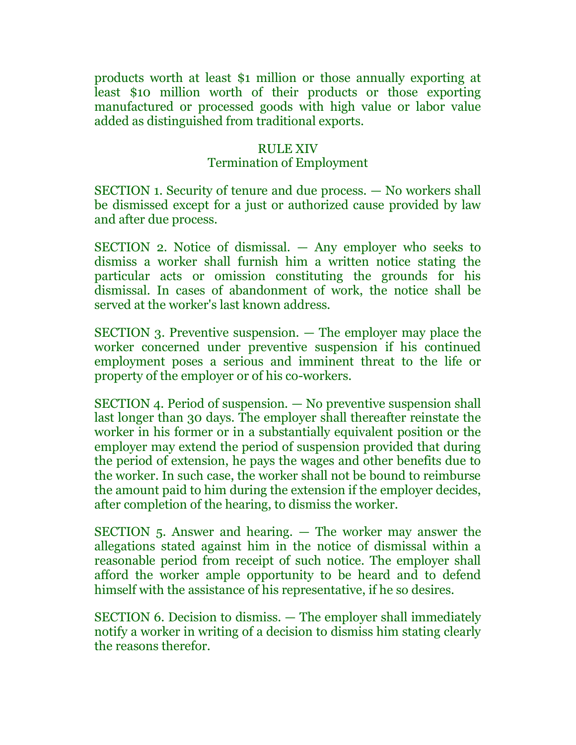products worth at least \$1 million or those annually exporting at least \$10 million worth of their products or those exporting manufactured or processed goods with high value or labor value added as distinguished from traditional exports.

#### RULE XIV

#### Termination of Employment

SECTION 1. Security of tenure and due process. — No workers shall be dismissed except for a just or authorized cause provided by law and after due process.

SECTION 2. Notice of dismissal. — Any employer who seeks to dismiss a worker shall furnish him a written notice stating the particular acts or omission constituting the grounds for his dismissal. In cases of abandonment of work, the notice shall be served at the worker's last known address.

SECTION 3. Preventive suspension. — The employer may place the worker concerned under preventive suspension if his continued employment poses a serious and imminent threat to the life or property of the employer or of his co-workers.

SECTION 4. Period of suspension. — No preventive suspension shall last longer than 30 days. The employer shall thereafter reinstate the worker in his former or in a substantially equivalent position or the employer may extend the period of suspension provided that during the period of extension, he pays the wages and other benefits due to the worker. In such case, the worker shall not be bound to reimburse the amount paid to him during the extension if the employer decides, after completion of the hearing, to dismiss the worker.

SECTION 5. Answer and hearing. — The worker may answer the allegations stated against him in the notice of dismissal within a reasonable period from receipt of such notice. The employer shall afford the worker ample opportunity to be heard and to defend himself with the assistance of his representative, if he so desires.

SECTION 6. Decision to dismiss. — The employer shall immediately notify a worker in writing of a decision to dismiss him stating clearly the reasons therefor.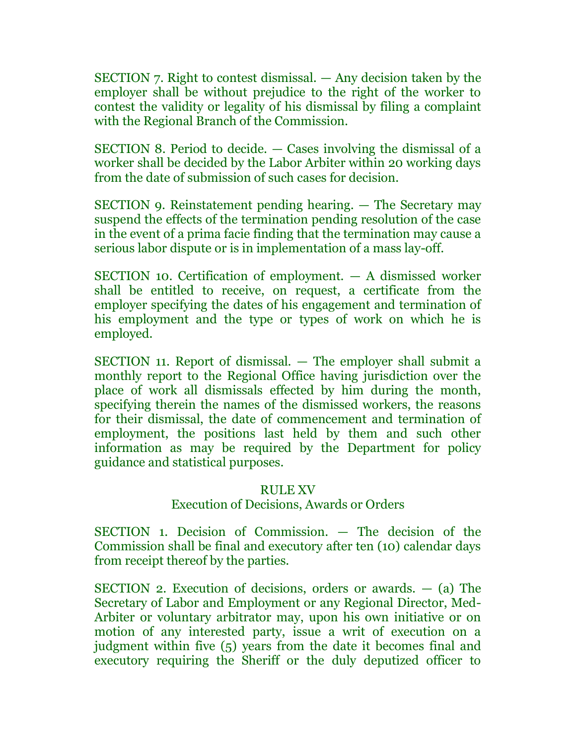SECTION 7. Right to contest dismissal. — Any decision taken by the employer shall be without prejudice to the right of the worker to contest the validity or legality of his dismissal by filing a complaint with the Regional Branch of the Commission.

SECTION 8. Period to decide. — Cases involving the dismissal of a worker shall be decided by the Labor Arbiter within 20 working days from the date of submission of such cases for decision.

SECTION 9. Reinstatement pending hearing. — The Secretary may suspend the effects of the termination pending resolution of the case in the event of a prima facie finding that the termination may cause a serious labor dispute or is in implementation of a mass lay-off.

SECTION 10. Certification of employment. — A dismissed worker shall be entitled to receive, on request, a certificate from the employer specifying the dates of his engagement and termination of his employment and the type or types of work on which he is employed.

SECTION 11. Report of dismissal. — The employer shall submit a monthly report to the Regional Office having jurisdiction over the place of work all dismissals effected by him during the month, specifying therein the names of the dismissed workers, the reasons for their dismissal, the date of commencement and termination of employment, the positions last held by them and such other information as may be required by the Department for policy guidance and statistical purposes.

# RULE XV

# Execution of Decisions, Awards or Orders

SECTION 1. Decision of Commission. — The decision of the Commission shall be final and executory after ten (10) calendar days from receipt thereof by the parties.

SECTION 2. Execution of decisions, orders or awards.  $-$  (a) The Secretary of Labor and Employment or any Regional Director, Med-Arbiter or voluntary arbitrator may, upon his own initiative or on motion of any interested party, issue a writ of execution on a judgment within five (5) years from the date it becomes final and executory requiring the Sheriff or the duly deputized officer to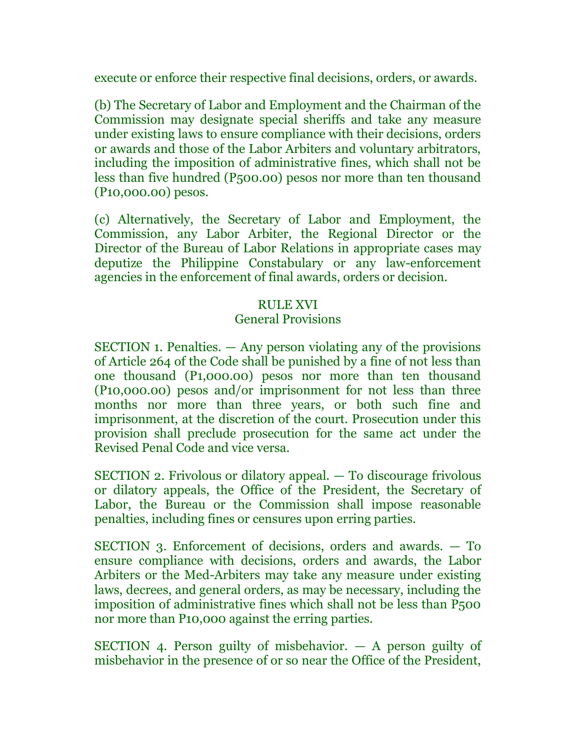execute or enforce their respective final decisions, orders, or awards.

(b) The Secretary of Labor and Employment and the Chairman of the Commission may designate special sheriffs and take any measure under existing laws to ensure compliance with their decisions, orders or awards and those of the Labor Arbiters and voluntary arbitrators, including the imposition of administrative fines, which shall not be less than five hundred (P500.00) pesos nor more than ten thousand (P10,000.00) pesos.

(c) Alternatively, the Secretary of Labor and Employment, the Commission, any Labor Arbiter, the Regional Director or the Director of the Bureau of Labor Relations in appropriate cases may deputize the Philippine Constabulary or any law-enforcement agencies in the enforcement of final awards, orders or decision.

## RULE XVI

## General Provisions

SECTION 1. Penalties. — Any person violating any of the provisions of Article 264 of the Code shall be punished by a fine of not less than one thousand (P1,000.00) pesos nor more than ten thousand (P10,000.00) pesos and/or imprisonment for not less than three months nor more than three years, or both such fine and imprisonment, at the discretion of the court. Prosecution under this provision shall preclude prosecution for the same act under the Revised Penal Code and vice versa.

SECTION 2. Frivolous or dilatory appeal. — To discourage frivolous or dilatory appeals, the Office of the President, the Secretary of Labor, the Bureau or the Commission shall impose reasonable penalties, including fines or censures upon erring parties.

SECTION 3. Enforcement of decisions, orders and awards. — To ensure compliance with decisions, orders and awards, the Labor Arbiters or the Med-Arbiters may take any measure under existing laws, decrees, and general orders, as may be necessary, including the imposition of administrative fines which shall not be less than P500 nor more than P10,000 against the erring parties.

SECTION 4. Person guilty of misbehavior. — A person guilty of misbehavior in the presence of or so near the Office of the President,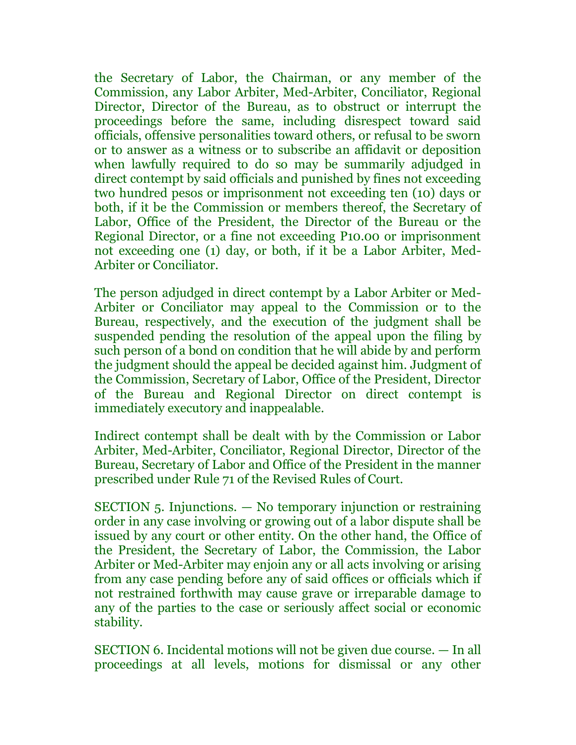the Secretary of Labor, the Chairman, or any member of the Commission, any Labor Arbiter, Med-Arbiter, Conciliator, Regional Director, Director of the Bureau, as to obstruct or interrupt the proceedings before the same, including disrespect toward said officials, offensive personalities toward others, or refusal to be sworn or to answer as a witness or to subscribe an affidavit or deposition when lawfully required to do so may be summarily adjudged in direct contempt by said officials and punished by fines not exceeding two hundred pesos or imprisonment not exceeding ten (10) days or both, if it be the Commission or members thereof, the Secretary of Labor, Office of the President, the Director of the Bureau or the Regional Director, or a fine not exceeding P10.00 or imprisonment not exceeding one (1) day, or both, if it be a Labor Arbiter, Med-Arbiter or Conciliator.

The person adjudged in direct contempt by a Labor Arbiter or Med-Arbiter or Conciliator may appeal to the Commission or to the Bureau, respectively, and the execution of the judgment shall be suspended pending the resolution of the appeal upon the filing by such person of a bond on condition that he will abide by and perform the judgment should the appeal be decided against him. Judgment of the Commission, Secretary of Labor, Office of the President, Director of the Bureau and Regional Director on direct contempt is immediately executory and inappealable.

Indirect contempt shall be dealt with by the Commission or Labor Arbiter, Med-Arbiter, Conciliator, Regional Director, Director of the Bureau, Secretary of Labor and Office of the President in the manner prescribed under Rule 71 of the Revised Rules of Court.

SECTION 5. Injunctions. — No temporary injunction or restraining order in any case involving or growing out of a labor dispute shall be issued by any court or other entity. On the other hand, the Office of the President, the Secretary of Labor, the Commission, the Labor Arbiter or Med-Arbiter may enjoin any or all acts involving or arising from any case pending before any of said offices or officials which if not restrained forthwith may cause grave or irreparable damage to any of the parties to the case or seriously affect social or economic stability.

SECTION 6. Incidental motions will not be given due course. — In all proceedings at all levels, motions for dismissal or any other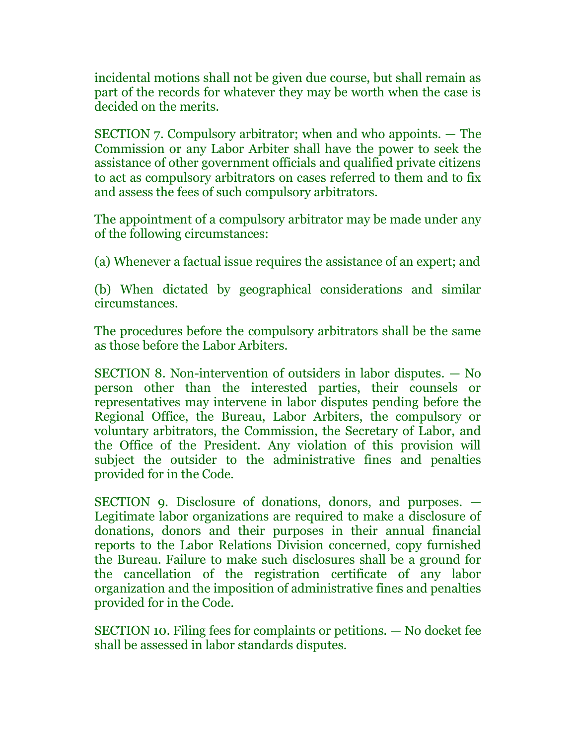incidental motions shall not be given due course, but shall remain as part of the records for whatever they may be worth when the case is decided on the merits.

SECTION 7. Compulsory arbitrator; when and who appoints. — The Commission or any Labor Arbiter shall have the power to seek the assistance of other government officials and qualified private citizens to act as compulsory arbitrators on cases referred to them and to fix and assess the fees of such compulsory arbitrators.

The appointment of a compulsory arbitrator may be made under any of the following circumstances:

(a) Whenever a factual issue requires the assistance of an expert; and

(b) When dictated by geographical considerations and similar circumstances.

The procedures before the compulsory arbitrators shall be the same as those before the Labor Arbiters.

SECTION 8. Non-intervention of outsiders in labor disputes. — No person other than the interested parties, their counsels or representatives may intervene in labor disputes pending before the Regional Office, the Bureau, Labor Arbiters, the compulsory or voluntary arbitrators, the Commission, the Secretary of Labor, and the Office of the President. Any violation of this provision will subject the outsider to the administrative fines and penalties provided for in the Code.

SECTION 9. Disclosure of donations, donors, and purposes. — Legitimate labor organizations are required to make a disclosure of donations, donors and their purposes in their annual financial reports to the Labor Relations Division concerned, copy furnished the Bureau. Failure to make such disclosures shall be a ground for the cancellation of the registration certificate of any labor organization and the imposition of administrative fines and penalties provided for in the Code.

SECTION 10. Filing fees for complaints or petitions. — No docket fee shall be assessed in labor standards disputes.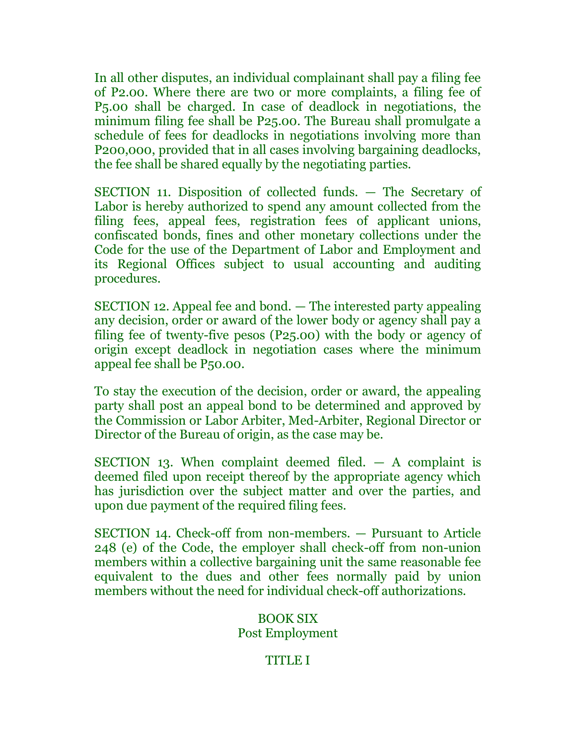In all other disputes, an individual complainant shall pay a filing fee of P2.00. Where there are two or more complaints, a filing fee of P5.00 shall be charged. In case of deadlock in negotiations, the minimum filing fee shall be P25.00. The Bureau shall promulgate a schedule of fees for deadlocks in negotiations involving more than P200,000, provided that in all cases involving bargaining deadlocks, the fee shall be shared equally by the negotiating parties.

SECTION 11. Disposition of collected funds. — The Secretary of Labor is hereby authorized to spend any amount collected from the filing fees, appeal fees, registration fees of applicant unions, confiscated bonds, fines and other monetary collections under the Code for the use of the Department of Labor and Employment and its Regional Offices subject to usual accounting and auditing procedures.

SECTION 12. Appeal fee and bond. — The interested party appealing any decision, order or award of the lower body or agency shall pay a filing fee of twenty-five pesos (P25.00) with the body or agency of origin except deadlock in negotiation cases where the minimum appeal fee shall be P50.00.

To stay the execution of the decision, order or award, the appealing party shall post an appeal bond to be determined and approved by the Commission or Labor Arbiter, Med-Arbiter, Regional Director or Director of the Bureau of origin, as the case may be.

SECTION 13. When complaint deemed filed.  $-$  A complaint is deemed filed upon receipt thereof by the appropriate agency which has jurisdiction over the subject matter and over the parties, and upon due payment of the required filing fees.

SECTION 14. Check-off from non-members. — Pursuant to Article 248 (e) of the Code, the employer shall check-off from non-union members within a collective bargaining unit the same reasonable fee equivalent to the dues and other fees normally paid by union members without the need for individual check-off authorizations.

# BOOK SIX Post Employment

# TITLE I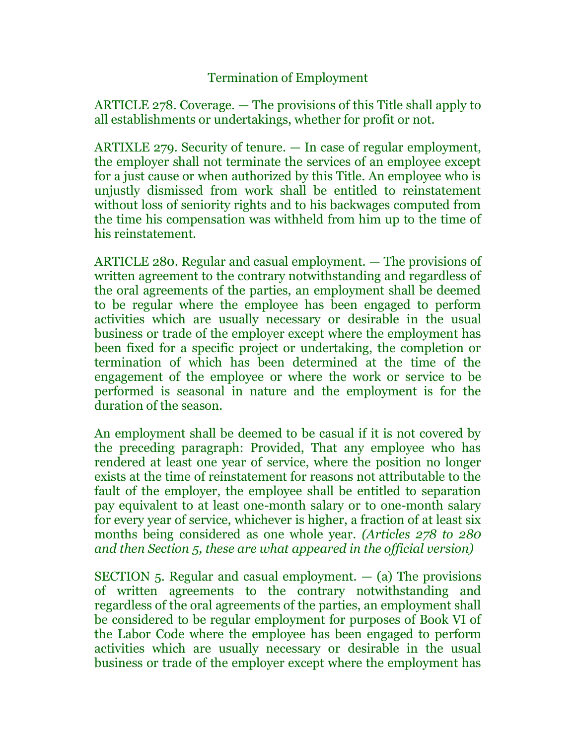# Termination of Employment

ARTICLE 278. Coverage. — The provisions of this Title shall apply to all establishments or undertakings, whether for profit or not.

ARTIXLE 279. Security of tenure. — In case of regular employment, the employer shall not terminate the services of an employee except for a just cause or when authorized by this Title. An employee who is unjustly dismissed from work shall be entitled to reinstatement without loss of seniority rights and to his backwages computed from the time his compensation was withheld from him up to the time of his reinstatement.

ARTICLE 280. Regular and casual employment. — The provisions of written agreement to the contrary notwithstanding and regardless of the oral agreements of the parties, an employment shall be deemed to be regular where the employee has been engaged to perform activities which are usually necessary or desirable in the usual business or trade of the employer except where the employment has been fixed for a specific project or undertaking, the completion or termination of which has been determined at the time of the engagement of the employee or where the work or service to be performed is seasonal in nature and the employment is for the duration of the season.

An employment shall be deemed to be casual if it is not covered by the preceding paragraph: Provided, That any employee who has rendered at least one year of service, where the position no longer exists at the time of reinstatement for reasons not attributable to the fault of the employer, the employee shall be entitled to separation pay equivalent to at least one-month salary or to one-month salary for every year of service, whichever is higher, a fraction of at least six months being considered as one whole year. *(Articles 278 to 280 and then Section 5, these are what appeared in the official version)*

SECTION 5. Regular and casual employment.  $-$  (a) The provisions of written agreements to the contrary notwithstanding and regardless of the oral agreements of the parties, an employment shall be considered to be regular employment for purposes of Book VI of the Labor Code where the employee has been engaged to perform activities which are usually necessary or desirable in the usual business or trade of the employer except where the employment has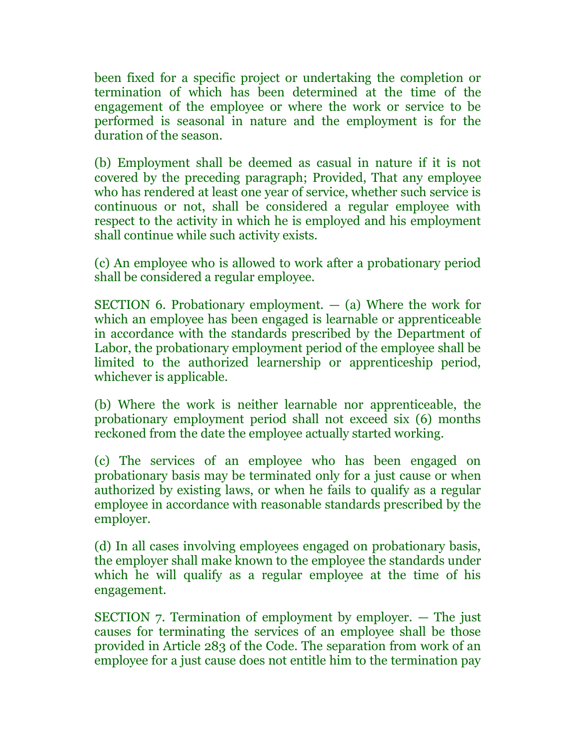been fixed for a specific project or undertaking the completion or termination of which has been determined at the time of the engagement of the employee or where the work or service to be performed is seasonal in nature and the employment is for the duration of the season.

(b) Employment shall be deemed as casual in nature if it is not covered by the preceding paragraph; Provided, That any employee who has rendered at least one year of service, whether such service is continuous or not, shall be considered a regular employee with respect to the activity in which he is employed and his employment shall continue while such activity exists.

(c) An employee who is allowed to work after a probationary period shall be considered a regular employee.

SECTION 6. Probationary employment.  $-$  (a) Where the work for which an employee has been engaged is learnable or apprenticeable in accordance with the standards prescribed by the Department of Labor, the probationary employment period of the employee shall be limited to the authorized learnership or apprenticeship period, whichever is applicable.

(b) Where the work is neither learnable nor apprenticeable, the probationary employment period shall not exceed six (6) months reckoned from the date the employee actually started working.

(c) The services of an employee who has been engaged on probationary basis may be terminated only for a just cause or when authorized by existing laws, or when he fails to qualify as a regular employee in accordance with reasonable standards prescribed by the employer.

(d) In all cases involving employees engaged on probationary basis, the employer shall make known to the employee the standards under which he will qualify as a regular employee at the time of his engagement.

SECTION 7. Termination of employment by employer. — The just causes for terminating the services of an employee shall be those provided in Article 283 of the Code. The separation from work of an employee for a just cause does not entitle him to the termination pay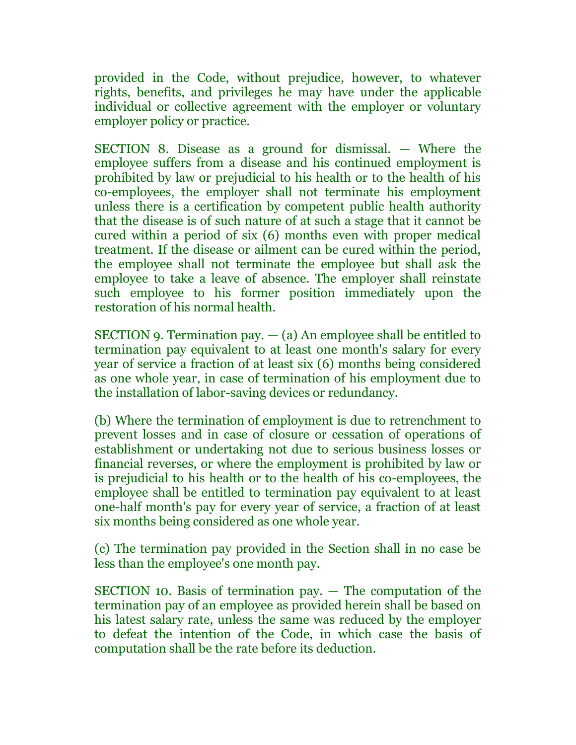provided in the Code, without prejudice, however, to whatever rights, benefits, and privileges he may have under the applicable individual or collective agreement with the employer or voluntary employer policy or practice.

SECTION 8. Disease as a ground for dismissal. — Where the employee suffers from a disease and his continued employment is prohibited by law or prejudicial to his health or to the health of his co-employees, the employer shall not terminate his employment unless there is a certification by competent public health authority that the disease is of such nature of at such a stage that it cannot be cured within a period of six (6) months even with proper medical treatment. If the disease or ailment can be cured within the period, the employee shall not terminate the employee but shall ask the employee to take a leave of absence. The employer shall reinstate such employee to his former position immediately upon the restoration of his normal health.

SECTION 9. Termination pay.  $-$  (a) An employee shall be entitled to termination pay equivalent to at least one month's salary for every year of service a fraction of at least six (6) months being considered as one whole year, in case of termination of his employment due to the installation of labor-saving devices or redundancy.

(b) Where the termination of employment is due to retrenchment to prevent losses and in case of closure or cessation of operations of establishment or undertaking not due to serious business losses or financial reverses, or where the employment is prohibited by law or is prejudicial to his health or to the health of his co-employees, the employee shall be entitled to termination pay equivalent to at least one-half month's pay for every year of service, a fraction of at least six months being considered as one whole year.

(c) The termination pay provided in the Section shall in no case be less than the employee's one month pay.

SECTION 10. Basis of termination pay. — The computation of the termination pay of an employee as provided herein shall be based on his latest salary rate, unless the same was reduced by the employer to defeat the intention of the Code, in which case the basis of computation shall be the rate before its deduction.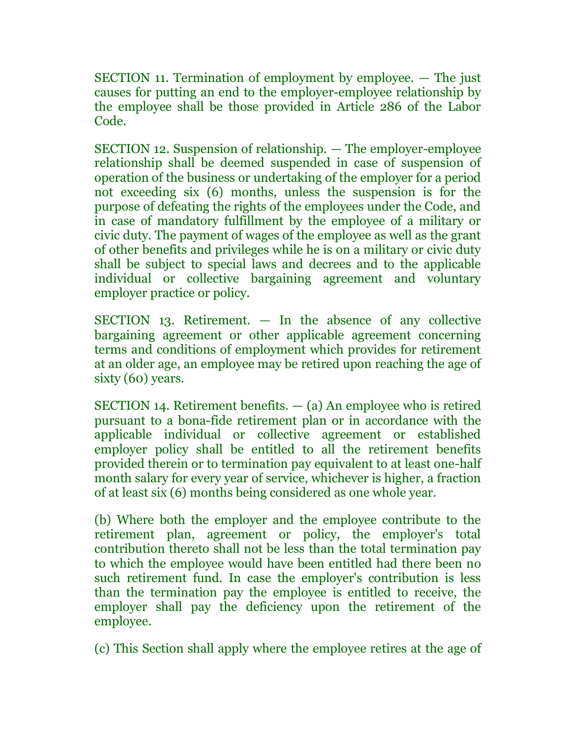SECTION 11. Termination of employment by employee. — The just causes for putting an end to the employer-employee relationship by the employee shall be those provided in Article 286 of the Labor Code.

SECTION 12. Suspension of relationship. — The employer-employee relationship shall be deemed suspended in case of suspension of operation of the business or undertaking of the employer for a period not exceeding six (6) months, unless the suspension is for the purpose of defeating the rights of the employees under the Code, and in case of mandatory fulfillment by the employee of a military or civic duty. The payment of wages of the employee as well as the grant of other benefits and privileges while he is on a military or civic duty shall be subject to special laws and decrees and to the applicable individual or collective bargaining agreement and voluntary employer practice or policy.

SECTION 13. Retirement. — In the absence of any collective bargaining agreement or other applicable agreement concerning terms and conditions of employment which provides for retirement at an older age, an employee may be retired upon reaching the age of sixty (60) years.

SECTION 14. Retirement benefits.  $-$  (a) An employee who is retired pursuant to a bona-fide retirement plan or in accordance with the applicable individual or collective agreement or established employer policy shall be entitled to all the retirement benefits provided therein or to termination pay equivalent to at least one-half month salary for every year of service, whichever is higher, a fraction of at least six (6) months being considered as one whole year.

(b) Where both the employer and the employee contribute to the retirement plan, agreement or policy, the employer's total contribution thereto shall not be less than the total termination pay to which the employee would have been entitled had there been no such retirement fund. In case the employer's contribution is less than the termination pay the employee is entitled to receive, the employer shall pay the deficiency upon the retirement of the employee.

(c) This Section shall apply where the employee retires at the age of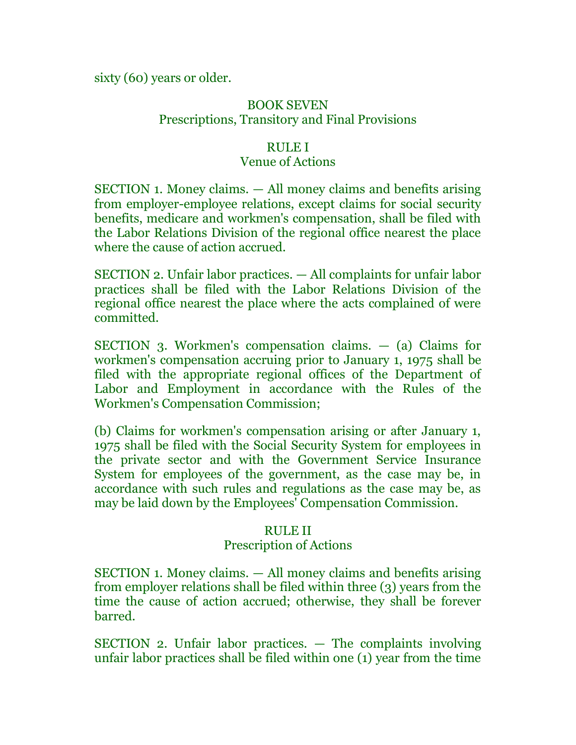sixty (60) years or older.

# BOOK SEVEN Prescriptions, Transitory and Final Provisions

## RULE I

# Venue of Actions

SECTION 1. Money claims. — All money claims and benefits arising from employer-employee relations, except claims for social security benefits, medicare and workmen's compensation, shall be filed with the Labor Relations Division of the regional office nearest the place where the cause of action accrued.

SECTION 2. Unfair labor practices. — All complaints for unfair labor practices shall be filed with the Labor Relations Division of the regional office nearest the place where the acts complained of were committed.

SECTION 3. Workmen's compensation claims. — (a) Claims for workmen's compensation accruing prior to January 1, 1975 shall be filed with the appropriate regional offices of the Department of Labor and Employment in accordance with the Rules of the Workmen's Compensation Commission;

(b) Claims for workmen's compensation arising or after January 1, 1975 shall be filed with the Social Security System for employees in the private sector and with the Government Service Insurance System for employees of the government, as the case may be, in accordance with such rules and regulations as the case may be, as may be laid down by the Employees' Compensation Commission.

### RULE II

### Prescription of Actions

SECTION 1. Money claims. — All money claims and benefits arising from employer relations shall be filed within three (3) years from the time the cause of action accrued; otherwise, they shall be forever barred.

SECTION 2. Unfair labor practices. — The complaints involving unfair labor practices shall be filed within one (1) year from the time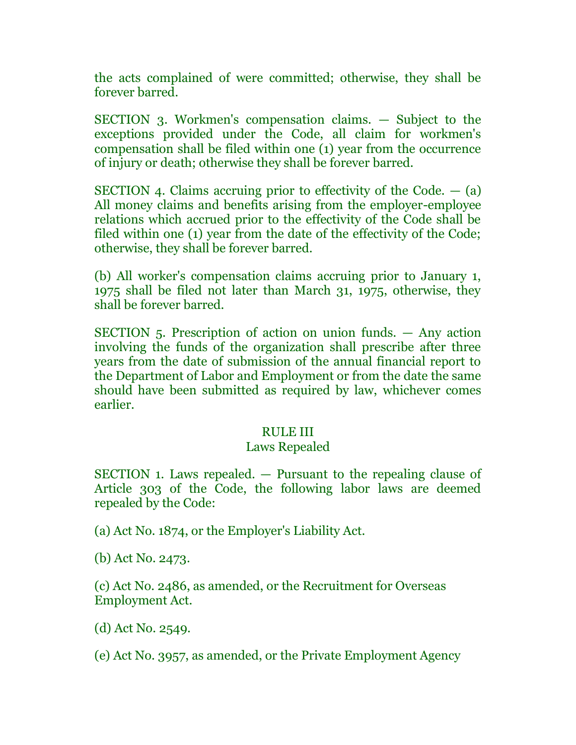the acts complained of were committed; otherwise, they shall be forever barred.

SECTION 3. Workmen's compensation claims. — Subject to the exceptions provided under the Code, all claim for workmen's compensation shall be filed within one (1) year from the occurrence of injury or death; otherwise they shall be forever barred.

SECTION 4. Claims accruing prior to effectivity of the Code.  $-$  (a) All money claims and benefits arising from the employer-employee relations which accrued prior to the effectivity of the Code shall be filed within one (1) year from the date of the effectivity of the Code; otherwise, they shall be forever barred.

(b) All worker's compensation claims accruing prior to January 1, 1975 shall be filed not later than March 31, 1975, otherwise, they shall be forever barred.

SECTION 5. Prescription of action on union funds. — Any action involving the funds of the organization shall prescribe after three years from the date of submission of the annual financial report to the Department of Labor and Employment or from the date the same should have been submitted as required by law, whichever comes earlier.

#### RULE III

#### Laws Repealed

SECTION 1. Laws repealed. — Pursuant to the repealing clause of Article 303 of the Code, the following labor laws are deemed repealed by the Code:

(a) Act No. 1874, or the Employer's Liability Act.

(b) Act No. 2473.

(c) Act No. 2486, as amended, or the Recruitment for Overseas Employment Act.

(d) Act No. 2549.

(e) Act No. 3957, as amended, or the Private Employment Agency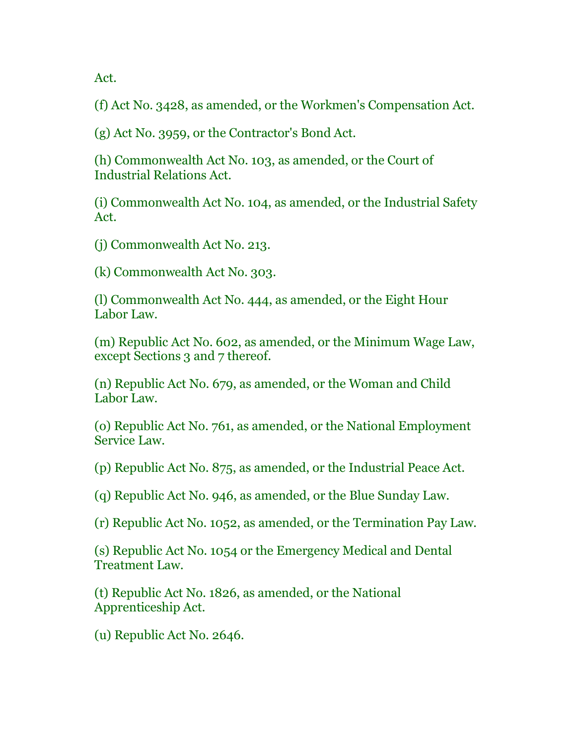Act.

(f) Act No. 3428, as amended, or the Workmen's Compensation Act.

(g) Act No. 3959, or the Contractor's Bond Act.

(h) Commonwealth Act No. 103, as amended, or the Court of Industrial Relations Act.

(i) Commonwealth Act No. 104, as amended, or the Industrial Safety Act.

(j) Commonwealth Act No. 213.

(k) Commonwealth Act No. 303.

(l) Commonwealth Act No. 444, as amended, or the Eight Hour Labor Law.

(m) Republic Act No. 602, as amended, or the Minimum Wage Law, except Sections 3 and 7 thereof.

(n) Republic Act No. 679, as amended, or the Woman and Child Labor Law.

(o) Republic Act No. 761, as amended, or the National Employment Service Law.

(p) Republic Act No. 875, as amended, or the Industrial Peace Act.

(q) Republic Act No. 946, as amended, or the Blue Sunday Law.

(r) Republic Act No. 1052, as amended, or the Termination Pay Law.

(s) Republic Act No. 1054 or the Emergency Medical and Dental Treatment Law.

(t) Republic Act No. 1826, as amended, or the National Apprenticeship Act.

(u) Republic Act No. 2646.